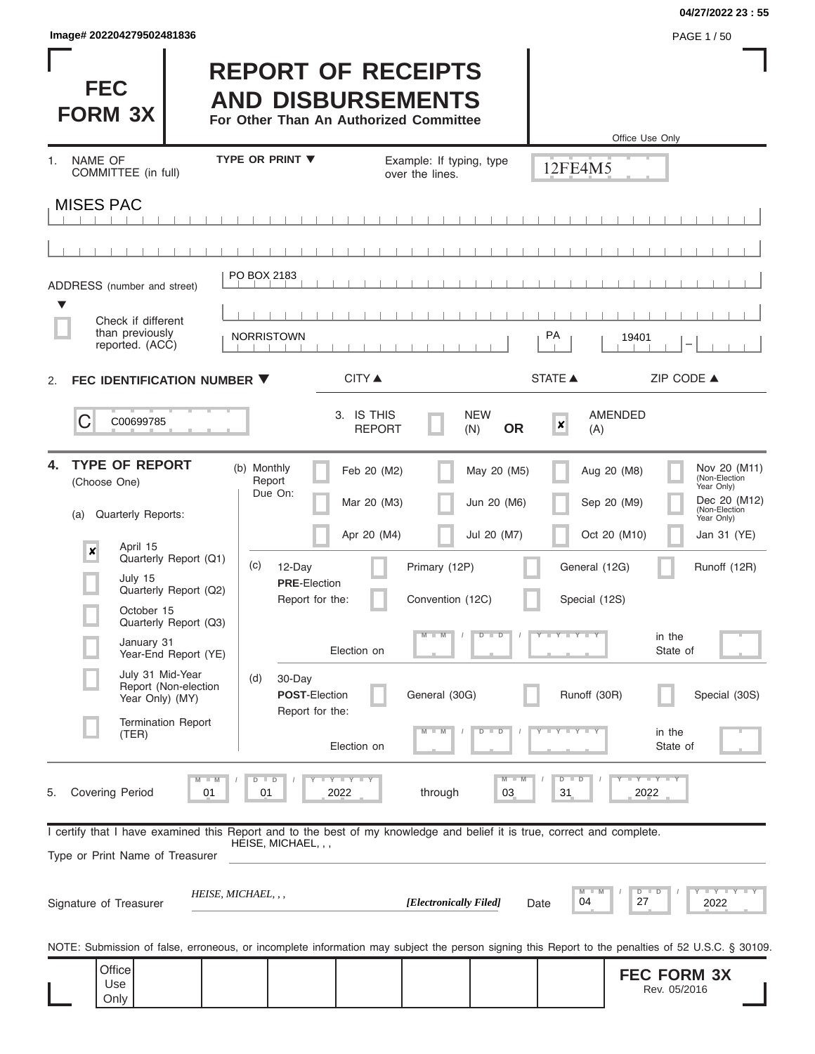| lmage# 202204279502481836 | PAGE 1/50 |
|---------------------------|-----------|
|---------------------------|-----------|

**04/27/2022 23 : 55**

| <b>FEC</b><br><b>FORM 3X</b>                                                                                                                               |                                                                                                 | <b>REPORT OF RECEIPTS</b><br><b>AND DISBURSEMENTS</b><br>For Other Than An Authorized Committee |                                              |                                           |                                             | Office Use Only                                                                                                                                         |
|------------------------------------------------------------------------------------------------------------------------------------------------------------|-------------------------------------------------------------------------------------------------|-------------------------------------------------------------------------------------------------|----------------------------------------------|-------------------------------------------|---------------------------------------------|---------------------------------------------------------------------------------------------------------------------------------------------------------|
| NAME OF<br>$\mathbf{1}$ .<br>COMMITTEE (in full)                                                                                                           |                                                                                                 | <b>TYPE OR PRINT ▼</b>                                                                          | Example: If typing, type<br>over the lines.  |                                           | 12FE4M5                                     |                                                                                                                                                         |
| <b>MISES PAC</b>                                                                                                                                           |                                                                                                 |                                                                                                 |                                              |                                           |                                             |                                                                                                                                                         |
|                                                                                                                                                            |                                                                                                 |                                                                                                 |                                              |                                           |                                             |                                                                                                                                                         |
| ADDRESS (number and street)                                                                                                                                |                                                                                                 | PO BOX 2183                                                                                     |                                              |                                           |                                             |                                                                                                                                                         |
| $\blacktriangledown$<br>Check if different                                                                                                                 |                                                                                                 |                                                                                                 |                                              |                                           |                                             |                                                                                                                                                         |
| than previously<br>reported. (ACC)                                                                                                                         |                                                                                                 | <b>NORRISTOWN</b>                                                                               |                                              |                                           | PA                                          | 19401                                                                                                                                                   |
| FEC IDENTIFICATION NUMBER ▼<br>2.                                                                                                                          |                                                                                                 |                                                                                                 | <b>CITY ▲</b>                                |                                           | <b>STATE ▲</b>                              | ZIP CODE ▲                                                                                                                                              |
| С<br>C00699785                                                                                                                                             |                                                                                                 |                                                                                                 | 3. IS THIS<br><b>REPORT</b>                  | <b>NEW</b><br><b>OR</b><br>(N)            | $\boldsymbol{x}$<br>(A)                     | <b>AMENDED</b>                                                                                                                                          |
| <b>TYPE OF REPORT</b><br>4.<br>(Choose One)<br><b>Quarterly Reports:</b><br>(a)<br>April 15<br>$\pmb{\times}$                                              |                                                                                                 | (b) Monthly<br>Report<br>Due On:                                                                | Feb 20 (M2)<br>Mar 20 (M3)<br>Apr 20 (M4)    | May 20 (M5)<br>Jun 20 (M6)<br>Jul 20 (M7) |                                             | Nov 20 (M11)<br>(Non-Election<br>Aug 20 (M8)<br>Year Only)<br>Dec 20 (M12)<br>Sep 20 (M9)<br>(Non-Election<br>Year Only)<br>Oct 20 (M10)<br>Jan 31 (YE) |
| July 15<br>October 15<br>January 31                                                                                                                        | Quarterly Report (Q1)<br>Quarterly Report (Q2)<br>Quarterly Report (Q3)<br>Year-End Report (YE) | (c)<br>12-Day<br><b>PRE</b> Election<br>Report for the:<br>Election on                          | Primary (12P)<br>Convention (12C)<br>$M - M$ | $D$ $D$                                   | General (12G)<br>Special (12S)<br>Y L Y L Y | Runoff (12R)<br>in the<br>State of                                                                                                                      |
| July 31 Mid-Year<br>Report (Non-election<br>Year Only) (MY)<br><b>Termination Report</b><br>(TER)                                                          |                                                                                                 | (d)<br>30-Day<br><b>POST-Election</b><br>Report for the:<br>Election on                         | General (30G)                                | т<br>$\overline{\mathbb{D}}$              | Runoff (30R)<br>Y<br>$\mathbf{y}$           | Special (30S)<br>in the<br>State of                                                                                                                     |
| <b>Covering Period</b><br>5.                                                                                                                               | $M - M$<br>01                                                                                   | Y I Y I Y<br>D<br>$\blacksquare$<br>01<br>2022                                                  | through                                      | $M - M$<br>03                             | $\overline{D}$<br>$\blacksquare$<br>31      | $Y - Y - Y$<br>2022                                                                                                                                     |
| I certify that I have examined this Report and to the best of my knowledge and belief it is true, correct and complete.<br>Type or Print Name of Treasurer |                                                                                                 | HEISE, MICHAEL, , ,                                                                             |                                              |                                           |                                             |                                                                                                                                                         |
| Signature of Treasurer                                                                                                                                     |                                                                                                 | HEISE, MICHAEL, , ,                                                                             | [Electronically Filed]                       |                                           | M<br>04<br>Date                             | <b>LEY LEY LEY</b><br>$D$ $D$<br>27<br>2022                                                                                                             |
|                                                                                                                                                            |                                                                                                 |                                                                                                 |                                              |                                           |                                             | NOTE: Submission of false, erroneous, or incomplete information may subject the person signing this Report to the penalties of 52 U.S.C. § 30109.       |
| Office<br>Use<br>Only                                                                                                                                      |                                                                                                 |                                                                                                 |                                              |                                           |                                             | <b>FEC FORM 3X</b><br>Rev. 05/2016                                                                                                                      |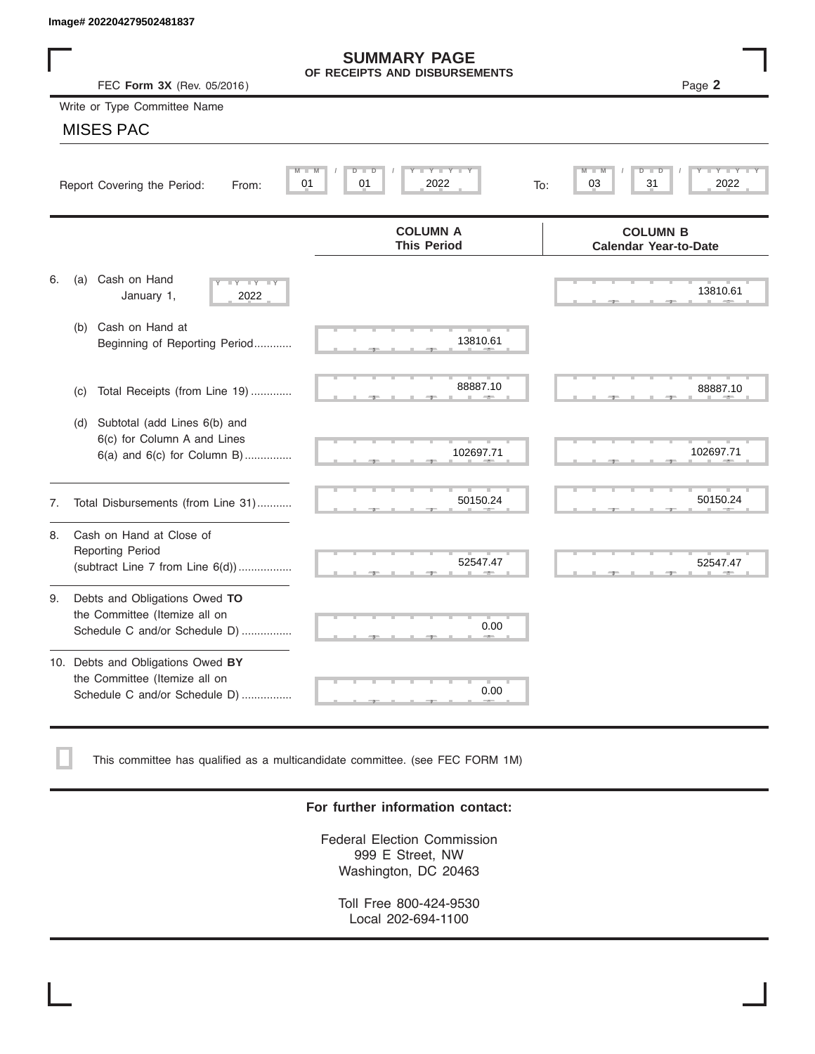|    | Image# 202204279502481837                                                                             |                                                      |                                                 |
|----|-------------------------------------------------------------------------------------------------------|------------------------------------------------------|-------------------------------------------------|
|    | FEC Form 3X (Rev. 05/2016)                                                                            | <b>SUMMARY PAGE</b><br>OF RECEIPTS AND DISBURSEMENTS | Page 2                                          |
|    | Write or Type Committee Name                                                                          |                                                      |                                                 |
|    | <b>MISES PAC</b>                                                                                      |                                                      |                                                 |
|    | Report Covering the Period:<br>From:                                                                  | $D$ $D$<br>Y TY<br>M<br>01<br>01<br>2022             | D<br>31<br>2022<br>03<br>To:                    |
|    |                                                                                                       | <b>COLUMN A</b><br><b>This Period</b>                | <b>COLUMN B</b><br><b>Calendar Year-to-Date</b> |
| 6. | Cash on Hand<br>(a)<br>$-Y - Y - IY$<br>January 1,<br>2022                                            |                                                      | 13810.61                                        |
|    | Cash on Hand at<br>(b)<br>Beginning of Reporting Period                                               | 13810.61                                             |                                                 |
|    | Total Receipts (from Line 19)<br>(c)                                                                  | 88887.10                                             | 88887.10                                        |
|    | Subtotal (add Lines 6(b) and<br>(d)<br>6(c) for Column A and Lines<br>$6(a)$ and $6(c)$ for Column B) | 102697.71                                            | 102697.71                                       |
| 7. | Total Disbursements (from Line 31)                                                                    | 50150.24                                             | 50150.24                                        |
| 8. | Cash on Hand at Close of<br><b>Reporting Period</b><br>(subtract Line $7$ from Line $6(d)$ )          | 52547.47                                             | 52547.47                                        |
| 9. | Debts and Obligations Owed TO<br>the Committee (Itemize all on<br>Schedule C and/or Schedule D)       | 0.00                                                 |                                                 |
|    | 10. Debts and Obligations Owed BY<br>the Committee (Itemize all on<br>Schedule C and/or Schedule D)   | T.<br>0.00                                           |                                                 |

This committee has qualified as a multicandidate committee. (see FEC FORM 1M)

### **For further information contact:**

Federal Election Commission 999 E Street, NW Washington, DC 20463

Toll Free 800-424-9530 Local 202-694-1100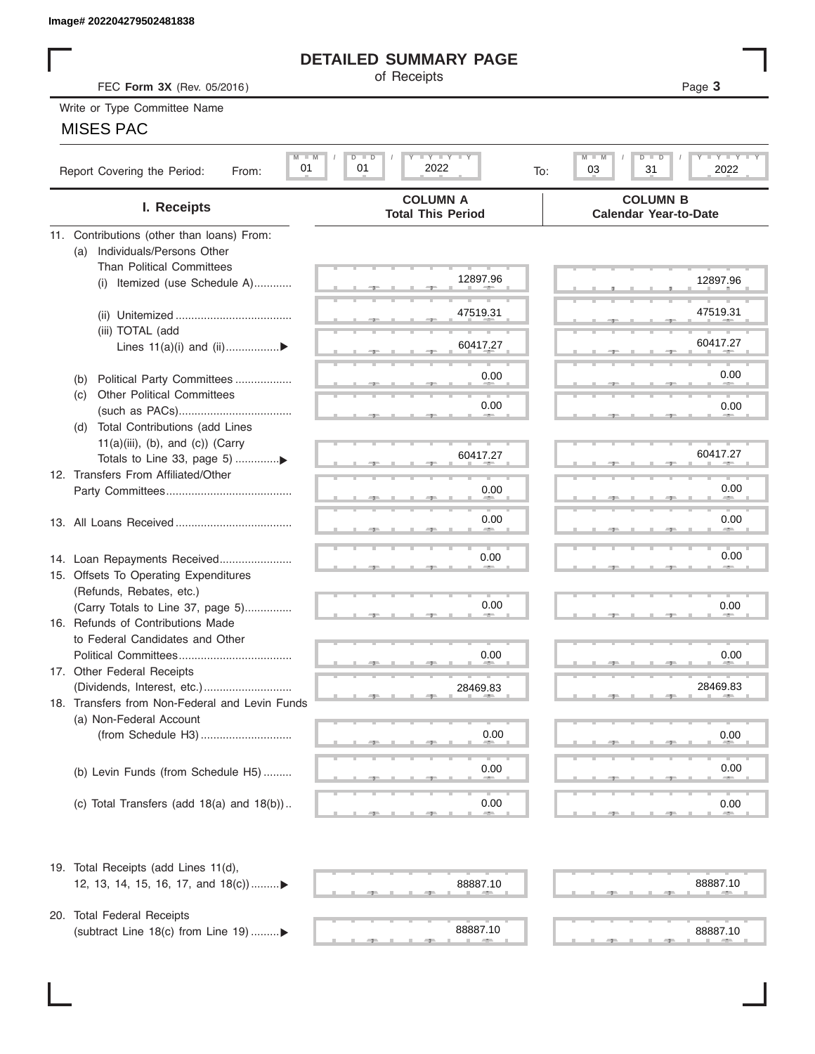### **DETAILED SUMMARY PAGE**

### MISES PAC

|                                                                    | <b>DETAILED SUMMARY PAGE</b>                                    |                                                          |
|--------------------------------------------------------------------|-----------------------------------------------------------------|----------------------------------------------------------|
|                                                                    | of Receipts                                                     |                                                          |
| FEC Form 3X (Rev. 05/2016)                                         |                                                                 | Page 3                                                   |
| Write or Type Committee Name                                       |                                                                 |                                                          |
| <b>MISES PAC</b>                                                   |                                                                 |                                                          |
| $M$ M<br>01<br>Report Covering the Period:<br>From:                | $I - Y - I - Y - I - Y$<br>$D$ $\Box$<br>D<br>2022<br>01<br>To: | <b>LEY LEY LE</b><br>M<br>$D$ $\Box$<br>31<br>2022<br>03 |
| I. Receipts                                                        | <b>COLUMN A</b><br><b>Total This Period</b>                     | <b>COLUMN B</b><br><b>Calendar Year-to-Date</b>          |
| 11. Contributions (other than loans) From:                         |                                                                 |                                                          |
| Individuals/Persons Other<br>(a)                                   |                                                                 |                                                          |
| <b>Than Political Committees</b>                                   | 12897.96                                                        |                                                          |
| Itemized (use Schedule A)<br>(i)                                   |                                                                 | 12897.96                                                 |
|                                                                    | 47519.31                                                        | 47519.31                                                 |
| (iii) TOTAL (add                                                   |                                                                 |                                                          |
| Lines $11(a)(i)$ and $(ii)$                                        | 60417.27                                                        | 60417.27                                                 |
|                                                                    |                                                                 |                                                          |
| Political Party Committees<br>(b)                                  | 0.00                                                            | 0.00                                                     |
| <b>Other Political Committees</b><br>(C)                           |                                                                 |                                                          |
|                                                                    | 0.00                                                            | 0.00                                                     |
| Total Contributions (add Lines<br>(d)                              |                                                                 |                                                          |
| $11(a)(iii)$ , (b), and (c)) (Carry                                | 60417.27                                                        | 60417.27                                                 |
| 12. Transfers From Affiliated/Other                                |                                                                 |                                                          |
|                                                                    | 0.00                                                            | 0.00                                                     |
|                                                                    |                                                                 |                                                          |
|                                                                    | 0.00                                                            | 0.00                                                     |
|                                                                    |                                                                 |                                                          |
| 14. Loan Repayments Received                                       | 0.00                                                            | 0.00                                                     |
| 15. Offsets To Operating Expenditures                              |                                                                 |                                                          |
| (Refunds, Rebates, etc.)                                           |                                                                 |                                                          |
| (Carry Totals to Line 37, page 5)                                  | 0.00                                                            | 0.00                                                     |
| 16. Refunds of Contributions Made                                  |                                                                 |                                                          |
| to Federal Candidates and Other                                    |                                                                 |                                                          |
| Political Committees<br>17. Other Federal Receipts                 | 0.00                                                            | 0.00                                                     |
|                                                                    | 28469.83                                                        | 28469.83                                                 |
| 18. Transfers from Non-Federal and Levin Funds                     |                                                                 |                                                          |
| (a) Non-Federal Account                                            |                                                                 |                                                          |
|                                                                    | 0.00                                                            | 0.00                                                     |
|                                                                    |                                                                 |                                                          |
| (b) Levin Funds (from Schedule H5)                                 | 0.00                                                            | 0.00                                                     |
|                                                                    |                                                                 |                                                          |
| (c) Total Transfers (add $18(a)$ and $18(b)$ )                     | 0.00                                                            | 0.00                                                     |
|                                                                    |                                                                 |                                                          |
| 19. Total Receipts (add Lines 11(d),                               |                                                                 |                                                          |
| 12, 13, 14, 15, 16, 17, and 18(c))▶                                | 88887.10                                                        | 88887.10                                                 |
|                                                                    |                                                                 |                                                          |
| 20. Total Federal Receipts<br>(subtract Line 18(c) from Line 19) ▶ | 88887.10                                                        | 88887.10                                                 |
|                                                                    |                                                                 |                                                          |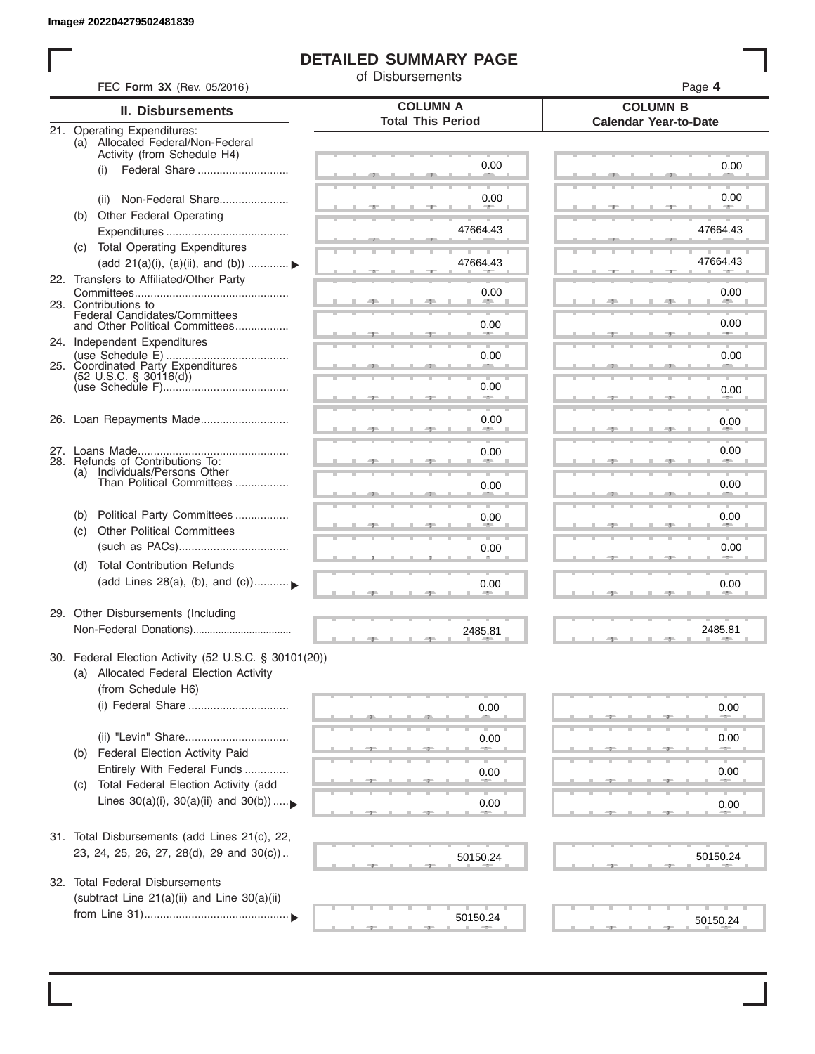I

### **DETAILED SUMMARY PAGE**

of Disbursements

|     | FEC Form 3X (Rev. 05/2016)                                        | <b>COLUMN A</b>          | Page 4                                          |
|-----|-------------------------------------------------------------------|--------------------------|-------------------------------------------------|
|     | <b>II. Disbursements</b>                                          | <b>Total This Period</b> | <b>COLUMN B</b><br><b>Calendar Year-to-Date</b> |
|     | 21. Operating Expenditures:<br>(a) Allocated Federal/Non-Federal  |                          |                                                 |
|     | Activity (from Schedule H4)                                       |                          |                                                 |
|     | Federal Share<br>(i)                                              | 0.00                     | 0.00                                            |
|     |                                                                   |                          |                                                 |
|     | Non-Federal Share<br>(ii)                                         | 0.00                     | 0.00                                            |
| (b) | Other Federal Operating                                           |                          |                                                 |
|     |                                                                   | 47664.43                 | 47664.43                                        |
|     | (c) Total Operating Expenditures                                  |                          |                                                 |
|     | (add 21(a)(i), (a)(ii), and (b))                                  | 47664.43                 | 47664.43                                        |
|     | 22. Transfers to Affiliated/Other Party                           | 0.00                     | 0.00                                            |
|     | 23. Contributions to                                              | --                       | <b>Allen</b>                                    |
|     | Federal Candidates/Committees<br>and Other Political Committees   | 0.00                     | 0.00                                            |
|     | 24. Independent Expenditures                                      |                          | <b>AND</b>                                      |
|     |                                                                   | 0.00                     | 0.00                                            |
|     | 25. Coordinated Party Expenditures                                |                          |                                                 |
|     | $(52 \text{ U.S.C. }$ § 30116(d))                                 | 0.00                     | 0.00                                            |
|     |                                                                   | and the contract of      |                                                 |
|     | 26. Loan Repayments Made                                          | 0.00                     | 0.00                                            |
|     |                                                                   |                          |                                                 |
|     |                                                                   | 0.00                     | 0.00                                            |
|     | 28. Refunds of Contributions To:<br>(a) Individuals/Persons Other |                          |                                                 |
|     | Than Political Committees                                         | 0.00                     | 0.00                                            |
|     |                                                                   |                          |                                                 |
| (b) | Political Party Committees                                        | 0.00                     | 0.00                                            |
| (C) | <b>Other Political Committees</b>                                 |                          |                                                 |
|     |                                                                   | 0.00                     | 0.00                                            |
| (d) | <b>Total Contribution Refunds</b>                                 |                          |                                                 |
|     | (add Lines 28(a), (b), and (c))                                   | 0.00                     | 0.00                                            |
|     |                                                                   |                          |                                                 |
|     | 29. Other Disbursements (Including                                |                          |                                                 |
|     |                                                                   | 2485.81                  | 2485.81                                         |
|     | 30. Federal Election Activity (52 U.S.C. § 30101(20))             |                          |                                                 |
|     | (a) Allocated Federal Election Activity                           |                          |                                                 |
|     | (from Schedule H6)                                                |                          |                                                 |
|     | (i) Federal Share                                                 | 0.00                     |                                                 |
|     |                                                                   |                          | 0.00                                            |
|     |                                                                   | 0.00                     | 0.00                                            |
| (b) | Federal Election Activity Paid                                    |                          |                                                 |
|     | Entirely With Federal Funds                                       | 0.00                     | 0.00                                            |
| (C) | Total Federal Election Activity (add                              |                          |                                                 |
|     | Lines $30(a)(i)$ , $30(a)(ii)$ and $30(b))$                       | 0.00                     | 0.00                                            |
|     |                                                                   |                          |                                                 |
|     | 31. Total Disbursements (add Lines 21(c), 22,                     |                          |                                                 |
|     | 23, 24, 25, 26, 27, 28(d), 29 and 30(c))                          |                          |                                                 |
|     |                                                                   | 50150.24                 | 50150.24                                        |
| 32. | <b>Total Federal Disbursements</b>                                |                          |                                                 |
|     | (subtract Line 21(a)(ii) and Line 30(a)(ii)                       |                          |                                                 |
|     |                                                                   | 50150.24                 | 50150.24                                        |
|     |                                                                   |                          |                                                 |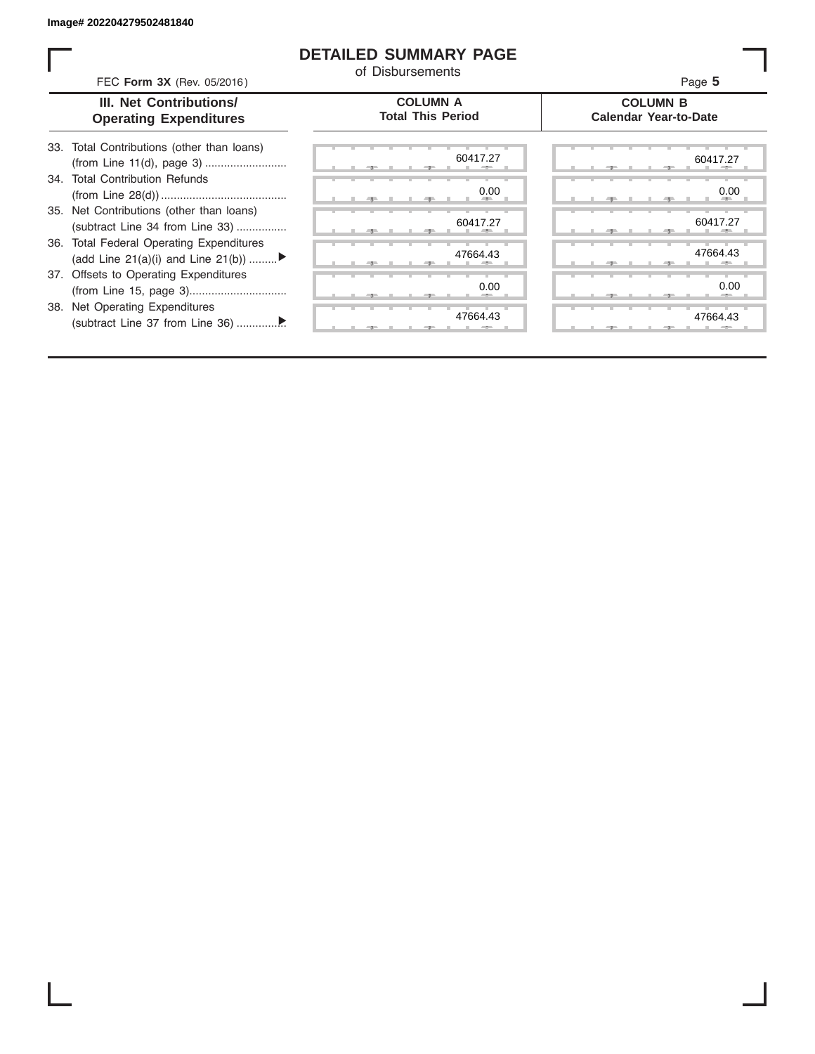ı

### **DETAILED SUMMARY PAGE**

of Disbursements

|                                             | Page 5                                          |
|---------------------------------------------|-------------------------------------------------|
| <b>COLUMN A</b><br><b>Total This Period</b> | <b>COLUMN B</b><br><b>Calendar Year-to-Date</b> |
| 60417.27                                    | 60417.27                                        |

| 33. Total Contributions (other than loans) |
|--------------------------------------------|
|                                            |
| 34. Total Contribution Refunds             |
|                                            |
| 35. Net Contributions (other than loans)   |
| (subtract Line 34 from Line 33)            |
| 36. Total Federal Operating Expenditures   |
| (add Line 21(a)(i) and Line 21(b))         |
| 37. Offsets to Operating Expenditures      |
|                                            |
| 38. Net Operating Expenditures             |
|                                            |

FEC **Form 3X** (Rev. 05/2016) **III. Net Contributions/ Operating Expenditures**

| 0.00<br><b>All Contracts</b>  | 0.0                                |
|-------------------------------|------------------------------------|
| 60417.27<br>-<br>$\mathbb{R}$ | 60417.2<br>-<br>-9<br>$\mathbb{R}$ |
| 47664.43<br>-                 | 47664.4                            |
| 0.00<br>$-$                   | 0. <sub>C</sub><br>--              |
| 47664.43                      | 47664.4<br>$-7-$                   |
|                               |                                    |

|  |  | 60417.27                     |  |  |  |    | 60417.27                     |
|--|--|------------------------------|--|--|--|----|------------------------------|
|  |  | 0.00<br><b>All Contracts</b> |  |  |  | 49 | 0.00<br><b>All Contracts</b> |
|  |  | 60417.27<br>×.               |  |  |  |    | 60417.27                     |
|  |  |                              |  |  |  |    |                              |
|  |  | 47664.43                     |  |  |  | u. | 47664.43                     |
|  |  | 0.00                         |  |  |  |    | 0.00                         |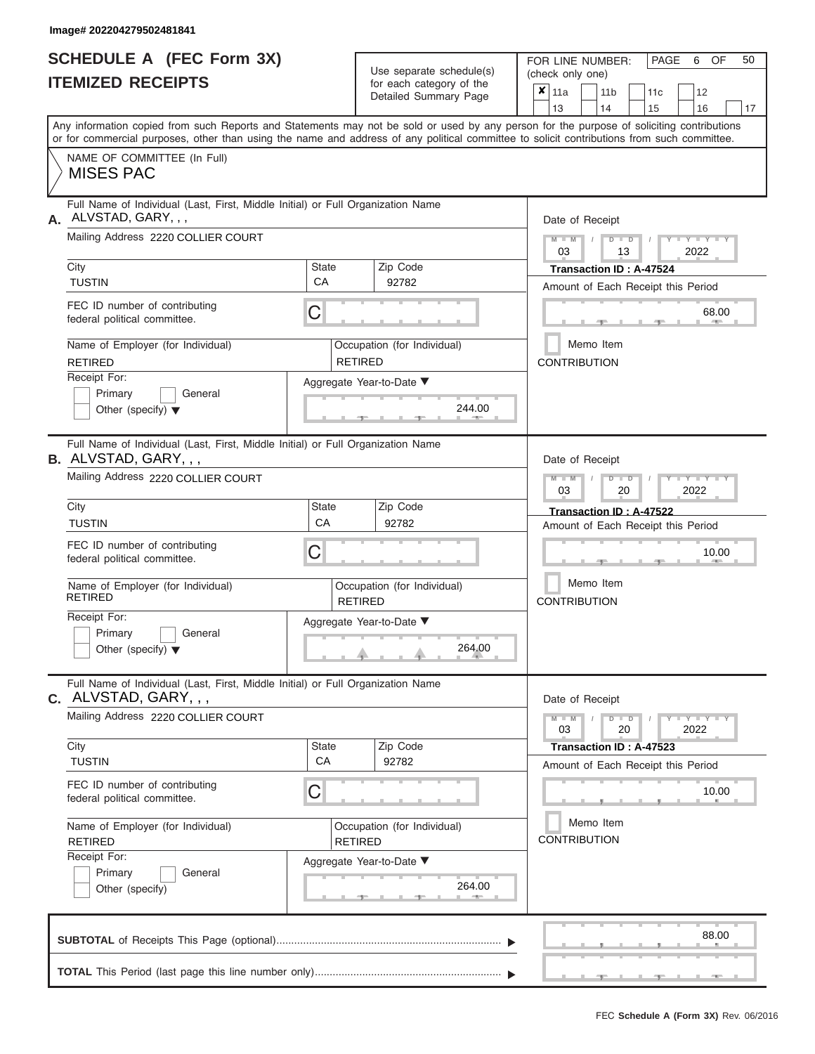| <b>SCHEDULE A (FEC Form 3X)</b> |  |  |
|---------------------------------|--|--|
| <b>ITEMIZED RECEIPTS</b>        |  |  |

Use separate schedule(s)<br>for each category of the

FOR LINE NUMBER:<br>(check only one)

PAGE 6 OF 50

| 13<br>14<br>15<br>16<br>Any information copied from such Reports and Statements may not be sold or used by any person for the purpose of soliciting contributions<br>or for commercial purposes, other than using the name and address of any political committee to solicit contributions from such committee.<br>NAME OF COMMITTEE (In Full)<br><b>MISES PAC</b><br>Full Name of Individual (Last, First, Middle Initial) or Full Organization Name<br>ALVSTAD, GARY, , ,<br>Date of Receipt<br>Mailing Address 2220 COLLIER COURT<br>$M - M$<br>$D$ $D$<br>$Y - Y - I$<br>03<br>2022<br>13<br>City<br>Zip Code<br>State<br>Transaction ID: A-47524<br>CA<br><b>TUSTIN</b><br>92782<br>Amount of Each Receipt this Period<br>FEC ID number of contributing<br>С<br>68.00<br>federal political committee.<br>Memo Item<br>Name of Employer (for Individual)<br>Occupation (for Individual)<br><b>RETIRED</b><br><b>RETIRED</b><br><b>CONTRIBUTION</b><br>Receipt For:<br>Aggregate Year-to-Date ▼<br>Primary<br>General<br>244.00<br>Other (specify) $\blacktriangledown$<br>Full Name of Individual (Last, First, Middle Initial) or Full Organization Name<br>B. ALVSTAD, GARY, , ,<br>Date of Receipt<br>Mailing Address 2220 COLLIER COURT<br>$M - M$<br>$\blacksquare$ $\blacksquare$ $\blacksquare$ $\blacksquare$ $\blacksquare$ $\blacksquare$<br>$D$ $D$<br>03<br>2022<br>20<br>City<br>Zip Code<br>State<br>Transaction ID: A-47522<br>CA<br><b>TUSTIN</b><br>92782<br>Amount of Each Receipt this Period<br>FEC ID number of contributing<br>С<br>federal political committee.<br>Memo Item<br>Name of Employer (for Individual)<br>Occupation (for Individual)<br><b>RETIRED</b><br><b>CONTRIBUTION</b><br><b>RETIRED</b><br>Receipt For:<br>Aggregate Year-to-Date ▼<br>Primary<br>General<br>264.00<br>Other (specify) $\blacktriangledown$<br>Full Name of Individual (Last, First, Middle Initial) or Full Organization Name<br>C. ALVSTAD, GARY, , ,<br>Date of Receipt<br>Mailing Address 2220 COLLIER COURT<br>$M - M$<br>$Y - Y - Y - Y - Y$<br>$D$ $D$<br>03<br>20<br>2022<br>City<br>Zip Code<br>State<br>Transaction ID: A-47523<br>CA<br><b>TUSTIN</b><br>92782<br>Amount of Each Receipt this Period<br>FEC ID number of contributing<br>С<br>10.00<br>federal political committee.<br>Memo Item<br>Name of Employer (for Individual)<br>Occupation (for Individual)<br><b>CONTRIBUTION</b><br><b>RETIRED</b><br><b>RETIRED</b><br>Receipt For:<br>Aggregate Year-to-Date ▼<br>Primary<br>General<br>264.00 |                 |  | babii balogoiy<br>Detailed Summary Page | x     | 11a |  | 11 <sub>b</sub> |  | 11 <sub>c</sub> | 12 |    |  |  |
|---------------------------------------------------------------------------------------------------------------------------------------------------------------------------------------------------------------------------------------------------------------------------------------------------------------------------------------------------------------------------------------------------------------------------------------------------------------------------------------------------------------------------------------------------------------------------------------------------------------------------------------------------------------------------------------------------------------------------------------------------------------------------------------------------------------------------------------------------------------------------------------------------------------------------------------------------------------------------------------------------------------------------------------------------------------------------------------------------------------------------------------------------------------------------------------------------------------------------------------------------------------------------------------------------------------------------------------------------------------------------------------------------------------------------------------------------------------------------------------------------------------------------------------------------------------------------------------------------------------------------------------------------------------------------------------------------------------------------------------------------------------------------------------------------------------------------------------------------------------------------------------------------------------------------------------------------------------------------------------------------------------------------------------------------------------------------------------------------------------------------------------------------------------------------------------------------------------------------------------------------------------------------------------------------------------------------------------------------------------------------------------------------------------------------------------------------------------------------------------------------------------------------------------|-----------------|--|-----------------------------------------|-------|-----|--|-----------------|--|-----------------|----|----|--|--|
|                                                                                                                                                                                                                                                                                                                                                                                                                                                                                                                                                                                                                                                                                                                                                                                                                                                                                                                                                                                                                                                                                                                                                                                                                                                                                                                                                                                                                                                                                                                                                                                                                                                                                                                                                                                                                                                                                                                                                                                                                                                                                                                                                                                                                                                                                                                                                                                                                                                                                                                                       |                 |  |                                         |       |     |  |                 |  |                 |    | 17 |  |  |
|                                                                                                                                                                                                                                                                                                                                                                                                                                                                                                                                                                                                                                                                                                                                                                                                                                                                                                                                                                                                                                                                                                                                                                                                                                                                                                                                                                                                                                                                                                                                                                                                                                                                                                                                                                                                                                                                                                                                                                                                                                                                                                                                                                                                                                                                                                                                                                                                                                                                                                                                       |                 |  |                                         |       |     |  |                 |  |                 |    |    |  |  |
|                                                                                                                                                                                                                                                                                                                                                                                                                                                                                                                                                                                                                                                                                                                                                                                                                                                                                                                                                                                                                                                                                                                                                                                                                                                                                                                                                                                                                                                                                                                                                                                                                                                                                                                                                                                                                                                                                                                                                                                                                                                                                                                                                                                                                                                                                                                                                                                                                                                                                                                                       |                 |  |                                         |       |     |  |                 |  |                 |    |    |  |  |
|                                                                                                                                                                                                                                                                                                                                                                                                                                                                                                                                                                                                                                                                                                                                                                                                                                                                                                                                                                                                                                                                                                                                                                                                                                                                                                                                                                                                                                                                                                                                                                                                                                                                                                                                                                                                                                                                                                                                                                                                                                                                                                                                                                                                                                                                                                                                                                                                                                                                                                                                       |                 |  |                                         |       |     |  |                 |  |                 |    |    |  |  |
|                                                                                                                                                                                                                                                                                                                                                                                                                                                                                                                                                                                                                                                                                                                                                                                                                                                                                                                                                                                                                                                                                                                                                                                                                                                                                                                                                                                                                                                                                                                                                                                                                                                                                                                                                                                                                                                                                                                                                                                                                                                                                                                                                                                                                                                                                                                                                                                                                                                                                                                                       |                 |  |                                         |       |     |  |                 |  |                 |    |    |  |  |
|                                                                                                                                                                                                                                                                                                                                                                                                                                                                                                                                                                                                                                                                                                                                                                                                                                                                                                                                                                                                                                                                                                                                                                                                                                                                                                                                                                                                                                                                                                                                                                                                                                                                                                                                                                                                                                                                                                                                                                                                                                                                                                                                                                                                                                                                                                                                                                                                                                                                                                                                       |                 |  |                                         |       |     |  |                 |  |                 |    |    |  |  |
|                                                                                                                                                                                                                                                                                                                                                                                                                                                                                                                                                                                                                                                                                                                                                                                                                                                                                                                                                                                                                                                                                                                                                                                                                                                                                                                                                                                                                                                                                                                                                                                                                                                                                                                                                                                                                                                                                                                                                                                                                                                                                                                                                                                                                                                                                                                                                                                                                                                                                                                                       |                 |  |                                         |       |     |  |                 |  |                 |    |    |  |  |
|                                                                                                                                                                                                                                                                                                                                                                                                                                                                                                                                                                                                                                                                                                                                                                                                                                                                                                                                                                                                                                                                                                                                                                                                                                                                                                                                                                                                                                                                                                                                                                                                                                                                                                                                                                                                                                                                                                                                                                                                                                                                                                                                                                                                                                                                                                                                                                                                                                                                                                                                       |                 |  |                                         |       |     |  |                 |  |                 |    |    |  |  |
|                                                                                                                                                                                                                                                                                                                                                                                                                                                                                                                                                                                                                                                                                                                                                                                                                                                                                                                                                                                                                                                                                                                                                                                                                                                                                                                                                                                                                                                                                                                                                                                                                                                                                                                                                                                                                                                                                                                                                                                                                                                                                                                                                                                                                                                                                                                                                                                                                                                                                                                                       |                 |  |                                         |       |     |  |                 |  |                 |    |    |  |  |
|                                                                                                                                                                                                                                                                                                                                                                                                                                                                                                                                                                                                                                                                                                                                                                                                                                                                                                                                                                                                                                                                                                                                                                                                                                                                                                                                                                                                                                                                                                                                                                                                                                                                                                                                                                                                                                                                                                                                                                                                                                                                                                                                                                                                                                                                                                                                                                                                                                                                                                                                       |                 |  |                                         |       |     |  |                 |  |                 |    |    |  |  |
|                                                                                                                                                                                                                                                                                                                                                                                                                                                                                                                                                                                                                                                                                                                                                                                                                                                                                                                                                                                                                                                                                                                                                                                                                                                                                                                                                                                                                                                                                                                                                                                                                                                                                                                                                                                                                                                                                                                                                                                                                                                                                                                                                                                                                                                                                                                                                                                                                                                                                                                                       |                 |  |                                         |       |     |  |                 |  |                 |    |    |  |  |
|                                                                                                                                                                                                                                                                                                                                                                                                                                                                                                                                                                                                                                                                                                                                                                                                                                                                                                                                                                                                                                                                                                                                                                                                                                                                                                                                                                                                                                                                                                                                                                                                                                                                                                                                                                                                                                                                                                                                                                                                                                                                                                                                                                                                                                                                                                                                                                                                                                                                                                                                       |                 |  |                                         |       |     |  |                 |  |                 |    |    |  |  |
|                                                                                                                                                                                                                                                                                                                                                                                                                                                                                                                                                                                                                                                                                                                                                                                                                                                                                                                                                                                                                                                                                                                                                                                                                                                                                                                                                                                                                                                                                                                                                                                                                                                                                                                                                                                                                                                                                                                                                                                                                                                                                                                                                                                                                                                                                                                                                                                                                                                                                                                                       |                 |  |                                         | 10.00 |     |  |                 |  |                 |    |    |  |  |
|                                                                                                                                                                                                                                                                                                                                                                                                                                                                                                                                                                                                                                                                                                                                                                                                                                                                                                                                                                                                                                                                                                                                                                                                                                                                                                                                                                                                                                                                                                                                                                                                                                                                                                                                                                                                                                                                                                                                                                                                                                                                                                                                                                                                                                                                                                                                                                                                                                                                                                                                       |                 |  |                                         |       |     |  |                 |  |                 |    |    |  |  |
|                                                                                                                                                                                                                                                                                                                                                                                                                                                                                                                                                                                                                                                                                                                                                                                                                                                                                                                                                                                                                                                                                                                                                                                                                                                                                                                                                                                                                                                                                                                                                                                                                                                                                                                                                                                                                                                                                                                                                                                                                                                                                                                                                                                                                                                                                                                                                                                                                                                                                                                                       |                 |  |                                         |       |     |  |                 |  |                 |    |    |  |  |
|                                                                                                                                                                                                                                                                                                                                                                                                                                                                                                                                                                                                                                                                                                                                                                                                                                                                                                                                                                                                                                                                                                                                                                                                                                                                                                                                                                                                                                                                                                                                                                                                                                                                                                                                                                                                                                                                                                                                                                                                                                                                                                                                                                                                                                                                                                                                                                                                                                                                                                                                       |                 |  |                                         |       |     |  |                 |  |                 |    |    |  |  |
|                                                                                                                                                                                                                                                                                                                                                                                                                                                                                                                                                                                                                                                                                                                                                                                                                                                                                                                                                                                                                                                                                                                                                                                                                                                                                                                                                                                                                                                                                                                                                                                                                                                                                                                                                                                                                                                                                                                                                                                                                                                                                                                                                                                                                                                                                                                                                                                                                                                                                                                                       |                 |  |                                         |       |     |  |                 |  |                 |    |    |  |  |
|                                                                                                                                                                                                                                                                                                                                                                                                                                                                                                                                                                                                                                                                                                                                                                                                                                                                                                                                                                                                                                                                                                                                                                                                                                                                                                                                                                                                                                                                                                                                                                                                                                                                                                                                                                                                                                                                                                                                                                                                                                                                                                                                                                                                                                                                                                                                                                                                                                                                                                                                       |                 |  |                                         |       |     |  |                 |  |                 |    |    |  |  |
|                                                                                                                                                                                                                                                                                                                                                                                                                                                                                                                                                                                                                                                                                                                                                                                                                                                                                                                                                                                                                                                                                                                                                                                                                                                                                                                                                                                                                                                                                                                                                                                                                                                                                                                                                                                                                                                                                                                                                                                                                                                                                                                                                                                                                                                                                                                                                                                                                                                                                                                                       |                 |  |                                         |       |     |  |                 |  |                 |    |    |  |  |
|                                                                                                                                                                                                                                                                                                                                                                                                                                                                                                                                                                                                                                                                                                                                                                                                                                                                                                                                                                                                                                                                                                                                                                                                                                                                                                                                                                                                                                                                                                                                                                                                                                                                                                                                                                                                                                                                                                                                                                                                                                                                                                                                                                                                                                                                                                                                                                                                                                                                                                                                       |                 |  |                                         |       |     |  |                 |  |                 |    |    |  |  |
|                                                                                                                                                                                                                                                                                                                                                                                                                                                                                                                                                                                                                                                                                                                                                                                                                                                                                                                                                                                                                                                                                                                                                                                                                                                                                                                                                                                                                                                                                                                                                                                                                                                                                                                                                                                                                                                                                                                                                                                                                                                                                                                                                                                                                                                                                                                                                                                                                                                                                                                                       | Other (specify) |  |                                         |       |     |  |                 |  |                 |    |    |  |  |
| 88.00                                                                                                                                                                                                                                                                                                                                                                                                                                                                                                                                                                                                                                                                                                                                                                                                                                                                                                                                                                                                                                                                                                                                                                                                                                                                                                                                                                                                                                                                                                                                                                                                                                                                                                                                                                                                                                                                                                                                                                                                                                                                                                                                                                                                                                                                                                                                                                                                                                                                                                                                 |                 |  |                                         |       |     |  |                 |  |                 |    |    |  |  |
|                                                                                                                                                                                                                                                                                                                                                                                                                                                                                                                                                                                                                                                                                                                                                                                                                                                                                                                                                                                                                                                                                                                                                                                                                                                                                                                                                                                                                                                                                                                                                                                                                                                                                                                                                                                                                                                                                                                                                                                                                                                                                                                                                                                                                                                                                                                                                                                                                                                                                                                                       |                 |  |                                         |       |     |  |                 |  |                 |    |    |  |  |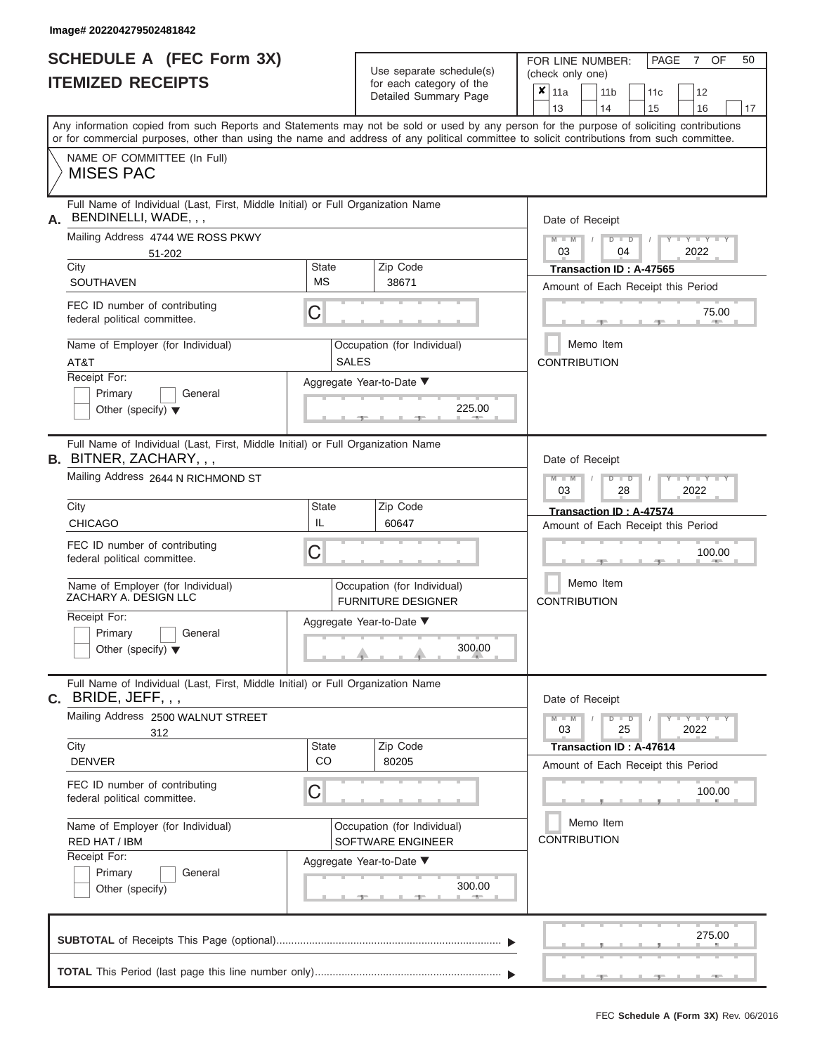|                          | <b>SCHEDULE A (FEC Form 3X)</b> |
|--------------------------|---------------------------------|
| <b>ITEMIZED RECEIPTS</b> |                                 |

Use separate schedule(s)<br>for each category of the

FOR LINE NUMBER: PAGE<br>
(check only one)

7 OF 50

|    | IILMILLU RLVLIF IJ                                                                                                                                                                                                                                                                      |                                                  |                                                               | iul each caleguly of the<br>Detailed Summary Page        |  | $x \mid$ 11a                     |  | 11 <sub>b</sub> |                       |  | 11 <sub>c</sub>         | 12                                 |    |  |  |  |
|----|-----------------------------------------------------------------------------------------------------------------------------------------------------------------------------------------------------------------------------------------------------------------------------------------|--------------------------------------------------|---------------------------------------------------------------|----------------------------------------------------------|--|----------------------------------|--|-----------------|-----------------------|--|-------------------------|------------------------------------|----|--|--|--|
|    |                                                                                                                                                                                                                                                                                         |                                                  |                                                               |                                                          |  | 13                               |  | 14              |                       |  | 15                      | 16                                 | 17 |  |  |  |
|    | Any information copied from such Reports and Statements may not be sold or used by any person for the purpose of soliciting contributions<br>or for commercial purposes, other than using the name and address of any political committee to solicit contributions from such committee. |                                                  |                                                               |                                                          |  |                                  |  |                 |                       |  |                         |                                    |    |  |  |  |
|    | NAME OF COMMITTEE (In Full)<br><b>MISES PAC</b>                                                                                                                                                                                                                                         |                                                  |                                                               |                                                          |  |                                  |  |                 |                       |  |                         |                                    |    |  |  |  |
| А. | Full Name of Individual (Last, First, Middle Initial) or Full Organization Name<br>BENDINELLI, WADE, , ,                                                                                                                                                                                |                                                  |                                                               |                                                          |  | Date of Receipt                  |  |                 |                       |  |                         |                                    |    |  |  |  |
|    | Mailing Address 4744 WE ROSS PKWY<br>51-202                                                                                                                                                                                                                                             |                                                  | $M - M$<br>03                                                 |                                                          |  | $D$ $\Box$ $D$<br>04             |  |                 | <b>LITTLE</b><br>2022 |  |                         |                                    |    |  |  |  |
|    | City<br>SOUTHAVEN                                                                                                                                                                                                                                                                       | Zip Code<br>38671                                | Transaction ID: A-47565<br>Amount of Each Receipt this Period |                                                          |  |                                  |  |                 |                       |  |                         |                                    |    |  |  |  |
|    | FEC ID number of contributing<br>federal political committee.                                                                                                                                                                                                                           | С<br>75.00                                       |                                                               |                                                          |  |                                  |  |                 |                       |  |                         |                                    |    |  |  |  |
|    | Name of Employer (for Individual)<br>AT&T                                                                                                                                                                                                                                               |                                                  | <b>CONTRIBUTION</b>                                           | Memo Item                                                |  |                                  |  |                 |                       |  |                         |                                    |    |  |  |  |
|    | Receipt For:<br>Primary<br>General<br>Other (specify) $\blacktriangledown$                                                                                                                                                                                                              | Aggregate Year-to-Date ▼<br>225.00               |                                                               |                                                          |  |                                  |  |                 |                       |  |                         |                                    |    |  |  |  |
|    | Full Name of Individual (Last, First, Middle Initial) or Full Organization Name<br><b>B.</b> BITNER, ZACHARY, , ,                                                                                                                                                                       |                                                  |                                                               |                                                          |  | Date of Receipt                  |  |                 |                       |  |                         |                                    |    |  |  |  |
|    | Mailing Address 2644 N RICHMOND ST                                                                                                                                                                                                                                                      | Zip Code                                         |                                                               | $M - M$<br>$D$ $\Box$ $D$<br>$-Y$<br>2022<br>03<br>28    |  |                                  |  |                 |                       |  |                         |                                    |    |  |  |  |
|    | City<br><b>CHICAGO</b>                                                                                                                                                                                                                                                                  |                                                  | Transaction ID: A-47574<br>Amount of Each Receipt this Period |                                                          |  |                                  |  |                 |                       |  |                         |                                    |    |  |  |  |
|    | FEC ID number of contributing<br>С<br>federal political committee.                                                                                                                                                                                                                      |                                                  |                                                               |                                                          |  |                                  |  | 100.00          |                       |  |                         |                                    |    |  |  |  |
|    | Name of Employer (for Individual)<br>ZACHARY A. DESIGN LLC                                                                                                                                                                                                                              |                                                  |                                                               | Occupation (for Individual)<br><b>FURNITURE DESIGNER</b> |  | Memo Item<br><b>CONTRIBUTION</b> |  |                 |                       |  |                         |                                    |    |  |  |  |
|    | Receipt For:<br>Primary<br>General<br>Other (specify) $\blacktriangledown$                                                                                                                                                                                                              |                                                  |                                                               | Aggregate Year-to-Date ▼<br>300.00                       |  |                                  |  |                 |                       |  |                         |                                    |    |  |  |  |
| С. | Full Name of Individual (Last, First, Middle Initial) or Full Organization Name<br>BRIDE, JEFF, , ,                                                                                                                                                                                     |                                                  |                                                               |                                                          |  | Date of Receipt                  |  |                 |                       |  |                         |                                    |    |  |  |  |
|    | Mailing Address 2500 WALNUT STREET<br>312                                                                                                                                                                                                                                               |                                                  |                                                               |                                                          |  | $M - M$<br>03                    |  |                 | $D$ $D$<br>25         |  |                         | $T - Y - T - Y - T - Y$<br>2022    |    |  |  |  |
|    | City<br><b>DENVER</b>                                                                                                                                                                                                                                                                   | State<br>CO                                      |                                                               | Zip Code<br>80205                                        |  |                                  |  |                 |                       |  | Transaction ID: A-47614 | Amount of Each Receipt this Period |    |  |  |  |
|    | FEC ID number of contributing<br>federal political committee.                                                                                                                                                                                                                           | C                                                |                                                               |                                                          |  |                                  |  |                 |                       |  |                         | 100.00                             |    |  |  |  |
|    | Name of Employer (for Individual)<br>RED HAT / IBM                                                                                                                                                                                                                                      | Occupation (for Individual)<br>SOFTWARE ENGINEER | Memo Item<br><b>CONTRIBUTION</b>                              |                                                          |  |                                  |  |                 |                       |  |                         |                                    |    |  |  |  |
|    | Receipt For:<br>General<br>Primary<br>Other (specify)                                                                                                                                                                                                                                   |                                                  |                                                               | Aggregate Year-to-Date ▼<br>300.00                       |  |                                  |  |                 |                       |  |                         |                                    |    |  |  |  |
|    |                                                                                                                                                                                                                                                                                         |                                                  |                                                               |                                                          |  |                                  |  |                 |                       |  |                         | 275.00                             |    |  |  |  |
|    |                                                                                                                                                                                                                                                                                         |                                                  |                                                               |                                                          |  |                                  |  |                 |                       |  |                         |                                    |    |  |  |  |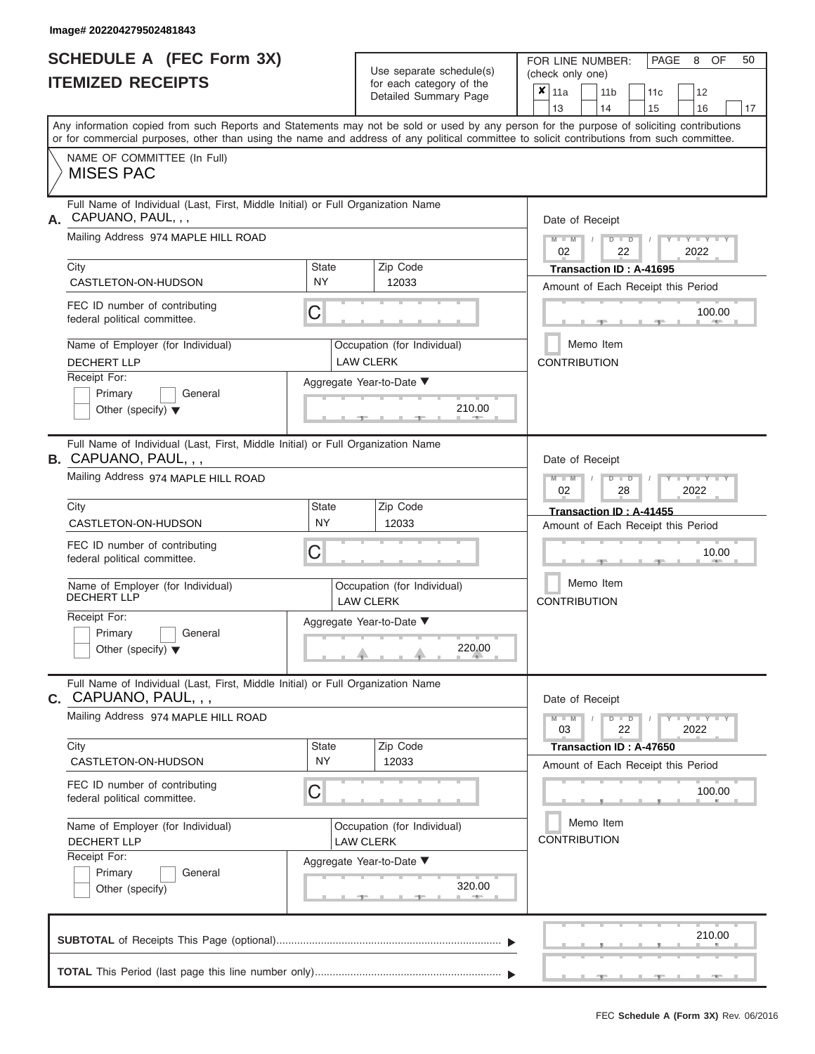|                          | <b>SCHEDULE A (FEC Form 3X)</b> |
|--------------------------|---------------------------------|
| <b>ITEMIZED RECEIPTS</b> |                                 |

Use separate schedule(s)<br>for each category of the

FOR LINE NUMBER:

PAGE 8 OF 50

|                                                                                                            |                           | Use separate schedule(s)                                | (check only one)                                                                                                                                                                                                                                                                        |
|------------------------------------------------------------------------------------------------------------|---------------------------|---------------------------------------------------------|-----------------------------------------------------------------------------------------------------------------------------------------------------------------------------------------------------------------------------------------------------------------------------------------|
| <b>ITEMIZED RECEIPTS</b>                                                                                   |                           | for each category of the<br>Detailed Summary Page       | $\mathbf{x}$   11a<br>11 <sub>b</sub><br>11 <sub>c</sub><br>12<br>13<br>14<br>15<br>16<br>17                                                                                                                                                                                            |
|                                                                                                            |                           |                                                         | Any information copied from such Reports and Statements may not be sold or used by any person for the purpose of soliciting contributions<br>or for commercial purposes, other than using the name and address of any political committee to solicit contributions from such committee. |
| NAME OF COMMITTEE (In Full)<br><b>MISES PAC</b>                                                            |                           |                                                         |                                                                                                                                                                                                                                                                                         |
| Full Name of Individual (Last, First, Middle Initial) or Full Organization Name<br>A. CAPUANO, PAUL, , ,   |                           |                                                         | Date of Receipt                                                                                                                                                                                                                                                                         |
| Mailing Address 974 MAPLE HILL ROAD                                                                        |                           |                                                         | $+Y+Y+Y$<br>$M - M$<br>$D$ $\Box$ $D$<br>02<br>22<br>2022                                                                                                                                                                                                                               |
| City<br>CASTLETON-ON-HUDSON                                                                                | <b>State</b><br><b>NY</b> | Zip Code<br>12033                                       | Transaction ID: A-41695<br>Amount of Each Receipt this Period                                                                                                                                                                                                                           |
| FEC ID number of contributing<br>federal political committee.                                              | C                         |                                                         | 100.00                                                                                                                                                                                                                                                                                  |
| Name of Employer (for Individual)<br><b>DECHERT LLP</b>                                                    |                           | Occupation (for Individual)<br><b>LAW CLERK</b>         | Memo Item<br><b>CONTRIBUTION</b>                                                                                                                                                                                                                                                        |
| Receipt For:<br>Primary<br>General<br>Other (specify) $\blacktriangledown$                                 |                           | Aggregate Year-to-Date ▼<br>210.00                      |                                                                                                                                                                                                                                                                                         |
| Full Name of Individual (Last, First, Middle Initial) or Full Organization Name<br>B. CAPUANO, PAUL, , ,   |                           |                                                         | Date of Receipt                                                                                                                                                                                                                                                                         |
| Mailing Address 974 MAPLE HILL ROAD<br>City                                                                | <b>State</b>              | Zip Code                                                | $M - M$<br>$T - Y = T - Y = T - Y$<br>$D$ $D$<br>02<br>28<br>2022                                                                                                                                                                                                                       |
| CASTLETON-ON-HUDSON                                                                                        | NY                        | 12033                                                   | Transaction ID: A-41455<br>Amount of Each Receipt this Period                                                                                                                                                                                                                           |
| FEC ID number of contributing<br>federal political committee.                                              | C                         |                                                         | 10.00                                                                                                                                                                                                                                                                                   |
| Name of Employer (for Individual)<br>DECHERT LLP                                                           |                           | Occupation (for Individual)<br><b>LAW CLERK</b>         | Memo Item<br><b>CONTRIBUTION</b>                                                                                                                                                                                                                                                        |
| Receipt For:<br>Primary<br>General<br>Other (specify) $\blacktriangledown$                                 |                           | Aggregate Year-to-Date ▼<br>220.00                      |                                                                                                                                                                                                                                                                                         |
| Full Name of Individual (Last, First, Middle Initial) or Full Organization Name<br>$C.$ CAPUANO, PAUL, , , |                           |                                                         | Date of Receipt                                                                                                                                                                                                                                                                         |
| Mailing Address 974 MAPLE HILL ROAD                                                                        |                           |                                                         | $D$ $\Box$ $D$<br>$Y - Y - Y - Y - I - Y$<br>$M - M$<br>$\sqrt{ }$<br>22<br>03<br>2022                                                                                                                                                                                                  |
| City<br>CASTLETON-ON-HUDSON                                                                                | State<br><b>NY</b>        | Zip Code<br>12033                                       | Transaction ID: A-47650<br>Amount of Each Receipt this Period                                                                                                                                                                                                                           |
| FEC ID number of contributing<br>federal political committee.                                              | C                         |                                                         | 100.00                                                                                                                                                                                                                                                                                  |
| Name of Employer (for Individual)<br><b>DECHERT LLP</b>                                                    |                           | Occupation (for Individual)<br><b>LAW CLERK</b>         | Memo Item<br><b>CONTRIBUTION</b>                                                                                                                                                                                                                                                        |
| Receipt For:<br>Primary<br>General<br>Other (specify)                                                      |                           | Aggregate Year-to-Date ▼<br>320.00<br><b>STATISTICS</b> |                                                                                                                                                                                                                                                                                         |
|                                                                                                            |                           |                                                         | 210.00                                                                                                                                                                                                                                                                                  |
|                                                                                                            |                           |                                                         |                                                                                                                                                                                                                                                                                         |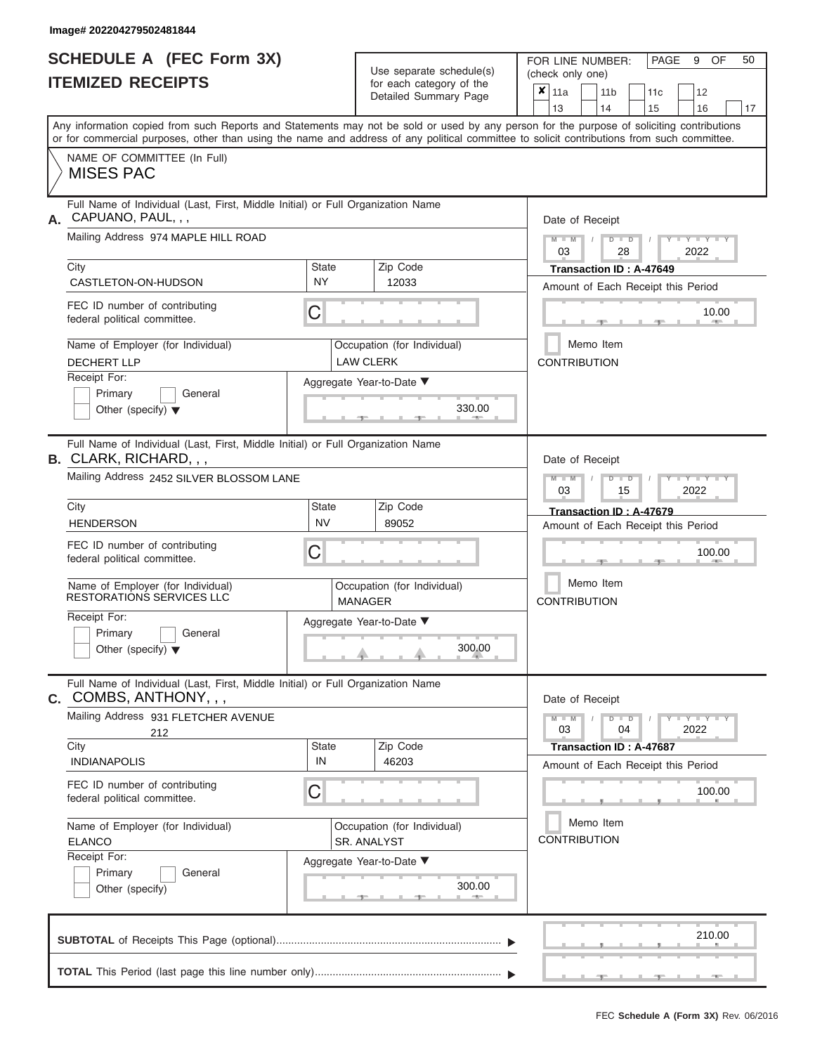|                          | <b>SCHEDULE A (FEC Form 3X)</b> |
|--------------------------|---------------------------------|
| <b>ITEMIZED RECEIPTS</b> |                                 |

Use separate schedule(s)<br>for each category of the

FOR LINE NUMBER: PAGE<br>
(check only one)

9 OF 50

| IILMILLU NLVLIF IJ                                                                                                                                                                                                                                                                      |                    | ior each calegory or the<br>Detailed Summary Page | $\boldsymbol{x}$                                      | 11a                              |  | 11 <sub>b</sub>                    | 11c |  | 12                                                                                    |    |  |  |  |  |
|-----------------------------------------------------------------------------------------------------------------------------------------------------------------------------------------------------------------------------------------------------------------------------------------|--------------------|---------------------------------------------------|-------------------------------------------------------|----------------------------------|--|------------------------------------|-----|--|---------------------------------------------------------------------------------------|----|--|--|--|--|
|                                                                                                                                                                                                                                                                                         |                    |                                                   |                                                       | 13                               |  | 14                                 | 15  |  | 16                                                                                    | 17 |  |  |  |  |
| Any information copied from such Reports and Statements may not be sold or used by any person for the purpose of soliciting contributions<br>or for commercial purposes, other than using the name and address of any political committee to solicit contributions from such committee. |                    |                                                   |                                                       |                                  |  |                                    |     |  |                                                                                       |    |  |  |  |  |
| NAME OF COMMITTEE (In Full)<br><b>MISES PAC</b>                                                                                                                                                                                                                                         |                    |                                                   |                                                       |                                  |  |                                    |     |  |                                                                                       |    |  |  |  |  |
| Full Name of Individual (Last, First, Middle Initial) or Full Organization Name<br>CAPUANO, PAUL, , ,<br>А.                                                                                                                                                                             |                    |                                                   |                                                       | Date of Receipt                  |  |                                    |     |  |                                                                                       |    |  |  |  |  |
| Mailing Address 974 MAPLE HILL ROAD                                                                                                                                                                                                                                                     |                    |                                                   | $M - M$<br>$D$ $D$<br>$Y - Y - I$<br>2022<br>03<br>28 |                                  |  |                                    |     |  |                                                                                       |    |  |  |  |  |
| City<br>CASTLETON-ON-HUDSON                                                                                                                                                                                                                                                             | State<br><b>NY</b> | Zip Code<br>12033                                 |                                                       | Transaction ID: A-47649          |  |                                    |     |  |                                                                                       |    |  |  |  |  |
|                                                                                                                                                                                                                                                                                         |                    |                                                   | Amount of Each Receipt this Period                    |                                  |  |                                    |     |  |                                                                                       |    |  |  |  |  |
| FEC ID number of contributing<br>federal political committee.                                                                                                                                                                                                                           | С                  |                                                   |                                                       |                                  |  |                                    |     |  | 10.00                                                                                 |    |  |  |  |  |
| Name of Employer (for Individual)<br><b>DECHERT LLP</b>                                                                                                                                                                                                                                 |                    | <b>CONTRIBUTION</b>                               |                                                       | Memo Item                        |  |                                    |     |  |                                                                                       |    |  |  |  |  |
| Receipt For:                                                                                                                                                                                                                                                                            |                    |                                                   |                                                       |                                  |  |                                    |     |  |                                                                                       |    |  |  |  |  |
| Aggregate Year-to-Date ▼<br>Primary<br>General<br>330.00<br>Other (specify) $\blacktriangledown$                                                                                                                                                                                        |                    |                                                   |                                                       |                                  |  |                                    |     |  |                                                                                       |    |  |  |  |  |
| Full Name of Individual (Last, First, Middle Initial) or Full Organization Name<br><b>B.</b> CLARK, RICHARD, , ,                                                                                                                                                                        |                    |                                                   |                                                       | Date of Receipt                  |  |                                    |     |  |                                                                                       |    |  |  |  |  |
| Mailing Address 2452 SILVER BLOSSOM LANE                                                                                                                                                                                                                                                |                    | $M - M$<br>$D$ $\Box$ $D$<br>2022<br>03<br>15     |                                                       |                                  |  |                                    |     |  |                                                                                       |    |  |  |  |  |
| City                                                                                                                                                                                                                                                                                    |                    | Transaction ID: A-47679                           |                                                       |                                  |  |                                    |     |  |                                                                                       |    |  |  |  |  |
| <b>HENDERSON</b>                                                                                                                                                                                                                                                                        |                    | Amount of Each Receipt this Period                |                                                       |                                  |  |                                    |     |  |                                                                                       |    |  |  |  |  |
| FEC ID number of contributing<br>federal political committee.                                                                                                                                                                                                                           | С                  |                                                   |                                                       | 100.00                           |  |                                    |     |  |                                                                                       |    |  |  |  |  |
| Name of Employer (for Individual)<br><b>RESTORATIONS SERVICES LLC</b>                                                                                                                                                                                                                   |                    | Occupation (for Individual)<br><b>MANAGER</b>     |                                                       | Memo Item<br><b>CONTRIBUTION</b> |  |                                    |     |  |                                                                                       |    |  |  |  |  |
| Receipt For:<br>General                                                                                                                                                                                                                                                                 |                    | Aggregate Year-to-Date ▼                          |                                                       |                                  |  |                                    |     |  |                                                                                       |    |  |  |  |  |
| Primary<br>Other (specify) $\blacktriangledown$                                                                                                                                                                                                                                         |                    | 300.00                                            |                                                       |                                  |  |                                    |     |  |                                                                                       |    |  |  |  |  |
| Full Name of Individual (Last, First, Middle Initial) or Full Organization Name<br>COMBS, ANTHONY, , ,<br>С.                                                                                                                                                                            |                    |                                                   |                                                       | Date of Receipt                  |  |                                    |     |  |                                                                                       |    |  |  |  |  |
| Mailing Address 931 FLETCHER AVENUE<br>212                                                                                                                                                                                                                                              |                    |                                                   |                                                       | $M - M$<br>03                    |  | $D$ $D$<br>04                      |     |  | $\blacksquare$ $\vdash$ $\vdash$ $\vdash$ $\vdash$ $\vdash$ $\vdash$ $\vdash$<br>2022 |    |  |  |  |  |
| City<br><b>INDIANAPOLIS</b>                                                                                                                                                                                                                                                             | <b>State</b><br>IN | Zip Code<br>46203                                 |                                                       |                                  |  | Transaction ID: A-47687            |     |  |                                                                                       |    |  |  |  |  |
| FEC ID number of contributing                                                                                                                                                                                                                                                           |                    |                                                   |                                                       |                                  |  | Amount of Each Receipt this Period |     |  |                                                                                       |    |  |  |  |  |
| federal political committee.                                                                                                                                                                                                                                                            | С                  |                                                   |                                                       |                                  |  |                                    |     |  | 100.00                                                                                |    |  |  |  |  |
| Name of Employer (for Individual)<br><b>ELANCO</b>                                                                                                                                                                                                                                      |                    | <b>CONTRIBUTION</b>                               |                                                       | Memo Item                        |  |                                    |     |  |                                                                                       |    |  |  |  |  |
| Receipt For:                                                                                                                                                                                                                                                                            |                    | SR. ANALYST<br>Aggregate Year-to-Date ▼           |                                                       |                                  |  |                                    |     |  |                                                                                       |    |  |  |  |  |
| General<br>Primary                                                                                                                                                                                                                                                                      |                    |                                                   |                                                       |                                  |  |                                    |     |  |                                                                                       |    |  |  |  |  |
| Other (specify)                                                                                                                                                                                                                                                                         |                    | 300.00                                            |                                                       |                                  |  |                                    |     |  |                                                                                       |    |  |  |  |  |
|                                                                                                                                                                                                                                                                                         |                    |                                                   |                                                       |                                  |  |                                    |     |  | 210.00                                                                                |    |  |  |  |  |
|                                                                                                                                                                                                                                                                                         |                    |                                                   |                                                       |                                  |  |                                    |     |  |                                                                                       |    |  |  |  |  |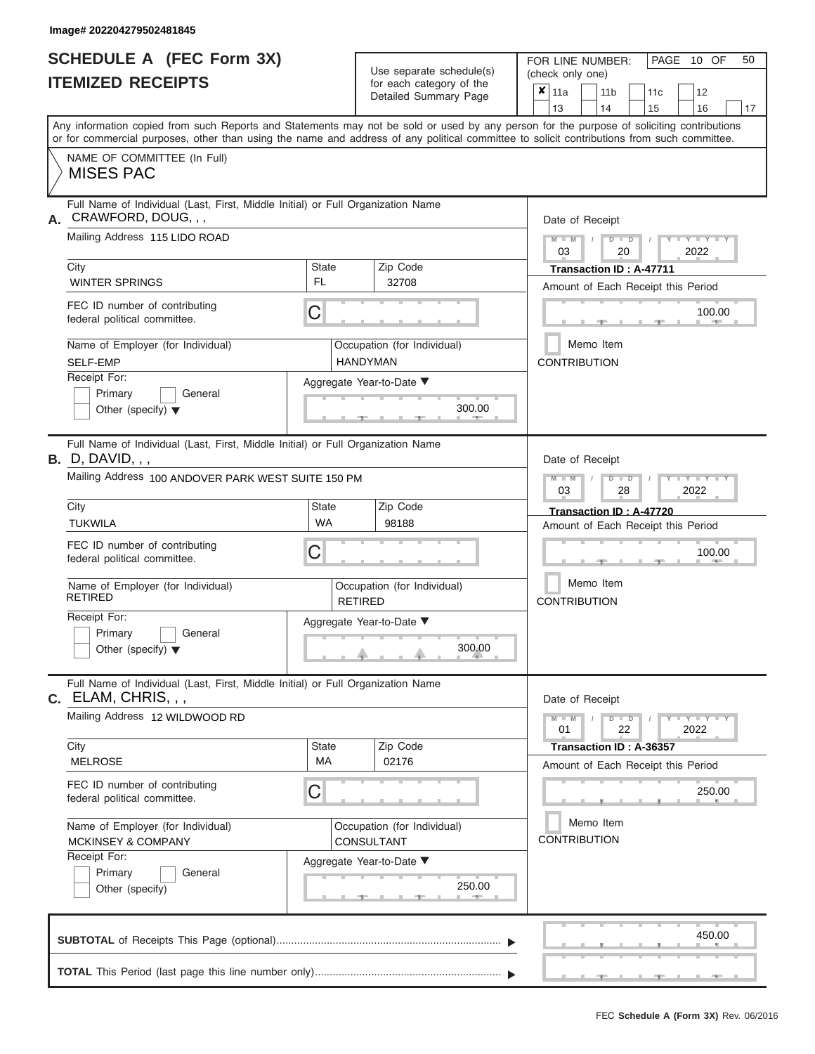|                          | <b>SCHEDULE A (FEC Form 3X)</b> |
|--------------------------|---------------------------------|
| <b>ITEMIZED RECEIPTS</b> |                                 |

| SCHEDULE A (FEC Form 3X)<br><b>ITEMIZED RECEIPTS</b>                                                                                                                                                                                                                                                                                                                                        |                         | Use separate schedule(s)<br>for each category of the<br>Detailed Summary Page                             | 50<br>FOR LINE NUMBER:<br>PAGE 10 OF<br>(check only one)<br>$\overline{\mathbf{x}}$ 11a<br>11 <sub>b</sub><br>12<br>11c<br>13<br>14<br>15<br>16<br>17                                                                                                                                        |  |  |  |  |  |  |  |  |
|---------------------------------------------------------------------------------------------------------------------------------------------------------------------------------------------------------------------------------------------------------------------------------------------------------------------------------------------------------------------------------------------|-------------------------|-----------------------------------------------------------------------------------------------------------|----------------------------------------------------------------------------------------------------------------------------------------------------------------------------------------------------------------------------------------------------------------------------------------------|--|--|--|--|--|--|--|--|
| Any information copied from such Reports and Statements may not be sold or used by any person for the purpose of soliciting contributions<br>or for commercial purposes, other than using the name and address of any political committee to solicit contributions from such committee.<br>NAME OF COMMITTEE (In Full)<br><b>MISES PAC</b>                                                  |                         |                                                                                                           |                                                                                                                                                                                                                                                                                              |  |  |  |  |  |  |  |  |
| Full Name of Individual (Last, First, Middle Initial) or Full Organization Name<br>CRAWFORD, DOUG, , ,<br>А.<br>Mailing Address 115 LIDO ROAD<br>City<br><b>WINTER SPRINGS</b><br>FEC ID number of contributing<br>federal political committee.<br>Name of Employer (for Individual)<br><b>SELF-EMP</b><br>Receipt For:<br>Primary<br>General<br>Other (specify) $\blacktriangledown$       | State<br><b>FL</b><br>C | Zip Code<br>32708<br>Occupation (for Individual)<br><b>HANDYMAN</b><br>Aggregate Year-to-Date ▼<br>300.00 | Date of Receipt<br>$M = M$ /<br>$D$ $D$<br>$\Box$ $\Upsilon$ $\Box$ $\Upsilon$ $\Box$<br>03<br>2022<br>20<br>Transaction ID: A-47711<br>Amount of Each Receipt this Period<br>100.00<br>Memo Item<br><b>CONTRIBUTION</b>                                                                     |  |  |  |  |  |  |  |  |
| Full Name of Individual (Last, First, Middle Initial) or Full Organization Name<br>$B.$ D, DAVID, , ,<br>Mailing Address 100 ANDOVER PARK WEST SUITE 150 PM<br>City<br><b>TUKWILA</b><br>FEC ID number of contributing<br>federal political committee.<br>Name of Employer (for Individual)<br><b>RETIRED</b><br>Receipt For:<br>Primary<br>General<br>Other (specify) $\blacktriangledown$ | State<br><b>WA</b><br>С | Zip Code<br>98188<br>Occupation (for Individual)<br><b>RETIRED</b><br>Aggregate Year-to-Date ▼<br>300.00  | Date of Receipt<br>$M - M$<br>$D$ $\Box$ $D$<br>$\Box$ $\Upsilon$ $\Box$ $\Upsilon$ $\Upsilon$ $\Box$<br>03<br>2022<br>28<br>Transaction ID: A-47720<br>Amount of Each Receipt this Period<br>100.00<br>Memo Item<br><b>CONTRIBUTION</b>                                                     |  |  |  |  |  |  |  |  |
| Full Name of Individual (Last, First, Middle Initial) or Full Organization Name<br>C. ELAM, CHRIS, , ,<br>Mailing Address 12 WILDWOOD RD<br>City<br><b>MELROSE</b><br>FEC ID number of contributing<br>federal political committee.<br>Name of Employer (for Individual)<br><b>MCKINSEY &amp; COMPANY</b><br>Receipt For:<br>Primary<br>General<br>Other (specify)                          | State<br>MA<br>С        | Zip Code<br>02176<br>Occupation (for Individual)<br>CONSULTANT<br>Aggregate Year-to-Date ▼<br>250.00      | Date of Receipt<br>$M - M$<br>$D$ $D$<br>$\blacksquare \blacksquare \mathsf{Y} \blacksquare \blacksquare \mathsf{Y} \blacksquare \blacksquare \mathsf{Y}$<br>01<br>22<br>2022<br>Transaction ID: A-36357<br>Amount of Each Receipt this Period<br>250.00<br>Memo Item<br><b>CONTRIBUTION</b> |  |  |  |  |  |  |  |  |
|                                                                                                                                                                                                                                                                                                                                                                                             |                         |                                                                                                           | 450.00                                                                                                                                                                                                                                                                                       |  |  |  |  |  |  |  |  |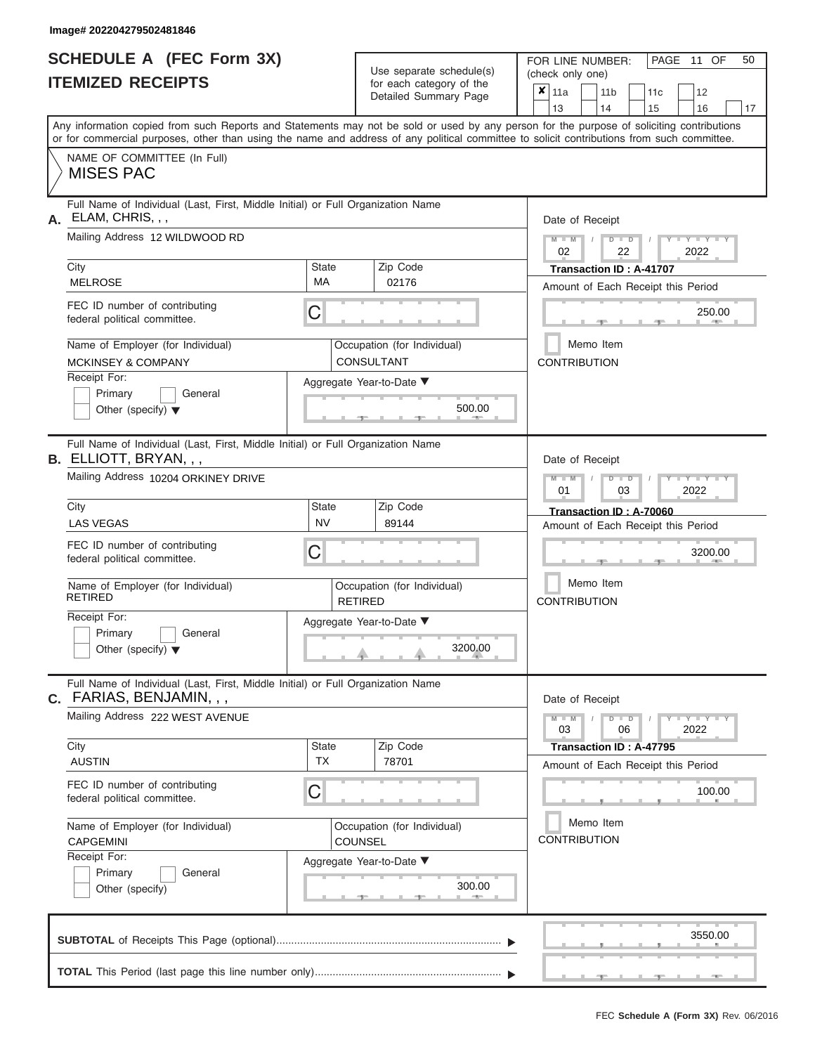|                          | <b>SCHEDULE A (FEC Form 3X)</b> |
|--------------------------|---------------------------------|
| <b>ITEMIZED RECEIPTS</b> |                                 |

Use separate schedule(s)<br>for each category of the

FOR LINE NUMBER:<br>(check only one)

PAGE 11 OF 50

|                                                                                                                  | II EMILED REVEIF I J                                                                                                                                                                                                                                                                    |                          |                                                               | ior each category of the    | × | 11a                                                                  |  | 11 <sub>b</sub>                  |                                                               | 11c |  | 12                        |        |    |  |  |  |  |  |
|------------------------------------------------------------------------------------------------------------------|-----------------------------------------------------------------------------------------------------------------------------------------------------------------------------------------------------------------------------------------------------------------------------------------|--------------------------|---------------------------------------------------------------|-----------------------------|---|----------------------------------------------------------------------|--|----------------------------------|---------------------------------------------------------------|-----|--|---------------------------|--------|----|--|--|--|--|--|
|                                                                                                                  |                                                                                                                                                                                                                                                                                         |                          |                                                               | Detailed Summary Page       |   | 13                                                                   |  | 14                               |                                                               | 15  |  | 16                        |        | 17 |  |  |  |  |  |
|                                                                                                                  | Any information copied from such Reports and Statements may not be sold or used by any person for the purpose of soliciting contributions<br>or for commercial purposes, other than using the name and address of any political committee to solicit contributions from such committee. |                          |                                                               |                             |   |                                                                      |  |                                  |                                                               |     |  |                           |        |    |  |  |  |  |  |
|                                                                                                                  | NAME OF COMMITTEE (In Full)<br><b>MISES PAC</b>                                                                                                                                                                                                                                         |                          |                                                               |                             |   |                                                                      |  |                                  |                                                               |     |  |                           |        |    |  |  |  |  |  |
| А.                                                                                                               | Full Name of Individual (Last, First, Middle Initial) or Full Organization Name<br>ELAM, CHRIS, , ,                                                                                                                                                                                     |                          |                                                               |                             |   | Date of Receipt                                                      |  |                                  |                                                               |     |  |                           |        |    |  |  |  |  |  |
|                                                                                                                  | Mailing Address 12 WILDWOOD RD                                                                                                                                                                                                                                                          |                          |                                                               |                             |   | $M - M$<br>$D$ $D$<br>$Y = Y = Y$<br>02<br>22<br>2022                |  |                                  |                                                               |     |  |                           |        |    |  |  |  |  |  |
|                                                                                                                  | City<br><b>MELROSE</b>                                                                                                                                                                                                                                                                  |                          | Transaction ID: A-41707<br>Amount of Each Receipt this Period |                             |   |                                                                      |  |                                  |                                                               |     |  |                           |        |    |  |  |  |  |  |
|                                                                                                                  | FEC ID number of contributing<br>federal political committee.                                                                                                                                                                                                                           | 250.00                   |                                                               |                             |   |                                                                      |  |                                  |                                                               |     |  |                           |        |    |  |  |  |  |  |
| Name of Employer (for Individual)<br>Occupation (for Individual)<br>CONSULTANT<br><b>MCKINSEY &amp; COMPANY</b>  |                                                                                                                                                                                                                                                                                         |                          |                                                               |                             |   |                                                                      |  | Memo Item<br><b>CONTRIBUTION</b> |                                                               |     |  |                           |        |    |  |  |  |  |  |
| Receipt For:<br>Aggregate Year-to-Date ▼<br>Primary<br>General<br>500.00<br>Other (specify) $\blacktriangledown$ |                                                                                                                                                                                                                                                                                         |                          |                                                               |                             |   |                                                                      |  |                                  |                                                               |     |  |                           |        |    |  |  |  |  |  |
|                                                                                                                  | Full Name of Individual (Last, First, Middle Initial) or Full Organization Name<br><b>B.</b> ELLIOTT, BRYAN, , ,                                                                                                                                                                        |                          |                                                               |                             |   | Date of Receipt                                                      |  |                                  |                                                               |     |  |                           |        |    |  |  |  |  |  |
|                                                                                                                  | Mailing Address 10204 ORKINEY DRIVE                                                                                                                                                                                                                                                     |                          | $M - M$<br>$D - I$<br>$Y = Y$<br>01<br>03<br>2022             |                             |   |                                                                      |  |                                  |                                                               |     |  |                           |        |    |  |  |  |  |  |
|                                                                                                                  | Zip Code<br>City<br>State<br><b>NV</b><br><b>LAS VEGAS</b><br>89144                                                                                                                                                                                                                     |                          |                                                               |                             |   |                                                                      |  |                                  | Transaction ID: A-70060<br>Amount of Each Receipt this Period |     |  |                           |        |    |  |  |  |  |  |
|                                                                                                                  | FEC ID number of contributing<br>С<br>federal political committee.                                                                                                                                                                                                                      |                          |                                                               |                             |   |                                                                      |  |                                  |                                                               |     |  | 3200.00                   |        |    |  |  |  |  |  |
|                                                                                                                  | Name of Employer (for Individual)<br><b>RETIRED</b>                                                                                                                                                                                                                                     |                          | <b>RETIRED</b>                                                | Occupation (for Individual) |   | Memo Item<br><b>CONTRIBUTION</b>                                     |  |                                  |                                                               |     |  |                           |        |    |  |  |  |  |  |
|                                                                                                                  | Receipt For:<br>Primary<br>General<br>Other (specify) $\blacktriangledown$                                                                                                                                                                                                              | Aggregate Year-to-Date ▼ |                                                               | 3200.00                     |   |                                                                      |  |                                  |                                                               |     |  |                           |        |    |  |  |  |  |  |
| С.                                                                                                               | Full Name of Individual (Last, First, Middle Initial) or Full Organization Name<br>FARIAS, BENJAMIN, , ,                                                                                                                                                                                |                          |                                                               |                             |   | Date of Receipt                                                      |  |                                  |                                                               |     |  |                           |        |    |  |  |  |  |  |
|                                                                                                                  | Mailing Address 222 WEST AVENUE                                                                                                                                                                                                                                                         |                          |                                                               |                             |   | $M - M$<br>03                                                        |  |                                  | $D$ $D$<br>06                                                 |     |  | $T - Y = Y - T Y$<br>2022 |        |    |  |  |  |  |  |
|                                                                                                                  | City<br><b>AUSTIN</b>                                                                                                                                                                                                                                                                   | State<br>TX              |                                                               | Zip Code<br>78701           |   | <b>Transaction ID: A-47795</b><br>Amount of Each Receipt this Period |  |                                  |                                                               |     |  |                           |        |    |  |  |  |  |  |
|                                                                                                                  | FEC ID number of contributing<br>federal political committee.                                                                                                                                                                                                                           | C                        |                                                               |                             |   |                                                                      |  |                                  |                                                               |     |  |                           | 100.00 |    |  |  |  |  |  |
|                                                                                                                  | Name of Employer (for Individual)<br>Occupation (for Individual)<br>COUNSEL<br><b>CAPGEMINI</b>                                                                                                                                                                                         |                          |                                                               |                             |   |                                                                      |  | Memo Item<br><b>CONTRIBUTION</b> |                                                               |     |  |                           |        |    |  |  |  |  |  |
|                                                                                                                  | Receipt For:<br>General<br>Primary<br>Other (specify)                                                                                                                                                                                                                                   | Aggregate Year-to-Date ▼ |                                                               | 300.00                      |   |                                                                      |  |                                  |                                                               |     |  |                           |        |    |  |  |  |  |  |
|                                                                                                                  |                                                                                                                                                                                                                                                                                         |                          |                                                               |                             |   |                                                                      |  |                                  |                                                               |     |  | 3550.00                   |        |    |  |  |  |  |  |
|                                                                                                                  |                                                                                                                                                                                                                                                                                         |                          |                                                               |                             |   |                                                                      |  |                                  |                                                               |     |  |                           |        |    |  |  |  |  |  |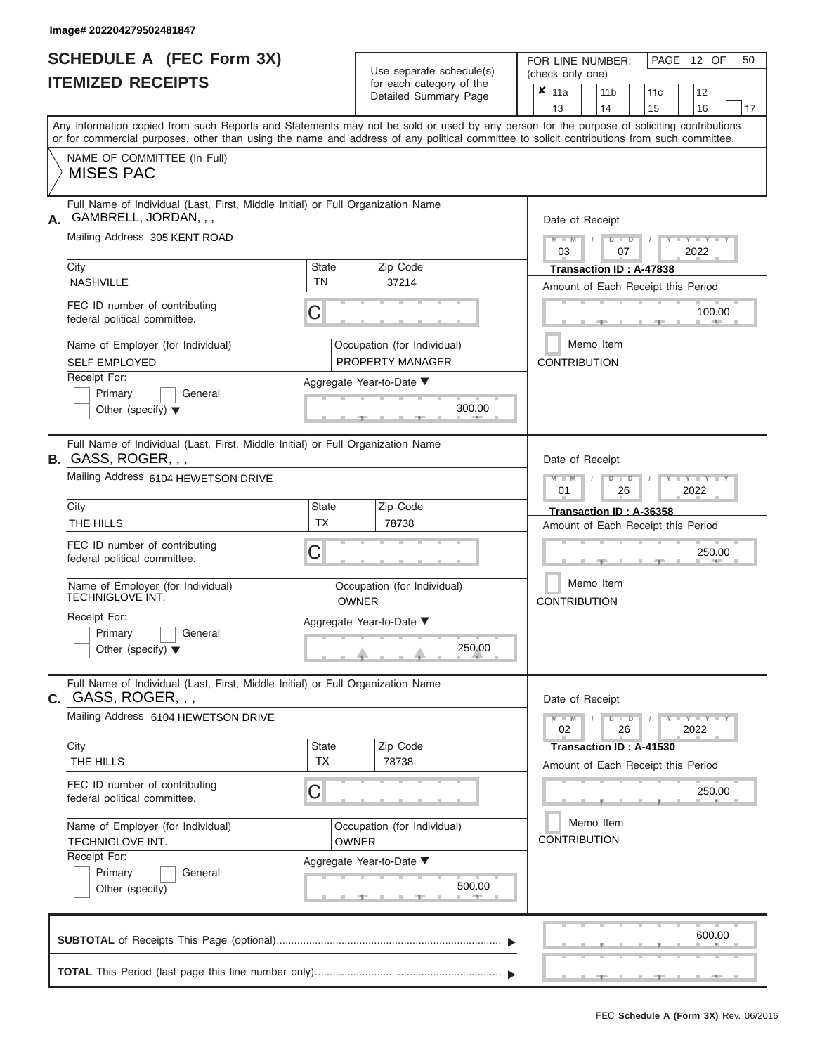|                          | SCHEDULE A (FEC Form 3X) |
|--------------------------|--------------------------|
| <b>ITEMIZED RECEIPTS</b> |                          |

Use separate schedule(s)<br>for each category of the

FOR LINE NUMBER:<br>(check only one)

PAGE 12 OF 50

|                                                                                                                                                          |                                                                                                                                                                                                                                                                                         |                           |              | $\frac{1}{2}$<br>Detailed Summary Page          |                                                           | x<br>11a<br>13                   |  |  | 11 <sub>b</sub><br>14 |                      | 11 <sub>c</sub><br>15              |  | 12<br>16                  | 17 |  |  |  |
|----------------------------------------------------------------------------------------------------------------------------------------------------------|-----------------------------------------------------------------------------------------------------------------------------------------------------------------------------------------------------------------------------------------------------------------------------------------|---------------------------|--------------|-------------------------------------------------|-----------------------------------------------------------|----------------------------------|--|--|-----------------------|----------------------|------------------------------------|--|---------------------------|----|--|--|--|
|                                                                                                                                                          | Any information copied from such Reports and Statements may not be sold or used by any person for the purpose of soliciting contributions<br>or for commercial purposes, other than using the name and address of any political committee to solicit contributions from such committee. |                           |              |                                                 |                                                           |                                  |  |  |                       |                      |                                    |  |                           |    |  |  |  |
|                                                                                                                                                          | NAME OF COMMITTEE (In Full)<br><b>MISES PAC</b>                                                                                                                                                                                                                                         |                           |              |                                                 |                                                           |                                  |  |  |                       |                      |                                    |  |                           |    |  |  |  |
|                                                                                                                                                          | Full Name of Individual (Last, First, Middle Initial) or Full Organization Name<br>GAMBRELL, JORDAN, , ,                                                                                                                                                                                |                           |              |                                                 |                                                           |                                  |  |  | Date of Receipt       |                      |                                    |  |                           |    |  |  |  |
|                                                                                                                                                          | Mailing Address 305 KENT ROAD                                                                                                                                                                                                                                                           |                           |              |                                                 | $M$ $M$ $I$<br>$D$ $D$<br>$Y - Y - I$<br>2022<br>03<br>07 |                                  |  |  |                       |                      |                                    |  |                           |    |  |  |  |
|                                                                                                                                                          | City<br><b>NASHVILLE</b>                                                                                                                                                                                                                                                                | <b>State</b><br><b>TN</b> |              | Zip Code<br>37214                               | Transaction ID: A-47838                                   |                                  |  |  |                       |                      |                                    |  |                           |    |  |  |  |
|                                                                                                                                                          | FEC ID number of contributing<br>federal political committee.                                                                                                                                                                                                                           | C                         |              |                                                 | Amount of Each Receipt this Period<br>100.00              |                                  |  |  |                       |                      |                                    |  |                           |    |  |  |  |
|                                                                                                                                                          | Name of Employer (for Individual)<br><b>SELF EMPLOYED</b>                                                                                                                                                                                                                               |                           |              | Occupation (for Individual)<br>PROPERTY MANAGER |                                                           | <b>CONTRIBUTION</b>              |  |  | Memo Item             |                      |                                    |  |                           |    |  |  |  |
|                                                                                                                                                          | Receipt For:<br>Primary<br>General<br>Other (specify) $\blacktriangledown$                                                                                                                                                                                                              |                           |              | Aggregate Year-to-Date ▼<br>300.00              |                                                           |                                  |  |  |                       |                      |                                    |  |                           |    |  |  |  |
|                                                                                                                                                          | Full Name of Individual (Last, First, Middle Initial) or Full Organization Name<br>B. GASS, ROGER, , ,<br>Mailing Address 6104 HEWETSON DRIVE                                                                                                                                           |                           |              |                                                 |                                                           | $M - M$                          |  |  | Date of Receipt       | $D$ $\Box$ $D$       |                                    |  | YIY                       |    |  |  |  |
|                                                                                                                                                          | City                                                                                                                                                                                                                                                                                    |                           | Zip Code     |                                                 | 2022<br>01<br>26<br>Transaction ID: A-36358               |                                  |  |  |                       |                      |                                    |  |                           |    |  |  |  |
|                                                                                                                                                          | THE HILLS                                                                                                                                                                                                                                                                               | <b>State</b><br><b>TX</b> |              | 78738                                           |                                                           |                                  |  |  |                       |                      | Amount of Each Receipt this Period |  |                           |    |  |  |  |
|                                                                                                                                                          | FEC ID number of contributing<br>federal political committee.                                                                                                                                                                                                                           | C                         |              |                                                 |                                                           |                                  |  |  |                       |                      |                                    |  | 250.00                    |    |  |  |  |
|                                                                                                                                                          | Name of Employer (for Individual)<br>TECHNIGLOVE INT.                                                                                                                                                                                                                                   |                           | <b>OWNER</b> | Occupation (for Individual)                     |                                                           | Memo Item<br><b>CONTRIBUTION</b> |  |  |                       |                      |                                    |  |                           |    |  |  |  |
|                                                                                                                                                          | Receipt For:<br>Primary<br>General<br>Other (specify) $\blacktriangledown$                                                                                                                                                                                                              |                           |              | Aggregate Year-to-Date ▼<br>250.00              |                                                           |                                  |  |  |                       |                      |                                    |  |                           |    |  |  |  |
|                                                                                                                                                          | Full Name of Individual (Last, First, Middle Initial) or Full Organization Name<br>c. GASS, ROGER, , ,                                                                                                                                                                                  |                           |              |                                                 |                                                           |                                  |  |  | Date of Receipt       |                      |                                    |  |                           |    |  |  |  |
|                                                                                                                                                          | Mailing Address 6104 HEWETSON DRIVE                                                                                                                                                                                                                                                     |                           |              |                                                 |                                                           | $M - M$<br>02                    |  |  |                       | $\blacksquare$<br>26 |                                    |  | $  Y$ $  Y$ $  Y$<br>2022 |    |  |  |  |
|                                                                                                                                                          | City<br>THE HILLS                                                                                                                                                                                                                                                                       | <b>State</b><br><b>TX</b> |              | Zip Code<br>78738                               |                                                           |                                  |  |  |                       |                      | Transaction ID: A-41530            |  |                           |    |  |  |  |
| Amount of Each Receipt this Period<br>FEC ID number of contributing<br>C<br>250.00<br>federal political committee.                                       |                                                                                                                                                                                                                                                                                         |                           |              |                                                 |                                                           |                                  |  |  |                       |                      |                                    |  |                           |    |  |  |  |
| Memo Item<br>Name of Employer (for Individual)<br>Occupation (for Individual)<br><b>CONTRIBUTION</b><br>TECHNIGLOVE INT.<br><b>OWNER</b><br>Receipt For: |                                                                                                                                                                                                                                                                                         |                           |              |                                                 |                                                           |                                  |  |  |                       |                      |                                    |  |                           |    |  |  |  |
|                                                                                                                                                          | General<br>Primary<br>Other (specify)                                                                                                                                                                                                                                                   |                           |              | Aggregate Year-to-Date ▼<br>500.00              |                                                           |                                  |  |  |                       |                      |                                    |  |                           |    |  |  |  |
|                                                                                                                                                          |                                                                                                                                                                                                                                                                                         |                           |              |                                                 |                                                           |                                  |  |  |                       |                      |                                    |  | 600.00                    |    |  |  |  |
|                                                                                                                                                          |                                                                                                                                                                                                                                                                                         |                           |              |                                                 |                                                           |                                  |  |  |                       |                      |                                    |  | $-1$                      |    |  |  |  |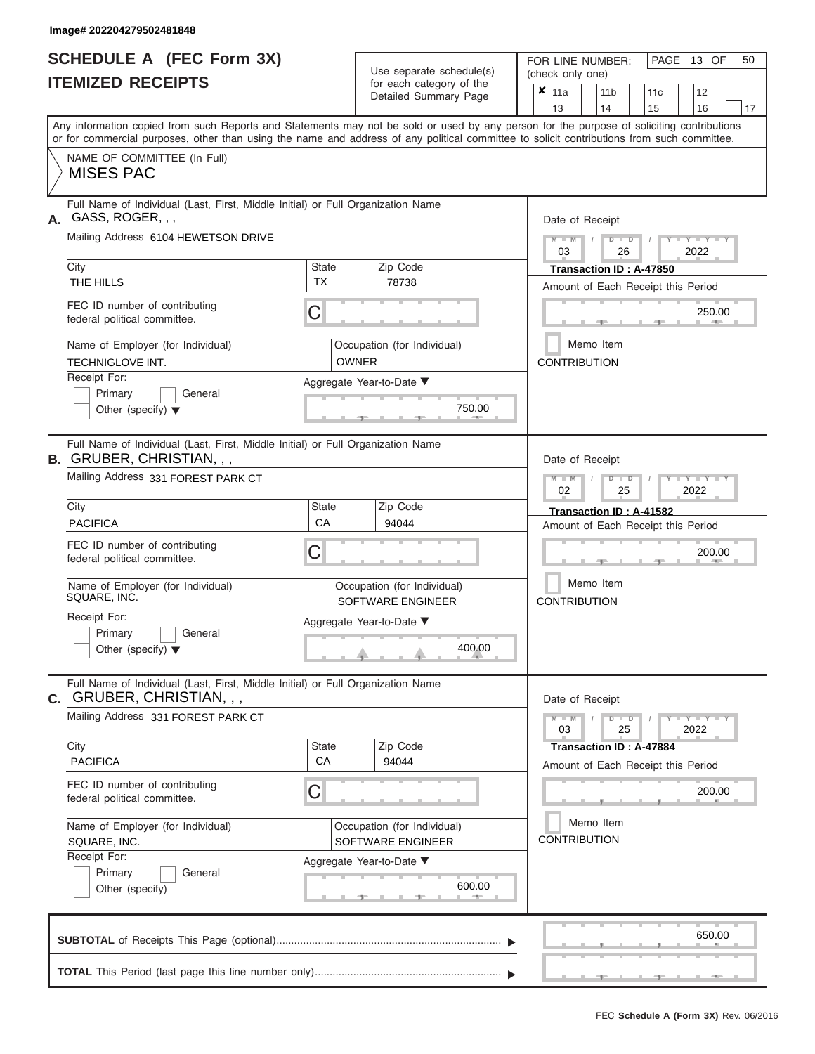|                          | <b>SCHEDULE A (FEC Form 3X)</b> |
|--------------------------|---------------------------------|
| <b>ITEMIZED RECEIPTS</b> |                                 |

Use separate schedule(s)

FOR LINE NUMBER:<br>(check only one)

PAGE 13 OF 50

| IIEMIZED KEUEIPIS                                                                                                                          |                           | for each category of the<br>Detailed Summary Page | $\pmb{\times}$<br>12<br>11a<br>11 <sub>b</sub><br>11c<br>13<br>14<br>15<br>16<br>17                                                       |
|--------------------------------------------------------------------------------------------------------------------------------------------|---------------------------|---------------------------------------------------|-------------------------------------------------------------------------------------------------------------------------------------------|
| or for commercial purposes, other than using the name and address of any political committee to solicit contributions from such committee. |                           |                                                   | Any information copied from such Reports and Statements may not be sold or used by any person for the purpose of soliciting contributions |
| NAME OF COMMITTEE (In Full)<br><b>MISES PAC</b>                                                                                            |                           |                                                   |                                                                                                                                           |
| Full Name of Individual (Last, First, Middle Initial) or Full Organization Name<br>GASS, ROGER, , ,<br>А.                                  |                           |                                                   | Date of Receipt                                                                                                                           |
| Mailing Address 6104 HEWETSON DRIVE                                                                                                        |                           |                                                   | $+Y+Y+Y$<br>$M - M$<br>$D$ $\Box$ $D$<br>2022<br>03<br>26                                                                                 |
| City                                                                                                                                       | <b>State</b><br><b>TX</b> | Zip Code                                          | Transaction ID: A-47850                                                                                                                   |
| THE HILLS                                                                                                                                  |                           | 78738                                             | Amount of Each Receipt this Period                                                                                                        |
| FEC ID number of contributing<br>federal political committee.                                                                              | C                         |                                                   | 250.00                                                                                                                                    |
| Name of Employer (for Individual)<br>TECHNIGLOVE INT.                                                                                      |                           | Occupation (for Individual)<br><b>OWNER</b>       | Memo Item<br><b>CONTRIBUTION</b>                                                                                                          |
| Receipt For:                                                                                                                               |                           | Aggregate Year-to-Date ▼                          |                                                                                                                                           |
| Primary<br>General<br>Other (specify) $\blacktriangledown$                                                                                 |                           | 750.00                                            |                                                                                                                                           |
| Full Name of Individual (Last, First, Middle Initial) or Full Organization Name<br><b>B. GRUBER, CHRISTIAN, , ,</b>                        |                           |                                                   | Date of Receipt                                                                                                                           |
| Mailing Address 331 FOREST PARK CT                                                                                                         |                           |                                                   | $M - M$<br>$T - Y = Y - T Y$<br>$D$ $\Box$ $D$<br>02<br>25<br>2022                                                                        |
| City                                                                                                                                       | <b>State</b>              | Zip Code                                          | Transaction ID: A-41582                                                                                                                   |
| <b>PACIFICA</b>                                                                                                                            | СA                        | 94044                                             | Amount of Each Receipt this Period                                                                                                        |
| FEC ID number of contributing<br>federal political committee.                                                                              | C                         |                                                   | 200.00                                                                                                                                    |
| Name of Employer (for Individual)<br>SQUARE, INC.                                                                                          |                           | Occupation (for Individual)<br>SOFTWARE ENGINEER  | Memo Item<br><b>CONTRIBUTION</b>                                                                                                          |
| Receipt For:                                                                                                                               |                           | Aggregate Year-to-Date ▼                          |                                                                                                                                           |
| Primary<br>General<br>Other (specify) $\blacktriangledown$                                                                                 |                           | 400.00                                            |                                                                                                                                           |
| Full Name of Individual (Last, First, Middle Initial) or Full Organization Name<br><b>c.</b> GRUBER, CHRISTIAN, , ,                        |                           |                                                   | Date of Receipt                                                                                                                           |
| Mailing Address 331 FOREST PARK CT                                                                                                         |                           |                                                   | $D$ $\Box$ $D$<br>$+Y+Y+Y$<br>$M - M$<br>25<br>03<br>2022                                                                                 |
| City<br><b>PACIFICA</b>                                                                                                                    | <b>State</b><br>CA        | Zip Code                                          | Transaction ID: A-47884                                                                                                                   |
|                                                                                                                                            |                           | 94044                                             | Amount of Each Receipt this Period                                                                                                        |
| FEC ID number of contributing<br>federal political committee.                                                                              | C                         |                                                   | 200.00                                                                                                                                    |
| Name of Employer (for Individual)<br>SQUARE, INC.                                                                                          |                           | Occupation (for Individual)<br>SOFTWARE ENGINEER  | Memo Item<br><b>CONTRIBUTION</b>                                                                                                          |
| Receipt For:                                                                                                                               |                           | Aggregate Year-to-Date ▼                          |                                                                                                                                           |
| Primary<br>General                                                                                                                         |                           |                                                   |                                                                                                                                           |
| Other (specify)                                                                                                                            |                           | 600.00<br><b>AND IN</b>                           |                                                                                                                                           |
|                                                                                                                                            |                           |                                                   | 650.00                                                                                                                                    |
|                                                                                                                                            |                           |                                                   |                                                                                                                                           |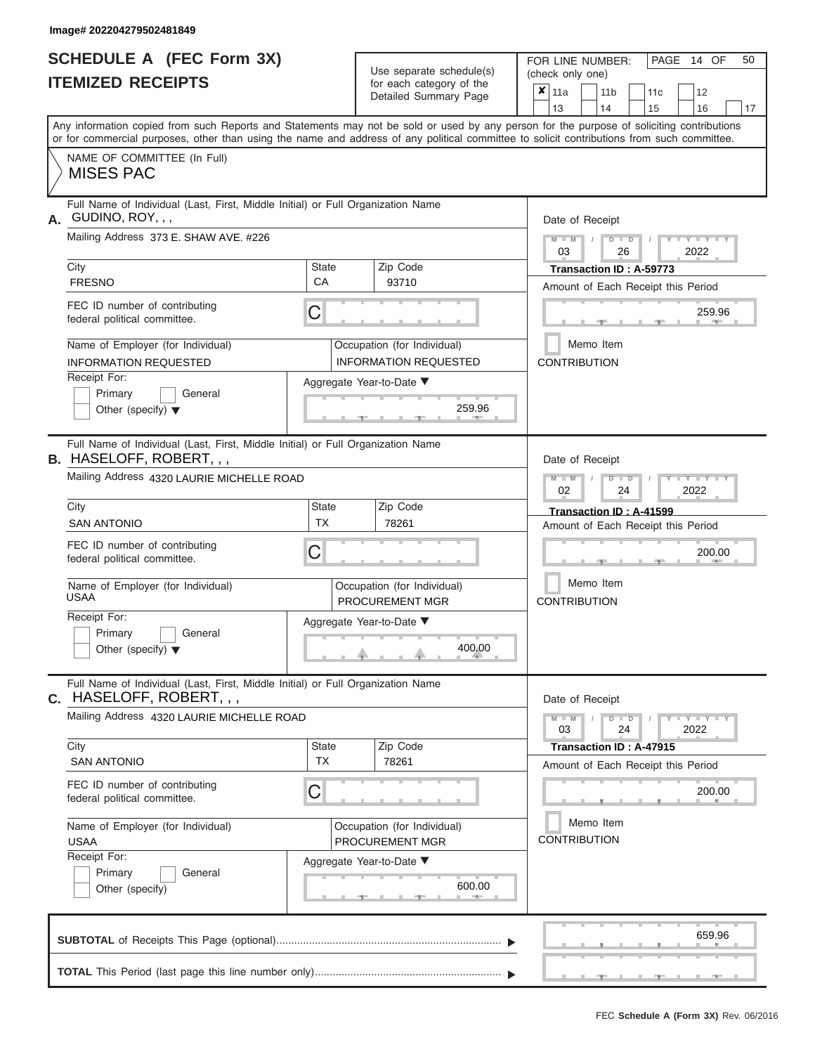|                          | <b>SCHEDULE A (FEC Form 3X)</b> |
|--------------------------|---------------------------------|
| <b>ITEMIZED RECEIPTS</b> |                                 |

Use separate schedule(s)<br>for each category of the

FOR LINE NUMBER:<br>(check only one)

PAGE 14 OF 50

|    | IILMILLY REVLII IV                                                                                                                                                                                                                                                                      |                                                            | iui cauli ualcyuly ul lilc<br>Detailed Summary Page         | x                                                      | 11a                     |                                  | 11 <sub>b</sub> |               |  | 11 <sub>c</sub> | 12                                 |    |  |  |  |
|----|-----------------------------------------------------------------------------------------------------------------------------------------------------------------------------------------------------------------------------------------------------------------------------------------|------------------------------------------------------------|-------------------------------------------------------------|--------------------------------------------------------|-------------------------|----------------------------------|-----------------|---------------|--|-----------------|------------------------------------|----|--|--|--|
|    |                                                                                                                                                                                                                                                                                         |                                                            |                                                             |                                                        | 13                      |                                  | 14              |               |  | 15              | 16                                 | 17 |  |  |  |
|    | Any information copied from such Reports and Statements may not be sold or used by any person for the purpose of soliciting contributions<br>or for commercial purposes, other than using the name and address of any political committee to solicit contributions from such committee. |                                                            |                                                             |                                                        |                         |                                  |                 |               |  |                 |                                    |    |  |  |  |
|    | NAME OF COMMITTEE (In Full)<br><b>MISES PAC</b>                                                                                                                                                                                                                                         |                                                            |                                                             |                                                        |                         |                                  |                 |               |  |                 |                                    |    |  |  |  |
| А. | Full Name of Individual (Last, First, Middle Initial) or Full Organization Name<br>GUDINO, ROY, , ,                                                                                                                                                                                     |                                                            |                                                             |                                                        | Date of Receipt         |                                  |                 |               |  |                 |                                    |    |  |  |  |
|    | Mailing Address 373 E. SHAW AVE. #226                                                                                                                                                                                                                                                   |                                                            |                                                             |                                                        | $M - M$<br>03           |                                  |                 | $D$ $D$<br>26 |  |                 | $\overline{\phantom{a}}$<br>2022   |    |  |  |  |
|    | City                                                                                                                                                                                                                                                                                    | <b>State</b>                                               | Zip Code                                                    |                                                        | Transaction ID: A-59773 |                                  |                 |               |  |                 |                                    |    |  |  |  |
|    | <b>FRESNO</b>                                                                                                                                                                                                                                                                           | CA                                                         | 93710                                                       |                                                        |                         |                                  |                 |               |  |                 | Amount of Each Receipt this Period |    |  |  |  |
|    | FEC ID number of contributing<br>C<br>federal political committee.                                                                                                                                                                                                                      |                                                            |                                                             |                                                        |                         |                                  |                 |               |  |                 | 259.96                             |    |  |  |  |
|    | Name of Employer (for Individual)<br><b>INFORMATION REQUESTED</b>                                                                                                                                                                                                                       |                                                            | Occupation (for Individual)<br><b>INFORMATION REQUESTED</b> |                                                        | <b>CONTRIBUTION</b>     | Memo Item                        |                 |               |  |                 |                                    |    |  |  |  |
|    | Receipt For:                                                                                                                                                                                                                                                                            |                                                            | Aggregate Year-to-Date ▼                                    |                                                        |                         |                                  |                 |               |  |                 |                                    |    |  |  |  |
|    | Primary<br>General<br>Other (specify) $\blacktriangledown$                                                                                                                                                                                                                              | 259.96                                                     |                                                             |                                                        |                         |                                  |                 |               |  |                 |                                    |    |  |  |  |
|    | Full Name of Individual (Last, First, Middle Initial) or Full Organization Name<br><b>B.</b> HASELOFF, ROBERT, , ,                                                                                                                                                                      |                                                            |                                                             |                                                        | Date of Receipt         |                                  |                 |               |  |                 |                                    |    |  |  |  |
|    | Mailing Address 4320 LAURIE MICHELLE ROAD                                                                                                                                                                                                                                               |                                                            |                                                             | $M - M$<br>$D$ $\Box$ $D$<br>$T-T$<br>02<br>2022<br>24 |                         |                                  |                 |               |  |                 |                                    |    |  |  |  |
|    | City                                                                                                                                                                                                                                                                                    | <b>State</b>                                               | Zip Code                                                    | Transaction ID: A-41599                                |                         |                                  |                 |               |  |                 |                                    |    |  |  |  |
|    | <b>SAN ANTONIO</b>                                                                                                                                                                                                                                                                      | <b>TX</b>                                                  | 78261                                                       |                                                        |                         |                                  |                 |               |  |                 | Amount of Each Receipt this Period |    |  |  |  |
|    | FEC ID number of contributing<br>federal political committee.                                                                                                                                                                                                                           | С<br>Occupation (for Individual)<br><b>PROCUREMENT MGR</b> |                                                             |                                                        |                         | 200.00                           |                 |               |  |                 |                                    |    |  |  |  |
|    | Name of Employer (for Individual)<br><b>USAA</b>                                                                                                                                                                                                                                        |                                                            |                                                             |                                                        |                         | Memo Item<br><b>CONTRIBUTION</b> |                 |               |  |                 |                                    |    |  |  |  |
|    | Receipt For:                                                                                                                                                                                                                                                                            | Aggregate Year-to-Date ▼                                   |                                                             |                                                        |                         |                                  |                 |               |  |                 |                                    |    |  |  |  |
|    | Primary<br>General<br>Other (specify) $\blacktriangledown$                                                                                                                                                                                                                              | 400.00                                                     |                                                             |                                                        |                         |                                  |                 |               |  |                 |                                    |    |  |  |  |
| С. | Full Name of Individual (Last, First, Middle Initial) or Full Organization Name<br>HASELOFF, ROBERT, , ,                                                                                                                                                                                |                                                            |                                                             |                                                        | Date of Receipt         |                                  |                 |               |  |                 |                                    |    |  |  |  |
|    | Mailing Address 4320 LAURIE MICHELLE ROAD                                                                                                                                                                                                                                               |                                                            |                                                             |                                                        | $M - M$<br>03           |                                  |                 | $D$ $D$<br>24 |  |                 | $T - Y - T - Y - T - Y$<br>2022    |    |  |  |  |
|    | City<br><b>SAN ANTONIO</b>                                                                                                                                                                                                                                                              | <b>State</b><br><b>TX</b>                                  | Zip Code<br>78261                                           |                                                        | Transaction ID: A-47915 |                                  |                 |               |  |                 |                                    |    |  |  |  |
|    |                                                                                                                                                                                                                                                                                         |                                                            |                                                             |                                                        |                         |                                  |                 |               |  |                 | Amount of Each Receipt this Period |    |  |  |  |
|    | FEC ID number of contributing<br>federal political committee.                                                                                                                                                                                                                           | C                                                          |                                                             |                                                        |                         | 200.00                           |                 |               |  |                 |                                    |    |  |  |  |
|    | Name of Employer (for Individual)<br><b>USAA</b>                                                                                                                                                                                                                                        | Occupation (for Individual)<br>PROCUREMENT MGR             | Memo Item<br><b>CONTRIBUTION</b>                            |                                                        |                         |                                  |                 |               |  |                 |                                    |    |  |  |  |
|    | Receipt For:                                                                                                                                                                                                                                                                            |                                                            | Aggregate Year-to-Date ▼                                    |                                                        |                         |                                  |                 |               |  |                 |                                    |    |  |  |  |
|    | General<br>Primary<br>Other (specify)                                                                                                                                                                                                                                                   |                                                            | 600.00                                                      |                                                        |                         |                                  |                 |               |  |                 |                                    |    |  |  |  |
|    |                                                                                                                                                                                                                                                                                         |                                                            |                                                             |                                                        |                         |                                  |                 |               |  |                 | 659.96                             |    |  |  |  |
|    |                                                                                                                                                                                                                                                                                         |                                                            |                                                             |                                                        |                         |                                  |                 |               |  |                 |                                    |    |  |  |  |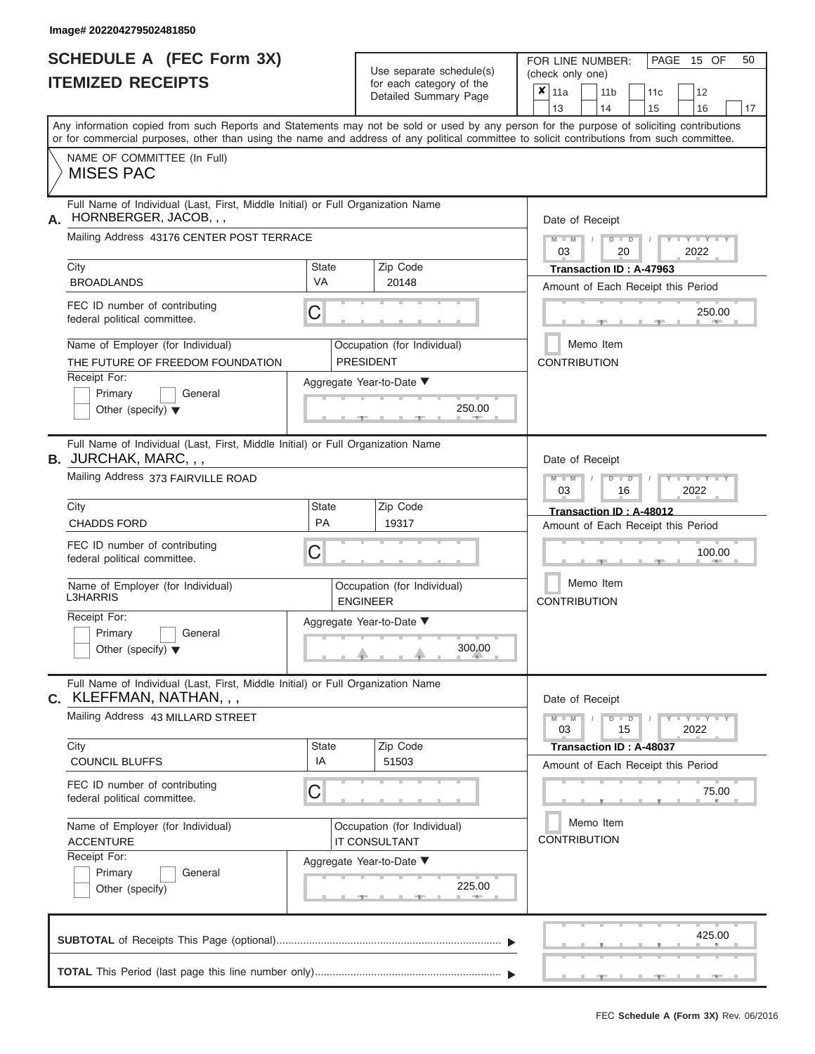# **SCHEDULE A (FEC Form 3X)**

| SCHEDULE A (FEC Form 3X)<br><b>ITEMIZED RECEIPTS</b>                                                                                                                                                                                                                                                                                                                                                              |                                | Use separate schedule(s)<br>for each category of the<br>Detailed Summary Page                              | 50<br>FOR LINE NUMBER:<br>PAGE 15 OF<br>(check only one)<br>×<br>  11a<br>11 <sub>b</sub><br>12<br>11 <sub>c</sub><br>14<br>13<br>15<br>16<br>17                                                                                  |
|-------------------------------------------------------------------------------------------------------------------------------------------------------------------------------------------------------------------------------------------------------------------------------------------------------------------------------------------------------------------------------------------------------------------|--------------------------------|------------------------------------------------------------------------------------------------------------|-----------------------------------------------------------------------------------------------------------------------------------------------------------------------------------------------------------------------------------|
| Any information copied from such Reports and Statements may not be sold or used by any person for the purpose of soliciting contributions<br>or for commercial purposes, other than using the name and address of any political committee to solicit contributions from such committee.<br>NAME OF COMMITTEE (In Full)<br><b>MISES PAC</b>                                                                        |                                |                                                                                                            |                                                                                                                                                                                                                                   |
| Full Name of Individual (Last, First, Middle Initial) or Full Organization Name<br>HORNBERGER, JACOB, , ,<br>А.<br>Mailing Address 43176 CENTER POST TERRACE<br>City<br><b>BROADLANDS</b><br>FEC ID number of contributing<br>federal political committee.<br>Name of Employer (for Individual)<br>THE FUTURE OF FREEDOM FOUNDATION<br>Receipt For:<br>Primary<br>General<br>Other (specify) $\blacktriangledown$ | State<br><b>VA</b><br>С        | Zip Code<br>20148<br>Occupation (for Individual)<br><b>PRESIDENT</b><br>Aggregate Year-to-Date ▼<br>250.00 | Date of Receipt<br>$M$ – $M$ /<br>$D$ $D$<br>$Y - Y -$<br>03<br>20<br>2022<br>Transaction ID: A-47963<br>Amount of Each Receipt this Period<br>250.00<br><b>CONTRACTOR</b><br>Memo Item<br><b>CONTRIBUTION</b>                    |
| Full Name of Individual (Last, First, Middle Initial) or Full Organization Name<br>B. JURCHAK, MARC, , ,<br>Mailing Address 373 FAIRVILLE ROAD<br>City<br><b>CHADDS FORD</b><br>FEC ID number of contributing<br>federal political committee.<br>Name of Employer (for Individual)<br><b>L3HARRIS</b><br>Receipt For:<br>Primary<br>General<br>Other (specify) $\blacktriangledown$                               | <b>State</b><br><b>PA</b><br>С | Zip Code<br>19317<br>Occupation (for Individual)<br><b>ENGINEER</b><br>Aggregate Year-to-Date ▼<br>300.00  | Date of Receipt<br>$M - M$<br>$D$ $D$<br>$\Box$ $\Upsilon$ $\Box$ $\Upsilon$ $\Upsilon$ $\Box$<br>03<br>2022<br>16<br>Transaction ID: A-48012<br>Amount of Each Receipt this Period<br>100.00<br>Memo Item<br><b>CONTRIBUTION</b> |
| Full Name of Individual (Last, First, Middle Initial) or Full Organization Name<br>C. KLEFFMAN, NATHAN, , ,<br>Mailing Address 43 MILLARD STREET<br>City<br><b>COUNCIL BLUFFS</b><br>FEC ID number of contributing<br>federal political committee.<br>Name of Employer (for Individual)<br><b>ACCENTURE</b><br>Receipt For:<br>Primary<br>General<br>Other (specify)                                              | <b>State</b><br>IA<br>С        | Zip Code<br>51503<br>Occupation (for Individual)<br>IT CONSULTANT<br>Aggregate Year-to-Date ▼<br>225.00    | Date of Receipt<br>$M - M$<br>$D$ $D$<br>$  Y$ $  Y$ $  Y$<br>03<br>15<br>2022<br>Transaction ID: A-48037<br>Amount of Each Receipt this Period<br>75.00<br>Memo Item<br><b>CONTRIBUTION</b>                                      |
|                                                                                                                                                                                                                                                                                                                                                                                                                   |                                |                                                                                                            | 425.00<br>$-1$<br>$-7$<br><b>ALC: NO</b>                                                                                                                                                                                          |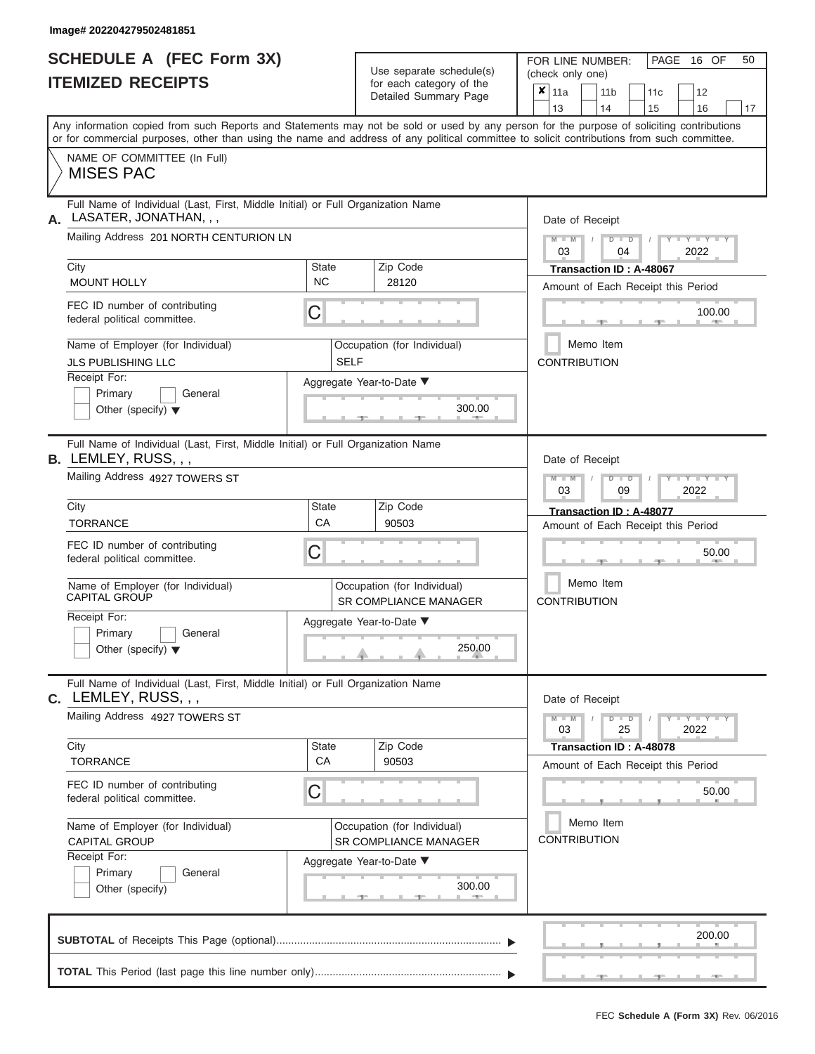|                          | <b>SCHEDULE A (FEC Form 3X)</b> |
|--------------------------|---------------------------------|
| <b>ITEMIZED RECEIPTS</b> |                                 |

Use separate schedule(s)

FOR LINE NUMBER:<br>(check only one)

PAGE 16 OF 50

| IIEMIZED REGEIPIJ                                                          |                                                                                 | for each category of the<br>Detailed Summary Page           | $\pmb{\times}$<br>11a<br>11 <sub>b</sub><br>11c<br>12<br>13<br>14<br>15<br>16<br>17                                                                                                                                                                                                     |
|----------------------------------------------------------------------------|---------------------------------------------------------------------------------|-------------------------------------------------------------|-----------------------------------------------------------------------------------------------------------------------------------------------------------------------------------------------------------------------------------------------------------------------------------------|
|                                                                            |                                                                                 |                                                             | Any information copied from such Reports and Statements may not be sold or used by any person for the purpose of soliciting contributions<br>or for commercial purposes, other than using the name and address of any political committee to solicit contributions from such committee. |
| NAME OF COMMITTEE (In Full)<br><b>MISES PAC</b>                            |                                                                                 |                                                             |                                                                                                                                                                                                                                                                                         |
| LASATER, JONATHAN, , ,<br>А.<br>Mailing Address 201 NORTH CENTURION LN     | Full Name of Individual (Last, First, Middle Initial) or Full Organization Name |                                                             | Date of Receipt                                                                                                                                                                                                                                                                         |
| City                                                                       | <b>State</b>                                                                    | Zip Code                                                    | $M - M$<br>$+Y+Y+Y$<br>$D$ $\Box$ $D$<br>03<br>2022<br>04<br>Transaction ID: A-48067                                                                                                                                                                                                    |
| <b>MOUNT HOLLY</b>                                                         | <b>NC</b>                                                                       | 28120                                                       | Amount of Each Receipt this Period                                                                                                                                                                                                                                                      |
| FEC ID number of contributing<br>federal political committee.              | C                                                                               |                                                             | 100.00                                                                                                                                                                                                                                                                                  |
| Name of Employer (for Individual)<br><b>JLS PUBLISHING LLC</b>             | <b>SELF</b>                                                                     | Occupation (for Individual)                                 | Memo Item<br><b>CONTRIBUTION</b>                                                                                                                                                                                                                                                        |
| Receipt For:<br>Primary<br>General<br>Other (specify) $\blacktriangledown$ |                                                                                 | Aggregate Year-to-Date ▼<br>300.00                          |                                                                                                                                                                                                                                                                                         |
| $B.$ LEMLEY, RUSS, , ,                                                     | Full Name of Individual (Last, First, Middle Initial) or Full Organization Name |                                                             | Date of Receipt                                                                                                                                                                                                                                                                         |
| Mailing Address 4927 TOWERS ST                                             |                                                                                 |                                                             | $M - M$<br>$T$ $Y$ $T$ $Y$ $T$ $Y$<br>$D$ $\Box$ $D$<br>2022<br>03<br>09                                                                                                                                                                                                                |
| City<br><b>TORRANCE</b>                                                    | <b>State</b><br>CA                                                              | Zip Code<br>90503                                           | Transaction ID: A-48077<br>Amount of Each Receipt this Period                                                                                                                                                                                                                           |
| FEC ID number of contributing<br>federal political committee.              | С                                                                               |                                                             | 50.00                                                                                                                                                                                                                                                                                   |
| Name of Employer (for Individual)<br><b>CAPITAL GROUP</b>                  |                                                                                 | Occupation (for Individual)<br><b>SR COMPLIANCE MANAGER</b> | Memo Item<br><b>CONTRIBUTION</b>                                                                                                                                                                                                                                                        |
| Receipt For:<br>Primary<br>General<br>Other (specify) $\blacktriangledown$ |                                                                                 | Aggregate Year-to-Date ▼<br>250.00                          |                                                                                                                                                                                                                                                                                         |
| $c.$ LEMLEY, RUSS, , ,                                                     | Full Name of Individual (Last, First, Middle Initial) or Full Organization Name |                                                             | Date of Receipt                                                                                                                                                                                                                                                                         |
| Mailing Address 4927 TOWERS ST                                             |                                                                                 |                                                             | $D$ $\Box$ $D$<br>$Y - Y - Y - Y - Y$<br>$M - M$<br>03<br>25<br>2022                                                                                                                                                                                                                    |
| City<br><b>TORRANCE</b>                                                    | <b>State</b><br>CA                                                              | Zip Code<br>90503                                           | Transaction ID: A-48078<br>Amount of Each Receipt this Period                                                                                                                                                                                                                           |
| FEC ID number of contributing<br>federal political committee.              | С                                                                               |                                                             | 50.00                                                                                                                                                                                                                                                                                   |
| Name of Employer (for Individual)<br><b>CAPITAL GROUP</b>                  |                                                                                 | Occupation (for Individual)<br>SR COMPLIANCE MANAGER        | Memo Item<br><b>CONTRIBUTION</b>                                                                                                                                                                                                                                                        |
| Receipt For:<br>Primary<br>General<br>Other (specify)                      |                                                                                 | Aggregate Year-to-Date ▼<br>300.00<br><b>1. 400</b>         |                                                                                                                                                                                                                                                                                         |
|                                                                            |                                                                                 |                                                             | 200.00                                                                                                                                                                                                                                                                                  |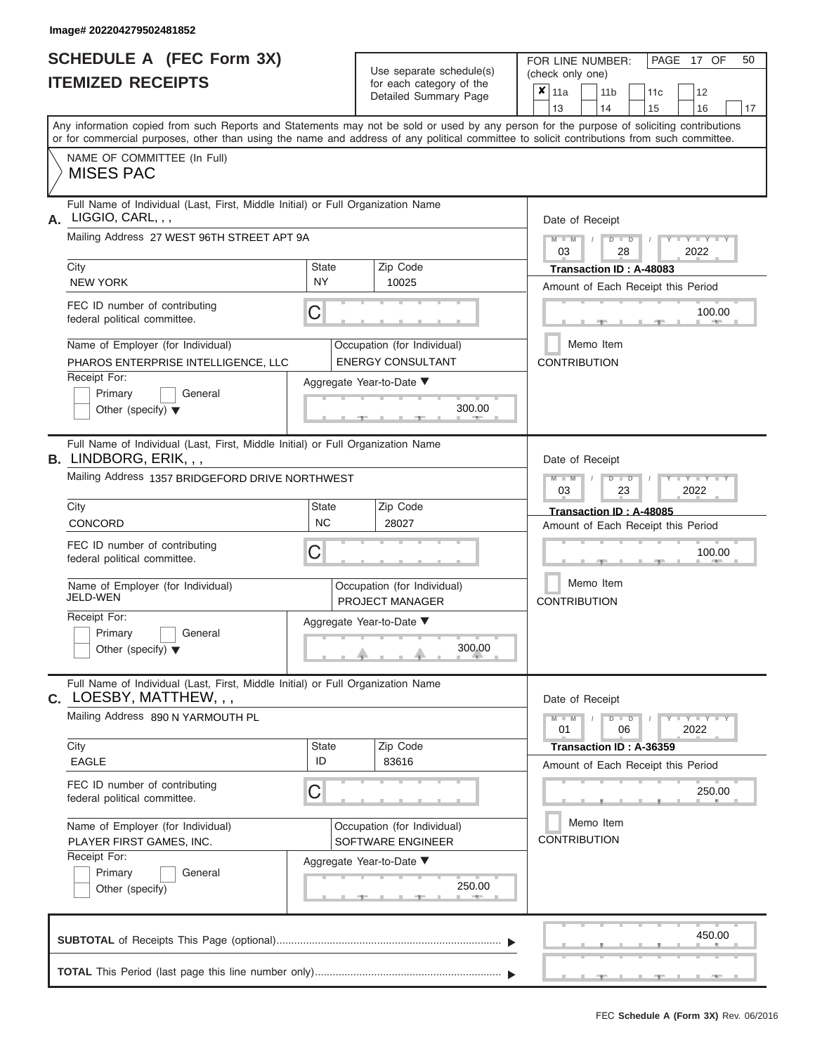|                          | <b>SCHEDULE A (FEC Form 3X)</b> |
|--------------------------|---------------------------------|
| <b>ITEMIZED RECEIPTS</b> |                                 |

Use separate schedule(s)

FOR LINE NUMBER:<br>(check only one)

PAGE 17 OF 50

|    | IIEMIZEU REVEIFIJ                                                                                                                                                                                                                                                                       |                           |  | for each category of the                                | × | 11a                 |               |           |  | 11 <sub>b</sub> |                      |  | 11c                                                           |      | 12                                    |    |
|----|-----------------------------------------------------------------------------------------------------------------------------------------------------------------------------------------------------------------------------------------------------------------------------------------|---------------------------|--|---------------------------------------------------------|---|---------------------|---------------|-----------|--|-----------------|----------------------|--|---------------------------------------------------------------|------|---------------------------------------|----|
|    |                                                                                                                                                                                                                                                                                         |                           |  | Detailed Summary Page                                   |   | 13                  |               |           |  | 14              |                      |  | 15                                                            |      | 16                                    | 17 |
|    | Any information copied from such Reports and Statements may not be sold or used by any person for the purpose of soliciting contributions<br>or for commercial purposes, other than using the name and address of any political committee to solicit contributions from such committee. |                           |  |                                                         |   |                     |               |           |  |                 |                      |  |                                                               |      |                                       |    |
|    | NAME OF COMMITTEE (In Full)<br><b>MISES PAC</b>                                                                                                                                                                                                                                         |                           |  |                                                         |   |                     |               |           |  |                 |                      |  |                                                               |      |                                       |    |
| А. | Full Name of Individual (Last, First, Middle Initial) or Full Organization Name<br>LIGGIO, CARL, , ,                                                                                                                                                                                    |                           |  |                                                         |   | Date of Receipt     |               |           |  |                 |                      |  |                                                               |      |                                       |    |
|    | Mailing Address 27 WEST 96TH STREET APT 9A                                                                                                                                                                                                                                              |                           |  |                                                         |   |                     | $M - M$<br>03 |           |  |                 | $D$ $\Box$ $D$<br>28 |  |                                                               |      | $+Y+Y+Y$<br>2022                      |    |
|    | City<br><b>NEW YORK</b>                                                                                                                                                                                                                                                                 | <b>State</b><br><b>NY</b> |  | Zip Code<br>10025                                       |   |                     |               |           |  |                 |                      |  | Transaction ID: A-48083<br>Amount of Each Receipt this Period |      |                                       |    |
|    | FEC ID number of contributing<br>federal political committee.                                                                                                                                                                                                                           | С                         |  |                                                         |   |                     |               |           |  |                 |                      |  |                                                               |      | 100.00<br>$\mathcal{L}(\mathbb{R})$ . |    |
|    | Name of Employer (for Individual)<br>PHAROS ENTERPRISE INTELLIGENCE, LLC                                                                                                                                                                                                                |                           |  | Occupation (for Individual)<br><b>ENERGY CONSULTANT</b> |   | <b>CONTRIBUTION</b> |               | Memo Item |  |                 |                      |  |                                                               |      |                                       |    |
|    | Receipt For:<br>Primary<br>General<br>Other (specify) $\blacktriangledown$                                                                                                                                                                                                              |                           |  | Aggregate Year-to-Date ▼<br>300.00                      |   |                     |               |           |  |                 |                      |  |                                                               |      |                                       |    |
|    | Full Name of Individual (Last, First, Middle Initial) or Full Organization Name<br><b>B.</b> LINDBORG, ERIK, , ,                                                                                                                                                                        |                           |  |                                                         |   | Date of Receipt     |               |           |  |                 |                      |  |                                                               |      |                                       |    |
|    | Mailing Address 1357 BRIDGEFORD DRIVE NORTHWEST                                                                                                                                                                                                                                         |                           |  |                                                         |   |                     | $M - M$<br>03 |           |  |                 | $D$ $\Box$ $D$<br>23 |  |                                                               | 2022 | $T - Y = T - Y = T - Y$               |    |
|    | City<br>CONCORD                                                                                                                                                                                                                                                                         | <b>State</b><br><b>NC</b> |  | Zip Code<br>28027                                       |   |                     |               |           |  |                 |                      |  | Transaction ID: A-48085<br>Amount of Each Receipt this Period |      |                                       |    |
|    | FEC ID number of contributing<br>federal political committee.                                                                                                                                                                                                                           | С                         |  | 100.00                                                  |   |                     |               |           |  |                 |                      |  |                                                               |      |                                       |    |
|    | Name of Employer (for Individual)<br>JELD-WEN                                                                                                                                                                                                                                           |                           |  | Occupation (for Individual)<br>PROJECT MANAGER          |   | <b>CONTRIBUTION</b> |               | Memo Item |  |                 |                      |  |                                                               |      |                                       |    |
|    | Receipt For:<br>Primary<br>General<br>Other (specify) $\blacktriangledown$                                                                                                                                                                                                              |                           |  | Aggregate Year-to-Date ▼<br>300.00                      |   |                     |               |           |  |                 |                      |  |                                                               |      |                                       |    |
|    | Full Name of Individual (Last, First, Middle Initial) or Full Organization Name<br>$C.$ LOESBY, MATTHEW, , ,                                                                                                                                                                            |                           |  |                                                         |   | Date of Receipt     |               |           |  |                 |                      |  |                                                               |      |                                       |    |
|    | Mailing Address 890 N YARMOUTH PL                                                                                                                                                                                                                                                       |                           |  |                                                         |   |                     | $M - M$<br>01 |           |  |                 | $D$ $\Box$ $D$<br>06 |  |                                                               |      | $Y - Y - Y - Y - I - Y$<br>2022       |    |
|    | City<br><b>EAGLE</b>                                                                                                                                                                                                                                                                    | State<br>ID               |  | Zip Code<br>83616                                       |   |                     |               |           |  |                 |                      |  | Transaction ID: A-36359<br>Amount of Each Receipt this Period |      |                                       |    |
|    | FEC ID number of contributing<br>federal political committee.                                                                                                                                                                                                                           | С                         |  |                                                         |   |                     |               |           |  |                 |                      |  |                                                               |      | 250.00                                |    |
|    | Name of Employer (for Individual)<br>PLAYER FIRST GAMES, INC.                                                                                                                                                                                                                           |                           |  | Occupation (for Individual)<br>SOFTWARE ENGINEER        |   | <b>CONTRIBUTION</b> |               | Memo Item |  |                 |                      |  |                                                               |      |                                       |    |
|    | Receipt For:<br>Primary<br>General<br>Other (specify)                                                                                                                                                                                                                                   |                           |  | Aggregate Year-to-Date ▼<br>250.00<br><b>AND</b><br>- 1 |   |                     |               |           |  |                 |                      |  |                                                               |      |                                       |    |
|    |                                                                                                                                                                                                                                                                                         |                           |  |                                                         |   |                     |               |           |  |                 |                      |  |                                                               |      | 450.00                                |    |
|    |                                                                                                                                                                                                                                                                                         |                           |  |                                                         |   |                     |               |           |  |                 |                      |  |                                                               |      |                                       |    |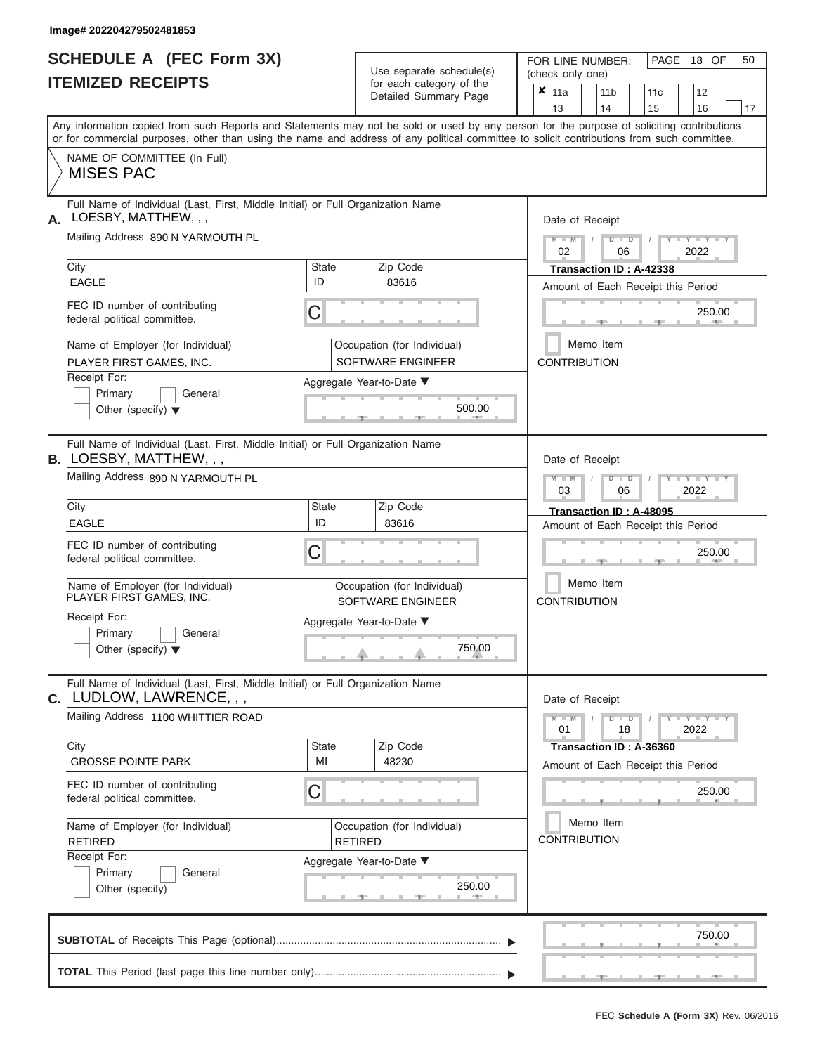|                          | <b>SCHEDULE A (FEC Form 3X)</b> |
|--------------------------|---------------------------------|
| <b>ITEMIZED RECEIPTS</b> |                                 |

Use separate schedule(s) (check only one)<br>for each category of the  $\begin{array}{|c|c|c|c|c|}\hline \textbf{X} & 11a & 1\end{array}$ 

FOR LINE NUMBER:

PAGE 18 OF 50

|                                                                                                                                                                                                                                                                                         |                                                  | Detailed Summary Page                            |  | $x_{\parallel 11a}$<br>13                                     |                                  | 14 | 11 b          |  | 11c<br>15               |                          | 12<br>16 | 17 |  |
|-----------------------------------------------------------------------------------------------------------------------------------------------------------------------------------------------------------------------------------------------------------------------------------------|--------------------------------------------------|--------------------------------------------------|--|---------------------------------------------------------------|----------------------------------|----|---------------|--|-------------------------|--------------------------|----------|----|--|
| Any information copied from such Reports and Statements may not be sold or used by any person for the purpose of soliciting contributions<br>or for commercial purposes, other than using the name and address of any political committee to solicit contributions from such committee. |                                                  |                                                  |  |                                                               |                                  |    |               |  |                         |                          |          |    |  |
| NAME OF COMMITTEE (In Full)<br><b>MISES PAC</b>                                                                                                                                                                                                                                         |                                                  |                                                  |  |                                                               |                                  |    |               |  |                         |                          |          |    |  |
| Full Name of Individual (Last, First, Middle Initial) or Full Organization Name<br>A. LOESBY, MATTHEW, , ,                                                                                                                                                                              |                                                  |                                                  |  | Date of Receipt                                               |                                  |    |               |  |                         |                          |          |    |  |
| Mailing Address 890 N YARMOUTH PL                                                                                                                                                                                                                                                       |                                                  |                                                  |  | 02                                                            |                                  |    | $D$ $D$<br>06 |  |                         | $-1$ $ Y$<br>2022        |          |    |  |
| City<br><b>EAGLE</b>                                                                                                                                                                                                                                                                    | <b>State</b><br>ID                               | Zip Code<br>83616                                |  | Amount of Each Receipt this Period                            |                                  |    |               |  | Transaction ID: A-42338 |                          |          |    |  |
| FEC ID number of contributing<br>federal political committee.                                                                                                                                                                                                                           | C                                                |                                                  |  |                                                               |                                  |    |               |  |                         |                          | 250.00   |    |  |
| Name of Employer (for Individual)<br>PLAYER FIRST GAMES, INC.                                                                                                                                                                                                                           | Occupation (for Individual)<br>SOFTWARE ENGINEER |                                                  |  |                                                               | Memo Item<br><b>CONTRIBUTION</b> |    |               |  |                         |                          |          |    |  |
| Receipt For:<br>Primary<br>General<br>Other (specify) $\blacktriangledown$                                                                                                                                                                                                              |                                                  | Aggregate Year-to-Date ▼<br>500.00               |  |                                                               |                                  |    |               |  |                         |                          |          |    |  |
| Full Name of Individual (Last, First, Middle Initial) or Full Organization Name<br><b>B. LOESBY, MATTHEW,,,</b>                                                                                                                                                                         |                                                  |                                                  |  | Date of Receipt                                               |                                  |    |               |  |                         |                          |          |    |  |
| Mailing Address 890 N YARMOUTH PL                                                                                                                                                                                                                                                       |                                                  |                                                  |  | $M - M$<br>03                                                 |                                  |    | $D$ $D$<br>06 |  |                         | Y TYT<br>2022            |          |    |  |
| City<br><b>EAGLE</b>                                                                                                                                                                                                                                                                    | <b>State</b><br>ID                               | Zip Code<br>83616                                |  | Transaction ID: A-48095<br>Amount of Each Receipt this Period |                                  |    |               |  |                         |                          |          |    |  |
| FEC ID number of contributing<br>federal political committee.                                                                                                                                                                                                                           | С                                                |                                                  |  |                                                               | 250.00                           |    |               |  |                         |                          |          |    |  |
| Name of Employer (for Individual)<br>PLAYER FIRST GAMES, INC.                                                                                                                                                                                                                           |                                                  | Occupation (for Individual)<br>SOFTWARE ENGINEER |  | <b>CONTRIBUTION</b>                                           | Memo Item                        |    |               |  |                         |                          |          |    |  |
| Receipt For:<br>Primary<br>General<br>Other (specify) $\blacktriangledown$                                                                                                                                                                                                              |                                                  | Aggregate Year-to-Date ▼<br>750.00               |  |                                                               |                                  |    |               |  |                         |                          |          |    |  |
| Full Name of Individual (Last, First, Middle Initial) or Full Organization Name<br>C. LUDLOW, LAWRENCE, , ,                                                                                                                                                                             |                                                  |                                                  |  | Date of Receipt                                               |                                  |    |               |  |                         |                          |          |    |  |
| Mailing Address 1100 WHITTIER ROAD                                                                                                                                                                                                                                                      |                                                  |                                                  |  | $M - M$<br>01                                                 |                                  |    | $D$ $D$<br>18 |  |                         | $-Y - Y - Y - Y$<br>2022 |          |    |  |
| City<br><b>GROSSE POINTE PARK</b>                                                                                                                                                                                                                                                       | <b>State</b><br>MI                               | Zip Code<br>48230                                |  | Amount of Each Receipt this Period                            |                                  |    |               |  | Transaction ID: A-36360 |                          |          |    |  |
| FEC ID number of contributing<br>federal political committee.                                                                                                                                                                                                                           | C                                                |                                                  |  |                                                               |                                  |    |               |  |                         |                          | 250.00   |    |  |
| Name of Employer (for Individual)<br><b>RETIRED</b>                                                                                                                                                                                                                                     | <b>RETIRED</b>                                   | Occupation (for Individual)                      |  | <b>CONTRIBUTION</b>                                           | Memo Item                        |    |               |  |                         |                          |          |    |  |
| Receipt For:<br>Primary<br>General<br>Other (specify)                                                                                                                                                                                                                                   |                                                  | Aggregate Year-to-Date ▼<br>250.00               |  |                                                               |                                  |    |               |  |                         |                          |          |    |  |
|                                                                                                                                                                                                                                                                                         |                                                  |                                                  |  |                                                               |                                  |    |               |  |                         |                          | 750.00   |    |  |
|                                                                                                                                                                                                                                                                                         |                                                  |                                                  |  |                                                               |                                  |    |               |  |                         |                          |          |    |  |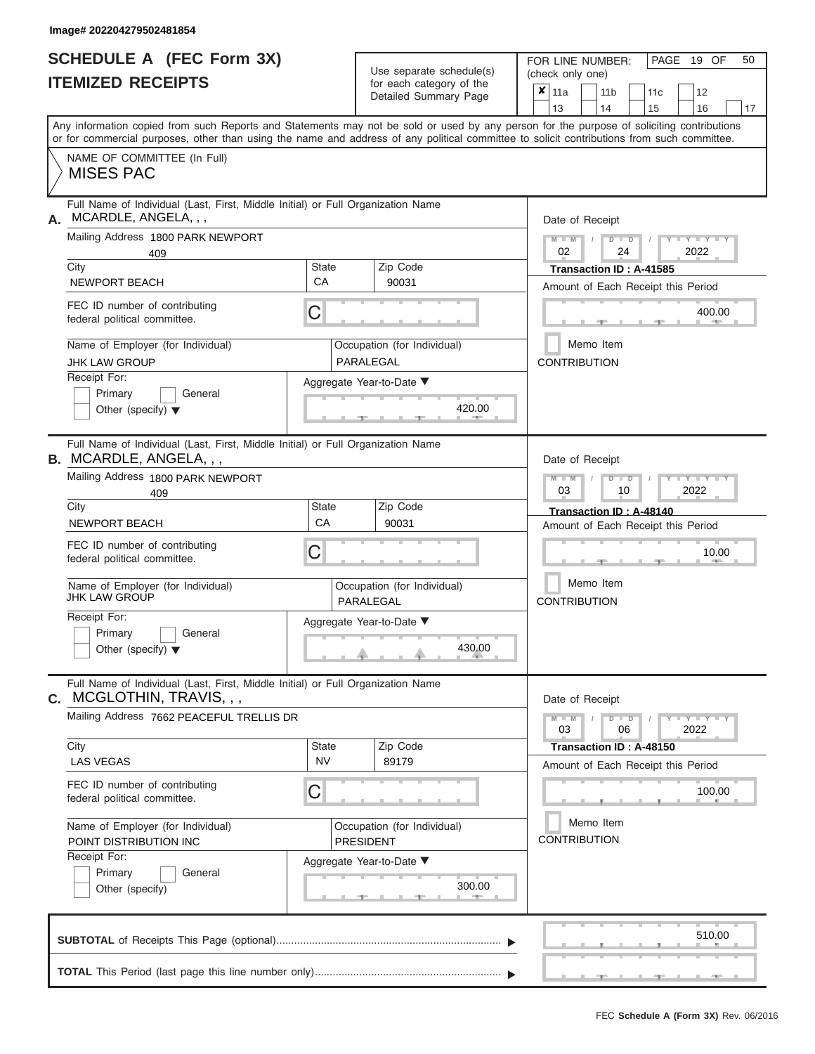|                          | <b>SCHEDULE A (FEC Form 3X)</b> |
|--------------------------|---------------------------------|
| <b>ITEMIZED RECEIPTS</b> |                                 |

| SCHEDULE A (FEC Form 3X)<br><b>ITEMIZED RECEIPTS</b>                                                                                                                                                                                                                                                                                                                                                  | Use separate schedule(s)<br>for each category of the<br>Detailed Summary Page                                                                              | 50<br>FOR LINE NUMBER:<br>PAGE 19 OF<br>(check only one)<br>$\boldsymbol{x}$<br>11a<br>11 <sub>b</sub><br>12<br>11 <sub>c</sub><br>13<br>14<br>15<br>16<br>17                                                                                                   |
|-------------------------------------------------------------------------------------------------------------------------------------------------------------------------------------------------------------------------------------------------------------------------------------------------------------------------------------------------------------------------------------------------------|------------------------------------------------------------------------------------------------------------------------------------------------------------|-----------------------------------------------------------------------------------------------------------------------------------------------------------------------------------------------------------------------------------------------------------------|
| or for commercial purposes, other than using the name and address of any political committee to solicit contributions from such committee.<br>NAME OF COMMITTEE (In Full)<br><b>MISES PAC</b>                                                                                                                                                                                                         |                                                                                                                                                            | Any information copied from such Reports and Statements may not be sold or used by any person for the purpose of soliciting contributions                                                                                                                       |
| Full Name of Individual (Last, First, Middle Initial) or Full Organization Name<br>MCARDLE, ANGELA, , ,<br>А.<br>Mailing Address 1800 PARK NEWPORT<br>409<br>City<br><b>NEWPORT BEACH</b><br>FEC ID number of contributing<br>federal political committee.<br>Name of Employer (for Individual)<br><b>JHK LAW GROUP</b><br>Receipt For:<br>Primary<br>General<br>Other (specify) $\blacktriangledown$ | Zip Code<br><b>State</b><br><b>CA</b><br>90031<br>C<br>Occupation (for Individual)<br>PARALEGAL<br>Aggregate Year-to-Date ▼<br>420.00<br><b>CONTRACTOR</b> | Date of Receipt<br>$M$ – $M$ /<br>$D$ $D$<br>$Y + Y + Y$<br>02<br>24<br>2022<br>Transaction ID: A-41585<br>Amount of Each Receipt this Period<br>400.00<br><b>CONTRACTOR</b><br>Memo Item<br><b>CONTRIBUTION</b>                                                |
| Full Name of Individual (Last, First, Middle Initial) or Full Organization Name<br><b>B.</b> MCARDLE, ANGELA, , ,<br>Mailing Address 1800 PARK NEWPORT<br>409<br>City<br>NEWPORT BEACH<br>FEC ID number of contributing<br>federal political committee.<br>Name of Employer (for Individual)<br><b>JHK LAW GROUP</b><br>Receipt For:<br>Primary<br>General<br>Other (specify) $\blacktriangledown$    | <b>State</b><br>Zip Code<br>CA<br>90031<br>С<br>Occupation (for Individual)<br>PARALEGAL<br>Aggregate Year-to-Date ▼<br>430.00                             | Date of Receipt<br>$M - M$<br>$D$ $D$<br>$\blacksquare$<br><br>Ty $\blacksquare$<br><br>Ty $\blacksquare$<br>03<br>2022<br>10<br>Transaction ID: A-48140<br>Amount of Each Receipt this Period<br>10.00<br><u>_________</u><br>Memo Item<br><b>CONTRIBUTION</b> |
| Full Name of Individual (Last, First, Middle Initial) or Full Organization Name<br>C. MCGLOTHIN, TRAVIS, , ,<br>Mailing Address 7662 PEACEFUL TRELLIS DR<br>City<br><b>LAS VEGAS</b><br>FEC ID number of contributing<br>federal political committee.<br>Name of Employer (for Individual)<br>POINT DISTRIBUTION INC<br>Receipt For:                                                                  | Zip Code<br><b>State</b><br><b>NV</b><br>89179<br>С<br>Occupation (for Individual)<br><b>PRESIDENT</b><br>Aggregate Year-to-Date ▼                         | Date of Receipt<br>$M - M$<br>$D$ $D$<br>$T - Y = Y + Y$<br>03<br>06<br>2022<br>Transaction ID: A-48150<br>Amount of Each Receipt this Period<br>100.00<br>Memo Item<br><b>CONTRIBUTION</b>                                                                     |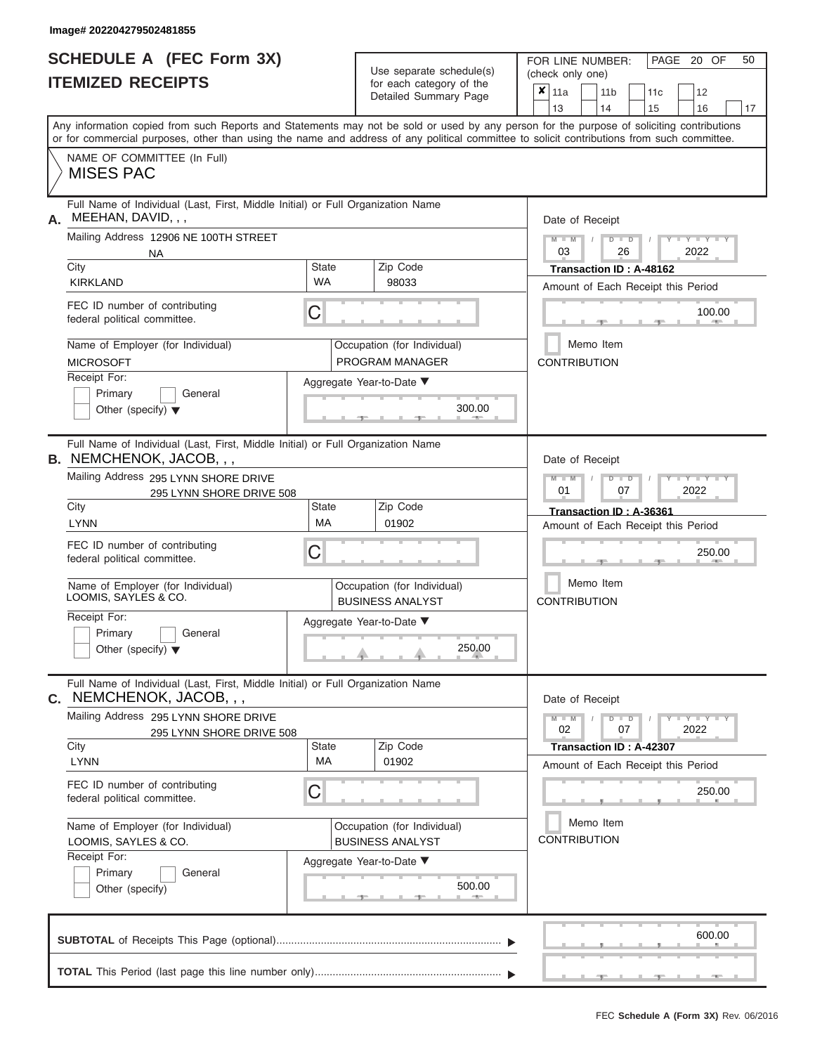|                          | <b>SCHEDULE A (FEC Form 3X)</b> |
|--------------------------|---------------------------------|
| <b>ITEMIZED RECEIPTS</b> |                                 |

Use separate schedule(s)<br>for each category of the

FOR LINE NUMBER:<br>(check only one)

PAGE 20 OF 50

|                                                                                                                                                                                                                                                                                         |                    | ivi vavii valvyviy vi liiv<br>Detailed Summary Page    | x                                                             | 11a                                                           |                                  | 11 <sub>b</sub>         | 11c    | 12                                    |    |  |  |  |  |
|-----------------------------------------------------------------------------------------------------------------------------------------------------------------------------------------------------------------------------------------------------------------------------------------|--------------------|--------------------------------------------------------|---------------------------------------------------------------|---------------------------------------------------------------|----------------------------------|-------------------------|--------|---------------------------------------|----|--|--|--|--|
|                                                                                                                                                                                                                                                                                         |                    |                                                        |                                                               | 13                                                            |                                  | 14                      | 15     | 16                                    | 17 |  |  |  |  |
| Any information copied from such Reports and Statements may not be sold or used by any person for the purpose of soliciting contributions<br>or for commercial purposes, other than using the name and address of any political committee to solicit contributions from such committee. |                    |                                                        |                                                               |                                                               |                                  |                         |        |                                       |    |  |  |  |  |
| NAME OF COMMITTEE (In Full)<br><b>MISES PAC</b>                                                                                                                                                                                                                                         |                    |                                                        |                                                               |                                                               |                                  |                         |        |                                       |    |  |  |  |  |
| Full Name of Individual (Last, First, Middle Initial) or Full Organization Name<br>MEEHAN, DAVID, , ,<br>А.                                                                                                                                                                             |                    | Date of Receipt                                        |                                                               |                                                               |                                  |                         |        |                                       |    |  |  |  |  |
| Mailing Address 12906 NE 100TH STREET<br>NA                                                                                                                                                                                                                                             |                    |                                                        |                                                               | $M = M$ /<br>03                                               |                                  | $D$ $D$<br>26           |        | $Y - Y - I$<br>2022                   |    |  |  |  |  |
| City<br><b>KIRKLAND</b>                                                                                                                                                                                                                                                                 | State<br><b>WA</b> | Zip Code<br>98033                                      | Transaction ID: A-48162<br>Amount of Each Receipt this Period |                                                               |                                  |                         |        |                                       |    |  |  |  |  |
| FEC ID number of contributing<br>federal political committee.                                                                                                                                                                                                                           | С                  |                                                        |                                                               |                                                               |                                  |                         | $-$    | 100.00<br><b>CONTRACTOR</b>           |    |  |  |  |  |
| Name of Employer (for Individual)<br><b>MICROSOFT</b>                                                                                                                                                                                                                                   |                    | Occupation (for Individual)<br>PROGRAM MANAGER         |                                                               | <b>CONTRIBUTION</b>                                           |                                  | Memo Item               |        |                                       |    |  |  |  |  |
| Receipt For:<br>Primary<br>General<br>Other (specify) $\blacktriangledown$                                                                                                                                                                                                              |                    | Aggregate Year-to-Date ▼<br>300.00                     |                                                               |                                                               |                                  |                         |        |                                       |    |  |  |  |  |
| Full Name of Individual (Last, First, Middle Initial) or Full Organization Name<br><b>B.</b> NEMCHENOK, JACOB, , ,                                                                                                                                                                      |                    |                                                        |                                                               | Date of Receipt                                               |                                  |                         |        |                                       |    |  |  |  |  |
| Mailing Address 295 LYNN SHORE DRIVE<br>295 LYNN SHORE DRIVE 508                                                                                                                                                                                                                        |                    |                                                        |                                                               |                                                               |                                  | $D$ $D$<br>07           |        | Y TY<br>2022                          |    |  |  |  |  |
| City<br><b>LYNN</b>                                                                                                                                                                                                                                                                     | State<br><b>MA</b> | Zip Code<br>01902                                      |                                                               | Transaction ID: A-36361<br>Amount of Each Receipt this Period |                                  |                         |        |                                       |    |  |  |  |  |
| FEC ID number of contributing<br>federal political committee.                                                                                                                                                                                                                           | С                  |                                                        |                                                               |                                                               |                                  |                         | 250.00 |                                       |    |  |  |  |  |
| Name of Employer (for Individual)<br>LOOMIS, SAYLES & CO.                                                                                                                                                                                                                               |                    | Occupation (for Individual)<br><b>BUSINESS ANALYST</b> |                                                               |                                                               | Memo Item<br><b>CONTRIBUTION</b> |                         |        |                                       |    |  |  |  |  |
| Receipt For:<br>Primary<br>General<br>Other (specify) $\blacktriangledown$                                                                                                                                                                                                              |                    | Aggregate Year-to-Date ▼<br>250.00                     |                                                               |                                                               |                                  |                         |        |                                       |    |  |  |  |  |
| Full Name of Individual (Last, First, Middle Initial) or Full Organization Name<br>C. NEMCHENOK, JACOB, , ,                                                                                                                                                                             |                    |                                                        |                                                               | Date of Receipt                                               |                                  |                         |        |                                       |    |  |  |  |  |
| Mailing Address 295 LYNN SHORE DRIVE<br>295 LYNN SHORE DRIVE 508                                                                                                                                                                                                                        |                    |                                                        |                                                               | $M - M$<br>02                                                 |                                  | $D$ $D$<br>07           |        | $-1$ $ Y$ $-1$ $ Y$ $-1$ $ Y$<br>2022 |    |  |  |  |  |
| City<br><b>LYNN</b>                                                                                                                                                                                                                                                                     | State<br>МA        | Zip Code<br>01902                                      |                                                               |                                                               |                                  | Transaction ID: A-42307 |        | Amount of Each Receipt this Period    |    |  |  |  |  |
| FEC ID number of contributing<br>federal political committee.                                                                                                                                                                                                                           | С                  |                                                        |                                                               |                                                               |                                  |                         |        | 250.00                                |    |  |  |  |  |
| Name of Employer (for Individual)<br>LOOMIS, SAYLES & CO.                                                                                                                                                                                                                               |                    | Occupation (for Individual)<br><b>BUSINESS ANALYST</b> |                                                               | <b>CONTRIBUTION</b>                                           |                                  | Memo Item               |        |                                       |    |  |  |  |  |
| Receipt For:<br>Primary<br>General<br>Other (specify)                                                                                                                                                                                                                                   |                    | Aggregate Year-to-Date ▼<br>500.00<br>-90              |                                                               |                                                               |                                  |                         |        |                                       |    |  |  |  |  |
|                                                                                                                                                                                                                                                                                         |                    |                                                        |                                                               |                                                               |                                  |                         |        | 600.00                                |    |  |  |  |  |
|                                                                                                                                                                                                                                                                                         |                    |                                                        |                                                               |                                                               |                                  |                         |        |                                       |    |  |  |  |  |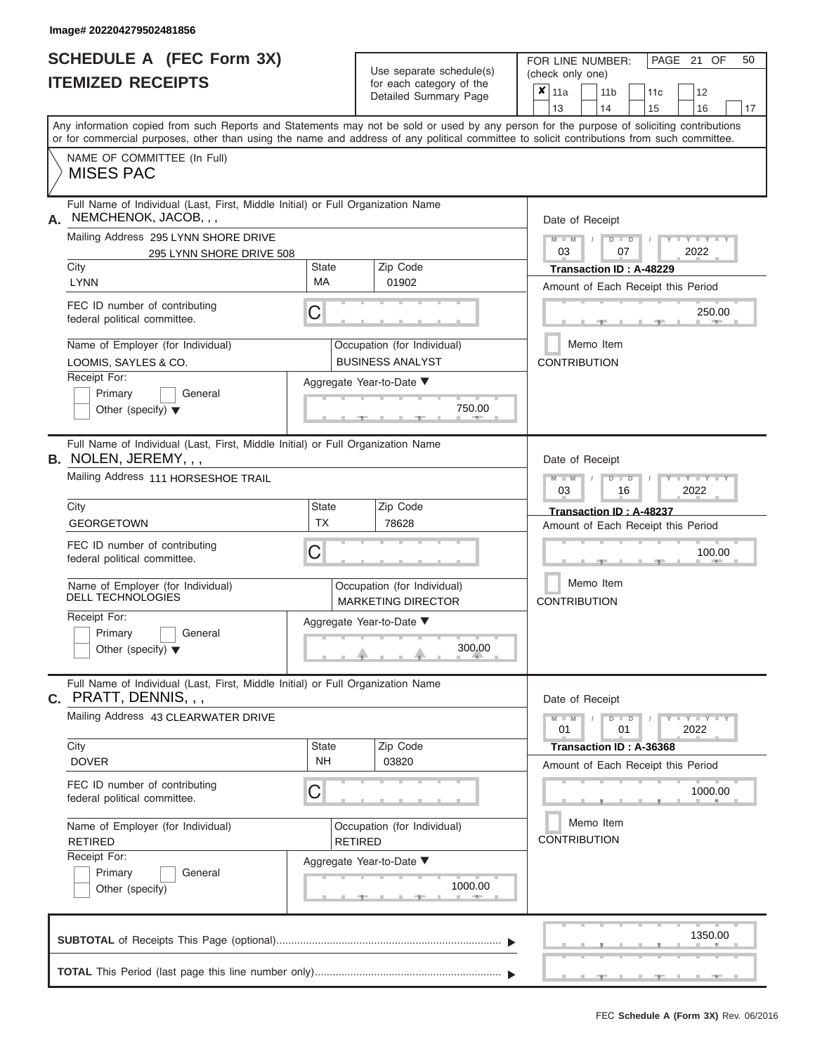# **SCHEDULE A (FEC Form 3X)**

|    | <b>SCHEDULE A (FEC Form 3X)</b><br><b>ITEMIZED RECEIPTS</b>                                                                                                                                                                                                                             |                           | Use separate schedule(s)<br>for each category of the     | PAGE 21 OF<br>50<br>FOR LINE NUMBER:<br>(check only one)                                    |  |  |  |  |  |  |  |  |
|----|-----------------------------------------------------------------------------------------------------------------------------------------------------------------------------------------------------------------------------------------------------------------------------------------|---------------------------|----------------------------------------------------------|---------------------------------------------------------------------------------------------|--|--|--|--|--|--|--|--|
|    |                                                                                                                                                                                                                                                                                         |                           | Detailed Summary Page                                    | $\overline{\mathbf{x}}$   11a<br>11 <sub>b</sub><br>11c<br>12<br>13<br>14<br>16<br>15<br>17 |  |  |  |  |  |  |  |  |
|    | Any information copied from such Reports and Statements may not be sold or used by any person for the purpose of soliciting contributions<br>or for commercial purposes, other than using the name and address of any political committee to solicit contributions from such committee. |                           |                                                          |                                                                                             |  |  |  |  |  |  |  |  |
|    | NAME OF COMMITTEE (In Full)<br><b>MISES PAC</b>                                                                                                                                                                                                                                         |                           |                                                          |                                                                                             |  |  |  |  |  |  |  |  |
| А. | Full Name of Individual (Last, First, Middle Initial) or Full Organization Name<br>NEMCHENOK, JACOB, , ,                                                                                                                                                                                |                           |                                                          | Date of Receipt                                                                             |  |  |  |  |  |  |  |  |
|    | Mailing Address 295 LYNN SHORE DRIVE<br>295 LYNN SHORE DRIVE 508<br>City                                                                                                                                                                                                                | State                     | Zip Code                                                 | $M - M$<br>$Y - Y - Y$<br>$D$ $D$<br>03<br>07<br>2022<br>Transaction ID: A-48229            |  |  |  |  |  |  |  |  |
|    | <b>LYNN</b>                                                                                                                                                                                                                                                                             | MA                        | 01902                                                    | Amount of Each Receipt this Period                                                          |  |  |  |  |  |  |  |  |
|    | FEC ID number of contributing<br>federal political committee.                                                                                                                                                                                                                           | С                         |                                                          | 250.00                                                                                      |  |  |  |  |  |  |  |  |
|    | Name of Employer (for Individual)<br>LOOMIS, SAYLES & CO.                                                                                                                                                                                                                               |                           | Occupation (for Individual)<br><b>BUSINESS ANALYST</b>   | Memo Item<br><b>CONTRIBUTION</b>                                                            |  |  |  |  |  |  |  |  |
|    | Receipt For:<br>Primary<br>General<br>Other (specify) $\blacktriangledown$                                                                                                                                                                                                              |                           | Aggregate Year-to-Date ▼<br>750.00                       |                                                                                             |  |  |  |  |  |  |  |  |
|    | Full Name of Individual (Last, First, Middle Initial) or Full Organization Name<br><b>B.</b> NOLEN, JEREMY, , ,                                                                                                                                                                         |                           |                                                          | Date of Receipt                                                                             |  |  |  |  |  |  |  |  |
|    | Mailing Address 111 HORSESHOE TRAIL                                                                                                                                                                                                                                                     |                           |                                                          | $M - M$<br>$D$ $D$<br>Y TY<br>03<br>16<br>2022                                              |  |  |  |  |  |  |  |  |
|    | City<br><b>GEORGETOWN</b>                                                                                                                                                                                                                                                               | State<br><b>TX</b>        | Zip Code<br>78628                                        | Transaction ID: A-48237<br>Amount of Each Receipt this Period                               |  |  |  |  |  |  |  |  |
|    | FEC ID number of contributing<br>federal political committee.                                                                                                                                                                                                                           | С                         |                                                          | 100.00                                                                                      |  |  |  |  |  |  |  |  |
|    | Name of Employer (for Individual)<br><b>DELL TECHNOLOGIES</b>                                                                                                                                                                                                                           |                           | Occupation (for Individual)<br><b>MARKETING DIRECTOR</b> | Memo Item<br><b>CONTRIBUTION</b>                                                            |  |  |  |  |  |  |  |  |
|    | Receipt For:                                                                                                                                                                                                                                                                            |                           | Aggregate Year-to-Date ▼                                 |                                                                                             |  |  |  |  |  |  |  |  |
|    | Primary<br>General<br>Other (specify) $\blacktriangledown$                                                                                                                                                                                                                              |                           | 300.00                                                   |                                                                                             |  |  |  |  |  |  |  |  |
|    | Full Name of Individual (Last, First, Middle Initial) or Full Organization Name<br><b>c.</b> PRATT, DENNIS, , ,                                                                                                                                                                         |                           |                                                          | Date of Receipt                                                                             |  |  |  |  |  |  |  |  |
|    | Mailing Address 43 CLEARWATER DRIVE                                                                                                                                                                                                                                                     |                           |                                                          | $M - M$<br>$D$ $D$<br>$T$ $Y$ $Y$ $Y$ $T$ $Y$<br>01<br>01<br>2022                           |  |  |  |  |  |  |  |  |
|    | City<br><b>DOVER</b>                                                                                                                                                                                                                                                                    | <b>State</b><br><b>NH</b> | Zip Code<br>03820                                        | Transaction ID: A-36368<br>Amount of Each Receipt this Period                               |  |  |  |  |  |  |  |  |
|    | FEC ID number of contributing<br>federal political committee.                                                                                                                                                                                                                           | С                         |                                                          | 1000.00                                                                                     |  |  |  |  |  |  |  |  |
|    | Name of Employer (for Individual)<br><b>RETIRED</b>                                                                                                                                                                                                                                     |                           | Occupation (for Individual)<br><b>RETIRED</b>            | Memo Item<br><b>CONTRIBUTION</b>                                                            |  |  |  |  |  |  |  |  |
|    | Receipt For:<br>Primary<br>General<br>Other (specify)                                                                                                                                                                                                                                   |                           | Aggregate Year-to-Date ▼<br>1000.00                      |                                                                                             |  |  |  |  |  |  |  |  |
|    |                                                                                                                                                                                                                                                                                         |                           |                                                          | 1350.00                                                                                     |  |  |  |  |  |  |  |  |
|    |                                                                                                                                                                                                                                                                                         |                           |                                                          |                                                                                             |  |  |  |  |  |  |  |  |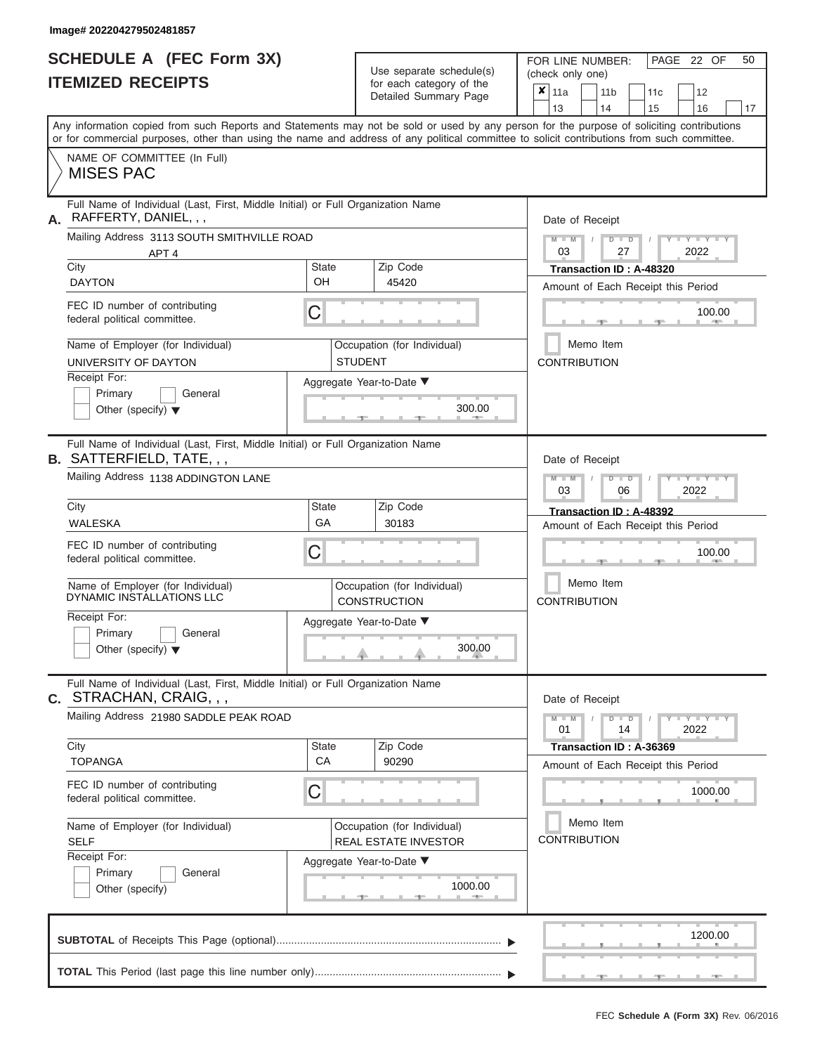## **SCHEDULE A (FEC Form 3X)**

| SCHEDULE A (FEC Form 3X)<br><b>ITEMIZED RECEIPTS</b>                                                                                                                                                                                                                                                                                                                                                                  |                                | Use separate schedule(s)<br>for each category of the                                                            | 50<br>FOR LINE NUMBER:<br>PAGE 22 OF<br>(check only one)                                                                                                                                                                                                              |
|-----------------------------------------------------------------------------------------------------------------------------------------------------------------------------------------------------------------------------------------------------------------------------------------------------------------------------------------------------------------------------------------------------------------------|--------------------------------|-----------------------------------------------------------------------------------------------------------------|-----------------------------------------------------------------------------------------------------------------------------------------------------------------------------------------------------------------------------------------------------------------------|
|                                                                                                                                                                                                                                                                                                                                                                                                                       |                                | Detailed Summary Page                                                                                           | $\overline{\mathbf{x}}$   11a<br>11 <sub>b</sub><br>12<br>11 <sub>c</sub><br>13<br>14<br>15<br>16<br>17                                                                                                                                                               |
| Any information copied from such Reports and Statements may not be sold or used by any person for the purpose of soliciting contributions<br>or for commercial purposes, other than using the name and address of any political committee to solicit contributions from such committee.                                                                                                                               |                                |                                                                                                                 |                                                                                                                                                                                                                                                                       |
| NAME OF COMMITTEE (In Full)<br><b>MISES PAC</b>                                                                                                                                                                                                                                                                                                                                                                       |                                |                                                                                                                 |                                                                                                                                                                                                                                                                       |
| Full Name of Individual (Last, First, Middle Initial) or Full Organization Name<br>RAFFERTY, DANIEL, , ,<br>А.<br>Mailing Address 3113 SOUTH SMITHVILLE ROAD<br>APT <sub>4</sub><br>City<br><b>DAYTON</b><br>FEC ID number of contributing<br>federal political committee.<br>Name of Employer (for Individual)<br>UNIVERSITY OF DAYTON<br>Receipt For:<br>Primary<br>General<br>Other (specify) $\blacktriangledown$ | <b>State</b><br>OH<br>С        | Zip Code<br>45420<br>Occupation (for Individual)<br><b>STUDENT</b><br>Aggregate Year-to-Date ▼<br>300.00        | Date of Receipt<br>$M$ – $M$ /<br>$T - Y = T - Y - T - Y$<br>$D$ $D$<br>03<br>27<br>2022<br>Transaction ID: A-48320<br>Amount of Each Receipt this Period<br>100.00<br><b>CONTRACTOR</b><br>Memo Item<br><b>CONTRIBUTION</b>                                          |
| Full Name of Individual (Last, First, Middle Initial) or Full Organization Name<br><b>B. SATTERFIELD, TATE, , ,</b><br>Mailing Address 1138 ADDINGTON LANE<br>City<br>WALESKA<br>FEC ID number of contributing<br>federal political committee.<br>Name of Employer (for Individual)<br>DYNAMIC INSTALLATIONS LLC<br>Receipt For:<br>Primary<br>General<br>Other (specify) $\blacktriangledown$                        | <b>State</b><br>GA<br>С        | Zip Code<br>30183<br>Occupation (for Individual)<br><b>CONSTRUCTION</b><br>Aggregate Year-to-Date ▼<br>300.00   | Date of Receipt<br>$M - M$<br>$D$ $D$<br>$\blacksquare$ $\blacksquare$ $\blacksquare$ $\blacksquare$ $\blacksquare$ $\blacksquare$<br>03<br>2022<br>06<br>Transaction ID: A-48392<br>Amount of Each Receipt this Period<br>100.00<br>Memo Item<br><b>CONTRIBUTION</b> |
| Full Name of Individual (Last, First, Middle Initial) or Full Organization Name<br><b>c.</b> STRACHAN, CRAIG, , ,<br>Mailing Address 21980 SADDLE PEAK ROAD<br>City<br><b>TOPANGA</b><br>FEC ID number of contributing<br>federal political committee.<br>Name of Employer (for Individual)<br><b>SELF</b><br>Receipt For:<br>Primary<br>General<br>Other (specify)                                                   | <b>State</b><br><b>CA</b><br>С | Zip Code<br>90290<br>Occupation (for Individual)<br>REAL ESTATE INVESTOR<br>Aggregate Year-to-Date ▼<br>1000.00 | Date of Receipt<br>$M - M$<br>$D$ $D$<br>$Y - Y - Y - Y - Y$<br>01<br>14<br>2022<br>Transaction ID: A-36369<br>Amount of Each Receipt this Period<br>1000.00<br>Memo Item<br><b>CONTRIBUTION</b>                                                                      |
|                                                                                                                                                                                                                                                                                                                                                                                                                       |                                |                                                                                                                 | 1200.00                                                                                                                                                                                                                                                               |
|                                                                                                                                                                                                                                                                                                                                                                                                                       |                                |                                                                                                                 | $-1$<br>$-9$<br>$-10-$                                                                                                                                                                                                                                                |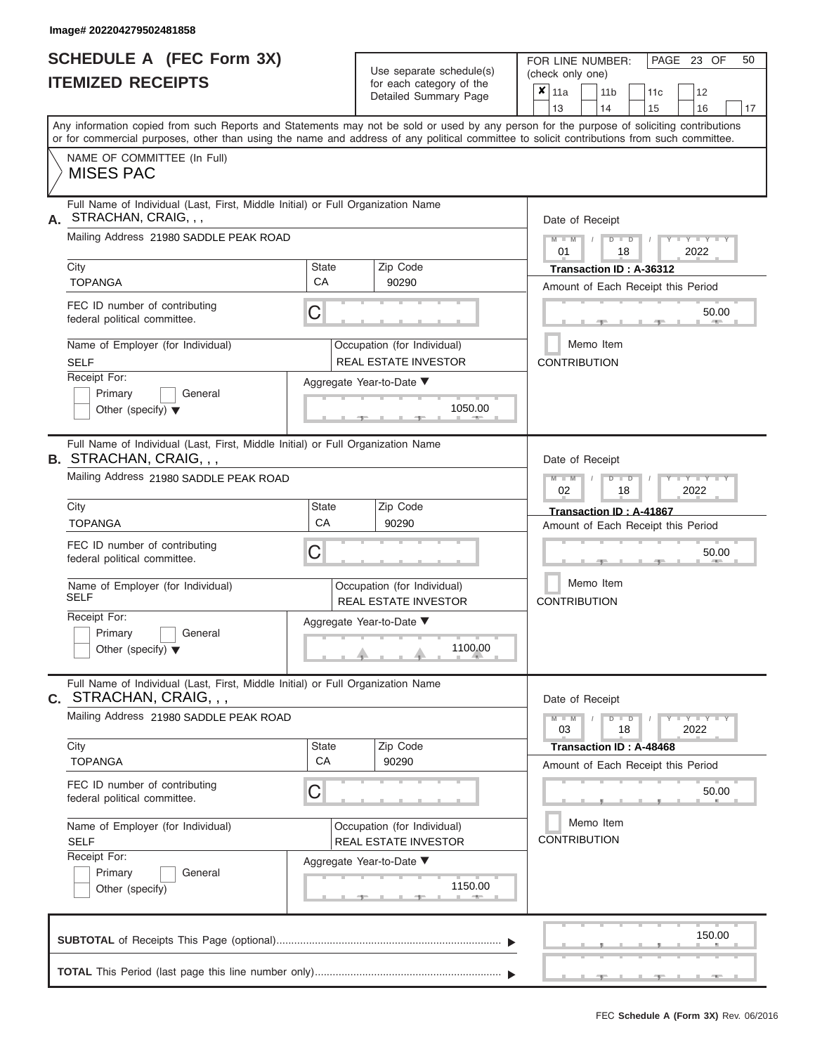|                          | <b>SCHEDULE A (FEC Form 3X)</b> |
|--------------------------|---------------------------------|
| <b>ITEMIZED RECEIPTS</b> |                                 |

Use separate schedule(s)<br>for each category of the

FOR LINE NUMBER:<br>(check only one)

PAGE 23 OF 50

|                                                                                                                                                         | IILMILLU INLVLII IV                                                                                                                                                                                                                                                                     |                                                    |  | ivi cavii valcyviy vi liic<br>Detailed Summary Page        |  | ×                                                                                 | 11a<br>13                  |           | 11 <sub>b</sub><br>14 |                      | 11c<br>15 |                                    | 12<br>16             |  | 17 |  |
|---------------------------------------------------------------------------------------------------------------------------------------------------------|-----------------------------------------------------------------------------------------------------------------------------------------------------------------------------------------------------------------------------------------------------------------------------------------|----------------------------------------------------|--|------------------------------------------------------------|--|-----------------------------------------------------------------------------------|----------------------------|-----------|-----------------------|----------------------|-----------|------------------------------------|----------------------|--|----|--|
|                                                                                                                                                         | Any information copied from such Reports and Statements may not be sold or used by any person for the purpose of soliciting contributions<br>or for commercial purposes, other than using the name and address of any political committee to solicit contributions from such committee. |                                                    |  |                                                            |  |                                                                                   |                            |           |                       |                      |           |                                    |                      |  |    |  |
|                                                                                                                                                         | NAME OF COMMITTEE (In Full)<br><b>MISES PAC</b>                                                                                                                                                                                                                                         |                                                    |  |                                                            |  |                                                                                   |                            |           |                       |                      |           |                                    |                      |  |    |  |
| Full Name of Individual (Last, First, Middle Initial) or Full Organization Name<br>STRACHAN, CRAIG, , ,<br>А.<br>Mailing Address 21980 SADDLE PEAK ROAD |                                                                                                                                                                                                                                                                                         |                                                    |  |                                                            |  | Date of Receipt<br>$M - M$<br>$D$ $\Box$ $D$                                      |                            |           |                       |                      |           |                                    |                      |  |    |  |
|                                                                                                                                                         | City                                                                                                                                                                                                                                                                                    | Zip Code<br>State                                  |  |                                                            |  | 2022<br>01<br>18<br>Transaction ID: A-36312                                       |                            |           |                       |                      |           |                                    |                      |  |    |  |
|                                                                                                                                                         | <b>TOPANGA</b><br>FEC ID number of contributing<br>federal political committee.                                                                                                                                                                                                         | CA<br>90290<br>С                                   |  |                                                            |  | Amount of Each Receipt this Period<br>50.00                                       |                            |           |                       |                      |           |                                    |                      |  |    |  |
|                                                                                                                                                         | Name of Employer (for Individual)<br><b>SELF</b><br>Receipt For:                                                                                                                                                                                                                        |                                                    |  | Occupation (for Individual)<br><b>REAL ESTATE INVESTOR</b> |  |                                                                                   | <b>CONTRIBUTION</b>        | Memo Item |                       |                      |           |                                    |                      |  |    |  |
|                                                                                                                                                         | Primary<br>General<br>Other (specify) $\blacktriangledown$                                                                                                                                                                                                                              | Aggregate Year-to-Date ▼<br>1050.00<br><b>AREA</b> |  |                                                            |  |                                                                                   |                            |           |                       |                      |           |                                    |                      |  |    |  |
|                                                                                                                                                         | Full Name of Individual (Last, First, Middle Initial) or Full Organization Name<br><b>B. STRACHAN, CRAIG, , ,</b><br>Mailing Address 21980 SADDLE PEAK ROAD                                                                                                                             |                                                    |  |                                                            |  |                                                                                   | Date of Receipt<br>$M - M$ |           |                       | $D$ $D$              |           |                                    |                      |  |    |  |
|                                                                                                                                                         | City<br><b>TOPANGA</b>                                                                                                                                                                                                                                                                  | Zip Code<br><b>State</b><br>CA<br>90290            |  |                                                            |  | 02<br>2022<br>18<br>Transaction ID: A-41867<br>Amount of Each Receipt this Period |                            |           |                       |                      |           |                                    |                      |  |    |  |
|                                                                                                                                                         | FEC ID number of contributing<br>federal political committee.                                                                                                                                                                                                                           | С                                                  |  |                                                            |  | 50.00                                                                             |                            |           |                       |                      |           |                                    |                      |  |    |  |
|                                                                                                                                                         | Name of Employer (for Individual)<br><b>SELF</b>                                                                                                                                                                                                                                        |                                                    |  | Occupation (for Individual)<br><b>REAL ESTATE INVESTOR</b> |  | Memo Item<br><b>CONTRIBUTION</b>                                                  |                            |           |                       |                      |           |                                    |                      |  |    |  |
|                                                                                                                                                         | Receipt For:<br>Primary<br>General<br>Other (specify) $\blacktriangledown$                                                                                                                                                                                                              |                                                    |  | Aggregate Year-to-Date ▼<br>1100.00                        |  |                                                                                   |                            |           |                       |                      |           |                                    |                      |  |    |  |
|                                                                                                                                                         | Full Name of Individual (Last, First, Middle Initial) or Full Organization Name<br>$c.$ STRACHAN, CRAIG, $,$                                                                                                                                                                            |                                                    |  |                                                            |  |                                                                                   | Date of Receipt            |           |                       |                      |           |                                    |                      |  |    |  |
|                                                                                                                                                         | Mailing Address 21980 SADDLE PEAK ROAD<br>City                                                                                                                                                                                                                                          | State                                              |  | Zip Code                                                   |  |                                                                                   | $M - M$<br>03              |           |                       | $D$ $\Box$ $D$<br>18 |           |                                    | $-Y - Y - Y$<br>2022 |  |    |  |
|                                                                                                                                                         | <b>TOPANGA</b>                                                                                                                                                                                                                                                                          | CA                                                 |  | 90290                                                      |  |                                                                                   | Transaction ID: A-48468    |           |                       |                      |           | Amount of Each Receipt this Period |                      |  |    |  |
|                                                                                                                                                         | FEC ID number of contributing<br>С<br>federal political committee.                                                                                                                                                                                                                      |                                                    |  |                                                            |  |                                                                                   |                            |           |                       |                      |           |                                    | 50.00                |  |    |  |
|                                                                                                                                                         | Name of Employer (for Individual)<br>Occupation (for Individual)<br><b>SELF</b><br><b>REAL ESTATE INVESTOR</b><br>Receipt For:                                                                                                                                                          |                                                    |  |                                                            |  |                                                                                   | <b>CONTRIBUTION</b>        | Memo Item |                       |                      |           |                                    |                      |  |    |  |
|                                                                                                                                                         | General<br>Primary<br>Other (specify)                                                                                                                                                                                                                                                   |                                                    |  | Aggregate Year-to-Date ▼<br>1150.00                        |  |                                                                                   |                            |           |                       |                      |           |                                    |                      |  |    |  |
|                                                                                                                                                         |                                                                                                                                                                                                                                                                                         |                                                    |  |                                                            |  |                                                                                   |                            |           |                       |                      |           |                                    | 150.00               |  |    |  |
|                                                                                                                                                         |                                                                                                                                                                                                                                                                                         |                                                    |  |                                                            |  |                                                                                   |                            |           |                       |                      |           |                                    |                      |  |    |  |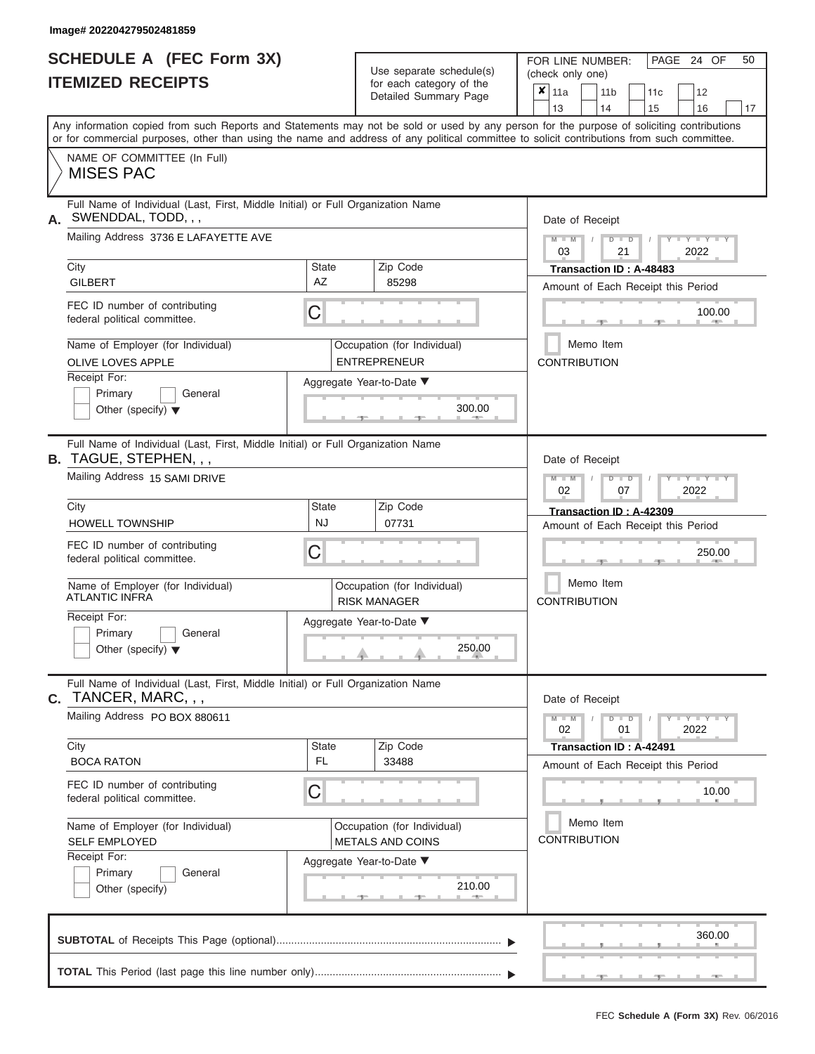|                          | <b>SCHEDULE A (FEC Form 3X)</b> |
|--------------------------|---------------------------------|
| <b>ITEMIZED RECEIPTS</b> |                                 |

| SCHEDULE A (FEC Form 3X)<br><b>ITEMIZED RECEIPTS</b>                                                                                                                                                                                                                                                                                                                                      |                         | Use separate schedule(s)<br>for each category of the<br>Detailed Summary Page                                     | 50<br>FOR LINE NUMBER:<br>PAGE 24 OF<br>(check only one)<br>$\boldsymbol{x}$<br>11a<br>11 <sub>b</sub><br>12<br>11c<br>13<br>14<br>15<br>16<br>17                                                                     |
|-------------------------------------------------------------------------------------------------------------------------------------------------------------------------------------------------------------------------------------------------------------------------------------------------------------------------------------------------------------------------------------------|-------------------------|-------------------------------------------------------------------------------------------------------------------|-----------------------------------------------------------------------------------------------------------------------------------------------------------------------------------------------------------------------|
| Any information copied from such Reports and Statements may not be sold or used by any person for the purpose of soliciting contributions<br>or for commercial purposes, other than using the name and address of any political committee to solicit contributions from such committee.<br>NAME OF COMMITTEE (In Full)<br><b>MISES PAC</b>                                                |                         |                                                                                                                   |                                                                                                                                                                                                                       |
| Full Name of Individual (Last, First, Middle Initial) or Full Organization Name<br>SWENDDAL, TODD, , ,<br>А.<br>Mailing Address 3736 E LAFAYETTE AVE<br>City<br><b>GILBERT</b><br>FEC ID number of contributing<br>federal political committee.<br>Name of Employer (for Individual)<br>OLIVE LOVES APPLE<br>Receipt For:<br>Primary<br>General<br>Other (specify) $\blacktriangledown$   | <b>State</b><br>AZ<br>С | Zip Code<br>85298<br>Occupation (for Individual)<br><b>ENTREPRENEUR</b><br>Aggregate Year-to-Date ▼<br>300.00     | Date of Receipt<br>$M - M$<br>$D$ $D$<br>$Y - Y - I$<br>$\sqrt{ }$<br>03<br>21<br>2022<br>Transaction ID: A-48483<br>Amount of Each Receipt this Period<br>100.00<br><b>STATE</b><br>Memo Item<br><b>CONTRIBUTION</b> |
| Full Name of Individual (Last, First, Middle Initial) or Full Organization Name<br><b>B.</b> TAGUE, STEPHEN, , ,<br>Mailing Address 15 SAMI DRIVE<br>City<br><b>HOWELL TOWNSHIP</b><br>FEC ID number of contributing<br>federal political committee.<br>Name of Employer (for Individual)<br>ATLANTIC INFRA<br>Receipt For:<br>Primary<br>General<br>Other (specify) $\blacktriangledown$ | State<br><b>NJ</b><br>С | Zip Code<br>07731<br>Occupation (for Individual)<br><b>RISK MANAGER</b><br>Aggregate Year-to-Date ▼<br>250.00     | Date of Receipt<br>$M - M$<br>$D$ $\Box$ $D$<br>Y Y Y<br>2022<br>02<br>07<br>Transaction ID: A-42309<br>Amount of Each Receipt this Period<br>250.00<br>Memo Item<br><b>CONTRIBUTION</b>                              |
| Full Name of Individual (Last, First, Middle Initial) or Full Organization Name<br>TANCER, MARC, , ,<br>C.<br>Mailing Address PO BOX 880611<br>City<br><b>BOCA RATON</b><br>FEC ID number of contributing<br>federal political committee.<br>Name of Employer (for Individual)<br><b>SELF EMPLOYED</b><br>Receipt For:<br>Primary<br>General<br>Other (specify)                           | State<br>FL.<br>С       | Zip Code<br>33488<br>Occupation (for Individual)<br><b>METALS AND COINS</b><br>Aggregate Year-to-Date ▼<br>210.00 | Date of Receipt<br>$M - M$<br>$D$ $D$<br>$-1$ $ Y$ $-1$ $ Y$ $-1$ $ Y$<br>01<br>2022<br>02<br><b>Transaction ID: A-42491</b><br>Amount of Each Receipt this Period<br>10.00<br>Memo Item<br><b>CONTRIBUTION</b>       |
|                                                                                                                                                                                                                                                                                                                                                                                           |                         |                                                                                                                   | 360.00                                                                                                                                                                                                                |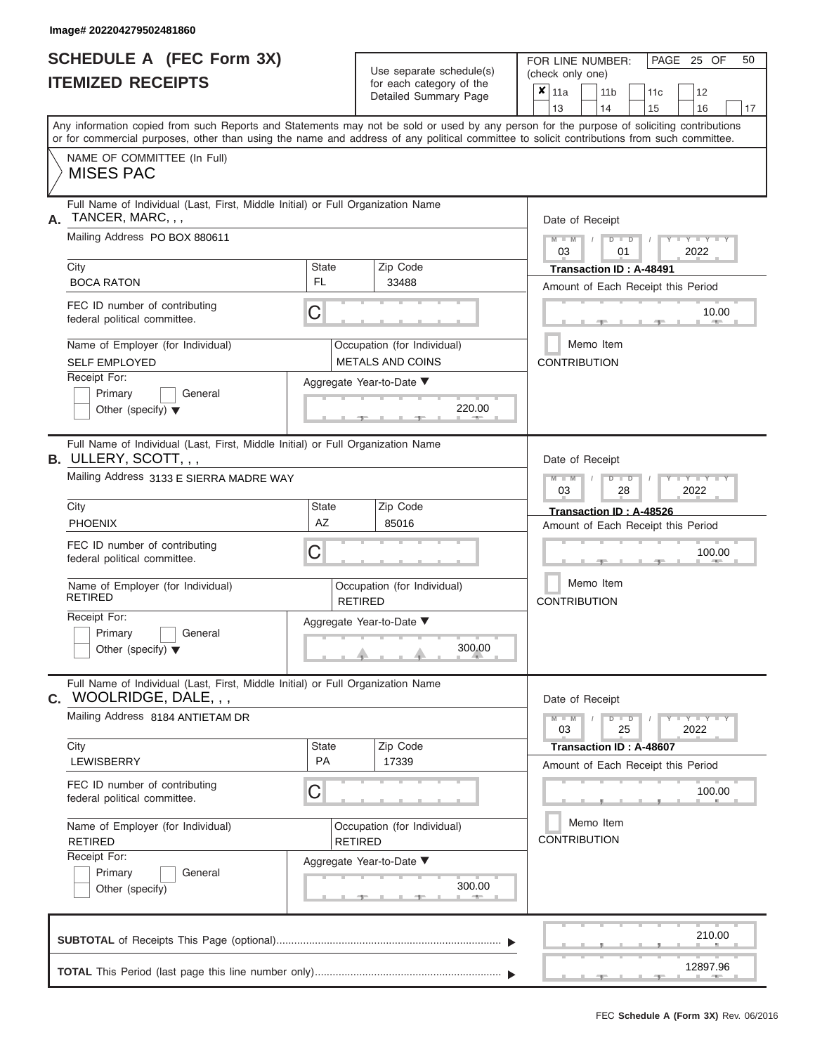|                          | <b>SCHEDULE A (FEC Form 3X)</b> |
|--------------------------|---------------------------------|
| <b>ITEMIZED RECEIPTS</b> |                                 |

Use separate schedule(s)<br>for each category of the

FOR LINE NUMBER:<br>(check only one)

PAGE 25 OF 50

|                                                                                                                                                                                                                                                                                         |                                                 | $\frac{1}{2}$<br>Detailed Summary Page        | x               | 11a<br>13           |  | 11 <sub>b</sub><br>14                         |                      | 11 <sub>c</sub><br>15   | 12<br>16                           | 17    |  |  |  |
|-----------------------------------------------------------------------------------------------------------------------------------------------------------------------------------------------------------------------------------------------------------------------------------------|-------------------------------------------------|-----------------------------------------------|-----------------|---------------------|--|-----------------------------------------------|----------------------|-------------------------|------------------------------------|-------|--|--|--|
| Any information copied from such Reports and Statements may not be sold or used by any person for the purpose of soliciting contributions<br>or for commercial purposes, other than using the name and address of any political committee to solicit contributions from such committee. |                                                 |                                               |                 |                     |  |                                               |                      |                         |                                    |       |  |  |  |
| NAME OF COMMITTEE (In Full)<br><b>MISES PAC</b>                                                                                                                                                                                                                                         |                                                 |                                               |                 |                     |  |                                               |                      |                         |                                    |       |  |  |  |
| Full Name of Individual (Last, First, Middle Initial) or Full Organization Name<br>TANCER, MARC, , ,<br>А.                                                                                                                                                                              |                                                 |                                               | Date of Receipt |                     |  |                                               |                      |                         |                                    |       |  |  |  |
| Mailing Address PO BOX 880611                                                                                                                                                                                                                                                           |                                                 |                                               |                 |                     |  | $M - M$ /<br>$D$ $D$                          | 01                   |                         | $Y - Y - I$<br>2022                |       |  |  |  |
| City<br><b>BOCA RATON</b>                                                                                                                                                                                                                                                               | <b>State</b><br>FL.                             | Zip Code<br>33488                             |                 |                     |  |                                               |                      | Transaction ID: A-48491 |                                    |       |  |  |  |
| FEC ID number of contributing<br>federal political committee.                                                                                                                                                                                                                           | C                                               |                                               |                 |                     |  |                                               |                      |                         | Amount of Each Receipt this Period | 10.00 |  |  |  |
| Name of Employer (for Individual)<br><b>SELF EMPLOYED</b>                                                                                                                                                                                                                               | Occupation (for Individual)<br>METALS AND COINS |                                               |                 | <b>CONTRIBUTION</b> |  | Memo Item                                     |                      |                         |                                    |       |  |  |  |
| Receipt For:<br>Primary<br>General<br>Other (specify) $\blacktriangledown$                                                                                                                                                                                                              | Aggregate Year-to-Date ▼                        |                                               |                 |                     |  |                                               |                      |                         |                                    |       |  |  |  |
| Full Name of Individual (Last, First, Middle Initial) or Full Organization Name<br>B. ULLERY, SCOTT, , ,                                                                                                                                                                                |                                                 |                                               |                 | Date of Receipt     |  |                                               |                      |                         |                                    |       |  |  |  |
| Mailing Address 3133 E SIERRA MADRE WAY                                                                                                                                                                                                                                                 |                                                 |                                               |                 |                     |  | $M - M$<br>$D$ $D$<br>YIY<br>03<br>28<br>2022 |                      |                         |                                    |       |  |  |  |
| City<br><b>PHOENIX</b>                                                                                                                                                                                                                                                                  | <b>State</b><br><b>AZ</b>                       | Zip Code<br>85016                             |                 |                     |  |                                               |                      | Transaction ID: A-48526 | Amount of Each Receipt this Period |       |  |  |  |
| FEC ID number of contributing<br>federal political committee.                                                                                                                                                                                                                           | C                                               |                                               |                 | 100.00              |  |                                               |                      |                         |                                    |       |  |  |  |
| Name of Employer (for Individual)<br><b>RETIRED</b>                                                                                                                                                                                                                                     |                                                 | Occupation (for Individual)<br><b>RETIRED</b> |                 | <b>CONTRIBUTION</b> |  | Memo Item                                     |                      |                         |                                    |       |  |  |  |
| Receipt For:<br>Primary<br>General<br>Other (specify) $\blacktriangledown$                                                                                                                                                                                                              |                                                 | Aggregate Year-to-Date ▼<br>300.00            |                 |                     |  |                                               |                      |                         |                                    |       |  |  |  |
| Full Name of Individual (Last, First, Middle Initial) or Full Organization Name<br>WOOLRIDGE, DALE, , ,<br>$\mathbf{C}$ .                                                                                                                                                               |                                                 |                                               |                 | Date of Receipt     |  |                                               |                      |                         |                                    |       |  |  |  |
| Mailing Address 8184 ANTIETAM DR                                                                                                                                                                                                                                                        |                                                 |                                               |                 | $M - M$<br>03       |  | D                                             | $\blacksquare$<br>25 |                         | $T - Y = Y + Y$<br>2022            |       |  |  |  |
| City<br>LEWISBERRY                                                                                                                                                                                                                                                                      | <b>State</b><br>PA                              | Zip Code<br>17339                             |                 |                     |  |                                               |                      | Transaction ID: A-48607 | Amount of Each Receipt this Period |       |  |  |  |
| FEC ID number of contributing<br>federal political committee.                                                                                                                                                                                                                           | C                                               |                                               |                 |                     |  |                                               |                      |                         | 100.00                             |       |  |  |  |
| Name of Employer (for Individual)<br><b>RETIRED</b>                                                                                                                                                                                                                                     |                                                 | Occupation (for Individual)<br><b>RETIRED</b> |                 | <b>CONTRIBUTION</b> |  | Memo Item                                     |                      |                         |                                    |       |  |  |  |
| Receipt For:<br>Primary<br>General<br>Other (specify)                                                                                                                                                                                                                                   |                                                 | Aggregate Year-to-Date ▼<br>300.00            |                 |                     |  |                                               |                      |                         |                                    |       |  |  |  |
|                                                                                                                                                                                                                                                                                         |                                                 |                                               |                 |                     |  |                                               |                      |                         | 210.00                             |       |  |  |  |
|                                                                                                                                                                                                                                                                                         |                                                 |                                               |                 |                     |  |                                               |                      | ு                       | 12897.96                           |       |  |  |  |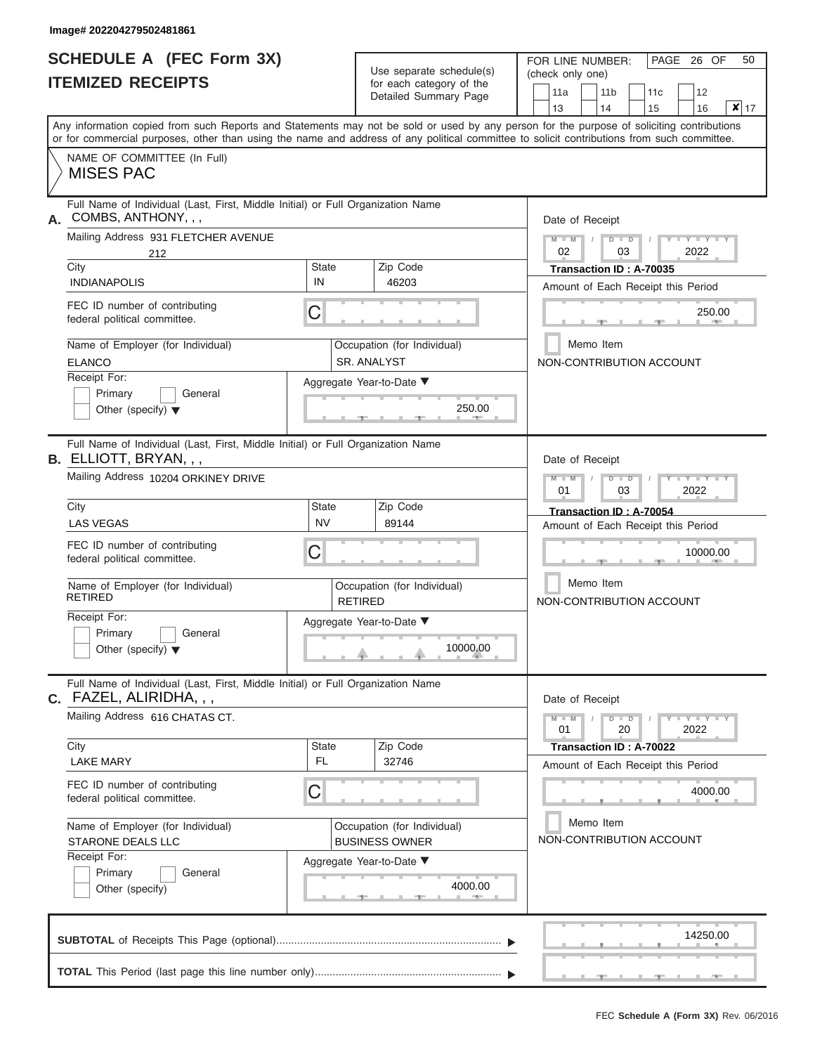|                          | SCHEDULE A (FEC Form 3X) |
|--------------------------|--------------------------|
| <b>ITEMIZED RECEIPTS</b> |                          |

| SCHEDULE A (FEC Form 3X)<br><b>ITEMIZED RECEIPTS</b>                                                                                                 | Use separate schedule(s)                               | 50<br>FOR LINE NUMBER:<br>PAGE 26 OF<br>(check only one)                                                                                                                                                                                                                                |
|------------------------------------------------------------------------------------------------------------------------------------------------------|--------------------------------------------------------|-----------------------------------------------------------------------------------------------------------------------------------------------------------------------------------------------------------------------------------------------------------------------------------------|
|                                                                                                                                                      | for each category of the<br>Detailed Summary Page      | 11a<br>11 <sub>b</sub><br>12<br>11c<br>13<br>14<br>x 17<br>15<br>16                                                                                                                                                                                                                     |
|                                                                                                                                                      |                                                        | Any information copied from such Reports and Statements may not be sold or used by any person for the purpose of soliciting contributions<br>or for commercial purposes, other than using the name and address of any political committee to solicit contributions from such committee. |
| NAME OF COMMITTEE (In Full)<br><b>MISES PAC</b>                                                                                                      |                                                        |                                                                                                                                                                                                                                                                                         |
| Full Name of Individual (Last, First, Middle Initial) or Full Organization Name<br>COMBS, ANTHONY, , ,<br>Mailing Address 931 FLETCHER AVENUE<br>212 |                                                        | Date of Receipt<br>Y TYT<br>$M - M$<br>$D$ $D$<br>02<br>2022<br>03                                                                                                                                                                                                                      |
| City<br><b>INDIANAPOLIS</b>                                                                                                                          | State<br>Zip Code<br>IN<br>46203                       | Transaction ID: A-70035<br>Amount of Each Receipt this Period                                                                                                                                                                                                                           |
| FEC ID number of contributing<br>federal political committee.                                                                                        | C                                                      | 250.00<br><b>July 2005</b>                                                                                                                                                                                                                                                              |
| Name of Employer (for Individual)<br><b>ELANCO</b>                                                                                                   | Occupation (for Individual)<br><b>SR. ANALYST</b>      | Memo Item<br>NON-CONTRIBUTION ACCOUNT                                                                                                                                                                                                                                                   |
| Receipt For:<br>Primary<br>General<br>Other (specify) $\blacktriangledown$                                                                           | Aggregate Year-to-Date ▼<br>250.00<br><b>Britannia</b> |                                                                                                                                                                                                                                                                                         |
| Full Name of Individual (Last, First, Middle Initial) or Full Organization Name<br>B. ELLIOTT, BRYAN, , ,<br>Mailing Address 10204 ORKINEY DRIVE     |                                                        | Date of Receipt<br>$M - M$<br>$D$ $\Box$ $D$<br>Y TYT<br>01<br>2022<br>03                                                                                                                                                                                                               |
| City<br><b>LAS VEGAS</b>                                                                                                                             | <b>State</b><br>Zip Code<br><b>NV</b><br>89144         | Transaction ID: A-70054<br>Amount of Each Receipt this Period                                                                                                                                                                                                                           |
| FEC ID number of contributing<br>federal political committee.                                                                                        | С                                                      | 10000.00                                                                                                                                                                                                                                                                                |
| Name of Employer (for Individual)<br><b>RETIRED</b>                                                                                                  | Occupation (for Individual)<br><b>RETIRED</b>          | Memo Item<br>NON-CONTRIBUTION ACCOUNT                                                                                                                                                                                                                                                   |
| Receipt For:<br>Primary<br>General<br>Other (specify) $\blacktriangledown$                                                                           | Aggregate Year-to-Date ▼<br>10000.00                   |                                                                                                                                                                                                                                                                                         |
| Full Name of Individual (Last, First, Middle Initial) or Full Organization Name<br>C. FAZEL, ALIRIDHA, , ,                                           |                                                        | Date of Receipt                                                                                                                                                                                                                                                                         |
| Mailing Address 616 CHATAS CT.                                                                                                                       |                                                        | $D$ $D$<br>$-1$ $ Y$ $-1$ $ Y$ $-1$ $ Y$<br>$M - M$<br>01<br>20<br>2022                                                                                                                                                                                                                 |
| City<br><b>LAKE MARY</b>                                                                                                                             | Zip Code<br>State<br><b>FL</b><br>32746                | Transaction ID: A-70022<br>Amount of Each Receipt this Period                                                                                                                                                                                                                           |
| FEC ID number of contributing<br>federal political committee.                                                                                        | С                                                      | 4000.00                                                                                                                                                                                                                                                                                 |
| Name of Employer (for Individual)<br>STARONE DEALS LLC                                                                                               | Occupation (for Individual)<br><b>BUSINESS OWNER</b>   | Memo Item<br>NON-CONTRIBUTION ACCOUNT                                                                                                                                                                                                                                                   |
| Receipt For:<br>Primary<br>General<br>Other (specify)                                                                                                | Aggregate Year-to-Date ▼<br>4000.00<br>$-1$            |                                                                                                                                                                                                                                                                                         |
|                                                                                                                                                      |                                                        | 14250.00                                                                                                                                                                                                                                                                                |
|                                                                                                                                                      |                                                        | <b>AND</b>                                                                                                                                                                                                                                                                              |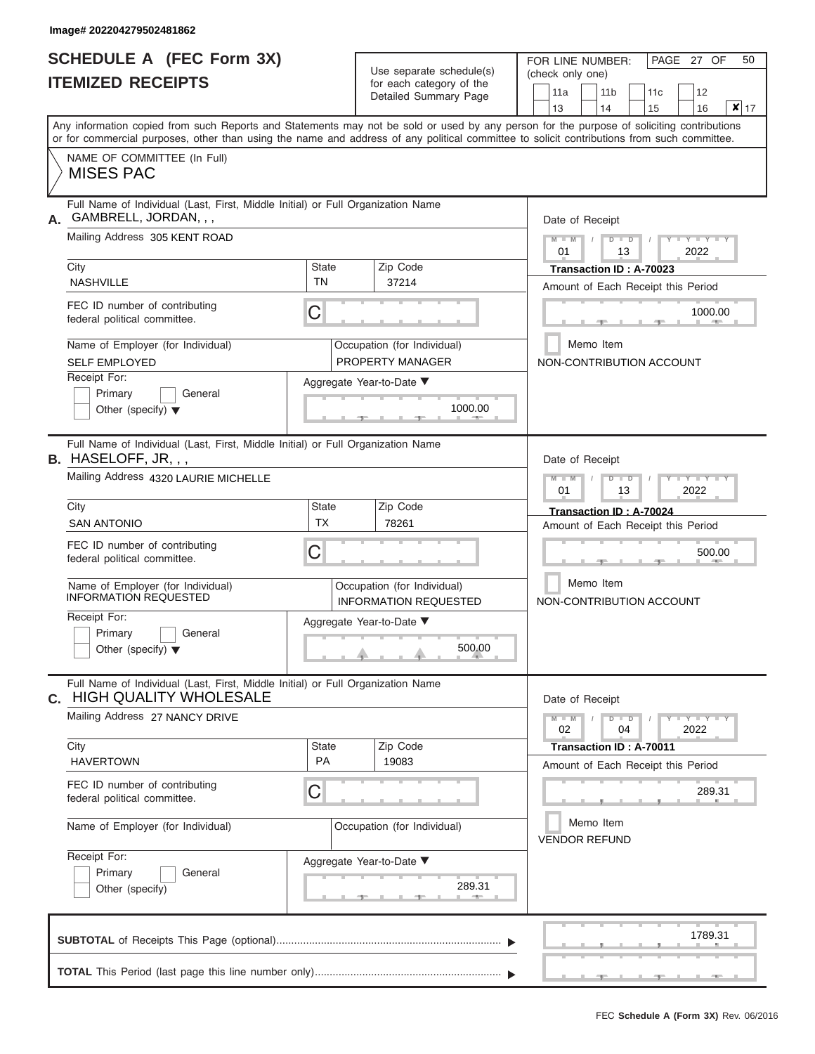|                          | <b>SCHEDULE A (FEC Form 3X)</b> |  |
|--------------------------|---------------------------------|--|
| <b>ITEMIZED RECEIPTS</b> |                                 |  |

Use separate schedule(s)<br>for each category of the

FOR LINE NUMBER:<br>(check only one)

PAGE 27 OF 50

|    | IILMILLU I\LVLII IJ                                                                                                                                                                                                                                                                     |                           | iul cauli calcybiy ul lile<br>Detailed Summary Page         |  | 11a             | 11 <sub>b</sub>                   | 11c                                |      | 12          |                   |  |
|----|-----------------------------------------------------------------------------------------------------------------------------------------------------------------------------------------------------------------------------------------------------------------------------------------|---------------------------|-------------------------------------------------------------|--|-----------------|-----------------------------------|------------------------------------|------|-------------|-------------------|--|
|    |                                                                                                                                                                                                                                                                                         |                           |                                                             |  | 13              | 14                                | 15                                 |      | 16          | $\mathbf{x}$   17 |  |
|    | Any information copied from such Reports and Statements may not be sold or used by any person for the purpose of soliciting contributions<br>or for commercial purposes, other than using the name and address of any political committee to solicit contributions from such committee. |                           |                                                             |  |                 |                                   |                                    |      |             |                   |  |
|    | NAME OF COMMITTEE (In Full)<br><b>MISES PAC</b>                                                                                                                                                                                                                                         |                           |                                                             |  |                 |                                   |                                    |      |             |                   |  |
| А. | Full Name of Individual (Last, First, Middle Initial) or Full Organization Name<br>GAMBRELL, JORDAN, , ,                                                                                                                                                                                |                           |                                                             |  | Date of Receipt |                                   |                                    |      |             |                   |  |
|    | Mailing Address 305 KENT ROAD                                                                                                                                                                                                                                                           |                           |                                                             |  | $M - M$<br>01   | $D$ $\Box$ $D$<br>13              |                                    |      | 2022        |                   |  |
|    | City<br><b>NASHVILLE</b>                                                                                                                                                                                                                                                                | <b>State</b><br><b>TN</b> | Zip Code<br>37214                                           |  |                 | Transaction ID: A-70023           | Amount of Each Receipt this Period |      |             |                   |  |
|    | FEC ID number of contributing<br>federal political committee.                                                                                                                                                                                                                           | C                         |                                                             |  |                 |                                   |                                    |      | 1000.00     |                   |  |
|    | Name of Employer (for Individual)<br><b>SELF EMPLOYED</b>                                                                                                                                                                                                                               |                           | Occupation (for Individual)<br>PROPERTY MANAGER             |  |                 | Memo Item                         | NON-CONTRIBUTION ACCOUNT           |      |             |                   |  |
|    | Receipt For:<br>Primary<br>General<br>Other (specify) $\blacktriangledown$                                                                                                                                                                                                              |                           | Aggregate Year-to-Date ▼<br>1000.00<br>400                  |  |                 |                                   |                                    |      |             |                   |  |
|    | Full Name of Individual (Last, First, Middle Initial) or Full Organization Name<br>B. HASELOFF, JR, , ,                                                                                                                                                                                 |                           |                                                             |  | Date of Receipt |                                   |                                    |      |             |                   |  |
|    | Mailing Address 4320 LAURIE MICHELLE                                                                                                                                                                                                                                                    |                           |                                                             |  | $M - M$<br>01   | $D$ $D$<br>13                     |                                    | 2022 |             |                   |  |
|    | City<br><b>SAN ANTONIO</b>                                                                                                                                                                                                                                                              | <b>State</b><br><b>TX</b> | Zip Code<br>78261                                           |  |                 | Transaction ID: A-70024           | Amount of Each Receipt this Period |      |             |                   |  |
|    | FEC ID number of contributing<br>federal political committee.                                                                                                                                                                                                                           | C                         |                                                             |  |                 |                                   |                                    |      | 500.00      |                   |  |
|    | Name of Employer (for Individual)<br><b>INFORMATION REQUESTED</b>                                                                                                                                                                                                                       |                           | Occupation (for Individual)<br><b>INFORMATION REQUESTED</b> |  |                 | Memo Item                         | NON-CONTRIBUTION ACCOUNT           |      |             |                   |  |
|    | Receipt For:<br>Primary<br>General<br>Other (specify) $\blacktriangledown$                                                                                                                                                                                                              |                           | Aggregate Year-to-Date ▼<br>500.00                          |  |                 |                                   |                                    |      |             |                   |  |
| C. | Full Name of Individual (Last, First, Middle Initial) or Full Organization Name<br><b>HIGH QUALITY WHOLESALE</b>                                                                                                                                                                        |                           |                                                             |  | Date of Receipt |                                   |                                    |      |             |                   |  |
|    | Mailing Address 27 NANCY DRIVE                                                                                                                                                                                                                                                          |                           |                                                             |  | $M - M$<br>02   | $D$ $D$<br>04                     |                                    | 2022 | $Y - Y - Y$ |                   |  |
|    | City<br><b>HAVERTOWN</b>                                                                                                                                                                                                                                                                | <b>State</b><br>PA        | Zip Code<br>19083                                           |  |                 | Transaction ID : A-70011          | Amount of Each Receipt this Period |      |             |                   |  |
|    | FEC ID number of contributing<br>federal political committee.                                                                                                                                                                                                                           | С                         |                                                             |  |                 |                                   |                                    |      | 289.31      |                   |  |
|    | Name of Employer (for Individual)                                                                                                                                                                                                                                                       |                           | Occupation (for Individual)                                 |  |                 | Memo Item<br><b>VENDOR REFUND</b> |                                    |      |             |                   |  |
|    | Receipt For:<br>Primary<br>General<br>Other (specify)                                                                                                                                                                                                                                   |                           | Aggregate Year-to-Date ▼<br>289.31                          |  |                 |                                   |                                    |      |             |                   |  |
|    |                                                                                                                                                                                                                                                                                         |                           |                                                             |  |                 |                                   |                                    |      | 1789.31     |                   |  |
|    |                                                                                                                                                                                                                                                                                         |                           |                                                             |  |                 |                                   |                                    |      |             |                   |  |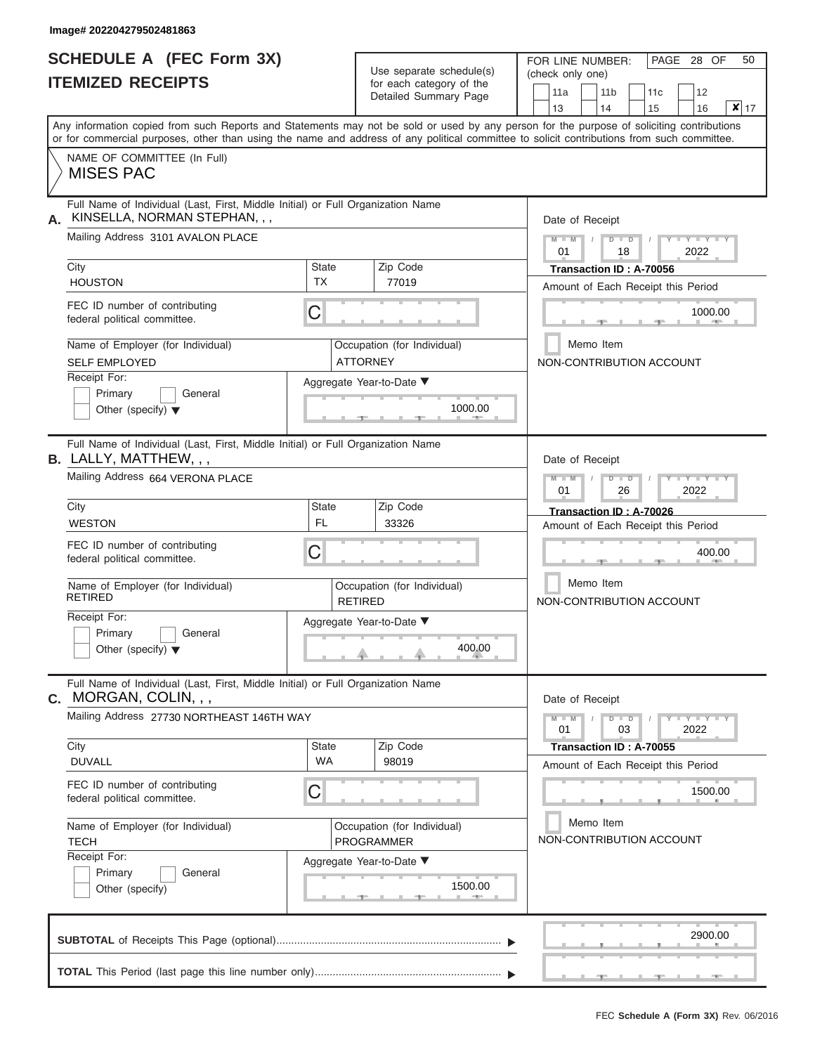# **SCHEDULE A (FEC Form 3X)**

FOR LINE NUMBER: PAGE 28 OF 50

|    |                                                                                                                                                                                                                                                                                         |                           | Use separate schedule(s)                                 | (check only one) |                       |                                                               |                                 |           |
|----|-----------------------------------------------------------------------------------------------------------------------------------------------------------------------------------------------------------------------------------------------------------------------------------------|---------------------------|----------------------------------------------------------|------------------|-----------------------|---------------------------------------------------------------|---------------------------------|-----------|
|    | <b>ITEMIZED RECEIPTS</b>                                                                                                                                                                                                                                                                |                           | for each category of the<br><b>Detailed Summary Page</b> | 11a<br>13        | 11 <sub>b</sub><br>14 | 11c<br>15                                                     | 12<br>16                        | $x _{17}$ |
|    | Any information copied from such Reports and Statements may not be sold or used by any person for the purpose of soliciting contributions<br>or for commercial purposes, other than using the name and address of any political committee to solicit contributions from such committee. |                           |                                                          |                  |                       |                                                               |                                 |           |
|    | NAME OF COMMITTEE (In Full)<br><b>MISES PAC</b>                                                                                                                                                                                                                                         |                           |                                                          |                  |                       |                                                               |                                 |           |
| А. | Full Name of Individual (Last, First, Middle Initial) or Full Organization Name<br>KINSELLA, NORMAN STEPHAN, , ,                                                                                                                                                                        |                           |                                                          |                  | Date of Receipt       |                                                               |                                 |           |
|    | Mailing Address 3101 AVALON PLACE                                                                                                                                                                                                                                                       |                           |                                                          | $M - M$<br>01    |                       | $D$ $D$<br>18                                                 | $Y - Y - I$<br>2022             |           |
|    | City<br><b>HOUSTON</b>                                                                                                                                                                                                                                                                  | <b>State</b><br><b>TX</b> | Zip Code<br>77019                                        |                  |                       | Transaction ID: A-70056<br>Amount of Each Receipt this Period |                                 |           |
|    | FEC ID number of contributing<br>federal political committee.                                                                                                                                                                                                                           | C                         |                                                          |                  |                       |                                                               | 1000.00                         |           |
|    | Name of Employer (for Individual)<br><b>SELF EMPLOYED</b>                                                                                                                                                                                                                               |                           | Occupation (for Individual)<br><b>ATTORNEY</b>           |                  | Memo Item             | NON-CONTRIBUTION ACCOUNT                                      |                                 |           |
|    | Receipt For:<br>Primary<br>General<br>Other (specify) $\blacktriangledown$                                                                                                                                                                                                              |                           | Aggregate Year-to-Date ▼<br>1000.00                      |                  |                       |                                                               |                                 |           |
|    | Full Name of Individual (Last, First, Middle Initial) or Full Organization Name<br>$B.$ LALLY, MATTHEW, , ,                                                                                                                                                                             |                           |                                                          |                  | Date of Receipt       |                                                               |                                 |           |
|    | Mailing Address 664 VERONA PLACE                                                                                                                                                                                                                                                        |                           |                                                          | $M - M$<br>01    |                       | $D$ $\Box$ $D$<br>26                                          | 2022                            |           |
|    | City<br><b>WESTON</b>                                                                                                                                                                                                                                                                   | <b>State</b><br><b>FL</b> | Zip Code<br>33326                                        |                  |                       | Transaction ID: A-70026<br>Amount of Each Receipt this Period |                                 |           |
|    | FEC ID number of contributing<br>federal political committee.                                                                                                                                                                                                                           | С                         |                                                          |                  |                       |                                                               | 400.00                          |           |
|    | Name of Employer (for Individual)<br><b>RETIRED</b>                                                                                                                                                                                                                                     |                           | Occupation (for Individual)<br><b>RETIRED</b>            |                  | Memo Item             | NON-CONTRIBUTION ACCOUNT                                      |                                 |           |
|    | Receipt For:<br>Primary<br>General<br>Other (specify) $\blacktriangledown$                                                                                                                                                                                                              |                           | Aggregate Year-to-Date ▼<br>400.00                       |                  |                       |                                                               |                                 |           |
|    | Full Name of Individual (Last, First, Middle Initial) or Full Organization Name<br>$C.$ MORGAN, COLIN, , ,                                                                                                                                                                              |                           |                                                          |                  | Date of Receipt       |                                                               |                                 |           |
|    | Mailing Address 27730 NORTHEAST 146TH WAY                                                                                                                                                                                                                                               |                           |                                                          | $M - M$<br>01    |                       | $D$ $D$<br>03                                                 | $T - Y = T - Y = T - Y$<br>2022 |           |
|    | City<br><b>DUVALL</b>                                                                                                                                                                                                                                                                   | <b>State</b><br>WA        | Zip Code<br>98019                                        |                  |                       | Transaction ID: A-70055<br>Amount of Each Receipt this Period |                                 |           |
|    | FEC ID number of contributing<br>federal political committee.                                                                                                                                                                                                                           | С                         |                                                          |                  |                       |                                                               | 1500.00                         |           |
|    | Name of Employer (for Individual)<br><b>TECH</b>                                                                                                                                                                                                                                        |                           | Occupation (for Individual)<br><b>PROGRAMMER</b>         |                  | Memo Item             | NON-CONTRIBUTION ACCOUNT                                      |                                 |           |
|    | Receipt For:<br>Primary<br>General<br>Other (specify)                                                                                                                                                                                                                                   |                           | Aggregate Year-to-Date ▼<br>1500.00                      |                  |                       |                                                               |                                 |           |
|    |                                                                                                                                                                                                                                                                                         |                           |                                                          |                  |                       |                                                               | 2900.00                         |           |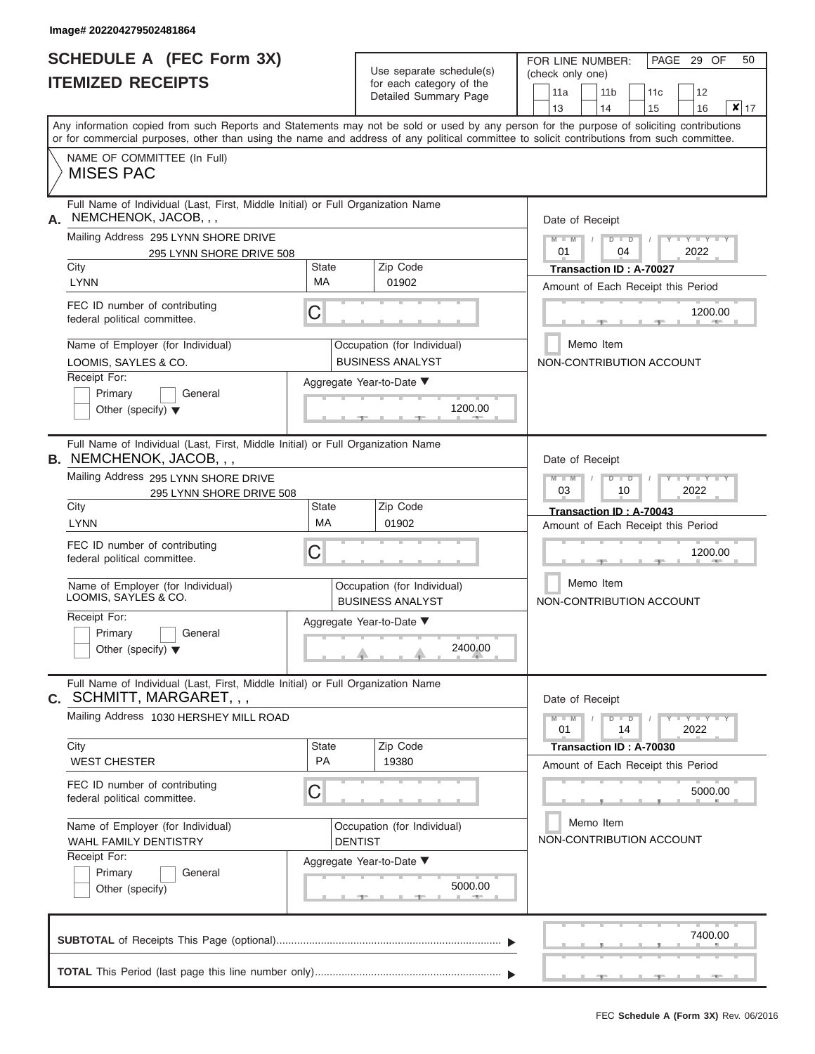# **SCHEDULE A (FEC Form 3X)**

 $\mathbf{I}$ 

FOR LINE NUMBER: PAGE 29 OF 50

|    | <b>ITEMIZED RECEIPTS</b>                                                                                                                   |                    | Use separate schedule(s)                                 | (check only one) |                                                               |     |                      |                       |
|----|--------------------------------------------------------------------------------------------------------------------------------------------|--------------------|----------------------------------------------------------|------------------|---------------------------------------------------------------|-----|----------------------|-----------------------|
|    |                                                                                                                                            |                    | for each category of the<br><b>Detailed Summary Page</b> | 11a              | 11 <sub>b</sub>                                               | 11c | 12                   |                       |
|    | Any information copied from such Reports and Statements may not be sold or used by any person for the purpose of soliciting contributions  |                    |                                                          | 13               | 14                                                            | 15  | 16                   | $\vert x \vert$<br>17 |
|    | or for commercial purposes, other than using the name and address of any political committee to solicit contributions from such committee. |                    |                                                          |                  |                                                               |     |                      |                       |
|    | NAME OF COMMITTEE (In Full)<br><b>MISES PAC</b>                                                                                            |                    |                                                          |                  |                                                               |     |                      |                       |
| А. | Full Name of Individual (Last, First, Middle Initial) or Full Organization Name<br>NEMCHENOK, JACOB, , ,                                   |                    |                                                          |                  | Date of Receipt                                               |     |                      |                       |
|    | Mailing Address 295 LYNN SHORE DRIVE<br>295 LYNN SHORE DRIVE 508                                                                           |                    |                                                          | $M - M$<br>01    | $D$ $D$<br>04                                                 |     | $Y - Y - I$<br>2022  |                       |
|    | City<br><b>LYNN</b>                                                                                                                        | <b>State</b><br>МA | Zip Code<br>01902                                        |                  | Transaction ID: A-70027<br>Amount of Each Receipt this Period |     |                      |                       |
|    | FEC ID number of contributing<br>federal political committee.                                                                              | С                  |                                                          |                  |                                                               |     | 1200.00              |                       |
|    | Name of Employer (for Individual)<br>LOOMIS, SAYLES & CO.                                                                                  |                    | Occupation (for Individual)<br><b>BUSINESS ANALYST</b>   |                  | Memo Item<br>NON-CONTRIBUTION ACCOUNT                         |     |                      |                       |
|    | Receipt For:                                                                                                                               |                    | Aggregate Year-to-Date ▼                                 |                  |                                                               |     |                      |                       |
|    | Primary<br>General<br>Other (specify) $\blacktriangledown$                                                                                 |                    | 1200.00                                                  |                  |                                                               |     |                      |                       |
|    | Full Name of Individual (Last, First, Middle Initial) or Full Organization Name<br><b>B.</b> NEMCHENOK, JACOB, , ,                         |                    |                                                          |                  | Date of Receipt                                               |     |                      |                       |
|    | Mailing Address 295 LYNN SHORE DRIVE<br>295 LYNN SHORE DRIVE 508                                                                           |                    |                                                          | $M - M$<br>03    | $D$ $\Box$ $D$<br>10                                          |     | 2022                 |                       |
|    | City<br><b>LYNN</b>                                                                                                                        | State<br><b>MA</b> | Zip Code<br>01902                                        |                  | Transaction ID: A-70043<br>Amount of Each Receipt this Period |     |                      |                       |
|    | FEC ID number of contributing<br>federal political committee.                                                                              | С                  |                                                          |                  |                                                               |     | 1200.00              |                       |
|    | Name of Employer (for Individual)<br>LOOMIS, SAYLES & CO.                                                                                  |                    | Occupation (for Individual)<br><b>BUSINESS ANALYST</b>   |                  | Memo Item<br>NON-CONTRIBUTION ACCOUNT                         |     |                      |                       |
|    | Receipt For:<br>Primary<br>General<br>Other (specify) $\blacktriangledown$                                                                 |                    | Aggregate Year-to-Date ▼<br>2400.00                      |                  |                                                               |     |                      |                       |
|    | Full Name of Individual (Last, First, Middle Initial) or Full Organization Name<br><b>c.</b> SCHMITT, MARGARET, , ,                        |                    |                                                          |                  | Date of Receipt                                               |     |                      |                       |
|    | Mailing Address 1030 HERSHEY MILL ROAD                                                                                                     |                    |                                                          | $M - M$<br>01    | $D$ $D$<br>14                                                 |     | $+Y + Y + Y$<br>2022 |                       |
|    | City<br><b>WEST CHESTER</b>                                                                                                                | State<br>PA        | Zip Code<br>19380                                        |                  | Transaction ID: A-70030<br>Amount of Each Receipt this Period |     |                      |                       |
|    | FEC ID number of contributing<br>federal political committee.                                                                              | С                  |                                                          |                  |                                                               |     | 5000.00              |                       |
|    | Name of Employer (for Individual)<br>WAHL FAMILY DENTISTRY                                                                                 |                    | Occupation (for Individual)<br><b>DENTIST</b>            |                  | Memo Item<br>NON-CONTRIBUTION ACCOUNT                         |     |                      |                       |
|    | Receipt For:<br>Primary<br>General<br>Other (specify)                                                                                      |                    | Aggregate Year-to-Date ▼<br>5000.00                      |                  |                                                               |     |                      |                       |
|    |                                                                                                                                            |                    |                                                          |                  |                                                               |     | 7400.00              |                       |
|    |                                                                                                                                            |                    |                                                          |                  |                                                               |     |                      |                       |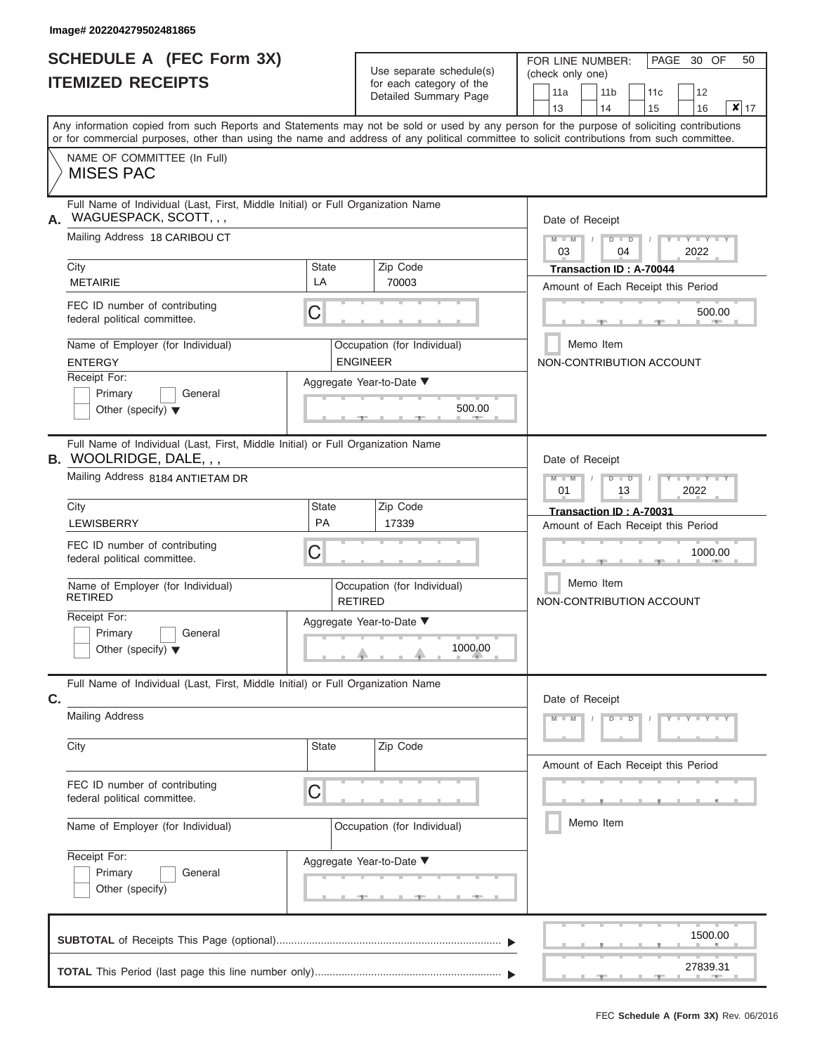|                          | <b>SCHEDULE A (FEC Form 3X)</b> |  |
|--------------------------|---------------------------------|--|
| <b>ITEMIZED RECEIPTS</b> |                                 |  |

Use separate schedule $(s)$  for each category of the

FOR LINE NUMBER:<br>(check only one)

PAGE 30 OF 50

|    | IIEMIZEV REVEIFIJ                                                                                                                                                                                                                                                                       |                    | for each category of the<br>Detailed Summary Page | 13 | 11a                        | 11 <sub>b</sub><br>14 |               | 11c<br>15                                                     | 12<br>16        | $\overline{\mathbf{x}}$ 17 |
|----|-----------------------------------------------------------------------------------------------------------------------------------------------------------------------------------------------------------------------------------------------------------------------------------------|--------------------|---------------------------------------------------|----|----------------------------|-----------------------|---------------|---------------------------------------------------------------|-----------------|----------------------------|
|    | Any information copied from such Reports and Statements may not be sold or used by any person for the purpose of soliciting contributions<br>or for commercial purposes, other than using the name and address of any political committee to solicit contributions from such committee. |                    |                                                   |    |                            |                       |               |                                                               |                 |                            |
|    | NAME OF COMMITTEE (In Full)<br><b>MISES PAC</b>                                                                                                                                                                                                                                         |                    |                                                   |    |                            |                       |               |                                                               |                 |                            |
| А. | Full Name of Individual (Last, First, Middle Initial) or Full Organization Name<br>WAGUESPACK, SCOTT, , ,<br>Mailing Address 18 CARIBOU CT                                                                                                                                              |                    |                                                   |    | Date of Receipt<br>$M - M$ |                       | $D$ $D$       |                                                               | $Y = Y + Y$     |                            |
|    | City<br><b>METAIRIE</b>                                                                                                                                                                                                                                                                 | <b>State</b><br>LA | Zip Code<br>70003                                 |    | 03                         |                       | 04            | Transaction ID: A-70044<br>Amount of Each Receipt this Period | 2022            |                            |
|    | FEC ID number of contributing<br>federal political committee.                                                                                                                                                                                                                           | С                  |                                                   |    |                            |                       |               |                                                               | 500.00          |                            |
|    | Name of Employer (for Individual)<br><b>ENTERGY</b>                                                                                                                                                                                                                                     |                    | Occupation (for Individual)<br><b>ENGINEER</b>    |    |                            | Memo Item             |               | NON-CONTRIBUTION ACCOUNT                                      |                 |                            |
|    | Receipt For:<br>Primary<br>General<br>Other (specify) $\blacktriangledown$                                                                                                                                                                                                              |                    | Aggregate Year-to-Date ▼<br>500.00                |    |                            |                       |               |                                                               |                 |                            |
|    | Full Name of Individual (Last, First, Middle Initial) or Full Organization Name<br>$B.$ WOOLRIDGE, DALE, , ,                                                                                                                                                                            |                    |                                                   |    | Date of Receipt            |                       |               |                                                               |                 |                            |
|    | Mailing Address 8184 ANTIETAM DR<br>City                                                                                                                                                                                                                                                | <b>State</b>       | Zip Code                                          |    | $M - M$<br>01              |                       | $D$ $D$<br>13 |                                                               | Y TYT<br>2022   |                            |
|    | LEWISBERRY                                                                                                                                                                                                                                                                              | PA                 | 17339                                             |    |                            |                       |               | Transaction ID: A-70031<br>Amount of Each Receipt this Period |                 |                            |
|    | FEC ID number of contributing<br>federal political committee.                                                                                                                                                                                                                           | C                  |                                                   |    |                            |                       |               |                                                               | 1000.00         |                            |
|    | Name of Employer (for Individual)<br><b>RETIRED</b>                                                                                                                                                                                                                                     | <b>RETIRED</b>     | Occupation (for Individual)                       |    |                            | Memo Item             |               | NON-CONTRIBUTION ACCOUNT                                      |                 |                            |
|    | Receipt For:<br>Primary<br>General<br>Other (specify) $\blacktriangledown$                                                                                                                                                                                                              |                    | Aggregate Year-to-Date ▼<br>1000.00               |    |                            |                       |               |                                                               |                 |                            |
| C. | Full Name of Individual (Last, First, Middle Initial) or Full Organization Name                                                                                                                                                                                                         |                    |                                                   |    | Date of Receipt            |                       |               |                                                               |                 |                            |
|    | <b>Mailing Address</b>                                                                                                                                                                                                                                                                  |                    |                                                   |    | $M - M$                    |                       | $D$ $D$       |                                                               | $Y = Y = Y + Y$ |                            |
|    | City                                                                                                                                                                                                                                                                                    | State              | Zip Code                                          |    |                            |                       |               | Amount of Each Receipt this Period                            |                 |                            |
|    | FEC ID number of contributing<br>federal political committee.                                                                                                                                                                                                                           | С                  |                                                   |    |                            |                       |               |                                                               |                 |                            |
|    | Name of Employer (for Individual)                                                                                                                                                                                                                                                       |                    | Occupation (for Individual)                       |    |                            | Memo Item             |               |                                                               |                 |                            |
|    | Receipt For:<br>Primary<br>General<br>Other (specify)                                                                                                                                                                                                                                   |                    | Aggregate Year-to-Date ▼                          |    |                            |                       |               |                                                               |                 |                            |
|    |                                                                                                                                                                                                                                                                                         |                    |                                                   |    |                            |                       |               |                                                               | 1500.00         |                            |
|    |                                                                                                                                                                                                                                                                                         |                    |                                                   |    |                            |                       |               |                                                               | 27839.31        |                            |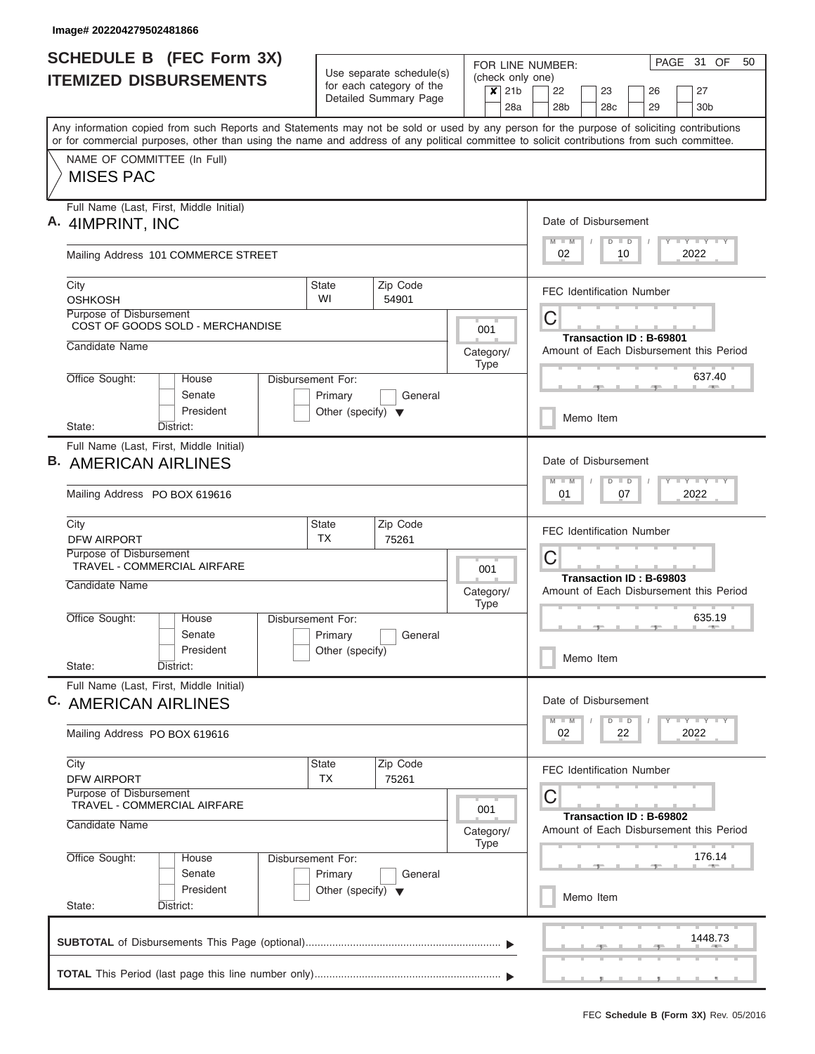| <b>SCHEDULE B</b> (FEC Form 3X)                                                                                                                                                                                                                                                         |                                      |                                                      |                          | FOR LINE NUMBER:            |   |                 |                      |               |                                  |   | PAGE 31 OF                      | 50                                      |
|-----------------------------------------------------------------------------------------------------------------------------------------------------------------------------------------------------------------------------------------------------------------------------------------|--------------------------------------|------------------------------------------------------|--------------------------|-----------------------------|---|-----------------|----------------------|---------------|----------------------------------|---|---------------------------------|-----------------------------------------|
| <b>ITEMIZED DISBURSEMENTS</b>                                                                                                                                                                                                                                                           |                                      | Use separate schedule(s)<br>for each category of the |                          | (check only one)<br>$x$ 21b |   | 22              | 23                   |               | 26                               |   | 27                              |                                         |
|                                                                                                                                                                                                                                                                                         |                                      | Detailed Summary Page                                |                          | 28a                         |   | 28 <sub>b</sub> | 28 <sub>c</sub>      |               | 29                               |   | 30 <sub>b</sub>                 |                                         |
| Any information copied from such Reports and Statements may not be sold or used by any person for the purpose of soliciting contributions<br>or for commercial purposes, other than using the name and address of any political committee to solicit contributions from such committee. |                                      |                                                      |                          |                             |   |                 |                      |               |                                  |   |                                 |                                         |
| NAME OF COMMITTEE (In Full)<br><b>MISES PAC</b>                                                                                                                                                                                                                                         |                                      |                                                      |                          |                             |   |                 |                      |               |                                  |   |                                 |                                         |
| Full Name (Last, First, Middle Initial)<br>A. 4IMPRINT, INC                                                                                                                                                                                                                             |                                      |                                                      |                          |                             |   | $M$ $M$         | Date of Disbursement | $D$ $D$       |                                  | Y | <b>TEY LY LY</b>                |                                         |
| Mailing Address 101 COMMERCE STREET                                                                                                                                                                                                                                                     |                                      |                                                      |                          |                             |   | 02              |                      | 10            |                                  |   | 2022                            |                                         |
| City<br><b>OSHKOSH</b>                                                                                                                                                                                                                                                                  | State<br>WI                          | Zip Code<br>54901                                    |                          |                             |   |                 |                      |               | <b>FEC Identification Number</b> |   |                                 |                                         |
| Purpose of Disbursement<br>COST OF GOODS SOLD - MERCHANDISE                                                                                                                                                                                                                             |                                      |                                                      | 001                      |                             | С |                 |                      |               |                                  |   |                                 |                                         |
| Candidate Name                                                                                                                                                                                                                                                                          |                                      |                                                      | Category/<br><b>Type</b> |                             |   |                 |                      |               | Transaction ID: B-69801          |   |                                 | Amount of Each Disbursement this Period |
| Office Sought:<br>House<br>Senate                                                                                                                                                                                                                                                       | Disbursement For:<br>Primary         | General                                              |                          |                             |   |                 |                      |               |                                  |   | 637.40                          |                                         |
| President<br>District:<br>State:                                                                                                                                                                                                                                                        | Other (specify) $\blacktriangledown$ |                                                      |                          |                             |   |                 | Memo Item            |               |                                  |   |                                 |                                         |
| Full Name (Last, First, Middle Initial)                                                                                                                                                                                                                                                 |                                      |                                                      |                          |                             |   |                 |                      |               |                                  |   |                                 |                                         |
| <b>AMERICAN AIRLINES</b>                                                                                                                                                                                                                                                                |                                      |                                                      |                          |                             |   |                 | Date of Disbursement |               |                                  |   |                                 |                                         |
| Mailing Address PO BOX 619616                                                                                                                                                                                                                                                           |                                      |                                                      |                          |                             |   | $M - M$<br>01   |                      | $D$ $D$<br>07 |                                  |   | $T - Y$<br>2022                 |                                         |
| City                                                                                                                                                                                                                                                                                    | <b>State</b><br><b>TX</b>            | Zip Code                                             |                          |                             |   |                 |                      |               | <b>FEC Identification Number</b> |   |                                 |                                         |
| <b>DFW AIRPORT</b><br>Purpose of Disbursement                                                                                                                                                                                                                                           |                                      | 75261                                                |                          |                             | С |                 |                      |               |                                  |   |                                 |                                         |
| <b>TRAVEL - COMMERCIAL AIRFARE</b>                                                                                                                                                                                                                                                      |                                      |                                                      | 001                      |                             |   |                 |                      |               | Transaction ID: B-69803          |   |                                 |                                         |
| Candidate Name                                                                                                                                                                                                                                                                          |                                      |                                                      | Category/<br><b>Type</b> |                             |   |                 |                      |               |                                  |   |                                 | Amount of Each Disbursement this Period |
| Office Sought:<br>House<br>Senate                                                                                                                                                                                                                                                       | Disbursement For:<br>Primary         | General                                              |                          |                             |   |                 |                      |               |                                  |   | 635.19                          |                                         |
| President<br>State:<br>District:                                                                                                                                                                                                                                                        | Other (specify)                      |                                                      |                          |                             |   |                 | Memo Item            |               |                                  |   |                                 |                                         |
| Full Name (Last, First, Middle Initial)<br>C. AMERICAN AIRLINES                                                                                                                                                                                                                         |                                      |                                                      |                          |                             |   |                 | Date of Disbursement |               |                                  |   |                                 |                                         |
| Mailing Address PO BOX 619616                                                                                                                                                                                                                                                           |                                      |                                                      |                          |                             |   | $M - M$<br>02   |                      | $D$ $D$<br>22 |                                  |   | $T - Y$ $T - Y$ $T - Y$<br>2022 |                                         |
| City<br><b>DFW AIRPORT</b>                                                                                                                                                                                                                                                              | <b>State</b><br><b>TX</b>            | Zip Code<br>75261                                    |                          |                             |   |                 |                      |               | <b>FEC Identification Number</b> |   |                                 |                                         |
| Purpose of Disbursement<br>TRAVEL - COMMERCIAL AIRFARE                                                                                                                                                                                                                                  |                                      |                                                      | 001                      |                             | С |                 |                      |               |                                  |   |                                 |                                         |
| Candidate Name                                                                                                                                                                                                                                                                          |                                      |                                                      | Category/<br><b>Type</b> |                             |   |                 |                      |               | Transaction ID: B-69802          |   |                                 | Amount of Each Disbursement this Period |
| Office Sought:<br>House<br>Senate                                                                                                                                                                                                                                                       | Disbursement For:<br>Primary         | General                                              |                          |                             |   |                 |                      |               |                                  |   | 176.14<br><b>ARM</b>            |                                         |
| President<br>State:<br>District:                                                                                                                                                                                                                                                        | Other (specify) $\blacktriangledown$ |                                                      |                          |                             |   |                 | Memo Item            |               |                                  |   |                                 |                                         |
|                                                                                                                                                                                                                                                                                         |                                      |                                                      |                          |                             |   |                 |                      |               |                                  |   | 1448.73                         |                                         |
|                                                                                                                                                                                                                                                                                         |                                      |                                                      |                          |                             |   |                 |                      |               |                                  |   |                                 |                                         |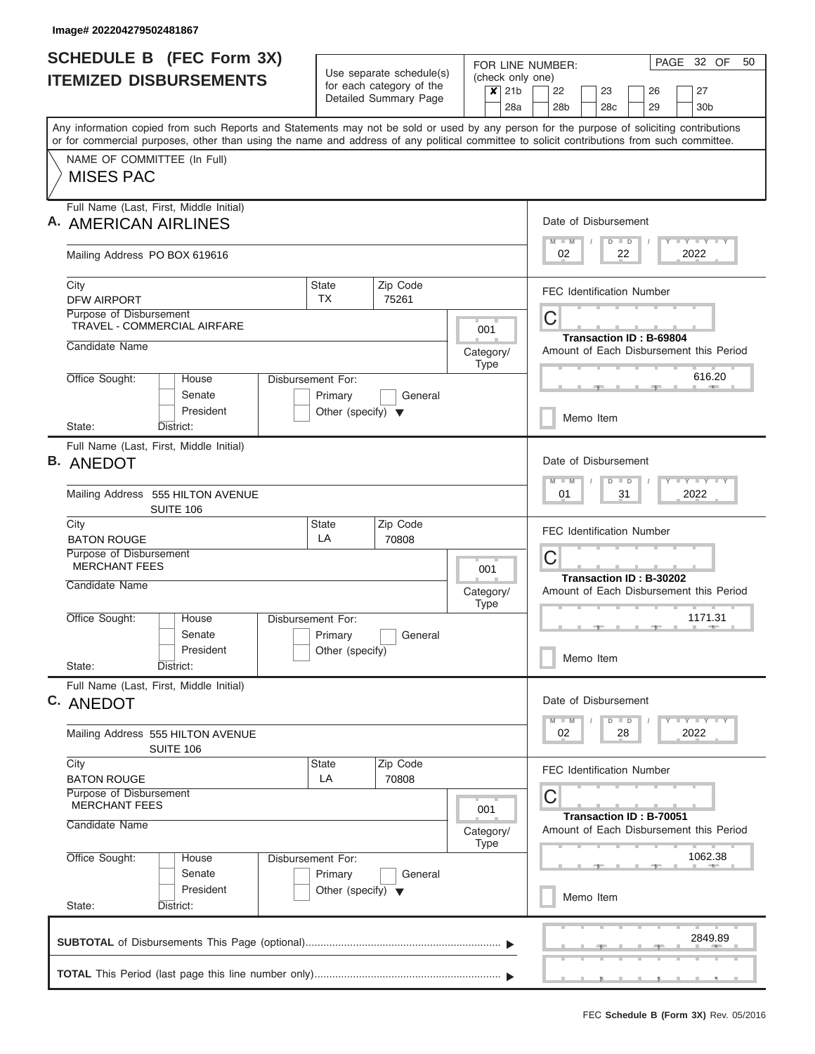| <b>SCHEDULE B (FEC Form 3X)</b>                                                                                                                                                                                                                                                         |                                                                      | Use separate schedule(s)                          |                          |                                    | PAGE<br>32 OF<br>50<br>FOR LINE NUMBER:                                             |
|-----------------------------------------------------------------------------------------------------------------------------------------------------------------------------------------------------------------------------------------------------------------------------------------|----------------------------------------------------------------------|---------------------------------------------------|--------------------------|------------------------------------|-------------------------------------------------------------------------------------|
| <b>ITEMIZED DISBURSEMENTS</b>                                                                                                                                                                                                                                                           |                                                                      | for each category of the<br>Detailed Summary Page |                          | (check only one)<br>$x$ 21b<br>28a | 22<br>23<br>27<br>26<br>29<br>28 <sub>b</sub><br>28 <sub>c</sub><br>30 <sub>b</sub> |
| Any information copied from such Reports and Statements may not be sold or used by any person for the purpose of soliciting contributions<br>or for commercial purposes, other than using the name and address of any political committee to solicit contributions from such committee. |                                                                      |                                                   |                          |                                    |                                                                                     |
| NAME OF COMMITTEE (In Full)<br><b>MISES PAC</b>                                                                                                                                                                                                                                         |                                                                      |                                                   |                          |                                    |                                                                                     |
| Full Name (Last, First, Middle Initial)<br>A. AMERICAN AIRLINES                                                                                                                                                                                                                         |                                                                      |                                                   |                          |                                    | Date of Disbursement<br>Y I Y I Y I Y<br>$M$ $M$<br>$D$ $D$                         |
| Mailing Address PO BOX 619616                                                                                                                                                                                                                                                           |                                                                      |                                                   |                          |                                    | 2022<br>02<br>22                                                                    |
| City<br><b>DFW AIRPORT</b>                                                                                                                                                                                                                                                              | <b>State</b><br>TX                                                   | Zip Code<br>75261                                 |                          |                                    | <b>FEC Identification Number</b>                                                    |
| Purpose of Disbursement<br>TRAVEL - COMMERCIAL AIRFARE                                                                                                                                                                                                                                  |                                                                      |                                                   | 001                      |                                    | C<br>Transaction ID: B-69804                                                        |
| Candidate Name                                                                                                                                                                                                                                                                          |                                                                      |                                                   | Category/<br>Type        |                                    | Amount of Each Disbursement this Period                                             |
| Office Sought:<br>House<br>Senate<br>President                                                                                                                                                                                                                                          | Disbursement For:<br>Primary<br>Other (specify) $\blacktriangledown$ | General                                           |                          |                                    | 616.20                                                                              |
| State:<br>District:                                                                                                                                                                                                                                                                     |                                                                      |                                                   |                          |                                    | Memo Item                                                                           |
| Full Name (Last, First, Middle Initial)<br><b>B.</b> ANEDOT                                                                                                                                                                                                                             |                                                                      |                                                   |                          |                                    | Date of Disbursement<br>Y FY FY FY<br>$M - M$<br>$D$ $D$                            |
| Mailing Address 555 HILTON AVENUE<br>SUITE 106                                                                                                                                                                                                                                          |                                                                      |                                                   |                          |                                    | 2022<br>01<br>31                                                                    |
| City<br><b>BATON ROUGE</b>                                                                                                                                                                                                                                                              | <b>State</b><br>LA                                                   | Zip Code<br>70808                                 |                          |                                    | <b>FEC Identification Number</b>                                                    |
| Purpose of Disbursement<br><b>MERCHANT FEES</b>                                                                                                                                                                                                                                         |                                                                      |                                                   | 001                      |                                    | C<br>Transaction ID: B-30202                                                        |
| Candidate Name                                                                                                                                                                                                                                                                          |                                                                      |                                                   | Category/<br><b>Type</b> |                                    | Amount of Each Disbursement this Period                                             |
| Office Sought:<br>House<br>Senate<br>President                                                                                                                                                                                                                                          | Disbursement For:<br>Primary<br>Other (specify)                      | General                                           |                          |                                    | 1171.31<br>Memo Item                                                                |
| State:<br>District:<br>Full Name (Last, First, Middle Initial)                                                                                                                                                                                                                          |                                                                      |                                                   |                          |                                    |                                                                                     |
| C. ANEDOT                                                                                                                                                                                                                                                                               |                                                                      |                                                   |                          |                                    | Date of Disbursement<br>$Y$ $Y$ $Y$ $Y$ $Y$<br>$D$ $D$<br>$M$ $M$                   |
| Mailing Address 555 HILTON AVENUE<br>SUITE 106                                                                                                                                                                                                                                          |                                                                      |                                                   |                          |                                    | 2022<br>02<br>28                                                                    |
| City<br><b>BATON ROUGE</b>                                                                                                                                                                                                                                                              | State<br>LA                                                          | Zip Code<br>70808                                 |                          |                                    | <b>FEC Identification Number</b>                                                    |
| Purpose of Disbursement<br><b>MERCHANT FEES</b><br>Candidate Name                                                                                                                                                                                                                       |                                                                      |                                                   | 001                      |                                    | С<br>Transaction ID: B-70051                                                        |
| Office Sought:<br>House                                                                                                                                                                                                                                                                 | Disbursement For:                                                    |                                                   | Category/<br>Type        |                                    | Amount of Each Disbursement this Period<br>1062.38                                  |
| Senate<br>President                                                                                                                                                                                                                                                                     | Primary<br>Other (specify) $\blacktriangledown$                      | General                                           |                          |                                    | Memo Item                                                                           |
| State:<br>District:                                                                                                                                                                                                                                                                     |                                                                      |                                                   |                          |                                    | 2849.89                                                                             |
|                                                                                                                                                                                                                                                                                         |                                                                      |                                                   |                          |                                    |                                                                                     |
|                                                                                                                                                                                                                                                                                         |                                                                      |                                                   |                          |                                    |                                                                                     |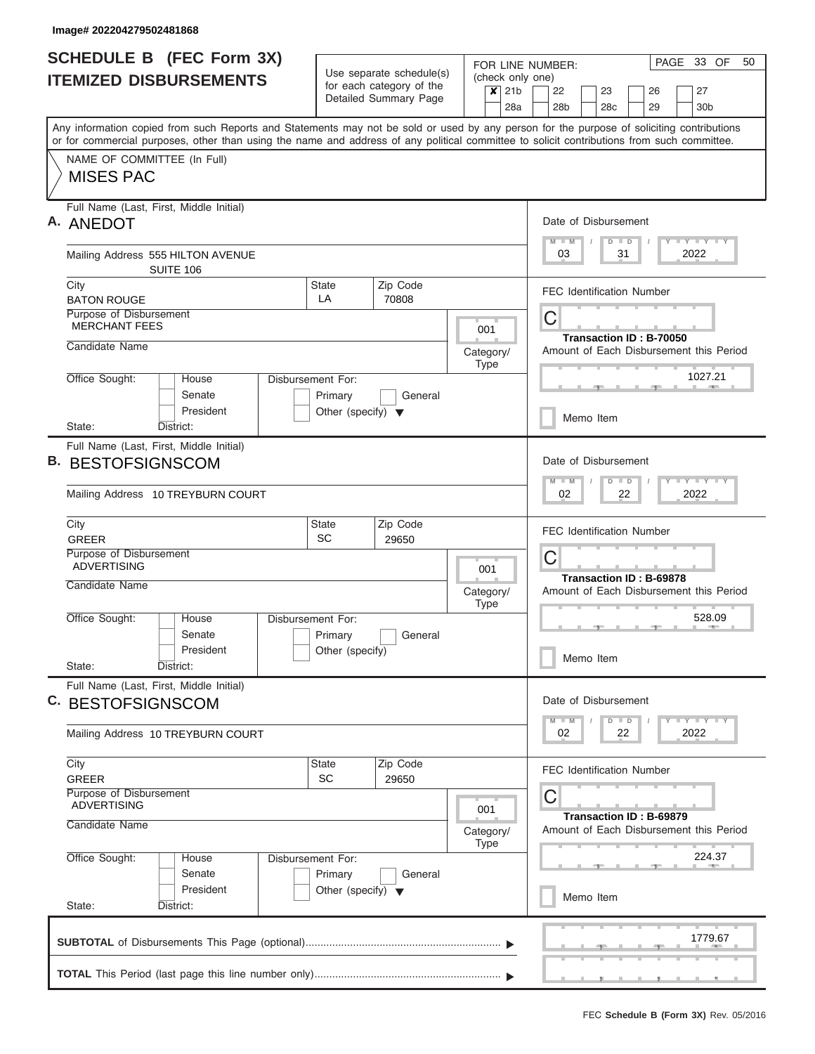I

|    | SCHEDULE B (FEC Form 3X)                                                                                                                                                                                                                                                                |                                      |                                                      |                             | PAGE 33 OF<br>50<br>FOR LINE NUMBER:                                                                  |
|----|-----------------------------------------------------------------------------------------------------------------------------------------------------------------------------------------------------------------------------------------------------------------------------------------|--------------------------------------|------------------------------------------------------|-----------------------------|-------------------------------------------------------------------------------------------------------|
|    | <b>ITEMIZED DISBURSEMENTS</b>                                                                                                                                                                                                                                                           |                                      | Use separate schedule(s)<br>for each category of the | (check only one)<br>$x$ 21b | 22<br>23<br>27<br>26                                                                                  |
|    |                                                                                                                                                                                                                                                                                         |                                      | Detailed Summary Page                                | 28a                         | 28b<br>28c<br>29<br>30 <sub>b</sub>                                                                   |
|    | Any information copied from such Reports and Statements may not be sold or used by any person for the purpose of soliciting contributions<br>or for commercial purposes, other than using the name and address of any political committee to solicit contributions from such committee. |                                      |                                                      |                             |                                                                                                       |
|    | NAME OF COMMITTEE (In Full)<br><b>MISES PAC</b>                                                                                                                                                                                                                                         |                                      |                                                      |                             |                                                                                                       |
|    | Full Name (Last, First, Middle Initial)                                                                                                                                                                                                                                                 |                                      |                                                      |                             |                                                                                                       |
|    | A. ANEDOT                                                                                                                                                                                                                                                                               |                                      |                                                      |                             | Date of Disbursement<br>$M$ $M$<br>Y LY LY LY<br>$D$ $D$                                              |
|    | Mailing Address 555 HILTON AVENUE<br>SUITE 106                                                                                                                                                                                                                                          |                                      |                                                      |                             | 2022<br>03<br>31                                                                                      |
|    | City<br><b>BATON ROUGE</b>                                                                                                                                                                                                                                                              | State<br>LA                          | Zip Code<br>70808                                    |                             | <b>FEC Identification Number</b>                                                                      |
|    | Purpose of Disbursement<br><b>MERCHANT FEES</b>                                                                                                                                                                                                                                         |                                      |                                                      | 001                         | С<br>Transaction ID: B-70050                                                                          |
|    | Candidate Name                                                                                                                                                                                                                                                                          |                                      |                                                      | Category/<br><b>Type</b>    | Amount of Each Disbursement this Period                                                               |
|    | Office Sought:<br>House<br>Senate                                                                                                                                                                                                                                                       | Disbursement For:<br>Primary         | General                                              |                             | 1027.21                                                                                               |
|    | President<br>District:<br>State:                                                                                                                                                                                                                                                        | Other (specify) $\blacktriangledown$ |                                                      |                             | Memo Item                                                                                             |
| В. | Full Name (Last, First, Middle Initial)<br><b>BESTOFSIGNSCOM</b><br>Mailing Address 10 TREYBURN COURT                                                                                                                                                                                   |                                      |                                                      |                             | Date of Disbursement<br>$M - M$<br>$T$ $T$ $T$ $T$ $T$ $T$ $T$ $T$ $T$<br>$D$ $D$<br>2022<br>02<br>22 |
|    | City<br><b>GREER</b>                                                                                                                                                                                                                                                                    | <b>State</b><br><b>SC</b>            | Zip Code<br>29650                                    |                             | <b>FEC Identification Number</b>                                                                      |
|    | Purpose of Disbursement<br><b>ADVERTISING</b>                                                                                                                                                                                                                                           |                                      |                                                      | 001                         | С                                                                                                     |
|    | Candidate Name                                                                                                                                                                                                                                                                          |                                      |                                                      | Category/<br><b>Type</b>    | Transaction ID: B-69878<br>Amount of Each Disbursement this Period                                    |
|    | Office Sought:<br>House<br>Senate                                                                                                                                                                                                                                                       | Disbursement For:<br>Primary         | General                                              |                             | 528.09<br>$-1$<br><b>AND IN</b>                                                                       |
|    | President<br>State:<br>District:                                                                                                                                                                                                                                                        | Other (specify)                      |                                                      |                             | Memo Item                                                                                             |
|    | Full Name (Last, First, Middle Initial)<br>C. BESTOFSIGNSCOM                                                                                                                                                                                                                            |                                      |                                                      |                             | Date of Disbursement                                                                                  |
|    | Mailing Address 10 TREYBURN COURT                                                                                                                                                                                                                                                       |                                      |                                                      |                             | <b>LY LY LY</b><br>$M - M$<br>$D$ $D$<br>2022<br>02<br>22                                             |
|    | City<br><b>GREER</b>                                                                                                                                                                                                                                                                    | <b>State</b><br><b>SC</b>            | Zip Code<br>29650                                    |                             | <b>FEC Identification Number</b>                                                                      |
|    | Purpose of Disbursement<br><b>ADVERTISING</b><br>Candidate Name                                                                                                                                                                                                                         |                                      |                                                      | 001<br>Category/<br>Type    | С<br>Transaction ID: B-69879<br>Amount of Each Disbursement this Period                               |
|    | Office Sought:<br>House<br>Senate                                                                                                                                                                                                                                                       | Disbursement For:<br>Primary         | General                                              |                             | 224.37<br><b>COLLECTIVE</b>                                                                           |
|    | President<br>State:<br>District:                                                                                                                                                                                                                                                        | Other (specify) $\blacktriangledown$ |                                                      |                             | Memo Item                                                                                             |
|    |                                                                                                                                                                                                                                                                                         |                                      |                                                      |                             | 1779.67                                                                                               |
|    |                                                                                                                                                                                                                                                                                         |                                      |                                                      |                             |                                                                                                       |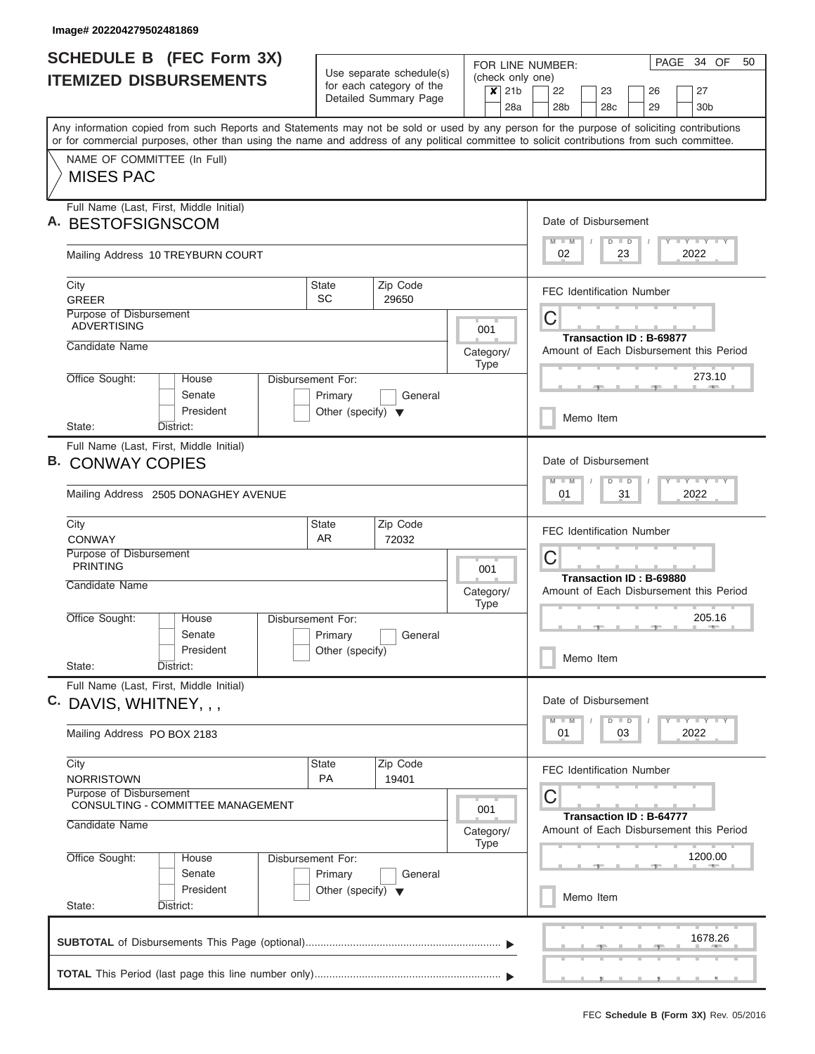|    | SCHEDULE B (FEC Form 3X)                                                                                                                   |                                                 |                                                      |           |             |                             | FOR LINE NUMBER:     |                 |               |                                  | PAGE 34 OF                                  | 50 |
|----|--------------------------------------------------------------------------------------------------------------------------------------------|-------------------------------------------------|------------------------------------------------------|-----------|-------------|-----------------------------|----------------------|-----------------|---------------|----------------------------------|---------------------------------------------|----|
|    | <b>ITEMIZED DISBURSEMENTS</b>                                                                                                              |                                                 | Use separate schedule(s)<br>for each category of the |           |             | (check only one)<br>$x$ 21b | 22                   | 23              |               | 26                               | 27                                          |    |
|    |                                                                                                                                            |                                                 | Detailed Summary Page                                |           |             | 28a                         | 28 <sub>b</sub>      | 28 <sub>c</sub> |               | 29                               | 30 <sub>b</sub>                             |    |
|    | Any information copied from such Reports and Statements may not be sold or used by any person for the purpose of soliciting contributions  |                                                 |                                                      |           |             |                             |                      |                 |               |                                  |                                             |    |
|    | or for commercial purposes, other than using the name and address of any political committee to solicit contributions from such committee. |                                                 |                                                      |           |             |                             |                      |                 |               |                                  |                                             |    |
|    | NAME OF COMMITTEE (In Full)<br><b>MISES PAC</b>                                                                                            |                                                 |                                                      |           |             |                             |                      |                 |               |                                  |                                             |    |
|    |                                                                                                                                            |                                                 |                                                      |           |             |                             |                      |                 |               |                                  |                                             |    |
|    | Full Name (Last, First, Middle Initial)                                                                                                    |                                                 |                                                      |           |             |                             |                      |                 |               |                                  |                                             |    |
| Α. | <b>BESTOFSIGNSCOM</b>                                                                                                                      |                                                 |                                                      |           |             |                             | Date of Disbursement |                 |               |                                  |                                             |    |
|    | Mailing Address 10 TREYBURN COURT                                                                                                          |                                                 |                                                      |           |             |                             | $M$ $M$<br>02        |                 | $D$ $D$<br>23 |                                  | Y I Y I Y I Y<br>2022                       |    |
|    | City                                                                                                                                       | <b>State</b>                                    | Zip Code                                             |           |             |                             |                      |                 |               | <b>FEC Identification Number</b> |                                             |    |
|    | <b>GREER</b>                                                                                                                               | <b>SC</b>                                       | 29650                                                |           |             |                             |                      |                 |               |                                  |                                             |    |
|    | Purpose of Disbursement<br><b>ADVERTISING</b>                                                                                              |                                                 |                                                      |           | 001         |                             | С                    |                 |               |                                  |                                             |    |
|    | Candidate Name                                                                                                                             |                                                 |                                                      | Category/ |             |                             |                      |                 |               | Transaction ID: B-69877          | Amount of Each Disbursement this Period     |    |
|    |                                                                                                                                            |                                                 |                                                      |           | Type        |                             |                      |                 |               |                                  |                                             |    |
|    | Office Sought:<br>House<br>Disbursement For:<br>Senate                                                                                     |                                                 |                                                      |           |             |                             |                      |                 |               |                                  | 273.10                                      |    |
|    | President                                                                                                                                  | Primary<br>Other (specify) $\blacktriangledown$ | General                                              |           |             |                             |                      |                 |               |                                  |                                             |    |
|    | District:<br>State:                                                                                                                        |                                                 |                                                      |           |             |                             |                      | Memo Item       |               |                                  |                                             |    |
|    | Full Name (Last, First, Middle Initial)                                                                                                    |                                                 |                                                      |           |             |                             |                      |                 |               |                                  |                                             |    |
| В. | <b>CONWAY COPIES</b>                                                                                                                       |                                                 |                                                      |           |             |                             | Date of Disbursement |                 |               |                                  |                                             |    |
|    | Mailing Address 2505 DONAGHEY AVENUE                                                                                                       |                                                 |                                                      |           |             |                             | $M - M$<br>01        |                 | $D$ $D$<br>31 |                                  | $T$ $T$ $T$ $T$ $T$ $T$ $T$ $T$ $T$<br>2022 |    |
|    |                                                                                                                                            |                                                 |                                                      |           |             |                             |                      |                 |               |                                  |                                             |    |
|    | City                                                                                                                                       | <b>State</b>                                    | Zip Code                                             |           |             |                             |                      |                 |               | <b>FEC Identification Number</b> |                                             |    |
|    | CONWAY<br>Purpose of Disbursement                                                                                                          | AR.                                             | 72032                                                |           |             |                             | С                    |                 |               |                                  |                                             |    |
|    | <b>PRINTING</b>                                                                                                                            |                                                 |                                                      |           | 001         |                             |                      |                 |               | Transaction ID: B-69880          |                                             |    |
|    | Candidate Name                                                                                                                             |                                                 |                                                      | Category/ |             |                             |                      |                 |               |                                  | Amount of Each Disbursement this Period     |    |
|    | Office Sought:<br>House<br>Disbursement For:                                                                                               |                                                 |                                                      |           | <b>Type</b> |                             |                      |                 |               |                                  | 205.16                                      |    |
|    | Senate                                                                                                                                     | Primary                                         | General                                              |           |             |                             |                      |                 |               | $\rightarrow$                    | <b>ARTICLE</b>                              |    |
|    | President                                                                                                                                  | Other (specify)                                 |                                                      |           |             |                             |                      | Memo Item       |               |                                  |                                             |    |
|    | State:<br>District:                                                                                                                        |                                                 |                                                      |           |             |                             |                      |                 |               |                                  |                                             |    |
|    | Full Name (Last, First, Middle Initial)                                                                                                    |                                                 |                                                      |           |             |                             | Date of Disbursement |                 |               |                                  |                                             |    |
|    | C. DAVIS, WHITNEY, , ,                                                                                                                     |                                                 |                                                      |           |             |                             | $M - M$              |                 | $D$ $D$       |                                  | $T - Y$ $T - Y$                             |    |
|    | Mailing Address PO BOX 2183                                                                                                                |                                                 |                                                      |           |             |                             | 01                   |                 | 03            |                                  | 2022                                        |    |
|    | City                                                                                                                                       | State                                           | Zip Code                                             |           |             |                             |                      |                 |               | <b>FEC Identification Number</b> |                                             |    |
|    | <b>NORRISTOWN</b><br><b>Purpose of Disbursement</b>                                                                                        | <b>PA</b>                                       | 19401                                                |           |             |                             |                      |                 |               |                                  |                                             |    |
|    | CONSULTING - COMMITTEE MANAGEMENT                                                                                                          |                                                 |                                                      |           | 001         |                             | С                    |                 |               |                                  |                                             |    |
|    | Candidate Name                                                                                                                             |                                                 |                                                      | Category/ | Type        |                             |                      |                 |               | <b>Transaction ID: B-64777</b>   | Amount of Each Disbursement this Period     |    |
|    | Office Sought:<br>Disbursement For:<br>House                                                                                               |                                                 |                                                      |           |             |                             |                      |                 |               |                                  | 1200.00                                     |    |
|    | Senate                                                                                                                                     | Primary                                         | General                                              |           |             |                             |                      |                 |               |                                  |                                             |    |
|    | President<br>State:<br>District:                                                                                                           | Other (specify) $\blacktriangledown$            |                                                      |           |             |                             |                      | Memo Item       |               |                                  |                                             |    |
|    |                                                                                                                                            |                                                 |                                                      |           |             |                             |                      |                 |               |                                  |                                             |    |
|    |                                                                                                                                            |                                                 |                                                      |           |             |                             |                      |                 |               |                                  | 1678.26                                     |    |
|    |                                                                                                                                            |                                                 |                                                      |           |             |                             |                      |                 |               | , , , , , ,                      |                                             |    |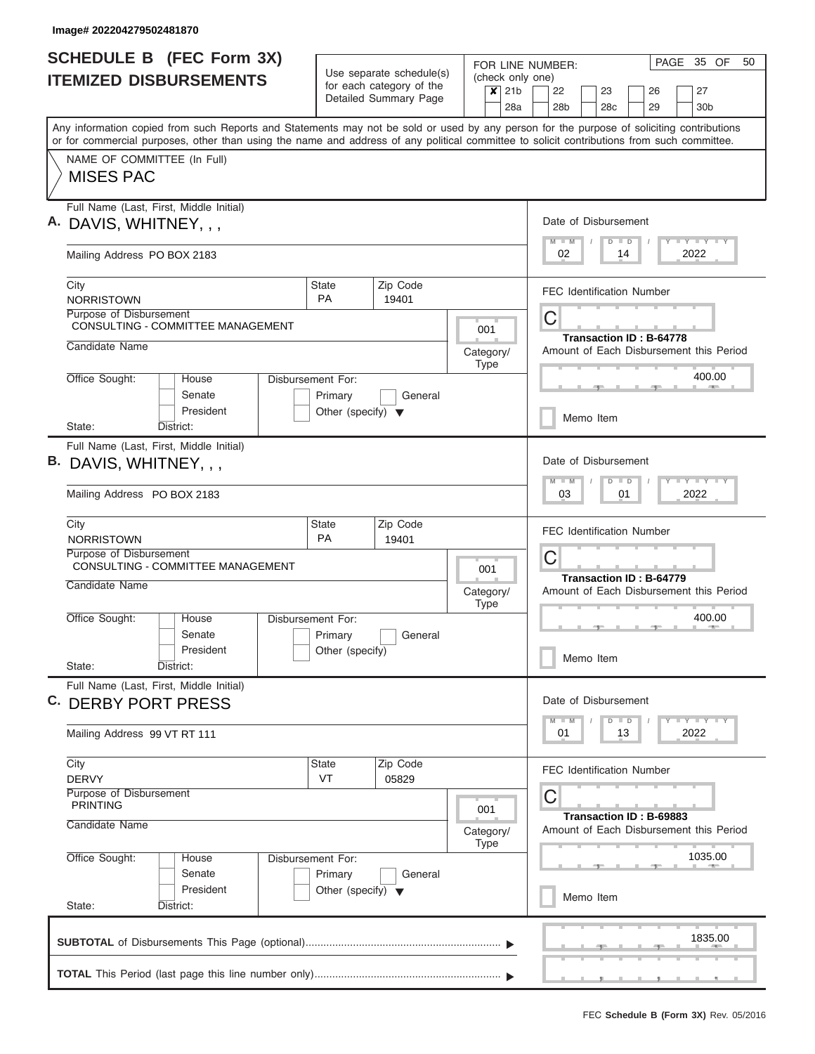| <b>SCHEDULE B</b> (FEC Form 3X)                                                                                                                                                                                                                                                         |                                                                      |                                                      |                          | PAGE 35 OF<br>50<br>FOR LINE NUMBER:                                                                                                            |
|-----------------------------------------------------------------------------------------------------------------------------------------------------------------------------------------------------------------------------------------------------------------------------------------|----------------------------------------------------------------------|------------------------------------------------------|--------------------------|-------------------------------------------------------------------------------------------------------------------------------------------------|
| <b>ITEMIZED DISBURSEMENTS</b>                                                                                                                                                                                                                                                           |                                                                      | Use separate schedule(s)<br>for each category of the | $x$ 21b                  | (check only one)<br>22<br>23<br>26<br>27                                                                                                        |
|                                                                                                                                                                                                                                                                                         |                                                                      | Detailed Summary Page                                |                          | 28a<br>28 <sub>b</sub><br>28 <sub>c</sub><br>29<br>30 <sub>b</sub>                                                                              |
| Any information copied from such Reports and Statements may not be sold or used by any person for the purpose of soliciting contributions<br>or for commercial purposes, other than using the name and address of any political committee to solicit contributions from such committee. |                                                                      |                                                      |                          |                                                                                                                                                 |
| NAME OF COMMITTEE (In Full)<br><b>MISES PAC</b>                                                                                                                                                                                                                                         |                                                                      |                                                      |                          |                                                                                                                                                 |
| Full Name (Last, First, Middle Initial)<br>A. DAVIS, WHITNEY, , ,                                                                                                                                                                                                                       |                                                                      |                                                      |                          | Date of Disbursement                                                                                                                            |
| Mailing Address PO BOX 2183                                                                                                                                                                                                                                                             |                                                                      |                                                      |                          | Y FY FY FY<br>$M$ $M$<br>$D$ $D$<br>2022<br>02<br>14                                                                                            |
| City<br><b>NORRISTOWN</b>                                                                                                                                                                                                                                                               | <b>State</b><br><b>PA</b>                                            | Zip Code<br>19401                                    |                          | <b>FEC Identification Number</b>                                                                                                                |
| Purpose of Disbursement<br><b>CONSULTING - COMMITTEE MANAGEMENT</b>                                                                                                                                                                                                                     |                                                                      |                                                      | 001                      | C                                                                                                                                               |
| Candidate Name                                                                                                                                                                                                                                                                          |                                                                      |                                                      | Category/<br><b>Type</b> | <b>Transaction ID: B-64778</b><br>Amount of Each Disbursement this Period                                                                       |
| Office Sought:<br>House<br>Senate<br>President                                                                                                                                                                                                                                          | Disbursement For:<br>Primary<br>Other (specify) $\blacktriangledown$ | General                                              |                          | 400.00                                                                                                                                          |
| State:<br>District:                                                                                                                                                                                                                                                                     |                                                                      |                                                      |                          | Memo Item                                                                                                                                       |
| Full Name (Last, First, Middle Initial)<br>B. DAVIS, WHITNEY, , ,<br>Mailing Address PO BOX 2183                                                                                                                                                                                        |                                                                      |                                                      |                          | Date of Disbursement<br>$\mathbf{I} = \mathbf{Y} - \mathbf{I} - \mathbf{Y} - \mathbf{I} - \mathbf{Y}$<br>$M - M$<br>$D$ $D$<br>2022<br>03<br>01 |
| City<br><b>NORRISTOWN</b>                                                                                                                                                                                                                                                               | <b>State</b><br>PA                                                   | Zip Code<br>19401                                    |                          | <b>FEC Identification Number</b>                                                                                                                |
| Purpose of Disbursement<br>CONSULTING - COMMITTEE MANAGEMENT                                                                                                                                                                                                                            |                                                                      |                                                      | 001                      | C<br>Transaction ID: B-64779                                                                                                                    |
| Candidate Name                                                                                                                                                                                                                                                                          |                                                                      |                                                      | Category/<br><b>Type</b> | Amount of Each Disbursement this Period                                                                                                         |
| Office Sought:<br>House<br>Senate                                                                                                                                                                                                                                                       | Disbursement For:<br>Primary                                         | General                                              |                          | 400.00                                                                                                                                          |
| President<br>State:<br>District:                                                                                                                                                                                                                                                        | Other (specify)                                                      |                                                      |                          | Memo Item                                                                                                                                       |
| Full Name (Last, First, Middle Initial)<br>C. DERBY PORT PRESS                                                                                                                                                                                                                          |                                                                      |                                                      |                          | Date of Disbursement                                                                                                                            |
| Mailing Address 99 VT RT 111                                                                                                                                                                                                                                                            |                                                                      |                                                      |                          | $T$ $Y$ $T$ $Y$ $T$ $Y$<br>$M - M$<br>$\Box$<br>D<br>2022<br>01<br>13                                                                           |
| City<br><b>DERVY</b>                                                                                                                                                                                                                                                                    | <b>State</b><br>VT                                                   | Zip Code<br>05829                                    |                          | <b>FEC Identification Number</b>                                                                                                                |
| Purpose of Disbursement<br><b>PRINTING</b><br>Candidate Name                                                                                                                                                                                                                            |                                                                      |                                                      | 001                      | C<br>Transaction ID: B-69883                                                                                                                    |
| Office Sought:<br>House                                                                                                                                                                                                                                                                 | Disbursement For:                                                    |                                                      | Category/<br><b>Type</b> | Amount of Each Disbursement this Period<br>1035.00                                                                                              |
| Senate<br>President                                                                                                                                                                                                                                                                     | Primary<br>Other (specify) $\blacktriangledown$                      | General                                              |                          |                                                                                                                                                 |
| State:<br>District:                                                                                                                                                                                                                                                                     |                                                                      |                                                      |                          | Memo Item                                                                                                                                       |
|                                                                                                                                                                                                                                                                                         |                                                                      |                                                      |                          | <b>The Common</b><br>1835.00                                                                                                                    |
|                                                                                                                                                                                                                                                                                         |                                                                      |                                                      |                          |                                                                                                                                                 |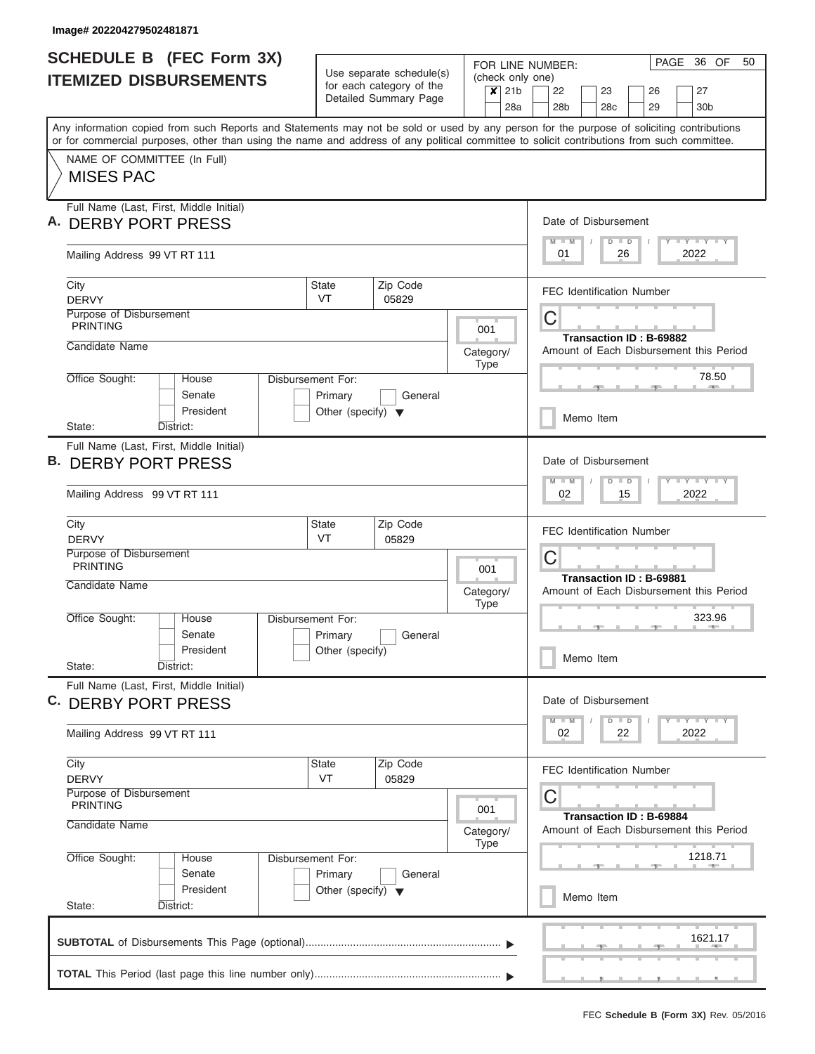I

| for each category of the<br>$\overline{\mathbf{x}}$<br>21 <sub>b</sub><br>22<br>23<br>26<br>27<br>Detailed Summary Page<br>28a<br>28 <sub>b</sub><br>29<br>30 <sub>b</sub><br>28c<br>Any information copied from such Reports and Statements may not be sold or used by any person for the purpose of soliciting contributions<br>or for commercial purposes, other than using the name and address of any political committee to solicit contributions from such committee.<br>NAME OF COMMITTEE (In Full)<br><b>MISES PAC</b><br>Full Name (Last, First, Middle Initial)<br>Date of Disbursement<br><b>DERBY PORT PRESS</b><br>Y I Y I Y I Y<br>$M - M$<br>$D$ $D$<br>2022<br>01<br>26<br>Mailing Address 99 VT RT 111<br>Zip Code<br>City<br>State<br><b>FEC Identification Number</b><br><b>VT</b><br><b>DERVY</b><br>05829<br>Purpose of Disbursement<br>C<br><b>PRINTING</b><br>001<br>Transaction ID: B-69882<br>Candidate Name<br>Amount of Each Disbursement this Period<br>Category/<br><b>Type</b><br>78.50<br>Office Sought:<br>House<br>Disbursement For:<br>Senate<br>Primary<br>General<br>President<br>Other (specify) $\blacktriangledown$<br>Memo Item<br>State:<br>District:<br>Full Name (Last, First, Middle Initial)<br>Date of Disbursement<br><b>DERBY PORT PRESS</b><br>Y FY FY FY<br>$M - M$<br>$D$ $D$<br>2022<br>Mailing Address 99 VT RT 111<br>02<br>15<br>State<br>Zip Code<br>City<br><b>FEC Identification Number</b><br>VT<br><b>DERVY</b><br>05829<br>Purpose of Disbursement<br>C<br><b>PRINTING</b><br>001<br>Transaction ID: B-69881<br>Candidate Name<br>Amount of Each Disbursement this Period<br>Category/<br><b>Type</b><br>323.96<br>Office Sought:<br>Disbursement For:<br>House<br>Senate<br>Primary<br>General<br>President<br>Other (specify)<br>Memo Item<br>State:<br>District:<br>Full Name (Last, First, Middle Initial)<br>Date of Disbursement<br>C. DERBY PORT PRESS<br>Y FY FY FY<br>$D$ $D$<br>$M - M$<br>2022<br>Mailing Address 99 VT RT 111<br>02<br>22<br>City<br>State<br>Zip Code<br><b>FEC Identification Number</b><br>VT<br><b>DERVY</b><br>05829<br>Purpose of Disbursement<br>C<br><b>PRINTING</b><br>001<br>Transaction ID: B-69884<br>Candidate Name<br>Amount of Each Disbursement this Period<br>Category/<br><b>Type</b><br>1218.71<br>Office Sought:<br>Disbursement For:<br>House<br>Senate<br>Primary<br>General<br>President<br>Other (specify) $\blacktriangledown$<br>Memo Item<br>State:<br>District:<br>1621.17 |    | <b>SCHEDULE B (FEC Form 3X)</b><br><b>ITEMIZED DISBURSEMENTS</b> | Use separate schedule(s) |  | FOR LINE NUMBER:<br>(check only one) |  |  |  | PAGE | 36 OF | 50 |
|--------------------------------------------------------------------------------------------------------------------------------------------------------------------------------------------------------------------------------------------------------------------------------------------------------------------------------------------------------------------------------------------------------------------------------------------------------------------------------------------------------------------------------------------------------------------------------------------------------------------------------------------------------------------------------------------------------------------------------------------------------------------------------------------------------------------------------------------------------------------------------------------------------------------------------------------------------------------------------------------------------------------------------------------------------------------------------------------------------------------------------------------------------------------------------------------------------------------------------------------------------------------------------------------------------------------------------------------------------------------------------------------------------------------------------------------------------------------------------------------------------------------------------------------------------------------------------------------------------------------------------------------------------------------------------------------------------------------------------------------------------------------------------------------------------------------------------------------------------------------------------------------------------------------------------------------------------------------------------------------------------------------------------------------------------------------------------------------------------------------------------------------------------------------------------------------------------------------------------------------------------------------------------------------------------------------------------------------------------------------------------------------------------------------------------------------------------------------------------------------------|----|------------------------------------------------------------------|--------------------------|--|--------------------------------------|--|--|--|------|-------|----|
|                                                                                                                                                                                                                                                                                                                                                                                                                                                                                                                                                                                                                                                                                                                                                                                                                                                                                                                                                                                                                                                                                                                                                                                                                                                                                                                                                                                                                                                                                                                                                                                                                                                                                                                                                                                                                                                                                                                                                                                                                                                                                                                                                                                                                                                                                                                                                                                                                                                                                                  |    |                                                                  |                          |  |                                      |  |  |  |      |       |    |
|                                                                                                                                                                                                                                                                                                                                                                                                                                                                                                                                                                                                                                                                                                                                                                                                                                                                                                                                                                                                                                                                                                                                                                                                                                                                                                                                                                                                                                                                                                                                                                                                                                                                                                                                                                                                                                                                                                                                                                                                                                                                                                                                                                                                                                                                                                                                                                                                                                                                                                  |    |                                                                  |                          |  |                                      |  |  |  |      |       |    |
|                                                                                                                                                                                                                                                                                                                                                                                                                                                                                                                                                                                                                                                                                                                                                                                                                                                                                                                                                                                                                                                                                                                                                                                                                                                                                                                                                                                                                                                                                                                                                                                                                                                                                                                                                                                                                                                                                                                                                                                                                                                                                                                                                                                                                                                                                                                                                                                                                                                                                                  |    |                                                                  |                          |  |                                      |  |  |  |      |       |    |
|                                                                                                                                                                                                                                                                                                                                                                                                                                                                                                                                                                                                                                                                                                                                                                                                                                                                                                                                                                                                                                                                                                                                                                                                                                                                                                                                                                                                                                                                                                                                                                                                                                                                                                                                                                                                                                                                                                                                                                                                                                                                                                                                                                                                                                                                                                                                                                                                                                                                                                  |    |                                                                  |                          |  |                                      |  |  |  |      |       |    |
|                                                                                                                                                                                                                                                                                                                                                                                                                                                                                                                                                                                                                                                                                                                                                                                                                                                                                                                                                                                                                                                                                                                                                                                                                                                                                                                                                                                                                                                                                                                                                                                                                                                                                                                                                                                                                                                                                                                                                                                                                                                                                                                                                                                                                                                                                                                                                                                                                                                                                                  |    |                                                                  |                          |  |                                      |  |  |  |      |       |    |
|                                                                                                                                                                                                                                                                                                                                                                                                                                                                                                                                                                                                                                                                                                                                                                                                                                                                                                                                                                                                                                                                                                                                                                                                                                                                                                                                                                                                                                                                                                                                                                                                                                                                                                                                                                                                                                                                                                                                                                                                                                                                                                                                                                                                                                                                                                                                                                                                                                                                                                  |    |                                                                  |                          |  |                                      |  |  |  |      |       |    |
|                                                                                                                                                                                                                                                                                                                                                                                                                                                                                                                                                                                                                                                                                                                                                                                                                                                                                                                                                                                                                                                                                                                                                                                                                                                                                                                                                                                                                                                                                                                                                                                                                                                                                                                                                                                                                                                                                                                                                                                                                                                                                                                                                                                                                                                                                                                                                                                                                                                                                                  |    |                                                                  |                          |  |                                      |  |  |  |      |       |    |
|                                                                                                                                                                                                                                                                                                                                                                                                                                                                                                                                                                                                                                                                                                                                                                                                                                                                                                                                                                                                                                                                                                                                                                                                                                                                                                                                                                                                                                                                                                                                                                                                                                                                                                                                                                                                                                                                                                                                                                                                                                                                                                                                                                                                                                                                                                                                                                                                                                                                                                  |    |                                                                  |                          |  |                                      |  |  |  |      |       |    |
|                                                                                                                                                                                                                                                                                                                                                                                                                                                                                                                                                                                                                                                                                                                                                                                                                                                                                                                                                                                                                                                                                                                                                                                                                                                                                                                                                                                                                                                                                                                                                                                                                                                                                                                                                                                                                                                                                                                                                                                                                                                                                                                                                                                                                                                                                                                                                                                                                                                                                                  |    |                                                                  |                          |  |                                      |  |  |  |      |       |    |
|                                                                                                                                                                                                                                                                                                                                                                                                                                                                                                                                                                                                                                                                                                                                                                                                                                                                                                                                                                                                                                                                                                                                                                                                                                                                                                                                                                                                                                                                                                                                                                                                                                                                                                                                                                                                                                                                                                                                                                                                                                                                                                                                                                                                                                                                                                                                                                                                                                                                                                  |    |                                                                  |                          |  |                                      |  |  |  |      |       |    |
|                                                                                                                                                                                                                                                                                                                                                                                                                                                                                                                                                                                                                                                                                                                                                                                                                                                                                                                                                                                                                                                                                                                                                                                                                                                                                                                                                                                                                                                                                                                                                                                                                                                                                                                                                                                                                                                                                                                                                                                                                                                                                                                                                                                                                                                                                                                                                                                                                                                                                                  | В. |                                                                  |                          |  |                                      |  |  |  |      |       |    |
|                                                                                                                                                                                                                                                                                                                                                                                                                                                                                                                                                                                                                                                                                                                                                                                                                                                                                                                                                                                                                                                                                                                                                                                                                                                                                                                                                                                                                                                                                                                                                                                                                                                                                                                                                                                                                                                                                                                                                                                                                                                                                                                                                                                                                                                                                                                                                                                                                                                                                                  |    |                                                                  |                          |  |                                      |  |  |  |      |       |    |
|                                                                                                                                                                                                                                                                                                                                                                                                                                                                                                                                                                                                                                                                                                                                                                                                                                                                                                                                                                                                                                                                                                                                                                                                                                                                                                                                                                                                                                                                                                                                                                                                                                                                                                                                                                                                                                                                                                                                                                                                                                                                                                                                                                                                                                                                                                                                                                                                                                                                                                  |    |                                                                  |                          |  |                                      |  |  |  |      |       |    |
|                                                                                                                                                                                                                                                                                                                                                                                                                                                                                                                                                                                                                                                                                                                                                                                                                                                                                                                                                                                                                                                                                                                                                                                                                                                                                                                                                                                                                                                                                                                                                                                                                                                                                                                                                                                                                                                                                                                                                                                                                                                                                                                                                                                                                                                                                                                                                                                                                                                                                                  |    |                                                                  |                          |  |                                      |  |  |  |      |       |    |
|                                                                                                                                                                                                                                                                                                                                                                                                                                                                                                                                                                                                                                                                                                                                                                                                                                                                                                                                                                                                                                                                                                                                                                                                                                                                                                                                                                                                                                                                                                                                                                                                                                                                                                                                                                                                                                                                                                                                                                                                                                                                                                                                                                                                                                                                                                                                                                                                                                                                                                  |    |                                                                  |                          |  |                                      |  |  |  |      |       |    |
|                                                                                                                                                                                                                                                                                                                                                                                                                                                                                                                                                                                                                                                                                                                                                                                                                                                                                                                                                                                                                                                                                                                                                                                                                                                                                                                                                                                                                                                                                                                                                                                                                                                                                                                                                                                                                                                                                                                                                                                                                                                                                                                                                                                                                                                                                                                                                                                                                                                                                                  |    |                                                                  |                          |  |                                      |  |  |  |      |       |    |
|                                                                                                                                                                                                                                                                                                                                                                                                                                                                                                                                                                                                                                                                                                                                                                                                                                                                                                                                                                                                                                                                                                                                                                                                                                                                                                                                                                                                                                                                                                                                                                                                                                                                                                                                                                                                                                                                                                                                                                                                                                                                                                                                                                                                                                                                                                                                                                                                                                                                                                  |    |                                                                  |                          |  |                                      |  |  |  |      |       |    |
|                                                                                                                                                                                                                                                                                                                                                                                                                                                                                                                                                                                                                                                                                                                                                                                                                                                                                                                                                                                                                                                                                                                                                                                                                                                                                                                                                                                                                                                                                                                                                                                                                                                                                                                                                                                                                                                                                                                                                                                                                                                                                                                                                                                                                                                                                                                                                                                                                                                                                                  |    |                                                                  |                          |  |                                      |  |  |  |      |       |    |
|                                                                                                                                                                                                                                                                                                                                                                                                                                                                                                                                                                                                                                                                                                                                                                                                                                                                                                                                                                                                                                                                                                                                                                                                                                                                                                                                                                                                                                                                                                                                                                                                                                                                                                                                                                                                                                                                                                                                                                                                                                                                                                                                                                                                                                                                                                                                                                                                                                                                                                  |    |                                                                  |                          |  |                                      |  |  |  |      |       |    |
|                                                                                                                                                                                                                                                                                                                                                                                                                                                                                                                                                                                                                                                                                                                                                                                                                                                                                                                                                                                                                                                                                                                                                                                                                                                                                                                                                                                                                                                                                                                                                                                                                                                                                                                                                                                                                                                                                                                                                                                                                                                                                                                                                                                                                                                                                                                                                                                                                                                                                                  |    |                                                                  |                          |  |                                      |  |  |  |      |       |    |
|                                                                                                                                                                                                                                                                                                                                                                                                                                                                                                                                                                                                                                                                                                                                                                                                                                                                                                                                                                                                                                                                                                                                                                                                                                                                                                                                                                                                                                                                                                                                                                                                                                                                                                                                                                                                                                                                                                                                                                                                                                                                                                                                                                                                                                                                                                                                                                                                                                                                                                  |    |                                                                  |                          |  |                                      |  |  |  |      |       |    |
|                                                                                                                                                                                                                                                                                                                                                                                                                                                                                                                                                                                                                                                                                                                                                                                                                                                                                                                                                                                                                                                                                                                                                                                                                                                                                                                                                                                                                                                                                                                                                                                                                                                                                                                                                                                                                                                                                                                                                                                                                                                                                                                                                                                                                                                                                                                                                                                                                                                                                                  |    |                                                                  |                          |  |                                      |  |  |  |      |       |    |
|                                                                                                                                                                                                                                                                                                                                                                                                                                                                                                                                                                                                                                                                                                                                                                                                                                                                                                                                                                                                                                                                                                                                                                                                                                                                                                                                                                                                                                                                                                                                                                                                                                                                                                                                                                                                                                                                                                                                                                                                                                                                                                                                                                                                                                                                                                                                                                                                                                                                                                  |    |                                                                  |                          |  |                                      |  |  |  |      |       |    |
|                                                                                                                                                                                                                                                                                                                                                                                                                                                                                                                                                                                                                                                                                                                                                                                                                                                                                                                                                                                                                                                                                                                                                                                                                                                                                                                                                                                                                                                                                                                                                                                                                                                                                                                                                                                                                                                                                                                                                                                                                                                                                                                                                                                                                                                                                                                                                                                                                                                                                                  |    |                                                                  |                          |  |                                      |  |  |  |      |       |    |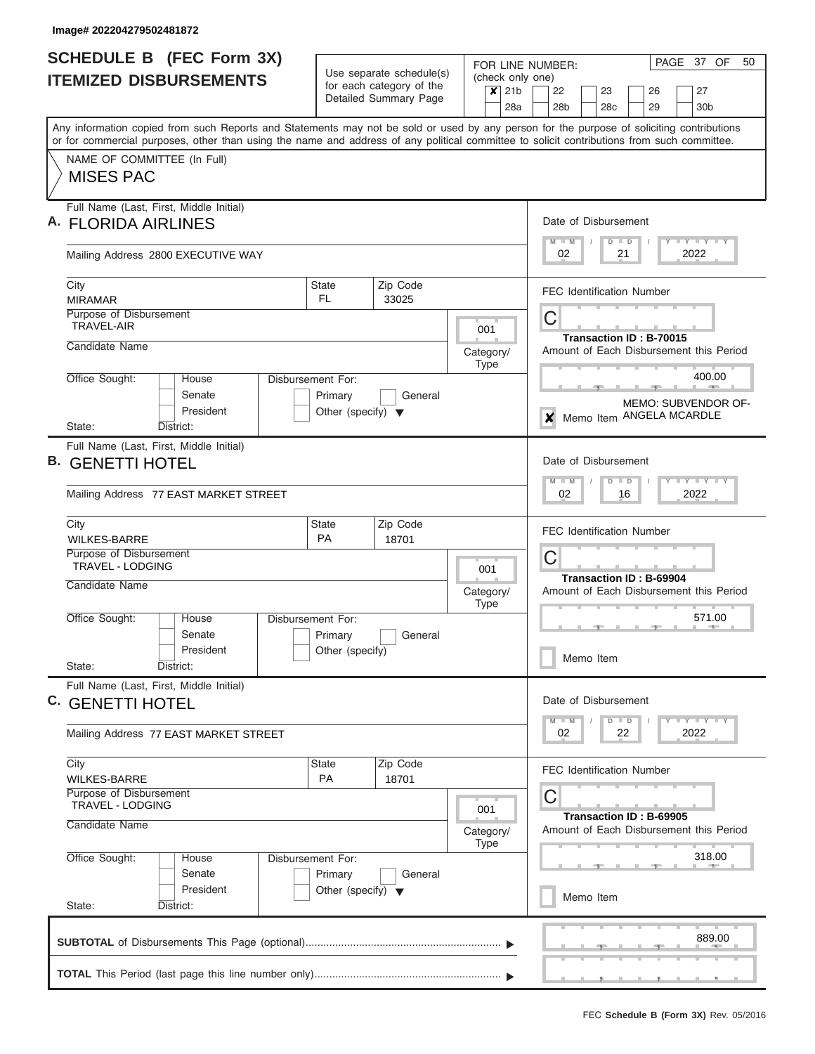|    | <b>SCHEDULE B</b> (FEC Form 3X)                                                                                                                                                                                                                                                         |                                                                      | Use separate schedule(s)                          |                                                                | PAGE 37 OF<br>50<br>FOR LINE NUMBER:                                                |  |  |  |  |  |  |  |  |  |  |  |
|----|-----------------------------------------------------------------------------------------------------------------------------------------------------------------------------------------------------------------------------------------------------------------------------------------|----------------------------------------------------------------------|---------------------------------------------------|----------------------------------------------------------------|-------------------------------------------------------------------------------------|--|--|--|--|--|--|--|--|--|--|--|
|    | <b>ITEMIZED DISBURSEMENTS</b>                                                                                                                                                                                                                                                           |                                                                      | for each category of the<br>Detailed Summary Page | (check only one)<br>21 <sub>b</sub><br>$\boldsymbol{x}$<br>28a | 22<br>23<br>26<br>27<br>28 <sub>b</sub><br>29<br>28 <sub>c</sub><br>30 <sub>b</sub> |  |  |  |  |  |  |  |  |  |  |  |
|    | Any information copied from such Reports and Statements may not be sold or used by any person for the purpose of soliciting contributions<br>or for commercial purposes, other than using the name and address of any political committee to solicit contributions from such committee. |                                                                      |                                                   |                                                                |                                                                                     |  |  |  |  |  |  |  |  |  |  |  |
|    | NAME OF COMMITTEE (In Full)<br><b>MISES PAC</b>                                                                                                                                                                                                                                         |                                                                      |                                                   |                                                                |                                                                                     |  |  |  |  |  |  |  |  |  |  |  |
|    | Full Name (Last, First, Middle Initial)<br><b>FLORIDA AIRLINES</b>                                                                                                                                                                                                                      |                                                                      |                                                   |                                                                | Date of Disbursement<br>$Y = Y = Y + Y + Y$<br>$M - M$<br>$D$ $D$                   |  |  |  |  |  |  |  |  |  |  |  |
|    | Mailing Address 2800 EXECUTIVE WAY                                                                                                                                                                                                                                                      |                                                                      |                                                   |                                                                | 2022<br>02<br>21                                                                    |  |  |  |  |  |  |  |  |  |  |  |
|    | City<br><b>MIRAMAR</b>                                                                                                                                                                                                                                                                  | State<br>FL.                                                         | Zip Code<br>33025                                 |                                                                | <b>FEC Identification Number</b>                                                    |  |  |  |  |  |  |  |  |  |  |  |
|    | Purpose of Disbursement<br><b>TRAVEL-AIR</b><br>Candidate Name                                                                                                                                                                                                                          |                                                                      |                                                   | 001<br>Category/                                               | C<br>Transaction ID: B-70015<br>Amount of Each Disbursement this Period             |  |  |  |  |  |  |  |  |  |  |  |
|    | Office Sought:<br>House<br>Senate<br>President                                                                                                                                                                                                                                          | Disbursement For:<br>Primary<br>Other (specify) $\blacktriangledown$ | General                                           | <b>Type</b>                                                    | 400.00<br>$-1$<br>MEMO: SUBVENDOR OF-                                               |  |  |  |  |  |  |  |  |  |  |  |
|    | District:<br>State:                                                                                                                                                                                                                                                                     |                                                                      |                                                   |                                                                | Memo Item ANGELA MCARDLE<br>×                                                       |  |  |  |  |  |  |  |  |  |  |  |
| В. | Full Name (Last, First, Middle Initial)<br><b>GENETTI HOTEL</b><br>Mailing Address 77 EAST MARKET STREET                                                                                                                                                                                |                                                                      |                                                   |                                                                | Date of Disbursement<br>$M - M$<br>$D$ $D$<br>2022<br>02<br>16                      |  |  |  |  |  |  |  |  |  |  |  |
|    | City<br><b>WILKES-BARRE</b>                                                                                                                                                                                                                                                             | State<br><b>PA</b>                                                   | Zip Code<br>18701                                 |                                                                | <b>FEC Identification Number</b>                                                    |  |  |  |  |  |  |  |  |  |  |  |
|    | Purpose of Disbursement<br><b>TRAVEL - LODGING</b>                                                                                                                                                                                                                                      |                                                                      |                                                   | 001                                                            | C<br>Transaction ID: B-69904                                                        |  |  |  |  |  |  |  |  |  |  |  |
|    | Candidate Name                                                                                                                                                                                                                                                                          |                                                                      |                                                   | Category/<br><b>Type</b>                                       | Amount of Each Disbursement this Period                                             |  |  |  |  |  |  |  |  |  |  |  |
|    | Office Sought:<br>House<br>Senate<br>President<br>State:<br>District:                                                                                                                                                                                                                   | Disbursement For:<br>Primary<br>Other (specify)                      | General                                           |                                                                | 571.00<br>Memo Item                                                                 |  |  |  |  |  |  |  |  |  |  |  |
|    | Full Name (Last, First, Middle Initial)<br>C. GENETTI HOTEL                                                                                                                                                                                                                             |                                                                      |                                                   |                                                                | Date of Disbursement                                                                |  |  |  |  |  |  |  |  |  |  |  |
|    | Mailing Address 77 EAST MARKET STREET                                                                                                                                                                                                                                                   |                                                                      |                                                   |                                                                | $T - Y$ $T - Y$<br>$M$ $M$<br>$D$ $D$<br>2022<br>02<br>22                           |  |  |  |  |  |  |  |  |  |  |  |
|    | City<br><b>WILKES-BARRE</b><br>Purpose of Disbursement                                                                                                                                                                                                                                  | State<br><b>PA</b>                                                   | Zip Code<br>18701                                 |                                                                | <b>FEC Identification Number</b><br>С                                               |  |  |  |  |  |  |  |  |  |  |  |
|    | TRAVEL - LODGING<br>Candidate Name                                                                                                                                                                                                                                                      |                                                                      |                                                   | 001<br>Category/<br><b>Type</b>                                | Transaction ID: B-69905<br>Amount of Each Disbursement this Period                  |  |  |  |  |  |  |  |  |  |  |  |
|    | Office Sought:<br>House<br>Senate<br>President                                                                                                                                                                                                                                          | Disbursement For:<br>Primary<br>Other (specify) $\blacktriangledown$ | General                                           |                                                                | 318.00                                                                              |  |  |  |  |  |  |  |  |  |  |  |
|    | State:<br>District:                                                                                                                                                                                                                                                                     |                                                                      |                                                   |                                                                | Memo Item                                                                           |  |  |  |  |  |  |  |  |  |  |  |
|    |                                                                                                                                                                                                                                                                                         |                                                                      |                                                   |                                                                | 889.00                                                                              |  |  |  |  |  |  |  |  |  |  |  |
|    |                                                                                                                                                                                                                                                                                         |                                                                      |                                                   |                                                                |                                                                                     |  |  |  |  |  |  |  |  |  |  |  |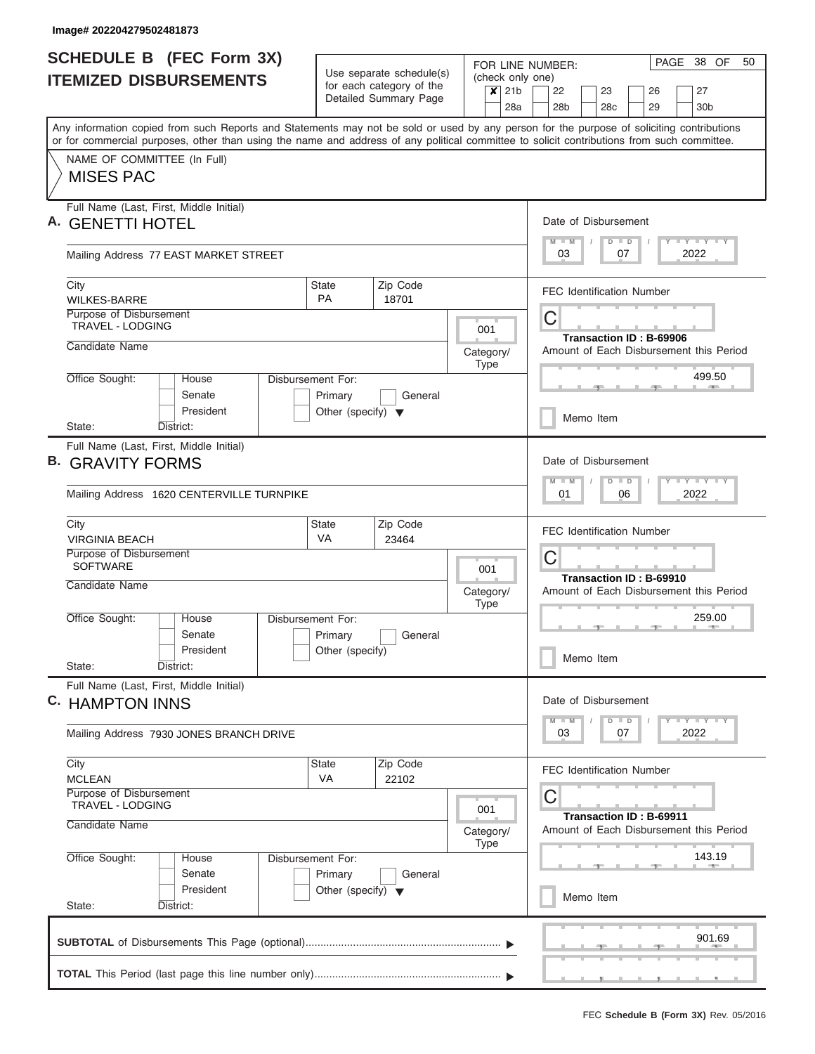| <b>SCHEDULE B (FEC Form 3X)</b>                                                                                                                                                                                                                                                         |                                                                      |                                                      |                              |                                      |                 | 38 OF<br>PAGE<br>FOR LINE NUMBER:       |        |                 |    |                                |  |                                         |  |  |  |  |
|-----------------------------------------------------------------------------------------------------------------------------------------------------------------------------------------------------------------------------------------------------------------------------------------|----------------------------------------------------------------------|------------------------------------------------------|------------------------------|--------------------------------------|-----------------|-----------------------------------------|--------|-----------------|----|--------------------------------|--|-----------------------------------------|--|--|--|--|
| <b>ITEMIZED DISBURSEMENTS</b>                                                                                                                                                                                                                                                           |                                                                      | Use separate schedule(s)<br>for each category of the |                              | (check only one)<br>$\boldsymbol{x}$ | 21 <sub>b</sub> | 22                                      |        | 23              |    | 26                             |  | 27                                      |  |  |  |  |
|                                                                                                                                                                                                                                                                                         |                                                                      | Detailed Summary Page                                |                              |                                      | 28a             | 28 <sub>b</sub>                         |        | 28 <sub>c</sub> |    | 29                             |  | 30 <sub>b</sub>                         |  |  |  |  |
| Any information copied from such Reports and Statements may not be sold or used by any person for the purpose of soliciting contributions<br>or for commercial purposes, other than using the name and address of any political committee to solicit contributions from such committee. |                                                                      |                                                      |                              |                                      |                 |                                         |        |                 |    |                                |  |                                         |  |  |  |  |
| NAME OF COMMITTEE (In Full)<br><b>MISES PAC</b>                                                                                                                                                                                                                                         |                                                                      |                                                      |                              |                                      |                 |                                         |        |                 |    |                                |  |                                         |  |  |  |  |
| Full Name (Last, First, Middle Initial)<br><b>GENETTI HOTEL</b>                                                                                                                                                                                                                         |                                                                      |                                                      |                              |                                      |                 | Date of Disbursement                    |        |                 |    |                                |  |                                         |  |  |  |  |
| Mailing Address 77 EAST MARKET STREET                                                                                                                                                                                                                                                   |                                                                      |                                                      |                              |                                      |                 | $M - M$<br>03                           |        | $D$ $D$         | 07 | $\sqrt{ }$                     |  | Y I Y I Y I Y<br>2022                   |  |  |  |  |
| City<br><b>WILKES-BARRE</b>                                                                                                                                                                                                                                                             | <b>State</b><br><b>PA</b>                                            | Zip Code<br>18701                                    |                              |                                      |                 | <b>FEC Identification Number</b>        |        |                 |    |                                |  |                                         |  |  |  |  |
| Purpose of Disbursement<br><b>TRAVEL - LODGING</b>                                                                                                                                                                                                                                      |                                                                      |                                                      |                              | C<br>Transaction ID: B-69906         |                 |                                         |        |                 |    |                                |  |                                         |  |  |  |  |
| Candidate Name                                                                                                                                                                                                                                                                          |                                                                      |                                                      |                              | Category/<br><b>Type</b>             |                 |                                         |        |                 |    |                                |  | Amount of Each Disbursement this Period |  |  |  |  |
| Office Sought:<br>House<br>Senate<br>President                                                                                                                                                                                                                                          | Disbursement For:<br>Primary<br>Other (specify) $\blacktriangledown$ | General                                              |                              |                                      |                 |                                         |        |                 |    |                                |  | 499.50                                  |  |  |  |  |
| District:<br>State:                                                                                                                                                                                                                                                                     |                                                                      |                                                      |                              |                                      |                 |                                         |        | Memo Item       |    |                                |  |                                         |  |  |  |  |
| Full Name (Last, First, Middle Initial)<br><b>B. GRAVITY FORMS</b><br>Mailing Address 1620 CENTERVILLE TURNPIKE                                                                                                                                                                         |                                                                      |                                                      |                              |                                      |                 | Date of Disbursement<br>$M - M$<br>01   |        | $D$ $D$         | 06 |                                |  | Y FY FY FY<br>2022                      |  |  |  |  |
| City<br><b>VIRGINIA BEACH</b>                                                                                                                                                                                                                                                           | <b>State</b><br><b>VA</b>                                            | Zip Code<br>23464                                    |                              |                                      |                 | <b>FEC Identification Number</b>        |        |                 |    |                                |  |                                         |  |  |  |  |
| Purpose of Disbursement<br><b>SOFTWARE</b>                                                                                                                                                                                                                                              |                                                                      |                                                      | C<br>Transaction ID: B-69910 |                                      |                 |                                         |        |                 |    |                                |  |                                         |  |  |  |  |
| Candidate Name                                                                                                                                                                                                                                                                          |                                                                      |                                                      |                              | Category/<br><b>Type</b>             |                 | Amount of Each Disbursement this Period |        |                 |    |                                |  |                                         |  |  |  |  |
| Office Sought:<br>House<br>Senate                                                                                                                                                                                                                                                       | Disbursement For:<br>Primary                                         | General                                              |                              |                                      |                 |                                         |        |                 |    |                                |  | 259.00                                  |  |  |  |  |
| President<br>State:<br>District:                                                                                                                                                                                                                                                        | Other (specify)                                                      |                                                      |                              |                                      |                 |                                         |        | Memo Item       |    |                                |  |                                         |  |  |  |  |
| Full Name (Last, First, Middle Initial)<br>C. HAMPTON INNS                                                                                                                                                                                                                              |                                                                      |                                                      |                              |                                      |                 | Date of Disbursement                    |        |                 |    |                                |  |                                         |  |  |  |  |
| Mailing Address 7930 JONES BRANCH DRIVE                                                                                                                                                                                                                                                 |                                                                      |                                                      |                              |                                      |                 | $M - M$<br>03                           |        | $D$ $D$         | 07 |                                |  | $Y - Y - Y - Y - I$<br>2022             |  |  |  |  |
| City<br><b>MCLEAN</b>                                                                                                                                                                                                                                                                   | State<br>VA                                                          | Zip Code<br>22102                                    |                              |                                      |                 | <b>FEC Identification Number</b>        |        |                 |    |                                |  |                                         |  |  |  |  |
| Purpose of Disbursement<br><b>TRAVEL - LODGING</b><br>Candidate Name                                                                                                                                                                                                                    |                                                                      |                                                      |                              | 001<br>Category/                     |                 | С                                       |        |                 |    | <b>Transaction ID: B-69911</b> |  | Amount of Each Disbursement this Period |  |  |  |  |
| Office Sought:<br>House<br>Senate                                                                                                                                                                                                                                                       | <b>Type</b><br>Disbursement For:<br>Primary<br>General               |                                                      |                              |                                      |                 |                                         | 143.19 |                 |    |                                |  |                                         |  |  |  |  |
| President<br>State:<br>District:                                                                                                                                                                                                                                                        | Other (specify) $\blacktriangledown$                                 |                                                      |                              |                                      |                 | Memo Item                               |        |                 |    |                                |  |                                         |  |  |  |  |
|                                                                                                                                                                                                                                                                                         |                                                                      |                                                      |                              |                                      |                 |                                         |        |                 |    |                                |  | 901.69                                  |  |  |  |  |
|                                                                                                                                                                                                                                                                                         |                                                                      |                                                      |                              |                                      |                 |                                         |        |                 |    |                                |  |                                         |  |  |  |  |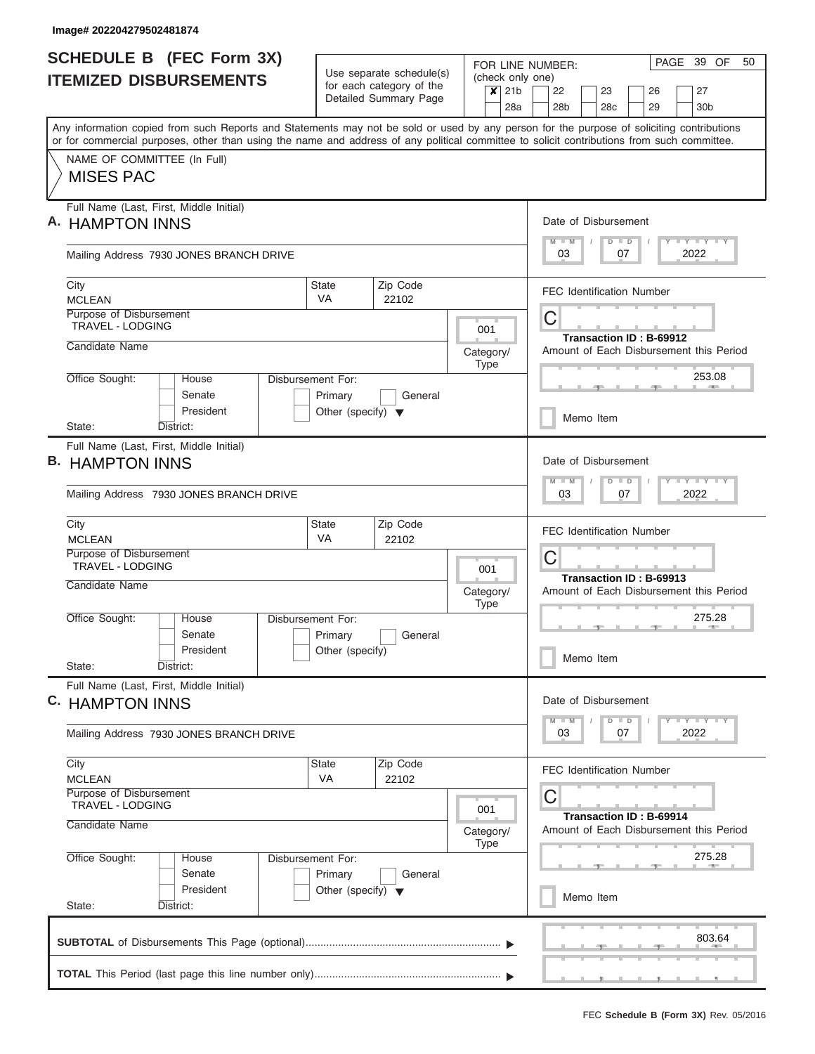| <b>SCHEDULE B (FEC Form 3X)</b>                                                                                                                                                                                                                                                         |                                                      |                              |           |             |     |                                                                                      | PAGE<br>39 OF<br>50<br>FOR LINE NUMBER:       |           |  |                                  |  |    |  |                                                   |  |  |  |  |  |  |
|-----------------------------------------------------------------------------------------------------------------------------------------------------------------------------------------------------------------------------------------------------------------------------------------|------------------------------------------------------|------------------------------|-----------|-------------|-----|--------------------------------------------------------------------------------------|-----------------------------------------------|-----------|--|----------------------------------|--|----|--|---------------------------------------------------|--|--|--|--|--|--|
| <b>ITEMIZED DISBURSEMENTS</b>                                                                                                                                                                                                                                                           | Use separate schedule(s)<br>for each category of the |                              |           |             |     |                                                                                      | (check only one)<br>$x$ 21b<br>22<br>23<br>26 |           |  |                                  |  |    |  |                                                   |  |  |  |  |  |  |
|                                                                                                                                                                                                                                                                                         |                                                      | Detailed Summary Page        |           |             | 28a |                                                                                      | 28 <sub>b</sub>                               |           |  | 28 <sub>c</sub>                  |  | 29 |  | 27<br>30 <sub>b</sub>                             |  |  |  |  |  |  |
| Any information copied from such Reports and Statements may not be sold or used by any person for the purpose of soliciting contributions<br>or for commercial purposes, other than using the name and address of any political committee to solicit contributions from such committee. |                                                      |                              |           |             |     |                                                                                      |                                               |           |  |                                  |  |    |  |                                                   |  |  |  |  |  |  |
| NAME OF COMMITTEE (In Full)                                                                                                                                                                                                                                                             |                                                      |                              |           |             |     |                                                                                      |                                               |           |  |                                  |  |    |  |                                                   |  |  |  |  |  |  |
| <b>MISES PAC</b>                                                                                                                                                                                                                                                                        |                                                      |                              |           |             |     |                                                                                      |                                               |           |  |                                  |  |    |  |                                                   |  |  |  |  |  |  |
| Full Name (Last, First, Middle Initial)<br>A. HAMPTON INNS                                                                                                                                                                                                                              |                                                      |                              |           |             |     |                                                                                      | Date of Disbursement                          |           |  |                                  |  |    |  |                                                   |  |  |  |  |  |  |
| Mailing Address 7930 JONES BRANCH DRIVE                                                                                                                                                                                                                                                 |                                                      |                              |           |             |     | $M - M$<br>Y I Y I Y I Y<br>$D$ $D$<br>03<br>07<br>2022                              |                                               |           |  |                                  |  |    |  |                                                   |  |  |  |  |  |  |
| City<br><b>MCLEAN</b>                                                                                                                                                                                                                                                                   | State<br>VA                                          | Zip Code<br>22102            |           |             |     |                                                                                      |                                               |           |  | <b>FEC Identification Number</b> |  |    |  |                                                   |  |  |  |  |  |  |
| Purpose of Disbursement<br><b>TRAVEL - LODGING</b>                                                                                                                                                                                                                                      |                                                      | С<br>Transaction ID: B-69912 |           |             |     |                                                                                      |                                               |           |  |                                  |  |    |  |                                                   |  |  |  |  |  |  |
| Candidate Name                                                                                                                                                                                                                                                                          |                                                      |                              | Category/ | Type        |     |                                                                                      |                                               |           |  |                                  |  |    |  | Amount of Each Disbursement this Period<br>253.08 |  |  |  |  |  |  |
| Office Sought:<br>House<br>Disbursement For:<br>Senate<br>President                                                                                                                                                                                                                     | Primary<br>Other (specify) $\blacktriangledown$      |                              |           |             |     |                                                                                      |                                               |           |  |                                  |  |    |  |                                                   |  |  |  |  |  |  |
| State:<br>District:                                                                                                                                                                                                                                                                     |                                                      |                              |           |             |     |                                                                                      |                                               | Memo Item |  |                                  |  |    |  |                                                   |  |  |  |  |  |  |
| Full Name (Last, First, Middle Initial)<br><b>B. HAMPTON INNS</b>                                                                                                                                                                                                                       |                                                      |                              |           |             |     |                                                                                      | Date of Disbursement<br>$M - M$               |           |  | $D$ $D$                          |  |    |  | $-1 - Y - 1 - Y - 1 - Y$                          |  |  |  |  |  |  |
| Mailing Address 7930 JONES BRANCH DRIVE                                                                                                                                                                                                                                                 |                                                      | 03<br>07<br>2022             |           |             |     |                                                                                      |                                               |           |  |                                  |  |    |  |                                                   |  |  |  |  |  |  |
| City<br><b>MCLEAN</b>                                                                                                                                                                                                                                                                   | State<br>VA                                          | Zip Code<br>22102            |           |             |     | <b>FEC Identification Number</b>                                                     |                                               |           |  |                                  |  |    |  |                                                   |  |  |  |  |  |  |
| Purpose of Disbursement<br><b>TRAVEL - LODGING</b>                                                                                                                                                                                                                                      |                                                      | 001                          |           | С           |     |                                                                                      |                                               |           |  |                                  |  |    |  |                                                   |  |  |  |  |  |  |
| Candidate Name                                                                                                                                                                                                                                                                          |                                                      |                              | Category/ | <b>Type</b> |     | Transaction ID: B-69913<br>Amount of Each Disbursement this Period<br>275.28<br>- 10 |                                               |           |  |                                  |  |    |  |                                                   |  |  |  |  |  |  |
| Office Sought:<br>Disbursement For:<br>House<br>Senate                                                                                                                                                                                                                                  | Primary                                              | General                      |           |             |     |                                                                                      |                                               |           |  |                                  |  |    |  |                                                   |  |  |  |  |  |  |
| President<br>State:<br>District:                                                                                                                                                                                                                                                        | Other (specify)                                      |                              |           |             |     |                                                                                      |                                               | Memo Item |  |                                  |  |    |  |                                                   |  |  |  |  |  |  |
| Full Name (Last, First, Middle Initial)<br>C. HAMPTON INNS                                                                                                                                                                                                                              |                                                      |                              |           |             |     |                                                                                      | Date of Disbursement                          |           |  |                                  |  |    |  |                                                   |  |  |  |  |  |  |
| Mailing Address 7930 JONES BRANCH DRIVE                                                                                                                                                                                                                                                 |                                                      |                              |           |             |     |                                                                                      | $M - M$<br>03                                 |           |  | $D$ $D$<br>07                    |  |    |  | $T$ $Y$ $Y$ $Y$ $Y$<br>2022                       |  |  |  |  |  |  |
| City<br><b>MCLEAN</b>                                                                                                                                                                                                                                                                   | State<br>VA                                          | Zip Code<br>22102            |           |             |     |                                                                                      | <b>FEC Identification Number</b>              |           |  |                                  |  |    |  |                                                   |  |  |  |  |  |  |
| Purpose of Disbursement<br>TRAVEL - LODGING<br>Candidate Name                                                                                                                                                                                                                           |                                                      |                              | Category/ | 001<br>Type |     | С<br><b>Transaction ID: B-69914</b><br>Amount of Each Disbursement this Period       |                                               |           |  |                                  |  |    |  |                                                   |  |  |  |  |  |  |
| Office Sought:<br>House<br>Senate                                                                                                                                                                                                                                                       | Disbursement For:<br>Primary<br>General              |                              |           |             |     |                                                                                      | 275.28                                        |           |  |                                  |  |    |  |                                                   |  |  |  |  |  |  |
| President<br>State:<br>District:                                                                                                                                                                                                                                                        | Other (specify) $\blacktriangledown$                 |                              |           |             |     |                                                                                      |                                               | Memo Item |  |                                  |  |    |  |                                                   |  |  |  |  |  |  |
|                                                                                                                                                                                                                                                                                         |                                                      |                              |           |             |     |                                                                                      |                                               |           |  |                                  |  |    |  | 803.64                                            |  |  |  |  |  |  |
|                                                                                                                                                                                                                                                                                         |                                                      |                              |           |             |     |                                                                                      |                                               |           |  |                                  |  |    |  |                                                   |  |  |  |  |  |  |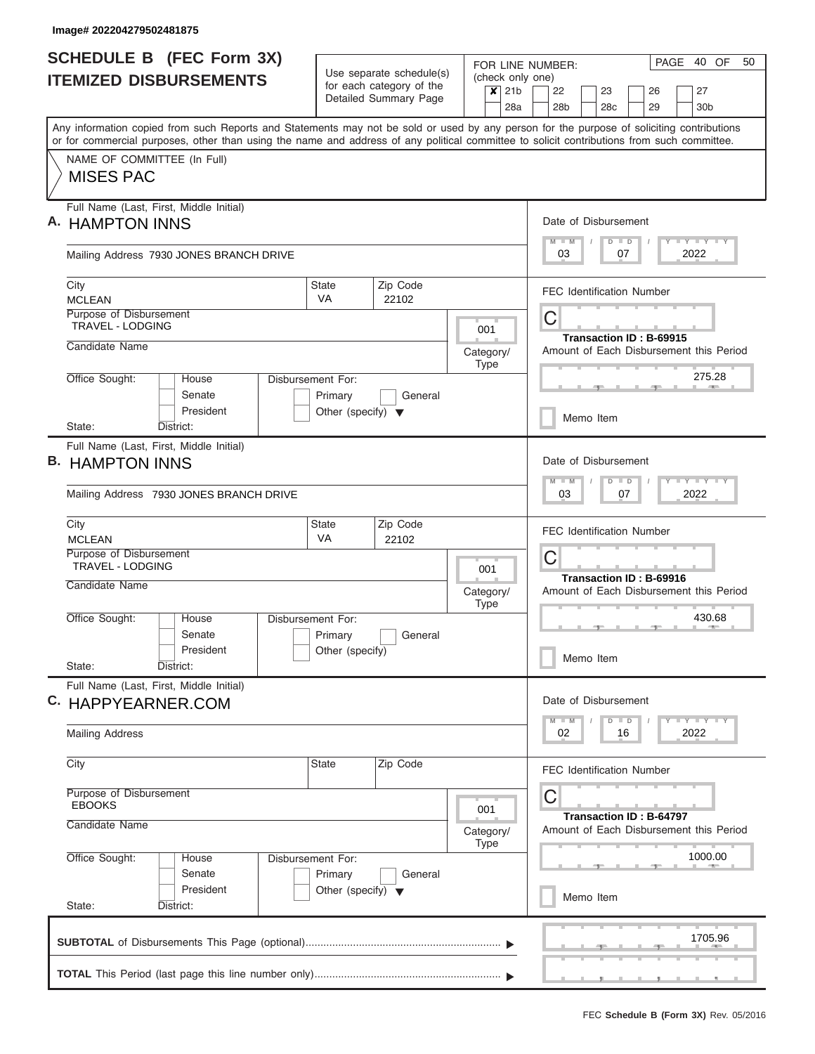I

| <b>SCHEDULE B (FEC Form 3X)</b>                                                                                                                                                                                                                                                         | Use separate schedule(s)                |                                         |                                                                   |                  |     | PAGE 40 OF<br>50<br>FOR LINE NUMBER:<br>(check only one) |                                         |  |                 |    |  |               |  |                                 |  |  |  |
|-----------------------------------------------------------------------------------------------------------------------------------------------------------------------------------------------------------------------------------------------------------------------------------------|-----------------------------------------|-----------------------------------------|-------------------------------------------------------------------|------------------|-----|----------------------------------------------------------|-----------------------------------------|--|-----------------|----|--|---------------|--|---------------------------------|--|--|--|
| <b>ITEMIZED DISBURSEMENTS</b>                                                                                                                                                                                                                                                           | for each category of the                |                                         | $x$ 21b                                                           |                  | 22  |                                                          | 23                                      |  |                 | 26 |  | 27            |  |                                 |  |  |  |
|                                                                                                                                                                                                                                                                                         |                                         | Detailed Summary Page                   |                                                                   |                  | 28a |                                                          | 28 <sub>b</sub>                         |  | 28 <sub>c</sub> |    |  | 29            |  | 30 <sub>b</sub>                 |  |  |  |
| Any information copied from such Reports and Statements may not be sold or used by any person for the purpose of soliciting contributions<br>or for commercial purposes, other than using the name and address of any political committee to solicit contributions from such committee. |                                         |                                         |                                                                   |                  |     |                                                          |                                         |  |                 |    |  |               |  |                                 |  |  |  |
| NAME OF COMMITTEE (In Full)                                                                                                                                                                                                                                                             |                                         |                                         |                                                                   |                  |     |                                                          |                                         |  |                 |    |  |               |  |                                 |  |  |  |
| <b>MISES PAC</b>                                                                                                                                                                                                                                                                        |                                         |                                         |                                                                   |                  |     |                                                          |                                         |  |                 |    |  |               |  |                                 |  |  |  |
| Full Name (Last, First, Middle Initial)<br>A. HAMPTON INNS                                                                                                                                                                                                                              |                                         |                                         |                                                                   |                  |     |                                                          | Date of Disbursement                    |  |                 |    |  |               |  |                                 |  |  |  |
| Mailing Address 7930 JONES BRANCH DRIVE                                                                                                                                                                                                                                                 |                                         |                                         |                                                                   |                  |     | $M - M$<br>Y I Y I Y I Y<br>$D$ $D$<br>2022<br>03<br>07  |                                         |  |                 |    |  |               |  |                                 |  |  |  |
| City<br><b>MCLEAN</b>                                                                                                                                                                                                                                                                   | State<br>VA                             | Zip Code<br>22102                       |                                                                   |                  |     | <b>FEC Identification Number</b>                         |                                         |  |                 |    |  |               |  |                                 |  |  |  |
| Purpose of Disbursement<br>TRAVEL - LODGING                                                                                                                                                                                                                                             |                                         | С<br>Transaction ID: B-69915            |                                                                   |                  |     |                                                          |                                         |  |                 |    |  |               |  |                                 |  |  |  |
| Candidate Name                                                                                                                                                                                                                                                                          |                                         |                                         | Category/                                                         | Type             |     |                                                          | Amount of Each Disbursement this Period |  |                 |    |  |               |  |                                 |  |  |  |
| Office Sought:<br>House<br>Disbursement For:<br>Senate                                                                                                                                                                                                                                  | Primary                                 | General                                 |                                                                   |                  |     |                                                          |                                         |  |                 |    |  |               |  | 275.28                          |  |  |  |
| President<br>State:<br>District:                                                                                                                                                                                                                                                        | Other (specify) $\blacktriangledown$    |                                         |                                                                   |                  |     | Memo Item                                                |                                         |  |                 |    |  |               |  |                                 |  |  |  |
| Full Name (Last, First, Middle Initial)                                                                                                                                                                                                                                                 |                                         |                                         |                                                                   |                  |     |                                                          |                                         |  |                 |    |  |               |  |                                 |  |  |  |
| <b>B. HAMPTON INNS</b>                                                                                                                                                                                                                                                                  |                                         |                                         | Date of Disbursement<br>$Y = Y = Y = Y + Y$<br>$M - M$<br>$D$ $D$ |                  |     |                                                          |                                         |  |                 |    |  |               |  |                                 |  |  |  |
| Mailing Address 7930 JONES BRANCH DRIVE                                                                                                                                                                                                                                                 |                                         |                                         |                                                                   | 2022<br>03<br>07 |     |                                                          |                                         |  |                 |    |  |               |  |                                 |  |  |  |
| City<br><b>MCLEAN</b>                                                                                                                                                                                                                                                                   | <b>State</b><br>VA                      | Zip Code<br>22102                       |                                                                   |                  |     | <b>FEC Identification Number</b>                         |                                         |  |                 |    |  |               |  |                                 |  |  |  |
| Purpose of Disbursement<br><b>TRAVEL - LODGING</b>                                                                                                                                                                                                                                      |                                         |                                         | С<br>Transaction ID: B-69916                                      |                  |     |                                                          |                                         |  |                 |    |  |               |  |                                 |  |  |  |
| Candidate Name                                                                                                                                                                                                                                                                          |                                         |                                         | Category/                                                         | <b>Type</b>      |     |                                                          | Amount of Each Disbursement this Period |  |                 |    |  |               |  |                                 |  |  |  |
| Office Sought:<br>Disbursement For:<br>House<br>Senate                                                                                                                                                                                                                                  | Primary                                 | General                                 |                                                                   |                  |     |                                                          |                                         |  |                 |    |  | $\rightarrow$ |  | 430.68                          |  |  |  |
| President<br>State:<br>District:                                                                                                                                                                                                                                                        | Other (specify)                         |                                         |                                                                   |                  |     |                                                          |                                         |  | Memo Item       |    |  |               |  |                                 |  |  |  |
| Full Name (Last, First, Middle Initial)<br>C. HAPPYEARNER.COM                                                                                                                                                                                                                           |                                         |                                         |                                                                   |                  |     |                                                          | Date of Disbursement                    |  |                 |    |  |               |  |                                 |  |  |  |
| <b>Mailing Address</b>                                                                                                                                                                                                                                                                  |                                         |                                         |                                                                   |                  |     |                                                          | $M - M$<br>02                           |  | $D$ $D$         | 16 |  |               |  | $T$ $Y$ $T$ $Y$ $T$ $Y$<br>2022 |  |  |  |
| City                                                                                                                                                                                                                                                                                    | State                                   | Zip Code                                |                                                                   |                  |     |                                                          | FEC Identification Number               |  |                 |    |  |               |  |                                 |  |  |  |
| Purpose of Disbursement<br><b>EBOOKS</b>                                                                                                                                                                                                                                                |                                         |                                         |                                                                   | 001              |     | С<br><b>Transaction ID: B-64797</b>                      |                                         |  |                 |    |  |               |  |                                 |  |  |  |
| Candidate Name                                                                                                                                                                                                                                                                          |                                         | Amount of Each Disbursement this Period |                                                                   |                  |     |                                                          |                                         |  |                 |    |  |               |  |                                 |  |  |  |
| Office Sought:<br>House<br>Senate                                                                                                                                                                                                                                                       | Disbursement For:<br>Primary<br>General |                                         |                                                                   |                  |     |                                                          | 1000.00                                 |  |                 |    |  |               |  |                                 |  |  |  |
| President<br>State:<br>District:                                                                                                                                                                                                                                                        | Other (specify) $\blacktriangledown$    |                                         |                                                                   |                  |     | Memo Item                                                |                                         |  |                 |    |  |               |  |                                 |  |  |  |
|                                                                                                                                                                                                                                                                                         |                                         |                                         |                                                                   |                  |     |                                                          |                                         |  |                 |    |  |               |  | 1705.96                         |  |  |  |
|                                                                                                                                                                                                                                                                                         |                                         |                                         |                                                                   |                  |     |                                                          |                                         |  |                 |    |  |               |  |                                 |  |  |  |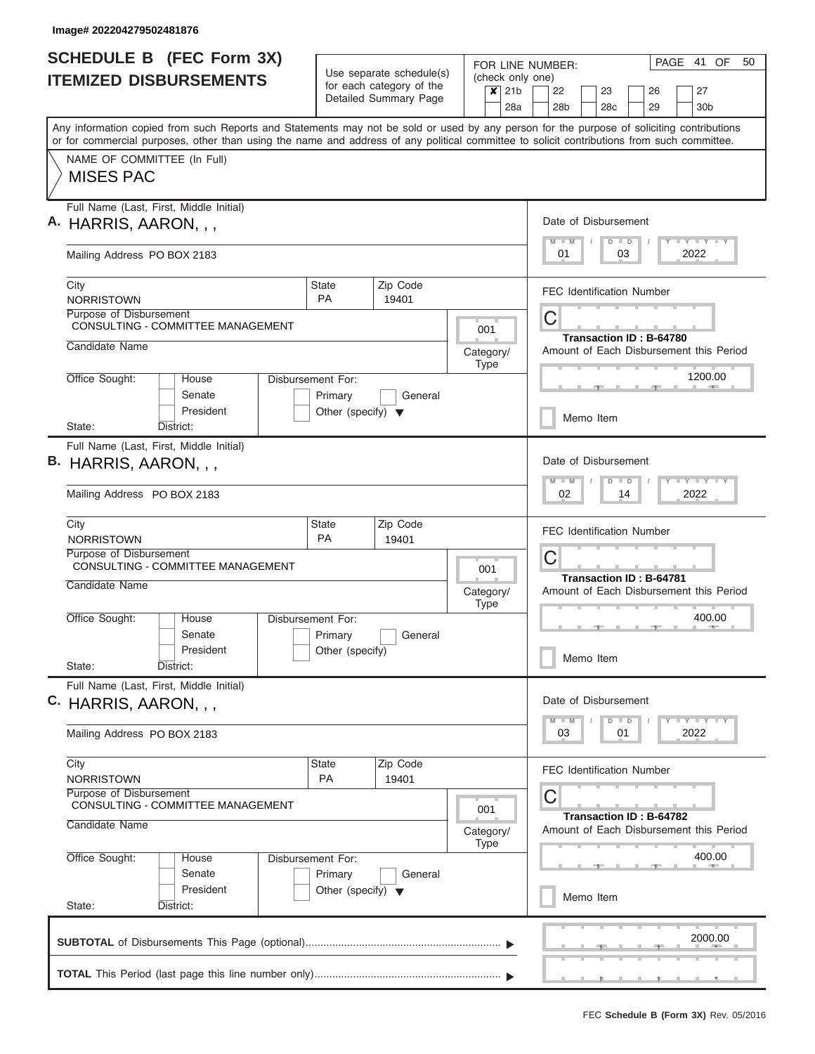| <b>SCHEDULE B</b> (FEC Form 3X)                                                                                                                                                                                                                                                         |                                                                      |                                                      |                             | PAGE 41 OF<br>FOR LINE NUMBER: |                                                                                                                                          |  |  |  |  |  |  |  |  |  |
|-----------------------------------------------------------------------------------------------------------------------------------------------------------------------------------------------------------------------------------------------------------------------------------------|----------------------------------------------------------------------|------------------------------------------------------|-----------------------------|--------------------------------|------------------------------------------------------------------------------------------------------------------------------------------|--|--|--|--|--|--|--|--|--|
| <b>ITEMIZED DISBURSEMENTS</b>                                                                                                                                                                                                                                                           |                                                                      | Use separate schedule(s)<br>for each category of the | $\overline{\mathsf{x}}$ 21b |                                | (check only one)<br>22<br>23<br>26<br>27                                                                                                 |  |  |  |  |  |  |  |  |  |
|                                                                                                                                                                                                                                                                                         |                                                                      | Detailed Summary Page                                |                             | 28a                            | 28 <sub>b</sub><br>28c<br>29<br>30 <sub>b</sub>                                                                                          |  |  |  |  |  |  |  |  |  |
| Any information copied from such Reports and Statements may not be sold or used by any person for the purpose of soliciting contributions<br>or for commercial purposes, other than using the name and address of any political committee to solicit contributions from such committee. |                                                                      |                                                      |                             |                                |                                                                                                                                          |  |  |  |  |  |  |  |  |  |
| NAME OF COMMITTEE (In Full)<br><b>MISES PAC</b>                                                                                                                                                                                                                                         |                                                                      |                                                      |                             |                                |                                                                                                                                          |  |  |  |  |  |  |  |  |  |
| Full Name (Last, First, Middle Initial)<br>A. HARRIS, AARON, , ,                                                                                                                                                                                                                        |                                                                      |                                                      |                             |                                | Date of Disbursement                                                                                                                     |  |  |  |  |  |  |  |  |  |
| Mailing Address PO BOX 2183                                                                                                                                                                                                                                                             |                                                                      |                                                      |                             |                                | <b>LY LY LY</b><br>$D$ $D$<br>$M$ $M$<br>2022<br>01<br>03                                                                                |  |  |  |  |  |  |  |  |  |
| City<br><b>NORRISTOWN</b>                                                                                                                                                                                                                                                               | State<br><b>PA</b>                                                   | Zip Code<br>19401                                    |                             |                                | <b>FEC Identification Number</b>                                                                                                         |  |  |  |  |  |  |  |  |  |
| Purpose of Disbursement<br><b>CONSULTING - COMMITTEE MANAGEMENT</b>                                                                                                                                                                                                                     |                                                                      |                                                      | 001                         |                                | C                                                                                                                                        |  |  |  |  |  |  |  |  |  |
| Candidate Name                                                                                                                                                                                                                                                                          |                                                                      |                                                      | Category/<br><b>Type</b>    |                                | Transaction ID: B-64780<br>Amount of Each Disbursement this Period                                                                       |  |  |  |  |  |  |  |  |  |
| Office Sought:<br>House<br>Senate<br>President                                                                                                                                                                                                                                          | Disbursement For:<br>Primary<br>Other (specify) $\blacktriangledown$ | General                                              |                             |                                | 1200.00                                                                                                                                  |  |  |  |  |  |  |  |  |  |
| State:<br>District:                                                                                                                                                                                                                                                                     |                                                                      |                                                      |                             |                                | Memo Item                                                                                                                                |  |  |  |  |  |  |  |  |  |
| Full Name (Last, First, Middle Initial)<br>B. HARRIS, AARON, , ,<br>Mailing Address PO BOX 2183                                                                                                                                                                                         |                                                                      |                                                      |                             |                                | Date of Disbursement<br>$-1 - Y - 1 - Y - 1 - Y$<br>$M - M$<br>$\Box$<br>$\overline{D}$<br>02<br>14<br>2022                              |  |  |  |  |  |  |  |  |  |
| City                                                                                                                                                                                                                                                                                    | <b>State</b>                                                         | Zip Code                                             |                             |                                | <b>FEC Identification Number</b>                                                                                                         |  |  |  |  |  |  |  |  |  |
| <b>NORRISTOWN</b><br>Purpose of Disbursement<br><b>CONSULTING - COMMITTEE MANAGEMENT</b>                                                                                                                                                                                                | PA                                                                   | 19401                                                | 001                         |                                | C                                                                                                                                        |  |  |  |  |  |  |  |  |  |
| Candidate Name                                                                                                                                                                                                                                                                          |                                                                      |                                                      | Category/<br><b>Type</b>    |                                | Transaction ID: B-64781<br>Amount of Each Disbursement this Period                                                                       |  |  |  |  |  |  |  |  |  |
| Office Sought:<br>House<br>Senate                                                                                                                                                                                                                                                       | Disbursement For:<br>Primary                                         | General                                              |                             |                                | 400.00                                                                                                                                   |  |  |  |  |  |  |  |  |  |
| President<br>State:<br>District:                                                                                                                                                                                                                                                        | Other (specify)                                                      |                                                      |                             |                                | Memo Item                                                                                                                                |  |  |  |  |  |  |  |  |  |
| Full Name (Last, First, Middle Initial)<br>C. HARRIS, AARON, , ,                                                                                                                                                                                                                        |                                                                      |                                                      |                             |                                | Date of Disbursement                                                                                                                     |  |  |  |  |  |  |  |  |  |
| Mailing Address PO BOX 2183                                                                                                                                                                                                                                                             |                                                                      |                                                      |                             |                                | $\mathbf{I}$ $\mathbf{Y}$ $\mathbf{I}$ $\mathbf{Y}$ $\mathbf{I}$ $\mathbf{Y}$<br>$M$ $M$<br>$\Box$<br>$\overline{D}$<br>03<br>2022<br>01 |  |  |  |  |  |  |  |  |  |
| City<br><b>NORRISTOWN</b>                                                                                                                                                                                                                                                               | <b>State</b><br>PA                                                   | Zip Code<br>19401                                    |                             |                                | <b>FEC Identification Number</b>                                                                                                         |  |  |  |  |  |  |  |  |  |
| Purpose of Disbursement<br>CONSULTING - COMMITTEE MANAGEMENT                                                                                                                                                                                                                            |                                                                      |                                                      | 001                         |                                | С<br>Transaction ID: B-64782                                                                                                             |  |  |  |  |  |  |  |  |  |
| Candidate Name                                                                                                                                                                                                                                                                          |                                                                      |                                                      | Category/<br><b>Type</b>    |                                | Amount of Each Disbursement this Period                                                                                                  |  |  |  |  |  |  |  |  |  |
| Office Sought:<br>House<br>Senate                                                                                                                                                                                                                                                       | Disbursement For:<br>Primary                                         | General                                              |                             |                                | 400.00                                                                                                                                   |  |  |  |  |  |  |  |  |  |
| President<br>State:<br>District:                                                                                                                                                                                                                                                        | Other (specify) $\blacktriangledown$                                 |                                                      |                             |                                | Memo Item                                                                                                                                |  |  |  |  |  |  |  |  |  |
|                                                                                                                                                                                                                                                                                         |                                                                      |                                                      |                             |                                | 2000.00                                                                                                                                  |  |  |  |  |  |  |  |  |  |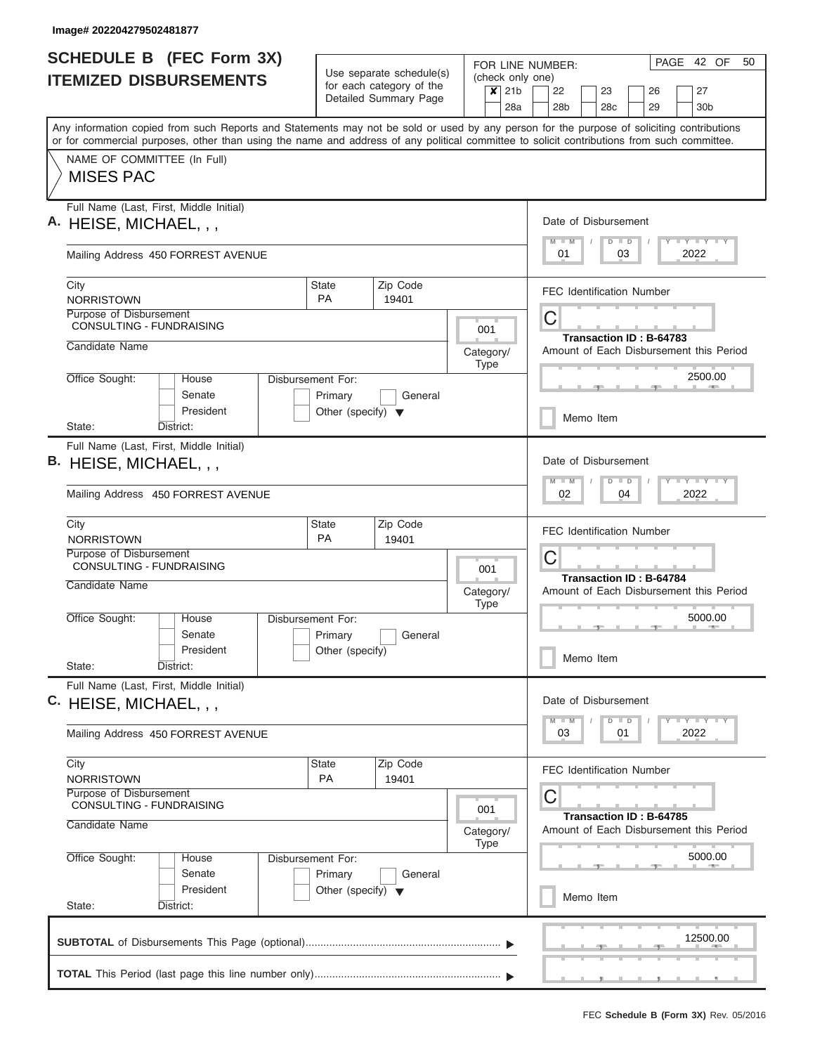| <b>SCHEDULE B</b> (FEC Form 3X)                                                                                                                                                                                                                                                         |                                                 |                                                      |  |                          |                                  | PAGE 42 OF<br>50<br>FOR LINE NUMBER:                                                                                                     |  |  |  |  |  |  |  |
|-----------------------------------------------------------------------------------------------------------------------------------------------------------------------------------------------------------------------------------------------------------------------------------------|-------------------------------------------------|------------------------------------------------------|--|--------------------------|----------------------------------|------------------------------------------------------------------------------------------------------------------------------------------|--|--|--|--|--|--|--|
| <b>ITEMIZED DISBURSEMENTS</b>                                                                                                                                                                                                                                                           |                                                 | Use separate schedule(s)<br>for each category of the |  | $x$ 21b                  |                                  | (check only one)<br>22<br>23<br>26<br>27                                                                                                 |  |  |  |  |  |  |  |
|                                                                                                                                                                                                                                                                                         |                                                 | Detailed Summary Page                                |  |                          | 28a                              | 28 <sub>b</sub><br>28c<br>29<br>30 <sub>b</sub>                                                                                          |  |  |  |  |  |  |  |
| Any information copied from such Reports and Statements may not be sold or used by any person for the purpose of soliciting contributions<br>or for commercial purposes, other than using the name and address of any political committee to solicit contributions from such committee. |                                                 |                                                      |  |                          |                                  |                                                                                                                                          |  |  |  |  |  |  |  |
| NAME OF COMMITTEE (In Full)<br><b>MISES PAC</b>                                                                                                                                                                                                                                         |                                                 |                                                      |  |                          |                                  |                                                                                                                                          |  |  |  |  |  |  |  |
| Full Name (Last, First, Middle Initial)                                                                                                                                                                                                                                                 |                                                 |                                                      |  |                          |                                  |                                                                                                                                          |  |  |  |  |  |  |  |
| A. HEISE, MICHAEL, , ,                                                                                                                                                                                                                                                                  |                                                 |                                                      |  |                          |                                  | Date of Disbursement<br><b>LY LY LY</b><br>$D$ $D$<br>$M$ $M$                                                                            |  |  |  |  |  |  |  |
| Mailing Address 450 FORREST AVENUE                                                                                                                                                                                                                                                      |                                                 |                                                      |  |                          |                                  | 2022<br>01<br>03                                                                                                                         |  |  |  |  |  |  |  |
| City<br><b>NORRISTOWN</b>                                                                                                                                                                                                                                                               | State<br><b>PA</b>                              | Zip Code                                             |  |                          |                                  | <b>FEC Identification Number</b>                                                                                                         |  |  |  |  |  |  |  |
| Purpose of Disbursement<br>CONSULTING - FUNDRAISING                                                                                                                                                                                                                                     |                                                 | 19401                                                |  | 001                      |                                  | C                                                                                                                                        |  |  |  |  |  |  |  |
| Candidate Name                                                                                                                                                                                                                                                                          |                                                 |                                                      |  | Category/                |                                  | Transaction ID: B-64783<br>Amount of Each Disbursement this Period                                                                       |  |  |  |  |  |  |  |
| Office Sought:<br>House                                                                                                                                                                                                                                                                 | Disbursement For:                               |                                                      |  | <b>Type</b>              |                                  | 2500.00                                                                                                                                  |  |  |  |  |  |  |  |
| Senate<br>President                                                                                                                                                                                                                                                                     | Primary<br>Other (specify) $\blacktriangledown$ | General                                              |  |                          |                                  |                                                                                                                                          |  |  |  |  |  |  |  |
| State:<br>District:                                                                                                                                                                                                                                                                     |                                                 |                                                      |  |                          |                                  | Memo Item                                                                                                                                |  |  |  |  |  |  |  |
| Full Name (Last, First, Middle Initial)<br>B. HEISE, MICHAEL, , ,                                                                                                                                                                                                                       |                                                 |                                                      |  |                          |                                  | Date of Disbursement<br>$-1 - Y - 1 - Y - 1 - Y$<br>$M - M$<br>$D$ $D$                                                                   |  |  |  |  |  |  |  |
| Mailing Address 450 FORREST AVENUE                                                                                                                                                                                                                                                      |                                                 |                                                      |  |                          |                                  | 02<br>04<br>2022                                                                                                                         |  |  |  |  |  |  |  |
| City<br><b>NORRISTOWN</b>                                                                                                                                                                                                                                                               | State<br>PA                                     | Zip Code<br>19401                                    |  |                          | <b>FEC Identification Number</b> |                                                                                                                                          |  |  |  |  |  |  |  |
| Purpose of Disbursement<br><b>CONSULTING - FUNDRAISING</b>                                                                                                                                                                                                                              |                                                 |                                                      |  | 001                      |                                  | C<br><b>Transaction ID: B-64784</b>                                                                                                      |  |  |  |  |  |  |  |
| Candidate Name                                                                                                                                                                                                                                                                          |                                                 |                                                      |  | Category/<br><b>Type</b> |                                  | Amount of Each Disbursement this Period                                                                                                  |  |  |  |  |  |  |  |
| Office Sought:<br>House                                                                                                                                                                                                                                                                 | Disbursement For:                               |                                                      |  |                          |                                  | 5000.00                                                                                                                                  |  |  |  |  |  |  |  |
| Senate<br>President                                                                                                                                                                                                                                                                     | Primary<br>Other (specify)                      | General                                              |  |                          |                                  | Memo Item                                                                                                                                |  |  |  |  |  |  |  |
| State:<br>District:<br>Full Name (Last, First, Middle Initial)                                                                                                                                                                                                                          |                                                 |                                                      |  |                          |                                  |                                                                                                                                          |  |  |  |  |  |  |  |
| C. HEISE, MICHAEL, , ,                                                                                                                                                                                                                                                                  |                                                 |                                                      |  |                          |                                  | Date of Disbursement                                                                                                                     |  |  |  |  |  |  |  |
| Mailing Address 450 FORREST AVENUE                                                                                                                                                                                                                                                      |                                                 |                                                      |  |                          |                                  | $\mathbf{I}$ $\mathbf{Y}$ $\mathbf{I}$ $\mathbf{Y}$ $\mathbf{I}$ $\mathbf{Y}$<br>$M$ $M$<br>$\Box$<br>$\overline{D}$<br>03<br>2022<br>01 |  |  |  |  |  |  |  |
| City<br><b>NORRISTOWN</b>                                                                                                                                                                                                                                                               | <b>State</b><br>PA                              | Zip Code<br>19401                                    |  |                          |                                  | <b>FEC Identification Number</b>                                                                                                         |  |  |  |  |  |  |  |
| Purpose of Disbursement<br>CONSULTING - FUNDRAISING                                                                                                                                                                                                                                     |                                                 |                                                      |  | 001                      |                                  | С                                                                                                                                        |  |  |  |  |  |  |  |
| Candidate Name                                                                                                                                                                                                                                                                          |                                                 |                                                      |  | Category/<br><b>Type</b> |                                  | Transaction ID: B-64785<br>Amount of Each Disbursement this Period                                                                       |  |  |  |  |  |  |  |
| Office Sought:<br>House                                                                                                                                                                                                                                                                 | Disbursement For:                               |                                                      |  |                          |                                  | 5000.00                                                                                                                                  |  |  |  |  |  |  |  |
| Senate<br>President<br>State:<br>District:                                                                                                                                                                                                                                              | Primary<br>Other (specify) $\blacktriangledown$ | General                                              |  |                          |                                  | Memo Item                                                                                                                                |  |  |  |  |  |  |  |
|                                                                                                                                                                                                                                                                                         |                                                 |                                                      |  |                          |                                  |                                                                                                                                          |  |  |  |  |  |  |  |
|                                                                                                                                                                                                                                                                                         |                                                 |                                                      |  |                          |                                  | 12500.00                                                                                                                                 |  |  |  |  |  |  |  |
|                                                                                                                                                                                                                                                                                         |                                                 |                                                      |  |                          |                                  |                                                                                                                                          |  |  |  |  |  |  |  |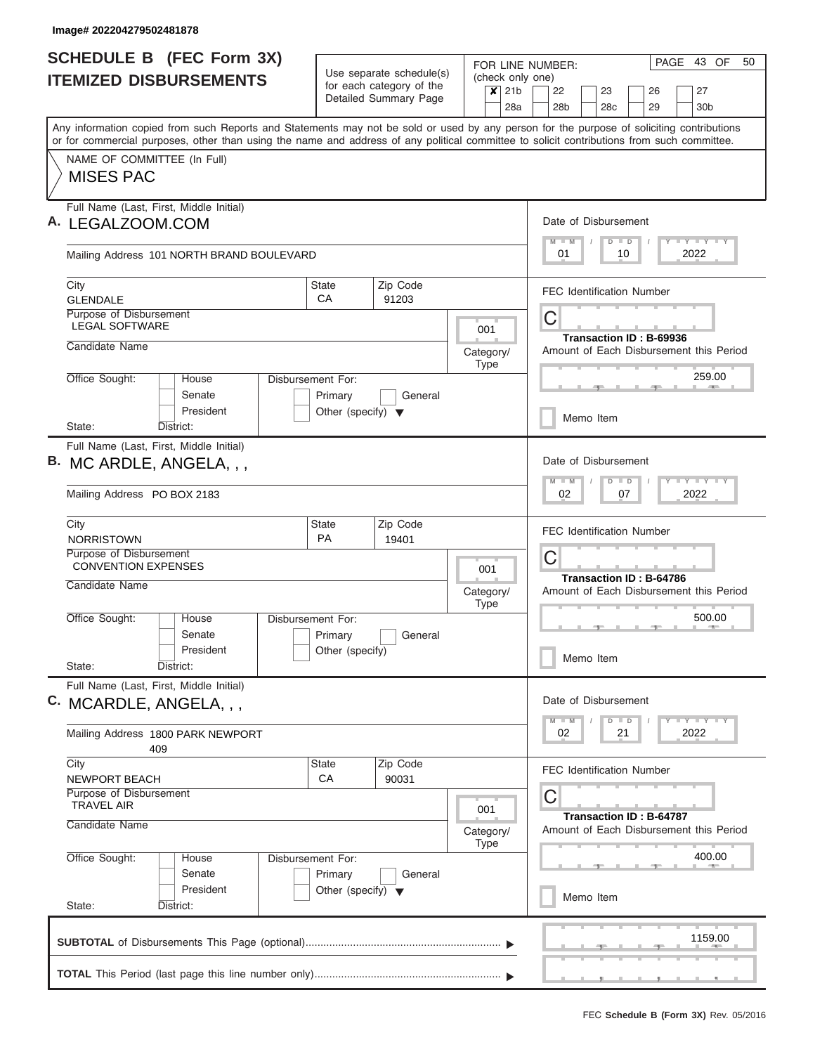| <b>SCHEDULE B (FEC Form 3X)</b>                                                                                                                                                                                                                                                         |                                      |                                                      |                                 | PAGE 43 OF<br>50<br>FOR LINE NUMBER:                               |
|-----------------------------------------------------------------------------------------------------------------------------------------------------------------------------------------------------------------------------------------------------------------------------------------|--------------------------------------|------------------------------------------------------|---------------------------------|--------------------------------------------------------------------|
| <b>ITEMIZED DISBURSEMENTS</b>                                                                                                                                                                                                                                                           |                                      | Use separate schedule(s)<br>for each category of the |                                 | (check only one)                                                   |
|                                                                                                                                                                                                                                                                                         |                                      | Detailed Summary Page                                | $x$ 21b                         | 22<br>27<br>23<br>26<br>28a<br>28 <sub>b</sub><br>28c<br>29<br>30b |
| Any information copied from such Reports and Statements may not be sold or used by any person for the purpose of soliciting contributions<br>or for commercial purposes, other than using the name and address of any political committee to solicit contributions from such committee. |                                      |                                                      |                                 |                                                                    |
| NAME OF COMMITTEE (In Full)                                                                                                                                                                                                                                                             |                                      |                                                      |                                 |                                                                    |
| <b>MISES PAC</b>                                                                                                                                                                                                                                                                        |                                      |                                                      |                                 |                                                                    |
| Full Name (Last, First, Middle Initial)<br>A. LEGALZOOM.COM                                                                                                                                                                                                                             |                                      |                                                      |                                 | Date of Disbursement                                               |
| Mailing Address 101 NORTH BRAND BOULEVARD                                                                                                                                                                                                                                               |                                      |                                                      |                                 | Y I Y I Y I Y<br>$M$ $M$<br>$D$ $D$<br>2022<br>01<br>10            |
| City<br><b>GLENDALE</b>                                                                                                                                                                                                                                                                 | <b>State</b><br>CA                   | Zip Code<br>91203                                    |                                 | <b>FEC Identification Number</b>                                   |
| Purpose of Disbursement<br><b>LEGAL SOFTWARE</b>                                                                                                                                                                                                                                        |                                      |                                                      | 001                             | C                                                                  |
| Candidate Name                                                                                                                                                                                                                                                                          |                                      |                                                      |                                 | Transaction ID: B-69936                                            |
|                                                                                                                                                                                                                                                                                         |                                      |                                                      | Category/<br><b>Type</b>        | Amount of Each Disbursement this Period                            |
| Office Sought:<br>House<br>Senate                                                                                                                                                                                                                                                       | Disbursement For:<br>Primary         | General                                              |                                 | 259.00                                                             |
| President<br>District:<br>State:                                                                                                                                                                                                                                                        | Other (specify) $\blacktriangledown$ |                                                      |                                 | Memo Item                                                          |
| Full Name (Last, First, Middle Initial)                                                                                                                                                                                                                                                 |                                      |                                                      |                                 |                                                                    |
| B. MC ARDLE, ANGELA, , ,                                                                                                                                                                                                                                                                |                                      |                                                      |                                 | Date of Disbursement<br>Y FY FY FY<br>$M - M$<br>$D$ $D$           |
| Mailing Address PO BOX 2183                                                                                                                                                                                                                                                             |                                      |                                                      |                                 | 02<br>07<br>2022                                                   |
| City<br><b>NORRISTOWN</b>                                                                                                                                                                                                                                                               | State<br><b>PA</b>                   | Zip Code                                             |                                 | <b>FEC Identification Number</b>                                   |
| Purpose of Disbursement                                                                                                                                                                                                                                                                 |                                      | 19401                                                |                                 | C                                                                  |
| <b>CONVENTION EXPENSES</b>                                                                                                                                                                                                                                                              |                                      |                                                      | 001                             | Transaction ID: B-64786                                            |
| Candidate Name                                                                                                                                                                                                                                                                          |                                      |                                                      | Category/<br><b>Type</b>        | Amount of Each Disbursement this Period                            |
| Office Sought:<br>House                                                                                                                                                                                                                                                                 | Disbursement For:                    |                                                      |                                 | 500.00<br><b>CONTRACTOR</b>                                        |
| Senate<br>President                                                                                                                                                                                                                                                                     | Primary<br>Other (specify)           | General                                              |                                 |                                                                    |
| State:<br>District:                                                                                                                                                                                                                                                                     |                                      |                                                      |                                 | Memo Item                                                          |
| Full Name (Last, First, Middle Initial)<br>C. MCARDLE, ANGELA, , ,                                                                                                                                                                                                                      |                                      |                                                      |                                 | Date of Disbursement                                               |
| Mailing Address 1800 PARK NEWPORT<br>409                                                                                                                                                                                                                                                |                                      |                                                      |                                 | Y FY FY FY<br>$D$ $D$<br>$M$ $M$<br>2022<br>02<br>21               |
| City                                                                                                                                                                                                                                                                                    | State                                | Zip Code                                             |                                 | <b>FEC Identification Number</b>                                   |
| NEWPORT BEACH<br>Purpose of Disbursement<br><b>TRAVEL AIR</b>                                                                                                                                                                                                                           | CA                                   | 90031                                                |                                 | C                                                                  |
| Candidate Name                                                                                                                                                                                                                                                                          |                                      |                                                      | 001<br>Category/<br><b>Type</b> | Transaction ID: B-64787<br>Amount of Each Disbursement this Period |
| Office Sought:<br>House<br>Senate                                                                                                                                                                                                                                                       | Disbursement For:<br>Primary         | General                                              |                                 | 400.00                                                             |
| President<br>State:<br>District:                                                                                                                                                                                                                                                        | Other (specify) $\blacktriangledown$ |                                                      |                                 | Memo Item                                                          |
|                                                                                                                                                                                                                                                                                         |                                      |                                                      |                                 | 1159.00                                                            |
|                                                                                                                                                                                                                                                                                         |                                      |                                                      |                                 |                                                                    |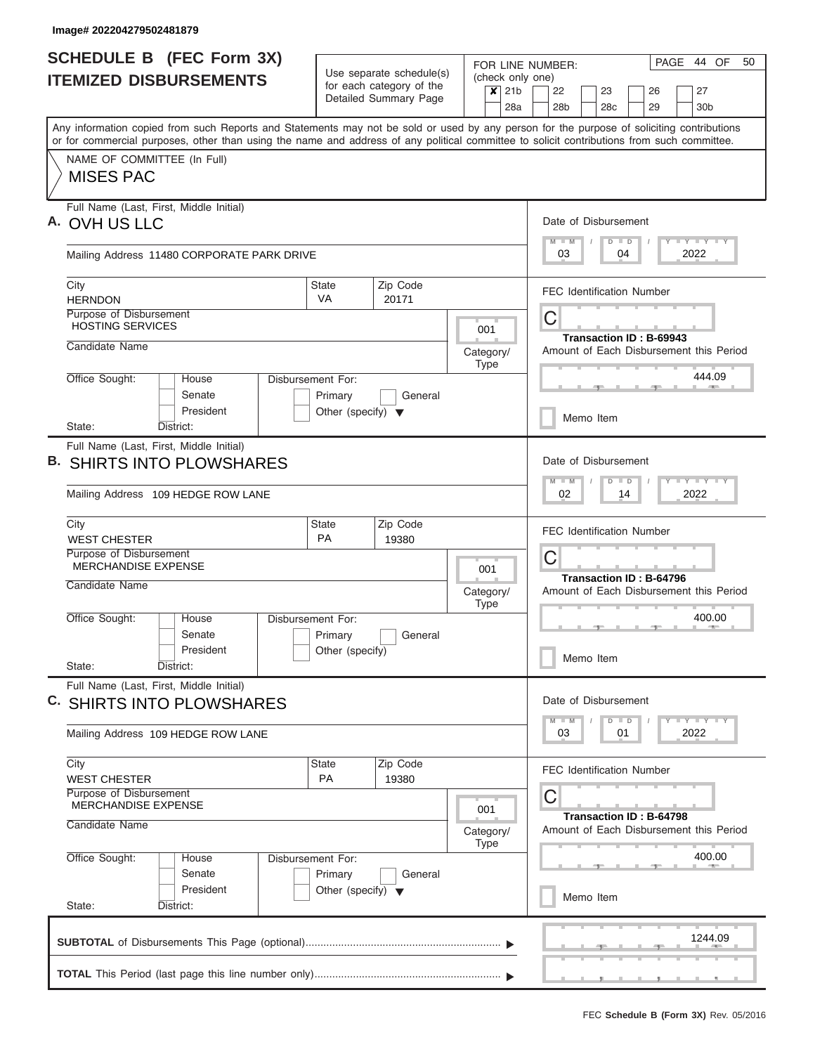| <b>SCHEDULE B</b> (FEC Form 3X)                                                                                                                                                                                                                                                         |                                                 |                                                      |                          |         | PAGE 44 OF<br>50<br>FOR LINE NUMBER:                                                                                                                                                                                                                                                     |
|-----------------------------------------------------------------------------------------------------------------------------------------------------------------------------------------------------------------------------------------------------------------------------------------|-------------------------------------------------|------------------------------------------------------|--------------------------|---------|------------------------------------------------------------------------------------------------------------------------------------------------------------------------------------------------------------------------------------------------------------------------------------------|
| <b>ITEMIZED DISBURSEMENTS</b>                                                                                                                                                                                                                                                           |                                                 | Use separate schedule(s)<br>for each category of the |                          | $x$ 21b | (check only one)<br>22<br>23<br>26<br>27                                                                                                                                                                                                                                                 |
|                                                                                                                                                                                                                                                                                         |                                                 | Detailed Summary Page                                |                          | 28a     | 28 <sub>b</sub><br>28 <sub>c</sub><br>29<br>30 <sub>b</sub>                                                                                                                                                                                                                              |
| Any information copied from such Reports and Statements may not be sold or used by any person for the purpose of soliciting contributions<br>or for commercial purposes, other than using the name and address of any political committee to solicit contributions from such committee. |                                                 |                                                      |                          |         |                                                                                                                                                                                                                                                                                          |
| NAME OF COMMITTEE (In Full)<br><b>MISES PAC</b>                                                                                                                                                                                                                                         |                                                 |                                                      |                          |         |                                                                                                                                                                                                                                                                                          |
| Full Name (Last, First, Middle Initial)                                                                                                                                                                                                                                                 |                                                 |                                                      |                          |         |                                                                                                                                                                                                                                                                                          |
| A. OVH US LLC                                                                                                                                                                                                                                                                           |                                                 |                                                      |                          |         | Date of Disbursement<br>Y I Y I Y I Y<br>$M - M$<br>$D$ $D$                                                                                                                                                                                                                              |
| Mailing Address 11480 CORPORATE PARK DRIVE                                                                                                                                                                                                                                              |                                                 |                                                      |                          |         | 04<br>2022<br>03                                                                                                                                                                                                                                                                         |
| City<br><b>HERNDON</b>                                                                                                                                                                                                                                                                  | <b>State</b><br>VA                              | Zip Code                                             |                          |         | <b>FEC Identification Number</b>                                                                                                                                                                                                                                                         |
| Purpose of Disbursement<br><b>HOSTING SERVICES</b>                                                                                                                                                                                                                                      |                                                 | 20171                                                | 001                      |         | C                                                                                                                                                                                                                                                                                        |
| Candidate Name                                                                                                                                                                                                                                                                          |                                                 |                                                      | Category/                |         | Transaction ID: B-69943<br>Amount of Each Disbursement this Period                                                                                                                                                                                                                       |
| Office Sought:<br>House                                                                                                                                                                                                                                                                 | <b>Disbursement For:</b>                        |                                                      | <b>Type</b>              |         | 444.09                                                                                                                                                                                                                                                                                   |
| Senate<br>President                                                                                                                                                                                                                                                                     | Primary<br>Other (specify) $\blacktriangledown$ | General                                              |                          |         | Memo Item                                                                                                                                                                                                                                                                                |
| State:<br>District:<br>Full Name (Last, First, Middle Initial)                                                                                                                                                                                                                          |                                                 |                                                      |                          |         |                                                                                                                                                                                                                                                                                          |
| <b>B. SHIRTS INTO PLOWSHARES</b>                                                                                                                                                                                                                                                        |                                                 |                                                      |                          |         | Date of Disbursement<br>$\frac{1}{2} \left[ \frac{1}{2} \left( \frac{1}{2} \right) - \frac{1}{2} \left( \frac{1}{2} \right) \right] = \frac{1}{2} \left[ \frac{1}{2} \left( \frac{1}{2} \right) - \frac{1}{2} \left( \frac{1}{2} \right) \right]$<br>$M - M$<br>$\Box$<br>$\overline{D}$ |
| Mailing Address 109 HEDGE ROW LANE                                                                                                                                                                                                                                                      |                                                 |                                                      |                          |         | 2022<br>02<br>14                                                                                                                                                                                                                                                                         |
| City<br><b>WEST CHESTER</b>                                                                                                                                                                                                                                                             | <b>State</b><br>PA                              | Zip Code<br>19380                                    |                          |         | <b>FEC Identification Number</b>                                                                                                                                                                                                                                                         |
| Purpose of Disbursement<br><b>MERCHANDISE EXPENSE</b>                                                                                                                                                                                                                                   |                                                 |                                                      | 001                      |         | C                                                                                                                                                                                                                                                                                        |
| Candidate Name                                                                                                                                                                                                                                                                          |                                                 |                                                      | Category/<br><b>Type</b> |         | Transaction ID: B-64796<br>Amount of Each Disbursement this Period                                                                                                                                                                                                                       |
| Office Sought:<br>House                                                                                                                                                                                                                                                                 | Disbursement For:                               |                                                      |                          |         | 400.00                                                                                                                                                                                                                                                                                   |
| Senate<br>President                                                                                                                                                                                                                                                                     | Primary<br>Other (specify)                      | General                                              |                          |         | Memo Item                                                                                                                                                                                                                                                                                |
| State:<br>District:                                                                                                                                                                                                                                                                     |                                                 |                                                      |                          |         |                                                                                                                                                                                                                                                                                          |
| Full Name (Last, First, Middle Initial)<br>C. SHIRTS INTO PLOWSHARES                                                                                                                                                                                                                    |                                                 |                                                      |                          |         | Date of Disbursement                                                                                                                                                                                                                                                                     |
| Mailing Address 109 HEDGE ROW LANE                                                                                                                                                                                                                                                      |                                                 |                                                      |                          |         | $T$ $Y$ $T$ $Y$ $T$ $Y$<br>$M - M$<br>$\Box$<br>D<br>2022<br>03<br>01                                                                                                                                                                                                                    |
| City<br><b>WEST CHESTER</b>                                                                                                                                                                                                                                                             | <b>State</b><br><b>PA</b>                       | Zip Code<br>19380                                    |                          |         | <b>FEC Identification Number</b>                                                                                                                                                                                                                                                         |
| Purpose of Disbursement<br><b>MERCHANDISE EXPENSE</b>                                                                                                                                                                                                                                   |                                                 |                                                      |                          |         | C                                                                                                                                                                                                                                                                                        |
| Candidate Name                                                                                                                                                                                                                                                                          |                                                 |                                                      | 001<br>Category/         |         | Transaction ID: B-64798<br>Amount of Each Disbursement this Period                                                                                                                                                                                                                       |
| Office Sought:<br>House                                                                                                                                                                                                                                                                 | Disbursement For:                               |                                                      | <b>Type</b>              |         | 400.00                                                                                                                                                                                                                                                                                   |
| Senate<br>President                                                                                                                                                                                                                                                                     | Primary<br>Other (specify) $\blacktriangledown$ | General                                              |                          |         | Memo Item                                                                                                                                                                                                                                                                                |
| State:<br>District:                                                                                                                                                                                                                                                                     |                                                 |                                                      |                          |         |                                                                                                                                                                                                                                                                                          |
|                                                                                                                                                                                                                                                                                         |                                                 |                                                      |                          |         | 1244.09                                                                                                                                                                                                                                                                                  |
|                                                                                                                                                                                                                                                                                         |                                                 |                                                      |                          |         |                                                                                                                                                                                                                                                                                          |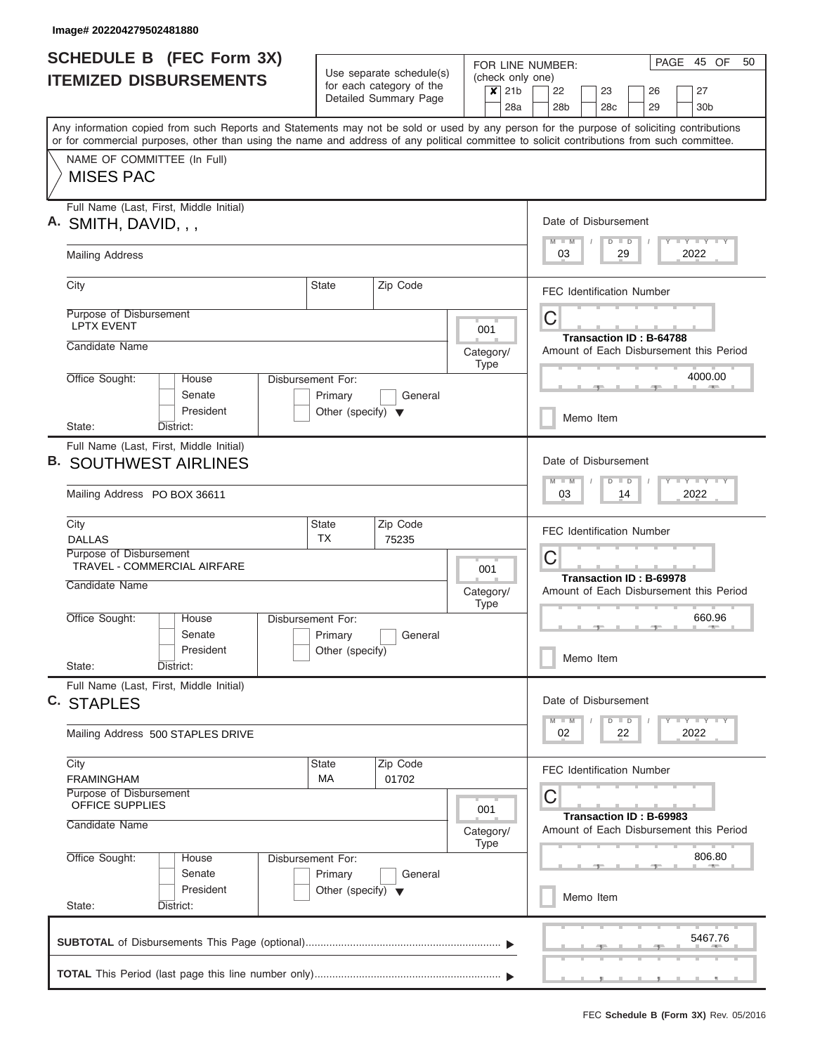|    | <b>SCHEDULE B (FEC Form 3X)</b>                                                                                                                                                                                                                                                         |                                                                      |                                                      |  |                                     | PAGE 45 OF<br>50<br>FOR LINE NUMBER:                                         |  |  |  |  |  |  |  |  |  |  |  |  |
|----|-----------------------------------------------------------------------------------------------------------------------------------------------------------------------------------------------------------------------------------------------------------------------------------------|----------------------------------------------------------------------|------------------------------------------------------|--|-------------------------------------|------------------------------------------------------------------------------|--|--|--|--|--|--|--|--|--|--|--|--|
|    | <b>ITEMIZED DISBURSEMENTS</b>                                                                                                                                                                                                                                                           |                                                                      | Use separate schedule(s)<br>for each category of the |  | $\boldsymbol{x}$<br>21 <sub>b</sub> | (check only one)<br>22<br>23<br>27<br>26                                     |  |  |  |  |  |  |  |  |  |  |  |  |
|    |                                                                                                                                                                                                                                                                                         |                                                                      | Detailed Summary Page                                |  | 28a                                 | 28 <sub>b</sub><br>28 <sub>c</sub><br>29<br>30 <sub>b</sub>                  |  |  |  |  |  |  |  |  |  |  |  |  |
|    | Any information copied from such Reports and Statements may not be sold or used by any person for the purpose of soliciting contributions<br>or for commercial purposes, other than using the name and address of any political committee to solicit contributions from such committee. |                                                                      |                                                      |  |                                     |                                                                              |  |  |  |  |  |  |  |  |  |  |  |  |
|    | NAME OF COMMITTEE (In Full)<br><b>MISES PAC</b>                                                                                                                                                                                                                                         |                                                                      |                                                      |  |                                     |                                                                              |  |  |  |  |  |  |  |  |  |  |  |  |
|    | Full Name (Last, First, Middle Initial)<br>A. SMITH, DAVID, , ,                                                                                                                                                                                                                         |                                                                      |                                                      |  |                                     | Date of Disbursement                                                         |  |  |  |  |  |  |  |  |  |  |  |  |
|    | <b>Mailing Address</b>                                                                                                                                                                                                                                                                  |                                                                      |                                                      |  |                                     | Y L Y L Y L Y<br>$M$ $M$<br>$D$ $D$<br>2022<br>03<br>29                      |  |  |  |  |  |  |  |  |  |  |  |  |
|    | City                                                                                                                                                                                                                                                                                    | State                                                                | Zip Code                                             |  |                                     | <b>FEC Identification Number</b>                                             |  |  |  |  |  |  |  |  |  |  |  |  |
|    | Purpose of Disbursement<br><b>LPTX EVENT</b>                                                                                                                                                                                                                                            |                                                                      |                                                      |  | 001                                 | С<br>Transaction ID: B-64788                                                 |  |  |  |  |  |  |  |  |  |  |  |  |
|    | Candidate Name                                                                                                                                                                                                                                                                          |                                                                      |                                                      |  | Category/<br><b>Type</b>            | Amount of Each Disbursement this Period                                      |  |  |  |  |  |  |  |  |  |  |  |  |
|    | Office Sought:<br>House<br>Senate<br>President                                                                                                                                                                                                                                          | Disbursement For:<br>Primary<br>Other (specify) $\blacktriangledown$ | General                                              |  |                                     | 4000.00                                                                      |  |  |  |  |  |  |  |  |  |  |  |  |
|    | District:<br>State:                                                                                                                                                                                                                                                                     |                                                                      |                                                      |  |                                     | Memo Item                                                                    |  |  |  |  |  |  |  |  |  |  |  |  |
| В. | Full Name (Last, First, Middle Initial)<br><b>SOUTHWEST AIRLINES</b><br>Mailing Address PO BOX 36611                                                                                                                                                                                    |                                                                      |                                                      |  |                                     | Date of Disbursement<br>Y FY FY FY<br>$M - M$<br>$D$ $D$<br>03<br>14<br>2022 |  |  |  |  |  |  |  |  |  |  |  |  |
|    | City<br><b>DALLAS</b>                                                                                                                                                                                                                                                                   | <b>State</b><br>TX                                                   | Zip Code<br>75235                                    |  |                                     | <b>FEC Identification Number</b>                                             |  |  |  |  |  |  |  |  |  |  |  |  |
|    | Purpose of Disbursement<br>TRAVEL - COMMERCIAL AIRFARE                                                                                                                                                                                                                                  |                                                                      |                                                      |  | 001                                 | С                                                                            |  |  |  |  |  |  |  |  |  |  |  |  |
|    | Candidate Name                                                                                                                                                                                                                                                                          |                                                                      |                                                      |  | Category/<br><b>Type</b>            | Transaction ID: B-69978<br>Amount of Each Disbursement this Period           |  |  |  |  |  |  |  |  |  |  |  |  |
|    | Office Sought:<br>House<br>Senate<br>President                                                                                                                                                                                                                                          | Disbursement For:<br>Primary<br>Other (specify)                      | General                                              |  |                                     | 660.96                                                                       |  |  |  |  |  |  |  |  |  |  |  |  |
|    | State:<br>District:                                                                                                                                                                                                                                                                     |                                                                      |                                                      |  |                                     | Memo Item                                                                    |  |  |  |  |  |  |  |  |  |  |  |  |
|    | Full Name (Last, First, Middle Initial)<br>C. STAPLES                                                                                                                                                                                                                                   |                                                                      |                                                      |  |                                     | Date of Disbursement                                                         |  |  |  |  |  |  |  |  |  |  |  |  |
|    | Mailing Address 500 STAPLES DRIVE                                                                                                                                                                                                                                                       |                                                                      |                                                      |  |                                     | Y LY LY LY<br>$D$ $D$<br>$M$ $M$<br>2022<br>02<br>22                         |  |  |  |  |  |  |  |  |  |  |  |  |
|    | City<br><b>FRAMINGHAM</b>                                                                                                                                                                                                                                                               | <b>State</b><br>МA                                                   | Zip Code<br>01702                                    |  |                                     | <b>FEC Identification Number</b>                                             |  |  |  |  |  |  |  |  |  |  |  |  |
|    | Purpose of Disbursement<br>OFFICE SUPPLIES<br>Candidate Name                                                                                                                                                                                                                            |                                                                      |                                                      |  | 001                                 | С<br>Transaction ID: B-69983                                                 |  |  |  |  |  |  |  |  |  |  |  |  |
|    | Office Sought:<br>House                                                                                                                                                                                                                                                                 | Disbursement For:                                                    |                                                      |  | Category/<br><b>Type</b>            | Amount of Each Disbursement this Period<br>806.80                            |  |  |  |  |  |  |  |  |  |  |  |  |
|    | Senate<br>President                                                                                                                                                                                                                                                                     | Primary<br>Other (specify) $\blacktriangledown$                      | General                                              |  | Memo Item                           |                                                                              |  |  |  |  |  |  |  |  |  |  |  |  |
|    | State:<br>District:                                                                                                                                                                                                                                                                     |                                                                      |                                                      |  |                                     |                                                                              |  |  |  |  |  |  |  |  |  |  |  |  |
|    |                                                                                                                                                                                                                                                                                         |                                                                      |                                                      |  |                                     | 5467.76                                                                      |  |  |  |  |  |  |  |  |  |  |  |  |
|    |                                                                                                                                                                                                                                                                                         |                                                                      |                                                      |  |                                     |                                                                              |  |  |  |  |  |  |  |  |  |  |  |  |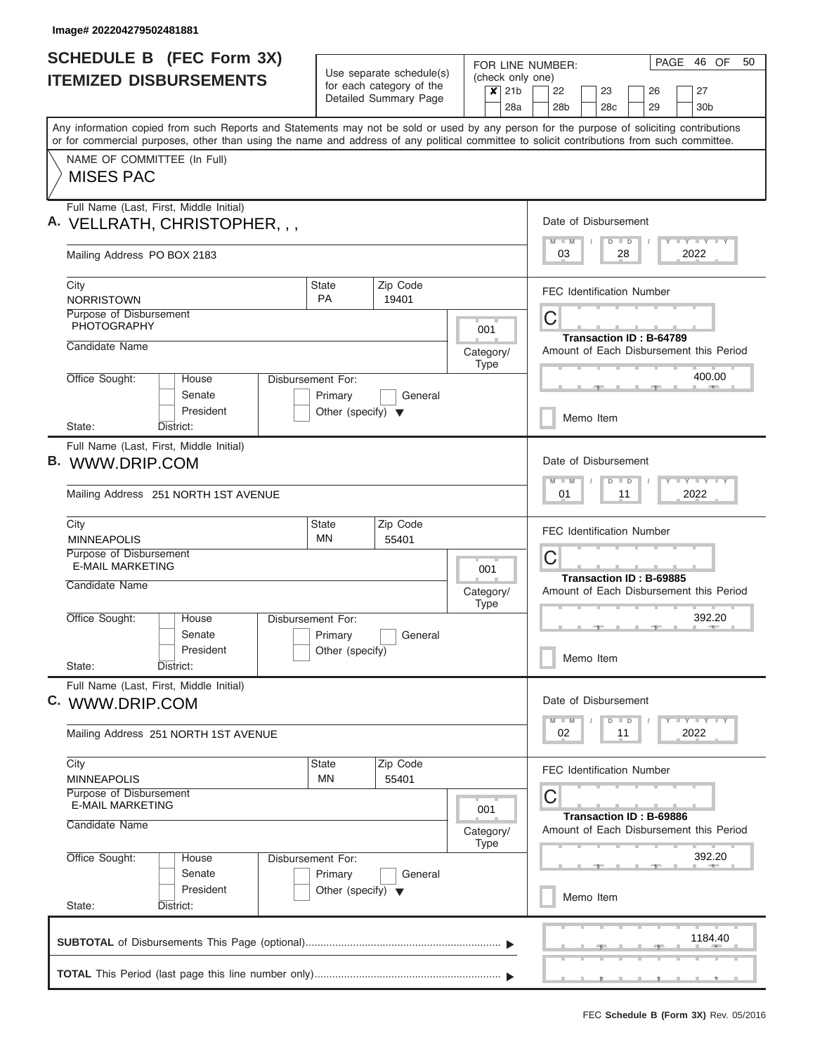I

| <b>SCHEDULE B (FEC Form 3X)</b>                                                                                                                                                                                                                                                         |                                                                      | Use separate schedule(s)                          | FOR LINE NUMBER:                   | PAGE 46 OF<br>50                                                                    |
|-----------------------------------------------------------------------------------------------------------------------------------------------------------------------------------------------------------------------------------------------------------------------------------------|----------------------------------------------------------------------|---------------------------------------------------|------------------------------------|-------------------------------------------------------------------------------------|
| <b>ITEMIZED DISBURSEMENTS</b>                                                                                                                                                                                                                                                           |                                                                      | for each category of the<br>Detailed Summary Page | (check only one)<br>$x$ 21b<br>28a | 22<br>23<br>26<br>27<br>28 <sub>b</sub><br>28 <sub>c</sub><br>29<br>30 <sub>b</sub> |
| Any information copied from such Reports and Statements may not be sold or used by any person for the purpose of soliciting contributions<br>or for commercial purposes, other than using the name and address of any political committee to solicit contributions from such committee. |                                                                      |                                                   |                                    |                                                                                     |
| NAME OF COMMITTEE (In Full)<br><b>MISES PAC</b>                                                                                                                                                                                                                                         |                                                                      |                                                   |                                    |                                                                                     |
| Full Name (Last, First, Middle Initial)<br>A. VELLRATH, CHRISTOPHER, , ,                                                                                                                                                                                                                |                                                                      |                                                   |                                    | Date of Disbursement<br>Y L Y L Y L Y<br>$M$ $M$<br>$D$ $D$                         |
| Mailing Address PO BOX 2183                                                                                                                                                                                                                                                             |                                                                      |                                                   |                                    | 03<br>28<br>2022                                                                    |
| City<br><b>NORRISTOWN</b>                                                                                                                                                                                                                                                               | State<br><b>PA</b>                                                   | Zip Code<br>19401                                 |                                    | <b>FEC Identification Number</b>                                                    |
| Purpose of Disbursement<br><b>PHOTOGRAPHY</b>                                                                                                                                                                                                                                           |                                                                      |                                                   | 001                                | C<br>Transaction ID: B-64789                                                        |
| Candidate Name                                                                                                                                                                                                                                                                          |                                                                      |                                                   | Category/<br><b>Type</b>           | Amount of Each Disbursement this Period                                             |
| Office Sought:<br>House<br>Senate<br>President                                                                                                                                                                                                                                          | Disbursement For:<br>Primary<br>Other (specify) $\blacktriangledown$ | General                                           |                                    | 400.00                                                                              |
| State:<br>District:                                                                                                                                                                                                                                                                     |                                                                      |                                                   |                                    | Memo Item                                                                           |
| Full Name (Last, First, Middle Initial)<br>B. WWW.DRIP.COM<br>Mailing Address 251 NORTH 1ST AVENUE                                                                                                                                                                                      |                                                                      |                                                   |                                    | Date of Disbursement<br>Y FY FY FY<br>$M - M$<br>$D$ $D$<br>01<br>11<br>2022        |
| City<br><b>MINNEAPOLIS</b>                                                                                                                                                                                                                                                              | <b>State</b><br>MN                                                   | Zip Code<br>55401                                 |                                    | <b>FEC Identification Number</b>                                                    |
| Purpose of Disbursement<br><b>E-MAIL MARKETING</b><br>Candidate Name                                                                                                                                                                                                                    |                                                                      |                                                   | 001                                | C<br>Transaction ID: B-69885                                                        |
| Office Sought:<br>House                                                                                                                                                                                                                                                                 | Disbursement For:                                                    |                                                   | Category/<br><b>Type</b>           | Amount of Each Disbursement this Period<br>392.20                                   |
| Senate<br>President<br>State:<br>District:                                                                                                                                                                                                                                              | Primary<br>Other (specify)                                           | General                                           |                                    | Memo Item                                                                           |
| Full Name (Last, First, Middle Initial)<br>C. WWW.DRIP.COM                                                                                                                                                                                                                              |                                                                      |                                                   |                                    | Date of Disbursement                                                                |
| Mailing Address 251 NORTH 1ST AVENUE                                                                                                                                                                                                                                                    |                                                                      |                                                   |                                    | $Y$ $Y$ $Y$ $Y$ $Y$<br>$M$ $M$<br>$D$ $D$<br>02<br>2022<br>11                       |
| City<br><b>MINNEAPOLIS</b>                                                                                                                                                                                                                                                              | <b>State</b><br><b>MN</b>                                            | Zip Code<br>55401                                 |                                    | <b>FEC Identification Number</b>                                                    |
| Purpose of Disbursement<br><b>E-MAIL MARKETING</b><br>Candidate Name                                                                                                                                                                                                                    |                                                                      |                                                   | 001<br>Category/<br><b>Type</b>    | С<br>Transaction ID: B-69886<br>Amount of Each Disbursement this Period             |
| Office Sought:<br>House<br>Senate                                                                                                                                                                                                                                                       | Disbursement For:<br>Primary                                         | General                                           |                                    | 392.20                                                                              |
| President<br>State:<br>District:                                                                                                                                                                                                                                                        | Other (specify) $\blacktriangledown$                                 |                                                   |                                    | Memo Item                                                                           |
|                                                                                                                                                                                                                                                                                         |                                                                      |                                                   |                                    | 1184.40                                                                             |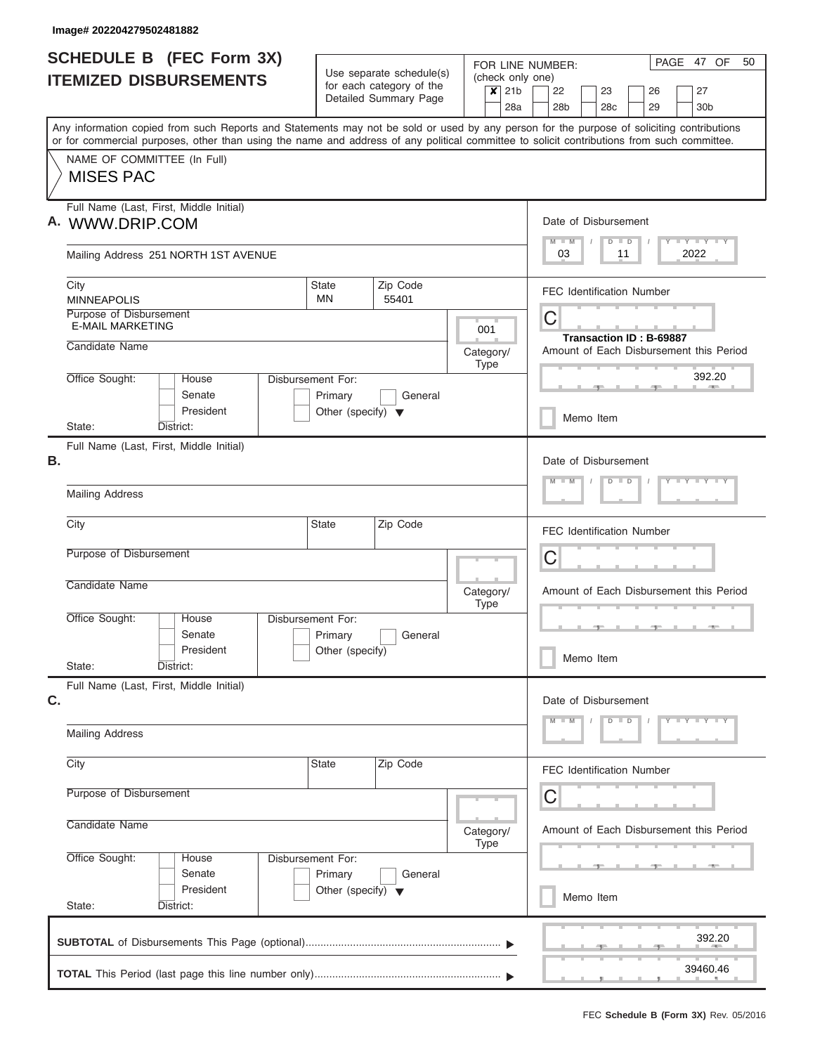|    | <b>SCHEDULE B (FEC Form 3X)</b><br><b>ITEMIZED DISBURSEMENTS</b>                                                                                                                                                                                                                        |                                                                      | Use separate schedule(s)<br>for each category of the | FOR LINE NUMBER:<br>(check only one)              | PAGE 47 OF<br>50                                                                    |  |  |  |  |  |  |  |  |  |  |  |
|----|-----------------------------------------------------------------------------------------------------------------------------------------------------------------------------------------------------------------------------------------------------------------------------------------|----------------------------------------------------------------------|------------------------------------------------------|---------------------------------------------------|-------------------------------------------------------------------------------------|--|--|--|--|--|--|--|--|--|--|--|
|    |                                                                                                                                                                                                                                                                                         |                                                                      | Detailed Summary Page                                | $\overline{\mathbf{x}}$<br>21 <sub>b</sub><br>28a | 22<br>23<br>27<br>26<br>30 <sub>b</sub><br>28 <sub>b</sub><br>28 <sub>c</sub><br>29 |  |  |  |  |  |  |  |  |  |  |  |
|    | Any information copied from such Reports and Statements may not be sold or used by any person for the purpose of soliciting contributions<br>or for commercial purposes, other than using the name and address of any political committee to solicit contributions from such committee. |                                                                      |                                                      |                                                   |                                                                                     |  |  |  |  |  |  |  |  |  |  |  |
|    | NAME OF COMMITTEE (In Full)<br><b>MISES PAC</b>                                                                                                                                                                                                                                         |                                                                      |                                                      |                                                   |                                                                                     |  |  |  |  |  |  |  |  |  |  |  |
|    | Full Name (Last, First, Middle Initial)<br>A. WWW.DRIP.COM                                                                                                                                                                                                                              |                                                                      |                                                      |                                                   | Date of Disbursement<br>Y LY LY LY<br>$M$ $M$<br>$D$ $D$                            |  |  |  |  |  |  |  |  |  |  |  |
|    | Mailing Address 251 NORTH 1ST AVENUE                                                                                                                                                                                                                                                    |                                                                      |                                                      |                                                   | 03<br>2022<br>11                                                                    |  |  |  |  |  |  |  |  |  |  |  |
|    | City<br><b>MINNEAPOLIS</b>                                                                                                                                                                                                                                                              | <b>State</b><br><b>MN</b>                                            | Zip Code<br>55401                                    |                                                   | <b>FEC Identification Number</b>                                                    |  |  |  |  |  |  |  |  |  |  |  |
|    | Purpose of Disbursement<br><b>E-MAIL MARKETING</b><br>Candidate Name                                                                                                                                                                                                                    |                                                                      |                                                      | 001<br>Category/                                  | C<br>Transaction ID: B-69887<br>Amount of Each Disbursement this Period             |  |  |  |  |  |  |  |  |  |  |  |
|    | Office Sought:<br>House<br>Senate                                                                                                                                                                                                                                                       | Disbursement For:<br>Primary                                         | General                                              | <b>Type</b>                                       | 392.20                                                                              |  |  |  |  |  |  |  |  |  |  |  |
|    | President<br>District:<br>State:                                                                                                                                                                                                                                                        | Other (specify) $\blacktriangledown$                                 |                                                      |                                                   | Memo Item                                                                           |  |  |  |  |  |  |  |  |  |  |  |
| В. | Full Name (Last, First, Middle Initial)                                                                                                                                                                                                                                                 |                                                                      |                                                      |                                                   | Date of Disbursement                                                                |  |  |  |  |  |  |  |  |  |  |  |
|    | <b>Mailing Address</b>                                                                                                                                                                                                                                                                  |                                                                      |                                                      |                                                   | $Y = Y = Y = Y$<br>$D$ $D$                                                          |  |  |  |  |  |  |  |  |  |  |  |
|    | City                                                                                                                                                                                                                                                                                    | <b>State</b>                                                         | Zip Code                                             |                                                   | <b>FEC Identification Number</b>                                                    |  |  |  |  |  |  |  |  |  |  |  |
|    | Purpose of Disbursement                                                                                                                                                                                                                                                                 |                                                                      |                                                      |                                                   | C                                                                                   |  |  |  |  |  |  |  |  |  |  |  |
|    | Candidate Name                                                                                                                                                                                                                                                                          |                                                                      |                                                      | Category/<br><b>Type</b>                          | Amount of Each Disbursement this Period                                             |  |  |  |  |  |  |  |  |  |  |  |
|    | Office Sought:<br>House<br>Senate<br>President                                                                                                                                                                                                                                          | Disbursement For:<br>Primary<br>Other (specify)                      | General                                              |                                                   | Memo Item                                                                           |  |  |  |  |  |  |  |  |  |  |  |
|    | State:<br>District:<br>Full Name (Last, First, Middle Initial)                                                                                                                                                                                                                          |                                                                      |                                                      |                                                   |                                                                                     |  |  |  |  |  |  |  |  |  |  |  |
| C. | <b>Mailing Address</b>                                                                                                                                                                                                                                                                  |                                                                      |                                                      |                                                   | Date of Disbursement<br>$Y$ $Y$ $Y$ $Y$ $Y$<br>$D$ $D$                              |  |  |  |  |  |  |  |  |  |  |  |
|    | City                                                                                                                                                                                                                                                                                    | <b>State</b>                                                         | Zip Code                                             |                                                   |                                                                                     |  |  |  |  |  |  |  |  |  |  |  |
|    | Purpose of Disbursement                                                                                                                                                                                                                                                                 |                                                                      |                                                      |                                                   | <b>FEC Identification Number</b><br>С                                               |  |  |  |  |  |  |  |  |  |  |  |
|    | Candidate Name                                                                                                                                                                                                                                                                          |                                                                      |                                                      | Category/<br><b>Type</b>                          | Amount of Each Disbursement this Period                                             |  |  |  |  |  |  |  |  |  |  |  |
|    | Office Sought:<br>House<br>Senate<br>President                                                                                                                                                                                                                                          | Disbursement For:<br>Primary<br>Other (specify) $\blacktriangledown$ | General                                              |                                                   |                                                                                     |  |  |  |  |  |  |  |  |  |  |  |
|    | State:<br>District:                                                                                                                                                                                                                                                                     |                                                                      |                                                      |                                                   | Memo Item                                                                           |  |  |  |  |  |  |  |  |  |  |  |
|    |                                                                                                                                                                                                                                                                                         |                                                                      |                                                      |                                                   | 392.20                                                                              |  |  |  |  |  |  |  |  |  |  |  |
|    |                                                                                                                                                                                                                                                                                         |                                                                      |                                                      |                                                   | 39460.46                                                                            |  |  |  |  |  |  |  |  |  |  |  |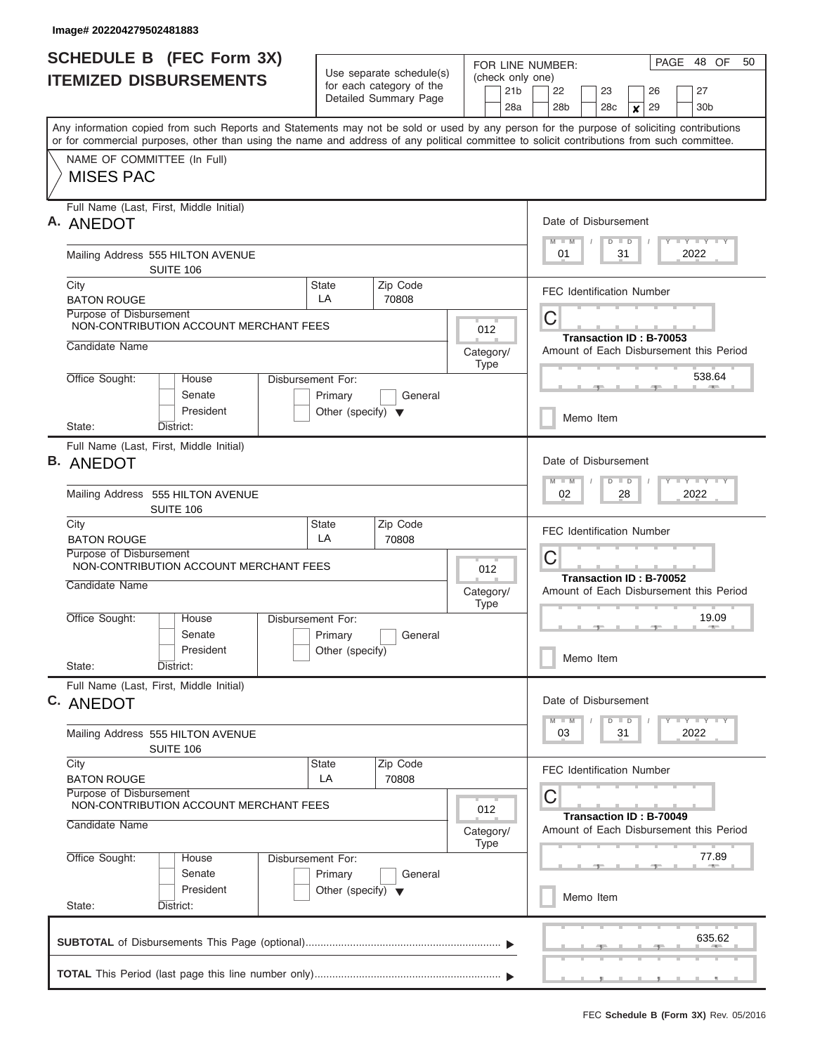| <b>SCHEDULE B (FEC Form 3X)</b>                                                                                                                                           | Use separate schedule(s)                        |                                      |           |                 |                  | PAGE 48 OF<br>FOR LINE NUMBER:   |                                                                    |                 |    |                                  |         |    |               |    |                                         |        | 50 |
|---------------------------------------------------------------------------------------------------------------------------------------------------------------------------|-------------------------------------------------|--------------------------------------|-----------|-----------------|------------------|----------------------------------|--------------------------------------------------------------------|-----------------|----|----------------------------------|---------|----|---------------|----|-----------------------------------------|--------|----|
| <b>ITEMIZED DISBURSEMENTS</b>                                                                                                                                             | for each category of the                        |                                      |           | 21 <sub>b</sub> | (check only one) |                                  | 22                                                                 |                 | 23 |                                  |         | 26 |               | 27 |                                         |        |    |
|                                                                                                                                                                           |                                                 | Detailed Summary Page                |           |                 | 28a              |                                  |                                                                    | 28 <sub>b</sub> |    | 28 <sub>c</sub>                  |         | x  | 29            |    | 30 <sub>b</sub>                         |        |    |
| Any information copied from such Reports and Statements may not be sold or used by any person for the purpose of soliciting contributions                                 |                                                 |                                      |           |                 |                  |                                  |                                                                    |                 |    |                                  |         |    |               |    |                                         |        |    |
| or for commercial purposes, other than using the name and address of any political committee to solicit contributions from such committee.<br>NAME OF COMMITTEE (In Full) |                                                 |                                      |           |                 |                  |                                  |                                                                    |                 |    |                                  |         |    |               |    |                                         |        |    |
| <b>MISES PAC</b>                                                                                                                                                          |                                                 |                                      |           |                 |                  |                                  |                                                                    |                 |    |                                  |         |    |               |    |                                         |        |    |
| Full Name (Last, First, Middle Initial)<br>A. ANEDOT                                                                                                                      |                                                 |                                      |           |                 |                  |                                  |                                                                    |                 |    | Date of Disbursement             |         |    |               |    |                                         |        |    |
| Mailing Address 555 HILTON AVENUE<br>SUITE 106                                                                                                                            |                                                 |                                      |           |                 |                  |                                  | Y LY LY LY<br>$M$ $M$<br>$D$ $D$<br>2022<br>01<br>31               |                 |    |                                  |         |    |               |    |                                         |        |    |
| City<br><b>BATON ROUGE</b>                                                                                                                                                | State<br>LA                                     | Zip Code<br>70808                    |           |                 |                  |                                  |                                                                    |                 |    | <b>FEC Identification Number</b> |         |    |               |    |                                         |        |    |
| Purpose of Disbursement<br>NON-CONTRIBUTION ACCOUNT MERCHANT FEES                                                                                                         |                                                 |                                      |           | 012             |                  |                                  | С                                                                  |                 |    | Transaction ID: B-70053          |         |    |               |    |                                         |        |    |
| Candidate Name                                                                                                                                                            |                                                 |                                      | Category/ | <b>Type</b>     |                  |                                  |                                                                    |                 |    |                                  |         |    |               |    | Amount of Each Disbursement this Period |        |    |
| Office Sought:<br>House<br>Disbursement For:<br>Senate                                                                                                                    | Primary                                         | General                              |           |                 |                  |                                  |                                                                    |                 |    |                                  |         |    |               |    |                                         | 538.64 |    |
| President<br>State:<br>District:                                                                                                                                          | Other (specify) $\blacktriangledown$            |                                      |           |                 |                  |                                  |                                                                    |                 |    | Memo Item                        |         |    |               |    |                                         |        |    |
| Full Name (Last, First, Middle Initial)                                                                                                                                   |                                                 |                                      |           |                 |                  |                                  |                                                                    |                 |    |                                  |         |    |               |    |                                         |        |    |
| <b>B. ANEDOT</b>                                                                                                                                                          |                                                 |                                      |           |                 |                  |                                  |                                                                    | $M - M$         |    | Date of Disbursement             | $D$ $D$ |    |               |    | $T - Y - T - Y - T - Y$                 |        |    |
| Mailing Address 555 HILTON AVENUE<br>SUITE 106                                                                                                                            |                                                 |                                      |           |                 |                  |                                  | 2022<br>02<br>28                                                   |                 |    |                                  |         |    |               |    |                                         |        |    |
| City<br><b>BATON ROUGE</b>                                                                                                                                                | State<br>LA                                     | Zip Code<br>70808                    |           |                 |                  | <b>FEC Identification Number</b> |                                                                    |                 |    |                                  |         |    |               |    |                                         |        |    |
| Purpose of Disbursement<br>NON-CONTRIBUTION ACCOUNT MERCHANT FEES                                                                                                         |                                                 |                                      |           | 012             |                  | С<br>Transaction ID: B-70052     |                                                                    |                 |    |                                  |         |    |               |    |                                         |        |    |
| Candidate Name                                                                                                                                                            |                                                 |                                      | Category/ | <b>Type</b>     |                  |                                  |                                                                    |                 |    |                                  |         |    |               |    | Amount of Each Disbursement this Period |        |    |
| Office Sought:<br>Disbursement For:<br>House<br>Senate                                                                                                                    | Primary                                         | General                              |           |                 |                  |                                  |                                                                    |                 |    |                                  |         |    | $\rightarrow$ |    |                                         | 19.09  |    |
| President<br>State:<br>District:                                                                                                                                          | Other (specify)                                 |                                      |           |                 |                  |                                  |                                                                    |                 |    | Memo Item                        |         |    |               |    |                                         |        |    |
| Full Name (Last, First, Middle Initial)<br>C. ANEDOT                                                                                                                      |                                                 |                                      |           |                 |                  |                                  |                                                                    |                 |    | Date of Disbursement             |         |    |               |    |                                         |        |    |
|                                                                                                                                                                           |                                                 |                                      |           |                 |                  |                                  |                                                                    | $M$ $M$         |    |                                  | $D$ $D$ |    |               |    | $T - Y$ $T - Y$                         |        |    |
| Mailing Address 555 HILTON AVENUE<br>SUITE 106                                                                                                                            |                                                 |                                      |           |                 |                  |                                  |                                                                    | 03              |    |                                  | 31      |    |               |    | 2022                                    |        |    |
| City<br><b>BATON ROUGE</b>                                                                                                                                                | State<br>LA                                     | Zip Code<br>70808                    |           |                 |                  |                                  |                                                                    |                 |    | FEC Identification Number        |         |    |               |    |                                         |        |    |
| Purpose of Disbursement<br>NON-CONTRIBUTION ACCOUNT MERCHANT FEES                                                                                                         |                                                 |                                      |           | 012             |                  |                                  | С                                                                  |                 |    |                                  |         |    |               |    |                                         |        |    |
| Candidate Name                                                                                                                                                            |                                                 |                                      | Category/ |                 |                  |                                  | Transaction ID: B-70049<br>Amount of Each Disbursement this Period |                 |    |                                  |         |    |               |    |                                         |        |    |
| Office Sought:<br>House<br>Senate                                                                                                                                         | Type<br>Disbursement For:<br>Primary<br>General |                                      |           |                 |                  |                                  | 77.89                                                              |                 |    |                                  |         |    |               |    |                                         |        |    |
| President<br>State:<br>District:                                                                                                                                          |                                                 | Other (specify) $\blacktriangledown$ |           |                 |                  |                                  |                                                                    |                 |    | Memo Item                        |         |    |               |    |                                         |        |    |
|                                                                                                                                                                           |                                                 |                                      |           |                 |                  |                                  |                                                                    |                 |    |                                  |         |    |               |    |                                         | 635.62 |    |
|                                                                                                                                                                           |                                                 |                                      |           |                 |                  |                                  |                                                                    |                 |    |                                  |         |    |               |    | .                                       |        |    |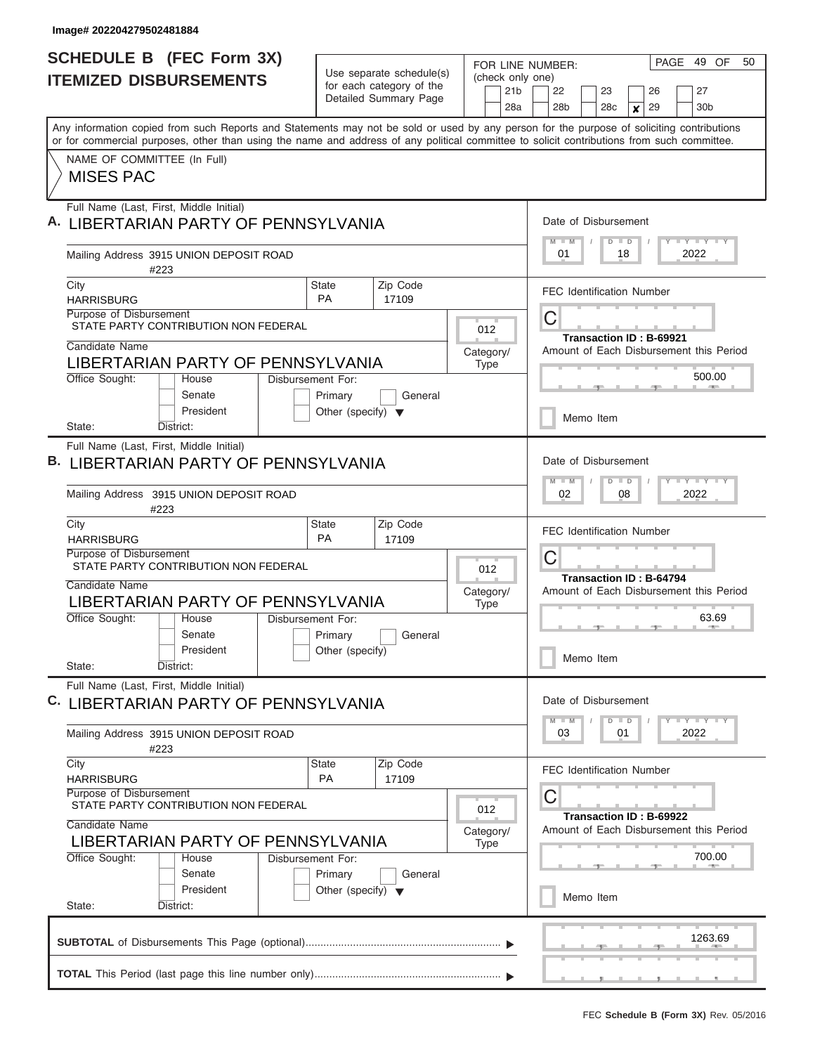$\overline{\phantom{a}}$ 

| <b>SCHEDULE B (FEC Form 3X)</b>                                                                                                                                                                                                                                                         | Use separate schedule(s)<br>for each category of the<br>Detailed Summary Page | PAGE<br>49 OF<br>50<br>FOR LINE NUMBER:    |                                                                                               |  |
|-----------------------------------------------------------------------------------------------------------------------------------------------------------------------------------------------------------------------------------------------------------------------------------------|-------------------------------------------------------------------------------|--------------------------------------------|-----------------------------------------------------------------------------------------------|--|
| <b>ITEMIZED DISBURSEMENTS</b>                                                                                                                                                                                                                                                           |                                                                               | (check only one)<br>21 <sub>b</sub><br>28a | 26<br>27<br>22<br>23<br>28b<br>28c<br>29<br>30 <sub>b</sub><br>×                              |  |
| Any information copied from such Reports and Statements may not be sold or used by any person for the purpose of soliciting contributions<br>or for commercial purposes, other than using the name and address of any political committee to solicit contributions from such committee. |                                                                               |                                            |                                                                                               |  |
| NAME OF COMMITTEE (In Full)<br><b>MISES PAC</b>                                                                                                                                                                                                                                         |                                                                               |                                            |                                                                                               |  |
| Full Name (Last, First, Middle Initial)<br>Α.<br>LIBERTARIAN PARTY OF PENNSYLVANIA                                                                                                                                                                                                      |                                                                               |                                            | Date of Disbursement<br><b>TEY LY LY</b><br>$M$ $M$<br>$\Box$<br>$\overline{D}$               |  |
| Mailing Address 3915 UNION DEPOSIT ROAD<br>#223                                                                                                                                                                                                                                         |                                                                               |                                            | 01<br>18<br>2022                                                                              |  |
| City<br><b>HARRISBURG</b><br>Purpose of Disbursement                                                                                                                                                                                                                                    | Zip Code<br><b>State</b><br><b>PA</b><br>17109                                |                                            | <b>FEC Identification Number</b><br>С                                                         |  |
| STATE PARTY CONTRIBUTION NON FEDERAL<br>Candidate Name<br>LIBERTARIAN PARTY OF PENNSYLVANIA                                                                                                                                                                                             |                                                                               | 012<br>Category/<br><b>Type</b>            | <b>Transaction ID: B-69921</b><br>Amount of Each Disbursement this Period                     |  |
| Office Sought:<br>House<br>Disbursement For:<br>Senate<br>President                                                                                                                                                                                                                     | Primary<br>General<br>Other (specify) $\blacktriangledown$                    |                                            | 500.00<br>Memo Item                                                                           |  |
| District:<br>State:<br>Full Name (Last, First, Middle Initial)<br><b>B. LIBERTARIAN PARTY OF PENNSYLVANIA</b><br>Mailing Address 3915 UNION DEPOSIT ROAD                                                                                                                                |                                                                               |                                            | Date of Disbursement<br><b>LY LY LY</b><br>$M - M$<br>$\blacksquare$<br>D<br>02<br>08<br>2022 |  |
| #223<br>City                                                                                                                                                                                                                                                                            | Zip Code<br><b>State</b>                                                      |                                            | <b>FEC Identification Number</b>                                                              |  |
| <b>HARRISBURG</b><br>Purpose of Disbursement<br>STATE PARTY CONTRIBUTION NON FEDERAL                                                                                                                                                                                                    | <b>PA</b><br>17109                                                            | 012                                        | С<br>Transaction ID: B-64794                                                                  |  |
| Candidate Name<br>LIBERTARIAN PARTY OF PENNSYLVANIA<br>Office Sought:<br>Disbursement For:<br>House                                                                                                                                                                                     |                                                                               | Category/<br><b>Type</b>                   | Amount of Each Disbursement this Period<br>63.69                                              |  |
| Senate<br>President<br>State:<br>District:                                                                                                                                                                                                                                              | Primary<br>General<br>Other (specify)                                         |                                            | Memo Item                                                                                     |  |
| Full Name (Last, First, Middle Initial)<br>C. LIBERTARIAN PARTY OF PENNSYLVANIA                                                                                                                                                                                                         |                                                                               |                                            | Date of Disbursement<br>$T$ $T$ $T$ $T$ $T$ $T$ $T$ $T$ $T$<br>$M - M$<br>$D$ $D$             |  |
| Mailing Address 3915 UNION DEPOSIT ROAD<br>#223                                                                                                                                                                                                                                         |                                                                               |                                            | 2022<br>03<br>01                                                                              |  |
| City<br><b>HARRISBURG</b><br>Purpose of Disbursement                                                                                                                                                                                                                                    | Zip Code<br><b>State</b><br><b>PA</b><br>17109                                |                                            | <b>FEC Identification Number</b><br>С                                                         |  |
| STATE PARTY CONTRIBUTION NON FEDERAL<br>012<br>Candidate Name<br>Category/<br>LIBERTARIAN PARTY OF PENNSYLVANIA<br><b>Type</b>                                                                                                                                                          |                                                                               |                                            | <b>Transaction ID: B-69922</b><br>Amount of Each Disbursement this Period                     |  |
| Office Sought:<br>House<br>Disbursement For:<br>Senate<br>President                                                                                                                                                                                                                     | Primary<br>General<br>Other (specify) $\blacktriangledown$                    |                                            | 700.00<br>Memo Item                                                                           |  |
| District:<br>State:                                                                                                                                                                                                                                                                     |                                                                               |                                            | 1263.69                                                                                       |  |